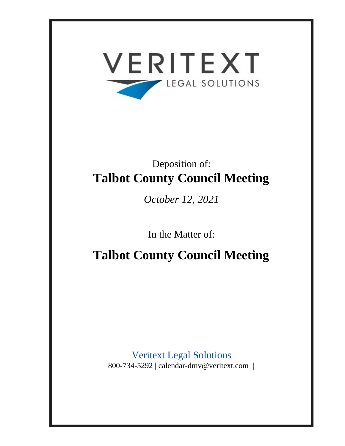

# Deposition of: **Talbot County Council Meeting**

*October 12, 2021*

In the Matter of:

**Talbot County Council Meeting**

Veritext Legal Solutions 800-734-5292 | calendar-dmv@veritext.com |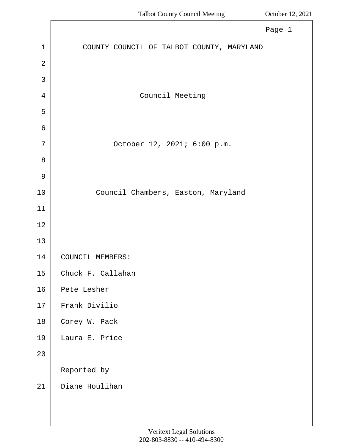|                | Page 1                                    |
|----------------|-------------------------------------------|
| $\mathbf{1}$   | COUNTY COUNCIL OF TALBOT COUNTY, MARYLAND |
| 2              |                                           |
| 3              |                                           |
| 4              | Council Meeting                           |
| 5              |                                           |
| 6              |                                           |
| 7              | October 12, 2021; 6:00 p.m.               |
| 8              |                                           |
| $\mathfrak{g}$ |                                           |
| $10\,$         | Council Chambers, Easton, Maryland        |
| 11             |                                           |
| $12$           |                                           |
| 13             |                                           |
| 14             | COUNCIL MEMBERS:                          |
| $15$           | Chuck F. Callahan                         |
| 16             | Pete Lesher                               |
| 17             | Frank Divilio                             |
| 18             | Corey W. Pack                             |
| 19             | Laura E. Price                            |
| 20             |                                           |
|                | Reported by                               |
| 21             | Diane Houlihan                            |
|                |                                           |
|                |                                           |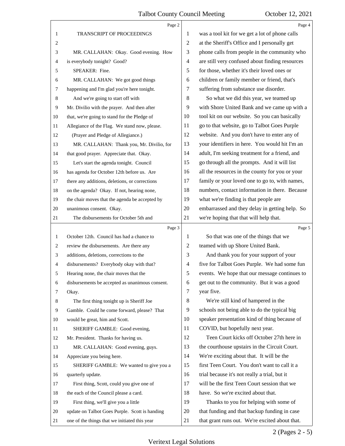|              | Page 2                                          |                | Page 4                                          |
|--------------|-------------------------------------------------|----------------|-------------------------------------------------|
| 1            | TRANSCRIPT OF PROCEEDINGS                       | 1              | was a tool kit for we get a lot of phone calls  |
| $\mathbf{2}$ |                                                 | $\overline{2}$ | at the Sheriff's Office and I personally get    |
| 3            | MR. CALLAHAN: Okay. Good evening. How           | 3              | phone calls from people in the community who    |
| 4            | is everybody tonight? Good?                     | 4              | are still very confused about finding resources |
| 5            | SPEAKER: Fine.                                  | 5              | for those, whether it's their loved ones or     |
| 6            | MR. CALLAHAN: We got good things                | 6              | children or family member or friend, that's     |
| 7            | happening and I'm glad you're here tonight.     | 7              | suffering from substance use disorder.          |
| 8            | And we're going to start off with               | 8              | So what we did this year, we teamed up          |
| 9            | Mr. Divilio with the prayer. And then after     | 9              | with Shore United Bank and we came up with a    |
| 10           | that, we're going to stand for the Pledge of    | 10             | tool kit on our website. So you can basically   |
| 11           | Allegiance of the Flag. We stand now, please.   | 11             | go to that website, go to Talbot Goes Purple    |
| 12           | (Prayer and Pledge of Allegiance.)              | 12             | website. And you don't have to enter any of     |
| 13           | MR. CALLAHAN: Thank you, Mr. Divilio, for       | 13             | your identifiers in here. You would hit I'm an  |
| 14           | that good prayer. Appreciate that. Okay.        | 14             | adult, I'm seeking treatment for a friend, and  |
| 15           | Let's start the agenda tonight. Council         | 15             | go through all the prompts. And it will list    |
| 16           | has agenda for October 12th before us. Are      | 16             | all the resources in the county for you or your |
| 17           | there any additions, deletions, or corrections  | 17             | family or your loved one to go to, with names,  |
| 18           | on the agenda? Okay. If not, hearing none,      | 18             | numbers, contact information in there. Because  |
| 19           | the chair moves that the agenda be accepted by  | 19             | what we're finding is that people are           |
| 20           | unanimous consent. Okay.                        | 20             | embarrassed and they delay in getting help. So  |
| 21           | The disbursements for October 5th and           | 21             | we're hoping that that will help that.          |
|              |                                                 |                |                                                 |
|              | Page 3                                          |                | Page 5                                          |
| 1            | October 12th. Council has had a chance to       | 1              | So that was one of the things that we           |
| 2            | review the disbursements. Are there any         | 2              | teamed with up Shore United Bank.               |
| 3            | additions, deletions, corrections to the        | 3              | And thank you for your support of your          |
| 4            | disbursements? Everybody okay with that?        | 4              | five for Talbot Goes Purple. We had some fun    |
| 5            | Hearing none, the chair moves that the          | 5              | events. We hope that our message continues to   |
| 6            | disbursements be accepted as unanimous consent. | 6              | get out to the community. But it was a good     |
| 7            | Okay.                                           | 7              | year five.                                      |
| 8            | The first thing tonight up is Sheriff Joe       | 8              | We're still kind of hampered in the             |
| 9            | Gamble. Could he come forward, please? That     | 9              | schools not being able to do the typical big    |
| 10           | would be great, him and Scott.                  | 10             | speaker presentation kind of thing because of   |
| 11           | SHERIFF GAMBLE: Good evening,                   | 11             | COVID, but hopefully next year.                 |
| 12           | Mr. President. Thanks for having us.            | 12             | Teen Court kicks off October 27th here in       |
| 13           | MR. CALLAHAN: Good evening, guys.               | 13             | the courthouse upstairs in the Circuit Court.   |
| 14           | Appreciate you being here.                      | 14             | We're exciting about that. It will be the       |
| 15           | SHERIFF GAMBLE: We wanted to give you a         | 15             | first Teen Court. You don't want to call it a   |
| 16           | quarterly update.                               | 16             | trial because it's not really a trial, but it   |
| 17           | First thing, Scott, could you give one of       | 17             | will be the first Teen Court session that we    |
| 18           | the each of the Council please a card.          | 18             | have. So we're excited about that.              |
| 19           | First thing, we'll give you a little            | 19             | Thanks to you for helping with some of          |
| 20           | update on Talbot Goes Purple. Scott is handing  | 20             | that funding and that backup funding in case    |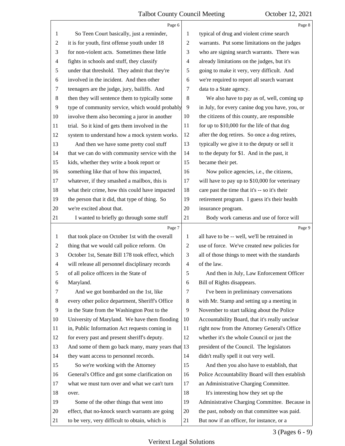|                | Page 6                                            |                | Page 8                                          |
|----------------|---------------------------------------------------|----------------|-------------------------------------------------|
| 1              | So Teen Court basically, just a reminder,         | 1              | typical of drug and violent crime search        |
| 2              | it is for youth, first offense youth under 18     | $\overline{2}$ | warrants. Put some limitations on the judges    |
| 3              | for non-violent acts. Sometimes these little      | 3              | who are signing search warrants. There was      |
| 4              | fights in schools and stuff, they classify        | $\overline{4}$ | already limitations on the judges, but it's     |
| 5              | under that threshold. They admit that they're     | 5              | going to make it very, very difficult. And      |
| 6              | involved in the incident. And then other          | 6              | we're required to report all search warrant     |
| 7              | teenagers are the judge, jury, bailiffs. And      | 7              | data to a State agency.                         |
| 8              | then they will sentence them to typically some    | 8              | We also have to pay as of, well, coming up      |
| 9              | type of community service, which would probably   | 9              | in July, for every canine dog you have, you, or |
| 10             | involve them also becoming a juror in another     | 10             | the citizens of this county, are responsible    |
| 11             | trial. So it kind of gets them involved in the    | 11             | for up to \$10,000 for the life of that dog     |
| 12             | system to understand how a mock system works.     | 12             | after the dog retires. So once a dog retires,   |
| 13             | And then we have some pretty cool stuff           | 13             | typically we give it to the deputy or sell it   |
| 14             | that we can do with community service with the    | 14             | to the deputy for \$1. And in the past, it      |
| 15             | kids, whether they write a book report or         | 15             | became their pet.                               |
| 16             | something like that of how this impacted,         | 16             | Now police agencies, i.e., the citizens,        |
| 17             | whatever, if they smashed a mailbox, this is      | 17             | will have to pay up to \$10,000 for veterinary  |
| 18             | what their crime, how this could have impacted    | 18             | care past the time that it's -- so it's their   |
| 19             | the person that it did, that type of thing. So    | 19             | retirement program. I guess it's their health   |
| 20             | we're excited about that.                         | 20             | insurance program.                              |
| 21             | I wanted to briefly go through some stuff         | 21             | Body work cameras and use of force will         |
|                |                                                   |                |                                                 |
|                | Page 7                                            |                | Page 9                                          |
| 1              | that took place on October 1st with the overall   | 1              | all have to be -- well, we'll be retrained in   |
| 2              | thing that we would call police reform. On        | $\overline{2}$ | use of force. We've created new policies for    |
| 3              | October 1st, Senate Bill 178 took effect, which   | 3              | all of those things to meet with the standards  |
| $\overline{4}$ | will release all personnel disciplinary records   | 4              | of the law.                                     |
| 5              | of all police officers in the State of            | 5              | And then in July, Law Enforcement Officer       |
| 6              | Maryland.                                         | 6              | Bill of Rights disappears.                      |
| 7              | And we got bombarded on the 1st, like             | 7              | I've been in preliminary conversations          |
| 8              | every other police department, Sheriff's Office   | 8              | with Mr. Stamp and setting up a meeting in      |
| 9              | in the State from the Washington Post to the      | 9              | November to start talking about the Police      |
| 10             | University of Maryland. We have them flooding     | 10             | Accountability Board, that it's really unclear  |
| 11             | in, Public Information Act requests coming in     | 11             | right now from the Attorney General's Office    |
| 12             | for every past and present sheriff's deputy.      | 12             | whether it's the whole Council or just the      |
| 13             | And some of them go back many, many years that 13 |                | president of the Council. The legislators       |
| 14             | they want access to personnel records.            | 14             | didn't really spell it out very well.           |
| 15             | So we're working with the Attorney                | 15             | And then you also have to establish, that       |
| 16             | General's Office and got some clarification on    | 16             | Police Accountability Board will then establish |
| 17             | what we must turn over and what we can't turn     | 17             | an Administrative Charging Committee.           |
| 18             | over.                                             | 18             | It's interesting how they set up the            |
| 19             | Some of the other things that went into           | 19             | Administrative Charging Committee. Because in   |
| 20             | effect, that no-knock search warrants are going   | 20             | the past, nobody on that committee was paid.    |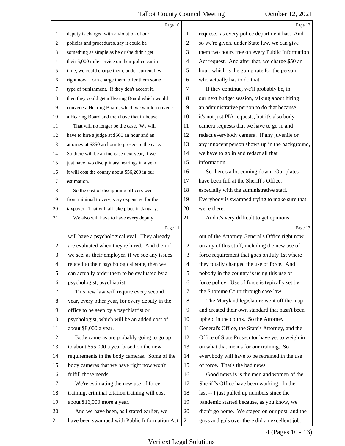|                | Page 10                                          |                | Page 12                                         |
|----------------|--------------------------------------------------|----------------|-------------------------------------------------|
| 1              | deputy is charged with a violation of our        | 1              | requests, as every police department has. And   |
| 2              | policies and procedures, say it could be         | $\overline{c}$ | so we're given, under State law, we can give    |
| 3              | something as simple as he or she didn't get      | 3              | them two hours free on every Public Information |
| 4              | their 5,000 mile service on their police car in  | $\overline{4}$ | Act request. And after that, we charge \$50 an  |
| 5              | time, we could charge them, under current law    | 5              | hour, which is the going rate for the person    |
| 6              | right now, I can charge them, offer them some    | 6              | who actually has to do that.                    |
| 7              | type of punishment. If they don't accept it,     | 7              | If they continue, we'll probably be, in         |
| 8              | then they could get a Hearing Board which would  | 8              | our next budget session, talking about hiring   |
| $\overline{9}$ | convene a Hearing Board, which we would convene  | 9              | an administrative person to do that because     |
| 10             | a Hearing Board and then have that in-house.     | 10             | it's not just PIA requests, but it's also body  |
| 11             | That will no longer be the case. We will         | 11             | camera requests that we have to go in and       |
| 12             | have to hire a judge at \$500 an hour and an     | 12             | redact everybody camera. If any juvenile or     |
| 13             | attorney at \$350 an hour to prosecute the case. | 13             | any innocent person shows up in the background, |
| 14             | So there will be an increase next year, if we    | 14             | we have to go in and redact all that            |
| 15             | just have two disciplinary hearings in a year,   | 15             | information.                                    |
| 16             | it will cost the county about \$56,200 in our    | 16             | So there's a lot coming down. Our plates        |
| 17             | estimation.                                      | 17             | have been full at the Sheriff's Office,         |
| 18             | So the cost of disciplining officers went        | 18             | especially with the administrative staff.       |
| 19             | from minimal to very, very expensive for the     | 19             | Everybody is swamped trying to make sure that   |
| 20             | taxpayer. That will all take place in January.   | 20             | we're there.                                    |
| 21             | We also will have to have every deputy           | 21             | And it's very difficult to get opinions         |
|                | Page 11                                          |                |                                                 |
|                |                                                  |                | Page 13                                         |
| 1              | will have a psychological eval. They already     | 1              | out of the Attorney General's Office right now  |
| $\overline{2}$ | are evaluated when they're hired. And then if    | 2              | on any of this stuff, including the new use of  |
| 3              | we see, as their employer, if we see any issues  | 3              | force requirement that goes on July 1st where   |
| $\overline{4}$ | related to their psychological state, then we    | $\overline{4}$ | they totally changed the use of force. And      |
| 5              | can actually order them to be evaluated by a     | 5              | nobody in the country is using this use of      |
| 6              | psychologist, psychiatrist.                      | 6              | force policy. Use of force is typically set by  |
| 7              | This new law will require every second           | 7              | the Supreme Court through case law.             |
| 8              | year, every other year, for every deputy in the  | 8              | The Maryland legislature went off the map       |
| 9              | office to be seen by a psychiatrist or           | 9              | and created their own standard that hasn't been |
| 10             | psychologist, which will be an added cost of     | 10             | upheld in the courts. So the Attorney           |
| 11             | about \$8,000 a year.                            | 11             | General's Office, the State's Attorney, and the |
| 12             | Body cameras are probably going to go up         | 12             | Office of State Prosecutor have yet to weigh in |
| 13             | to about \$55,000 a year based on the new        | 13             | on what that means for our training. So         |
| 14             | requirements in the body cameras. Some of the    | 14             | everybody will have to be retrained in the use  |
| 15             | body cameras that we have right now won't        | 15             | of force. That's the bad news.                  |
| 16             | fulfill those needs.                             | 16             | Good news is is the men and women of the        |
| 17             | We're estimating the new use of force            | 17             | Sheriff's Office have been working. In the      |
| 18             | training, criminal citation training will cost   | 18             | last -- I just pulled up numbers since the      |
| 19             | about \$16,000 more a year.                      | 19             | pandemic started because, as you know, we       |
| 20             | And we have been, as I stated earlier, we        | 20             | didn't go home. We stayed on our post, and the  |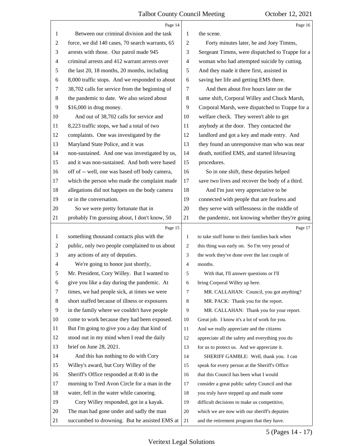|                | Page 14                                         |                | Page 16                                         |
|----------------|-------------------------------------------------|----------------|-------------------------------------------------|
| 1              | Between our criminal division and the task      | 1              | the scene.                                      |
| $\overline{c}$ | force, we did 140 cases, 70 search warrants, 65 | 2              | Forty minutes later, he and Joey Timms,         |
| 3              | arrests with those. Our patrol made 945         | 3              | Sergeant Timms, were dispatched to Trappe for a |
| 4              | criminal arrests and 412 warrant arrests over   | $\overline{4}$ | woman who had attempted suicide by cutting.     |
| 5              | the last 20, 18 months, 20 months, including    | 5              | And they made it there first, assisted in       |
| 6              | 8,000 traffic stops. And we responded to about  | 6              | saving her life and getting EMS there.          |
| 7              | 38,702 calls for service from the beginning of  | 7              | And then about five hours later on the          |
| 8              | the pandemic to date. We also seized about      | $\,8\,$        | same shift, Corporal Willey and Chuck Marsh,    |
| 9              | \$16,000 in drug money.                         | 9              | Corporal Marsh, were dispatched to Trappe for a |
| 10             | And out of 38,702 calls for service and         | 10             | welfare check. They weren't able to get         |
| 11             | 8,223 traffic stops, we had a total of two      | 11             | anybody at the door. They contacted the         |
| 12             | complaints. One was investigated by the         | 12             | landlord and got a key and made entry. And      |
| 13             | Maryland State Police, and it was               | 13             | they found an unresponsive man who was near     |
| 14             | non-sustained. And one was investigated by us,  | 14             | death, notified EMS, and started lifesaving     |
| 15             | and it was non-sustained. And both were based   | 15             | procedures.                                     |
| 16             | off of -- well, one was based off body camera,  | 16             | So in one shift, these deputies helped          |
| 17             | which the person who made the complaint made    | 17             | save two lives and recover the body of a third. |
| 18             | allegations did not happen on the body camera   | 18             | And I'm just very appreciative to be            |
| 19             | or in the conversation.                         | 19             | connected with people that are fearless and     |
| 20             | So we were pretty fortunate that in             | 20             | they serve with selflessness in the middle of   |
| 21             | probably I'm guessing about, I don't know, 50   | 21             | the pandemic, not knowing whether they're going |
|                | Page 15                                         |                | Page 17                                         |
|                |                                                 |                |                                                 |
| 1              | something thousand contacts plus with the       | $\mathbf{1}$   | to take stuff home to their families back when  |
| 2              | public, only two people complained to us about  | $\overline{2}$ | this thing was early on. So I'm very proud of   |
| 3              | any actions of any of deputies.                 | 3              | the work they've done over the last couple of   |
| 4              | We're going to honor just shortly,              | $\overline{4}$ | months.                                         |
| 5              | Mr. President, Cory Willey. But I wanted to     | 5              | With that, I'll answer questions or I'll        |
| 6              | give you like a day during the pandemic. At     | 6              | bring Corporal Willey up here.                  |
| 7              | times, we had people sick, at times we were     | $\overline{7}$ | MR. CALLAHAN: Council, you got anything?        |
| 8              | short staffed because of illness or exposures   | 8              | MR. PACK: Thank you for the report.             |
| 9              | in the family where we couldn't have people     | 9              | MR. CALLAHAN: Thank you for your report.        |
| 10             | come to work because they had been exposed.     | 10             | Great job. I know it's a lot of work for you.   |
| 11             | But I'm going to give you a day that kind of    | 11             | And we really appreciate and the citizens       |
| 12             | stood out in my mind when I read the daily      | 12             | appreciate all the safety and everything you do |
| 13             | brief on June 28, 2021.                         | 13             | for us to protect us. And we appreciate it.     |
| 14             | And this has nothing to do with Cory            | 14             | SHERIFF GAMBLE: Well, thank you. I can          |
| 15             | Willey's award, but Cory Willey of the          | 15             | speak for every person at the Sheriff's Office  |
| 16             | Sheriff's Office responded at 8:40 in the       | 16             | that this Council has been what I would         |
| 17             | morning to Tred Avon Circle for a man in the    | 17             | consider a great public safety Council and that |
| 18             | water, fell in the water while canoeing.        | 18             | you truly have stepped up and made some         |
| 19             | Cory Willey responded, got in a kayak.          | 19             | difficult decisions to make us competitive,     |
| 20             | The man had gone under and sadly the man        | 20             | which we are now with our sheriff's deputies    |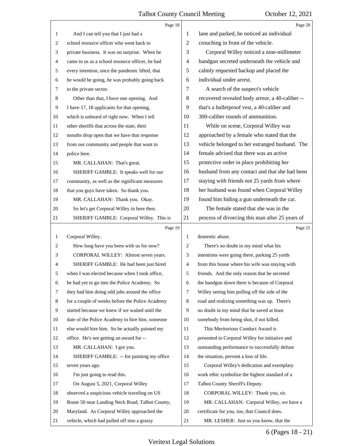|                | Page 18                                         |                | Page 20                                         |
|----------------|-------------------------------------------------|----------------|-------------------------------------------------|
| 1              | And I can tell you that I just had a            | 1              | lane and parked, he noticed an individual       |
| $\overline{c}$ | school resource officer who went back to        | $\overline{2}$ | crouching in front of the vehicle.              |
| 3              | private business. It was no surprise. When he   | 3              | Corporal Willey noticed a nine-millimeter       |
| $\overline{4}$ | came to us as a school resource officer, he had | $\overline{4}$ | handgun secreted underneath the vehicle and     |
| 5              | every intention, once the pandemic lifted, that | 5              | calmly requested backup and placed the          |
| 6              | he would be going, he was probably going back   | 6              | individual under arrest.                        |
| $\tau$         | to the private sector.                          | 7              | A search of the suspect's vehicle               |
| 8              | Other than that, I have one opening. And        | $\,8\,$        | recovered revealed body armor, a 40-caliber --  |
| 9              | I have 17, 18 applicants for that opening,      | 9              | that's a bulletproof vest, a 40-caliber and     |
| 10             | which is unheard of right now. When I tell      | 10             | 300-caliber rounds of ammunition.               |
| 11             | other sheriffs that across the state, their     | 11             | While on scene, Corporal Willey was             |
| 12             | mouths drop open that we have that response     | 12             | approached by a female who stated that the      |
| 13             | from our community and people that want to      | 13             | vehicle belonged to her estranged husband. The  |
| 14             | police here.                                    | 14             | female advised that there was an active         |
| 15             | MR. CALLAHAN: That's great.                     | 15             | protective order in place prohibiting her       |
| 16             | SHERIFF GAMBLE: It speaks well for our          | 16             | husband from any contact and that she had been  |
| 17             | community, as well as the significant measures  | 17             | staying with friends not 25 yards from where    |
| 18             | that you guys have taken. So thank you.         | 18             | her husband was found when Corporal Willey      |
| 19             | MR. CALLAHAN: Thank you. Okay.                  | 19             | found him hiding a gun underneath the car.      |
| 20             | So let's get Corporal Willey in here then.      | 20             | The female stated that she was in the           |
| 21             | SHERIFF GAMBLE: Corporal Willey. This is        | 21             | process of divorcing this man after 25 years of |
|                |                                                 |                |                                                 |
|                | Page 19                                         |                | Page 21                                         |
| 1              | Corporal Willey.                                | 1              | domestic abuse.                                 |
| 2              | How long have you been with us for now?         | 2              | There's no doubt in my mind what his            |
| 3              | CORPORAL WILLEY: Almost seven years.            | 3              | intentions were going there, parking 25 yards   |
| 4              | SHERIFF GAMBLE: He had been just hired          | $\overline{4}$ | from this house where his wife was staying with |
| 5              | when I was elected because when I took office,  | 5              | friends. And the only reason that he secreted   |
| 6              | he had yet to go into the Police Academy. So    | 6              | the handgun down there is because of Corporal   |
| 7              | they had him doing odd jobs around the office   | 7              | Willey seeing him pulling off the side of the   |
| 8              | for a couple of weeks before the Police Academy | $\,8\,$        | road and realizing something was up. There's    |
| 9              | started because we knew if we waited until the  | 9              | no doubt in my mind that he saved at least      |
| 10             | date of the Police Academy to hire him, someone | 10             | somebody from being shot, if not killed.        |
| 11             | else would hire him. So he actually painted my  | 11             | This Meritorious Conduct Award is               |
| 12             | office. He's not getting an award for --        | 12             | presented to Corporal Willey for initiative and |
| 13             | MR. CALLAHAN: I got you.                        | 13             | outstanding performance to successfully defuse  |
| 14             | SHERIFF GAMBLE: -- for painting my office       | 14             | the situation, prevent a loss of life.          |
| 15             | seven years ago.                                | 15             | Corporal Willey's dedication and exemplary      |
| 16             | I'm just going to read this.                    | 16             | work ethic symbolize the highest standard of a  |
| 17             | On August 5, 2021, Corporal Willey              | 17             | Talbot County Sheriff's Deputy.                 |
| 18             | observed a suspicious vehicle traveling on US   | 18             | CORPORAL WILLEY: Thank you, sir.                |
| 19             | Route 50 near Landing Neck Road, Talbot County, | 19             | MR. CALLAHAN: Corporal Willey, we have a        |
| 20             | Maryland. As Corporal Willey approached the     | 20             | certificate for you, too, that Council does.    |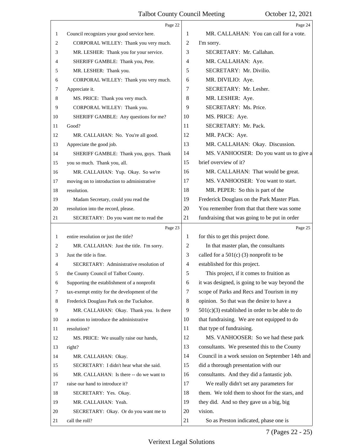|    | Page 22                                      |                | Page 24                                           |
|----|----------------------------------------------|----------------|---------------------------------------------------|
| 1  | Council recognizes your good service here.   | 1              | MR. CALLAHAN: You can call for a vote.            |
| 2  | CORPORAL WILLEY: Thank you very much.        | $\overline{2}$ | I'm sorry.                                        |
| 3  | MR. LESHER: Thank you for your service.      | 3              | SECRETARY: Mr. Callahan.                          |
| 4  | SHERIFF GAMBLE: Thank you, Pete.             | 4              | MR. CALLAHAN: Aye.                                |
| 5  | MR. LESHER: Thank you.                       | 5              | SECRETARY: Mr. Divilio.                           |
| 6  | CORPORAL WILLEY: Thank you very much.        | 6              | MR. DIVILIO: Aye.                                 |
| 7  | Appreciate it.                               | 7              | SECRETARY: Mr. Lesher.                            |
| 8  | MS. PRICE: Thank you very much.              | 8              | MR. LESHER: Aye.                                  |
| 9  | CORPORAL WILLEY: Thank you.                  | 9              | SECRETARY: Ms. Price.                             |
| 10 | SHERIFF GAMBLE: Any questions for me?        | 10             | MS. PRICE: Aye.                                   |
| 11 | Good?                                        | 11             | SECRETARY: Mr. Pack.                              |
| 12 | MR. CALLAHAN: No. You're all good.           | 12             | MR. PACK: Aye.                                    |
| 13 | Appreciate the good job.                     | 13             | MR. CALLAHAN: Okay. Discussion.                   |
| 14 | SHERIFF GAMBLE: Thank you, guys. Thank       | 14             | MS. VANHOOSER: Do you want us to give a           |
| 15 | you so much. Thank you, all.                 | 15             | brief overview of it?                             |
| 16 | MR. CALLAHAN: Yup. Okay. So we're            | 16             | MR. CALLAHAN: That would be great.                |
| 17 | moving on to introduction to administrative  | 17             | MS. VANHOOSER: You want to start.                 |
| 18 | resolution.                                  | 18             | MR. PEPER: So this is part of the                 |
| 19 | Madam Secretary, could you read the          | 19             | Frederick Douglass on the Park Master Plan.       |
| 20 | resolution into the record, please.          | 20             | You remember from that that there was some        |
| 21 | SECRETARY: Do you want me to read the        | 21             | fundraising that was going to be put in order     |
|    |                                              |                |                                                   |
|    | Page 23                                      |                | Page 25                                           |
| 1  | entire resolution or just the title?         | 1              | for this to get this project done.                |
| 2  | MR. CALLAHAN: Just the title. I'm sorry.     | 2              | In that master plan, the consultants              |
| 3  | Just the title is fine.                      | 3              | called for a $501(c)$ (3) nonprofit to be         |
| 4  | SECRETARY: Administrative resolution of      | $\overline{4}$ | established for this project.                     |
|    | the County Council of Talbot County.         | 5              | This project, if it comes to fruition as          |
| 6  | Supporting the establishment of a nonprofit  | 6              | it was designed, is going to be way beyond the    |
| 7  | tax-exempt entity for the development of the | 7              | scope of Parks and Recs and Tourism in my         |
| 8  | Frederick Douglass Park on the Tuckahoe.     | 8              | opinion. So that was the desire to have a         |
| 9  | MR. CALLAHAN: Okay. Thank you. Is there      | 9              | $501(c)(3)$ established in order to be able to do |
| 10 | a motion to introduce the administrative     | 10             | that fundraising. We are not equipped to do       |
| 11 | resolution?                                  | 11             | that type of fundraising.                         |
| 12 | MS. PRICE: We usually raise our hands,       | 12             | MS. VANHOOSER: So we had these park               |
| 13 | right?                                       | 13             | consultants. We presented this to the County      |
| 14 | MR. CALLAHAN: Okay.                          | 14             | Council in a work session on September 14th and   |
| 15 | SECRETARY: I didn't hear what she said.      | 15             | did a thorough presentation with our              |
| 16 | MR. CALLAHAN: Is there -- do we want to      | 16             | consultants. And they did a fantastic job.        |
| 17 | raise our hand to introduce it?              | 17             | We really didn't set any parameters for           |
| 18 | SECRETARY: Yes. Okay.                        | 18             | them. We told them to shoot for the stars, and    |
| 19 | MR. CALLAHAN: Yeah.                          | 19             | they did. And so they gave us a big, big          |
| 20 | SECRETARY: Okay. Or do you want me to        | 20             | vision.                                           |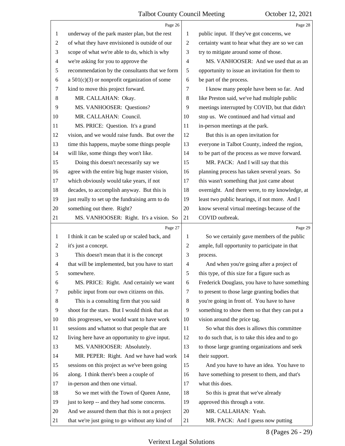|                | Page 26                                         |                | Page 28                                         |
|----------------|-------------------------------------------------|----------------|-------------------------------------------------|
| 1              | underway of the park master plan, but the rest  | 1              | public input. If they've got concerns, we       |
| 2              | of what they have envisioned is outside of our  | $\overline{c}$ | certainty want to hear what they are so we can  |
| 3              | scope of what we're able to do, which is why    | 3              | try to mitigate around some of those.           |
| $\overline{4}$ | we're asking for you to approve the             | 4              | MS. VANHOOSER: And we used that as an           |
| 5              | recommendation by the consultants that we form  | 5              | opportunity to issue an invitation for them to  |
| 6              | a $501(c)(3)$ or nonprofit organization of some | 6              | be part of the process.                         |
| 7              | kind to move this project forward.              | 7              | I know many people have been so far. And        |
| 8              | MR. CALLAHAN: Okay.                             | $\,8\,$        | like Preston said, we've had multiple public    |
| 9              | MS. VANHOOSER: Questions?                       | 9              | meetings interrupted by COVID, but that didn't  |
| 10             | MR. CALLAHAN: Council.                          | 10             | stop us. We continued and had virtual and       |
| 11             | MS. PRICE: Question. It's a grand               | 11             | in-person meetings at the park.                 |
| 12             | vision, and we would raise funds. But over the  | 12             | But this is an open invitation for              |
| 13             | time this happens, maybe some things people     | 13             | everyone in Talbot County, indeed the region,   |
| 14             | will like, some things they won't like.         | 14             | to be part of the process as we move forward.   |
| 15             | Doing this doesn't necessarily say we           | 15             | MR. PACK: And I will say that this              |
| 16             | agree with the entire big huge master vision,   | 16             | planning process has taken several years. So    |
| 17             | which obviously would take years, if not        | 17             | this wasn't something that just came about      |
| 18             | decades, to accomplish anyway. But this is      | 18             | overnight. And there were, to my knowledge, at  |
| 19             | just really to set up the fundraising arm to do | 19             | least two public hearings, if not more. And I   |
| 20             | something out there. Right?                     | 20             | know several virtual meetings because of the    |
| 21             | MS. VANHOOSER: Right. It's a vision. So         | 21             | COVID outbreak.                                 |
|                |                                                 |                |                                                 |
|                | Page 27                                         |                | Page 29                                         |
| 1              | I think it can be scaled up or scaled back, and | 1              | So we certainly gave members of the public      |
| 2              | it's just a concept.                            | $\overline{c}$ | ample, full opportunity to participate in that  |
| 3              | This doesn't mean that it is the concept        | 3              | process.                                        |
| 4              | that will be implemented, but you have to start | 4              | And when you're going after a project of        |
|                | somewhere.                                      | 5              | this type, of this size for a figure such as    |
| 6              | MS. PRICE: Right. And certainly we want         | 6              | Frederick Douglass, you have to have something  |
| 7              | public input from our own citizens on this.     | $\tau$         | to present to those large granting bodies that  |
| 8              | This is a consulting firm that you said         | 8              | you're going in front of. You have to have      |
| 9              | shoot for the stars. But I would think that as  | 9              | something to show them so that they can put a   |
| 10             | this progresses, we would want to have work     | 10             | vision around the price tag.                    |
| 11             | sessions and whatnot so that people that are    | 11             | So what this does is allows this committee      |
| 12             | living here have an opportunity to give input.  | 12             | to do such that, is to take this idea and to go |
| 13             | MS. VANHOOSER: Absolutely.                      | 13             | to those large granting organizations and seek  |
| 14             | MR. PEPER: Right. And we have had work          | 14             | their support.                                  |
| 15             | sessions on this project as we've been going    | 15             | And you have to have an idea. You have to       |
| 16             | along. I think there's been a couple of         | 16             | have something to present to them, and that's   |
| 17             | in-person and then one virtual.                 | 17             | what this does.                                 |
| 18             | So we met with the Town of Queen Anne,          | 18             | So this is great that we've already             |
| 19             | just to keep -- and they had some concerns.     | 19             | approved this through a vote.                   |
| 20             | And we assured them that this is not a project  | 20             | MR. CALLAHAN: Yeah.                             |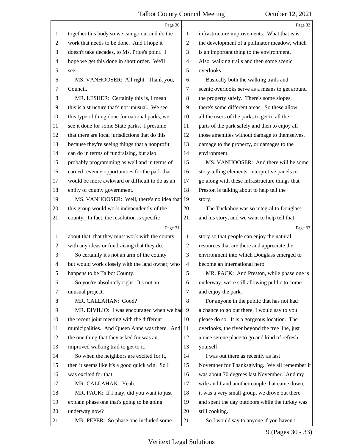|                | Page 30                                         |                          | Page 32                                         |
|----------------|-------------------------------------------------|--------------------------|-------------------------------------------------|
| 1              | together this body so we can go out and do the  | 1                        | infrastructure improvements. What that is is    |
| $\overline{c}$ | work that needs to be done. And I hope it       | $\mathfrak{2}$           | the development of a pollinator meadow, which   |
| 3              | doesn't take decades, to Ms. Price's point. I   | 3                        | is an important thing to the environment.       |
| 4              | hope we get this done in short order. We'll     | $\overline{\mathcal{A}}$ | Also, walking trails and then some scenic       |
| 5              | see.                                            | 5                        | overlooks.                                      |
| 6              | MS. VANHOOSER: All right. Thank you,            | 6                        | Basically both the walking trails and           |
| 7              | Council.                                        | 7                        | scenic overlooks serve as a means to get around |
| 8              | MR. LESHER: Certainly this is, I mean           | 8                        | the property safely. There's some slopes,       |
| 9              | this is a structure that's not unusual. We see  | 9                        | there's some different areas. So these allow    |
| 10             | this type of thing done for national parks, we  | 10                       | all the users of the parks to get to all the    |
| 11             | see it done for some State parks. I presume     | 11                       | parts of the park safely and then to enjoy all  |
| 12             | that there are local jurisdictions that do this | 12                       | those amenities without damage to themselves,   |
| 13             | because they're seeing things that a nonprofit  | 13                       | damage to the property, or damages to the       |
| 14             | can do in terms of fundraising, but also        | 14                       | environment.                                    |
| 15             | probably programming as well and in terms of    | 15                       | MS. VANHOOSER: And there will be some           |
| 16             | earned revenue opportunities for the park that  | 16                       | story telling elements, interpretive panels to  |
| 17             | would be more awkward or difficult to do as an  | 17                       | go along with these infrastructure things that  |
| 18             | entity of county government.                    | 18                       | Preston is talking about to help tell the       |
| 19             | MS. VANHOOSER: Well, there's no idea that       | 19                       | story.                                          |
| 20             | this group would work independently of the      | 20                       | The Tuckahoe was so integral to Douglass        |
| 21             | county. In fact, the resolution is specific     | 21                       | and his story, and we want to help tell that    |
|                | Page 31                                         |                          | Page 33                                         |
| 1              | about that, that they must work with the county | 1                        | story so that people can enjoy the natural      |
| 2              | with any ideas or fundraising that they do.     | $\mathbf{2}$             | resources that are there and appreciate the     |
| 3              | So certainly it's not an arm of the county      | $\mathfrak{Z}$           | environment into which Douglass emerged to      |
| 4              | but would work closely with the land owner, who | $\overline{4}$           | become an international hero.                   |
| C              | happens to be Talbot County.                    | 5                        | MR. PACK: And Preston, while phase one is       |
| 6              |                                                 |                          |                                                 |
| 7              | So you're absolutely right. It's not an         | 6                        | underway, we're still allowing public to come   |
|                | unusual project.                                | $\tau$                   | and enjoy the park.                             |
| 8              | MR. CALLAHAN: Good?                             | $\,8\,$                  | For anyone in the public that has not had       |
| 9              | MR. DIVILIO: I was encouraged when we had 9     |                          | a chance to go out there, I would say to you    |
| 10             | the recent joint meeting with the different     | 10                       | please do so. It is a gorgeous location. The    |
| 11             | municipalities. And Queen Anne was there. And   | 11                       | overlooks, the river beyond the tree line, just |
| 12             | the one thing that they asked for was an        | 12                       | a nice serene place to go and kind of refresh   |
| 13             | improved walking trail to get to it.            | 13                       | yourself.                                       |
| 14             | So when the neighbors are excited for it,       | 14                       | I was out there as recently as last             |
| 15             | then it seems like it's a good quick win. So I  | 15                       | November for Thanksgiving. We all remember it   |
| 16             | was excited for that.                           | 16                       | was about 70 degrees last November. And my      |
| 17             | MR. CALLAHAN: Yeah.                             | 17                       | wife and I and another couple that came down,   |
| 18             | MR. PACK: If I may, did you want to just        | 18                       | it was a very small group, we drove out there   |
| 19             | explain phase one that's going to be going      | 19                       | and spent the day outdoors while the turkey was |
| 20             | underway now?                                   | 20                       | still cooking.                                  |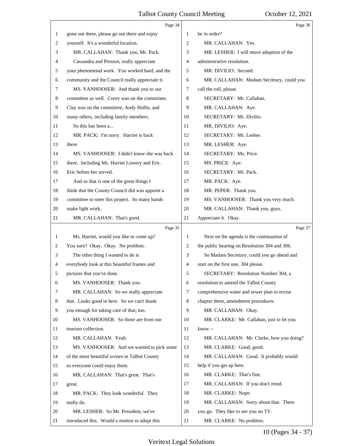Л

|               | Page 34                                         |                | Page 36                                       |
|---------------|-------------------------------------------------|----------------|-----------------------------------------------|
| 1             | gone out there, please go out there and enjoy   | 1              | be in order?                                  |
| 2             | yourself. It's a wonderful location.            | 2              | MR. CALLAHAN: Yes.                            |
| 3             | MR. CALLAHAN: Thank you, Mr. Pack.              | 3              | MR. LESHER: I will move adoption of the       |
| 4             | Cassandra and Preston, really appreciate        | $\overline{4}$ | administrative resolution.                    |
| 5             | your phenomenal work. You worked hard, and the  | 5              | MR. DIVILIO: Second.                          |
| 6             | community and the Council really appreciate it. | 6              | MR. CALLAHAN: Madam Secretary, could you      |
| 7             | MS. VANHOOSER: And thank you to our             | 7              | call the roll, please.                        |
| 8             | committee as well. Corey was on the committee,  | 8              | SECRETARY: Mr. Callahan.                      |
| 9             | Clay was on the committee, Andy Hollis, and     | 9              | MR. CALLAHAN: Aye.                            |
| 10            | many others, including family members.          | 10             | SECRETARY: Mr. Divilio.                       |
| 11            | So this has been a                              | 11             | MR. DIVILIO: Aye.                             |
| 12            | MR. PACK: I'm sorry. Harriet is back            | 12             | SECRETARY: Mr. Lesher.                        |
| 13            | there.                                          | 13             | MR. LESHER: Aye.                              |
| 14            | MS. VANHOOSER: I didn't know she was back       | 14             | SECRETARY: Ms. Price.                         |
| 15            | there. Including Ms. Harriet Lowery and Eric.   | 15             | MS. PRICE: Aye.                               |
| 16            | Eric before her served.                         | 16             | SECRETARY: Mr. Pack.                          |
| 17            | And so that is one of the great things I        | 17             | MR. PACK: Aye.                                |
| 18            | think that the County Council did was appoint a | 18             | MR. PEPER: Thank you.                         |
| 19            | committee to steer this project. So many hands  | 19             | MS. VANHOOSER: Thank you very much.           |
| 20            | make light work.                                | 20             | MR. CALLAHAN: Thank you, guys.                |
| 21            | MR. CALLAHAN: That's good.                      | 21             | Appreciate it. Okay.                          |
|               | Page 35                                         |                | Page 37                                       |
| 1             | Ms. Harriet, would you like to come up?         | 1              | Next on the agenda is the continuation of     |
| 2             | You sure? Okay. Okay. No problem.               | 2              | the public hearing on Resolution 304 and 306. |
| 3             | The other thing I wanted to do is               | 3              | So Madam Secretary, could you go ahead and    |
| 4             | everybody look at this beautiful frames and     | $\overline{4}$ | start on the first one, 304 please.           |
| $\mathfrak s$ | pictures that you've done.                      | 5              | SECRETARY: Resolution Number 304, a           |
| 6             | MS. VANHOOSER: Thank you.                       | 6              | resolution to amend the Talbot County         |
| 7             | MR. CALLAHAN: So we really appreciate           | $\overline{7}$ | comprehensive water and sewer plan to revise  |
| 8             | that. Looks good in here. So we can't thank     | 8              | chapter three, amendment procedures.          |
| 9             | you enough for taking care of that, too.        | 9              | MR. CALLAHAN: Okay.                           |
| 10            | MS. VANHOOSER: So those are from our            | 10             | MR. CLARKE: Mr. Callahan, just to let you     |
| 11            | tourism collection.                             | 11             | know --                                       |
| 12            | MR. CALLAHAN: Yeah.                             | 12             | MR. CALLAHAN: Mr. Clarke, how you doing?      |
| 13            | MS. VANHOOSER: And we wanted to pick some       | 13             | MR. CLARKE: Good, good.                       |
| 14            | of the most beautiful scenes in Talbot County   | 14             | MR. CALLAHAN: Good. It probably would         |
| 15            | so everyone could enjoy them.                   | 15             | help if you get up here.                      |
| 16            | MR. CALLAHAN: That's great. That's              | 16             | MR. CLARKE: That's fine.                      |
| 17            | great.                                          | 17             | MR. CALLAHAN: If you don't mind.              |
| 18            | MR. PACK: They look wonderful. They             | 18             | MR. CLARKE: Nope.                             |
| 19            | really do.                                      | 19             | MR. CALLAHAN: Sorry about that. There         |
| 20            | MR. LESHER: So Mr. President, we've             | 20             | you go. They like to see you on TV.           |
| 21            | introduced this. Would a motion to adopt this   | 21             | MR. CLARKE: No problem.                       |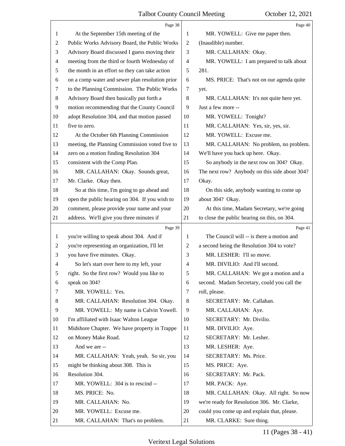|    | Page 38                                         |                | Page 40                                       |
|----|-------------------------------------------------|----------------|-----------------------------------------------|
| 1  | At the September 15th meeting of the            | 1              | MR. YOWELL: Give me paper then.               |
| 2  | Public Works Advisory Board, the Public Works   | $\mathfrak{2}$ | (Inaudible) number.                           |
| 3  | Advisory Board discussed I guess moving their   | 3              | MR. CALLAHAN: Okay.                           |
| 4  | meeting from the third or fourth Wednesday of   | 4              | MR. YOWELL: I am prepared to talk about       |
| 5  | the month in an effort so they can take action  | 5              | 281.                                          |
| 6  | on a comp water and sewer plan resolution prior | 6              | MS. PRICE: That's not on our agenda quite     |
| 7  | to the Planning Commission. The Public Works    | 7              | yet.                                          |
| 8  | Advisory Board then basically put forth a       | $\,8\,$        | MR. CALLAHAN: It's not quite here yet.        |
| 9  | motion recommending that the County Council     | 9              | Just a few more --                            |
| 10 | adopt Resolution 304, and that motion passed    | 10             | MR. YOWELL: Tonight?                          |
| 11 | five to zero.                                   | 11             | MR. CALLAHAN: Yes, sir, yes, sir.             |
| 12 | At the October 6th Planning Commission          | 12             | MR. YOWELL: Excuse me.                        |
| 13 | meeting, the Planning Commission voted five to  | 13             | MR. CALLAHAN: No problem, no problem.         |
| 14 | zero on a motion finding Resolution 304         | 14             | We'll have you back up here. Okay.            |
| 15 | consistent with the Comp Plan.                  | 15             | So anybody in the next row on 304? Okay.      |
| 16 | MR. CALLAHAN: Okay. Sounds great,               | 16             | The next row? Anybody on this side about 304? |
| 17 | Mr. Clarke. Okay then.                          | 17             | Okay.                                         |
| 18 | So at this time, I'm going to go ahead and      | 18             | On this side, anybody wanting to come up      |
| 19 | open the public hearing on 304. If you wish to  | 19             | about 304? Okay.                              |
| 20 | comment, please provide your name and your      | 20             | At this time, Madam Secretary, we're going    |
| 21 | address. We'll give you three minutes if        | 21             | to close the public hearing on this, on 304.  |
|    |                                                 |                |                                               |
|    | Page 39                                         |                | Page 41                                       |
| 1  | you're willing to speak about 304. And if       | 1              | The Council will -- is there a motion and     |
| 2  | you're representing an organization, I'll let   | 2              | a second being the Resolution 304 to vote?    |
| 3  | you have five minutes. Okay.                    | 3              | MR. LESHER: I'll so move.                     |
| 4  | So let's start over here to my left, your       | $\overline{4}$ | MR. DIVILIO: And I'll second.                 |
| 5  | right. So the first row? Would you like to      | 5              | MR. CALLAHAN: We got a motion and a           |
| 6  | speak on 304?                                   | 6              | second. Madam Secretary, could you call the   |
| 7  | MR. YOWELL: Yes.                                | 7              | roll, please.                                 |
| 8  | MR. CALLAHAN: Resolution 304. Okay.             | 8              | SECRETARY: Mr. Callahan.                      |
| 9  | MR. YOWELL: My name is Calvin Yowell.           | 9              | MR. CALLAHAN: Aye.                            |
| 10 | I'm affiliated with Isaac Walton League         | 10             | SECRETARY: Mr. Divilio.                       |
| 11 | Midshore Chapter. We have property in Trappe    | 11             | MR. DIVILIO: Aye.                             |
| 12 | on Money Make Road.                             | 12             | SECRETARY: Mr. Lesher.                        |
| 13 | And we are --                                   | 13             | MR. LESHER: Aye.                              |
| 14 | MR. CALLAHAN: Yeah, yeah. So sir, you           | 14             | SECRETARY: Ms. Price.                         |
| 15 | might be thinking about 308. This is            | 15             | MS. PRICE: Aye.                               |
| 16 | Resolution 304.                                 | 16             | SECRETARY: Mr. Pack.                          |
| 17 | MR. YOWELL: 304 is to rescind --                | 17             | MR. PACK: Aye.                                |
| 18 | MS. PRICE: No.                                  | 18             | MR. CALLAHAN: Okay. All right. So now         |
| 19 | MR. CALLAHAN: No.                               | 19             | we're ready for Resolution 306. Mr. Clarke,   |
| 20 | MR. YOWELL: Excuse me.                          | 20             | could you come up and explain that, please.   |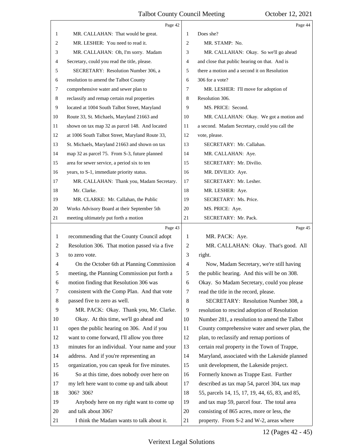|              | Page 42                                         |                | Page 44                                         |
|--------------|-------------------------------------------------|----------------|-------------------------------------------------|
| 1            | MR. CALLAHAN: That would be great.              | 1              | Does she?                                       |
| 2            | MR. LESHER: You need to read it.                | 2              | MR. STAMP: No.                                  |
| 3            | MR. CALLAHAN: Oh, I'm sorry. Madam              | 3              | MR. CALLAHAN: Okay. So we'll go ahead           |
| 4            | Secretary, could you read the title, please.    | $\overline{4}$ | and close that public hearing on that. And is   |
| 5            | SECRETARY: Resolution Number 306, a             | 5              | there a motion and a second it on Resolution    |
| 6            | resolution to amend the Talbot County           | 6              | 306 for a vote?                                 |
| 7            | comprehensive water and sewer plan to           | 7              | MR. LESHER: I'll move for adoption of           |
| 8            | reclassify and remap certain real properties    | 8              | Resolution 306.                                 |
| 9            | located at 1004 South Talbot Street, Maryland   | 9              | MS. PRICE: Second.                              |
| 10           | Route 33, St. Michaels, Maryland 21663 and      | 10             | MR. CALLAHAN: Okay. We got a motion and         |
| 11           | shown on tax map 32 as parcel 148. And located  | 11             | a second. Madam Secretary, could you call the   |
| 12           | at 1006 South Talbot Street, Maryland Route 33, | 12             | vote, please.                                   |
| 13           | St. Michaels, Maryland 21663 and shown on tax   | 13             | SECRETARY: Mr. Callahan.                        |
| 14           | map 32 as parcel 75. From S-3, future planned   | 14             | MR. CALLAHAN: Aye.                              |
| 15           | area for sewer service, a period six to ten     | 15             | SECRETARY: Mr. Divilio.                         |
| 16           | years, to S-1, immediate priority status.       | 16             | MR. DIVILIO: Aye.                               |
| 17           | MR. CALLAHAN: Thank you, Madam Secretary.       | 17             | SECRETARY: Mr. Lesher.                          |
| 18           | Mr. Clarke.                                     | 18             | MR. LESHER: Aye.                                |
| 19           | MR. CLARKE: Mr. Callahan, the Public            | 19             | SECRETARY: Ms. Price.                           |
| 20           | Works Advisory Board at their September 5th     | 20             | MS. PRICE: Aye.                                 |
| 21           | meeting ultimately put forth a motion           | 21             | SECRETARY: Mr. Pack.                            |
|              | Page 43                                         |                | Page 45                                         |
| $\mathbf{1}$ | recommending that the County Council adopt      | 1              | MR. PACK: Aye.                                  |
| 2            | Resolution 306. That motion passed via a five   | $\overline{2}$ | MR. CALLAHAN: Okay. That's good. All            |
| 3            | to zero vote.                                   | 3              | right.                                          |
| 4            | On the October 6th at Planning Commission       | $\overline{4}$ | Now, Madam Secretary, we're still having        |
| 5            | meeting, the Planning Commission put forth a    | 5              | the public hearing. And this will be on 308.    |
| 6            | motion finding that Resolution 306 was          | 6              | Okay. So Madam Secretary, could you please      |
| 7            | consistent with the Comp Plan. And that vote    | 7              | read the title in the record, please.           |
| $\,8\,$      | passed five to zero as well.                    | $8\,$          | SECRETARY: Resolution Number 308, a             |
| 9            | MR. PACK: Okay. Thank you, Mr. Clarke.          | 9              | resolution to rescind adoption of Resolution    |
| 10           | Okay. At this time, we'll go ahead and          | 10             | Number 281, a resolution to amend the Talbot    |
| 11           | open the public hearing on 306. And if you      | 11             | County comprehensive water and sewer plan, the  |
| 12           | want to come forward, I'll allow you three      | 12             | plan, to reclassify and remap portions of       |
| 13           | minutes for an individual. Your name and your   | 13             | certain real property in the Town of Trappe,    |
| 14           | address. And if you're representing an          | 14             | Maryland, associated with the Lakeside planned  |
| 15           | organization, you can speak for five minutes.   | 15             | unit development, the Lakeside project.         |
| 16           | So at this time, does nobody over here on       | 16             | Formerly known as Trappe East. Further          |
| 17           | my left here want to come up and talk about     | 17             | described as tax map 54, parcel 304, tax map    |
| 18           | 306? 306?                                       | 18             | 55, parcels 14, 15, 17, 19, 44, 65, 83, and 85, |
| 19           | Anybody here on my right want to come up        | 19             | and tax map 59, parcel four. The total area     |
| 20           | and talk about 306?                             | 20             | consisting of 865 acres, more or less, the      |
| 21           | I think the Madam wants to talk about it.       | 21             | property. From S-2 and W-2, areas where         |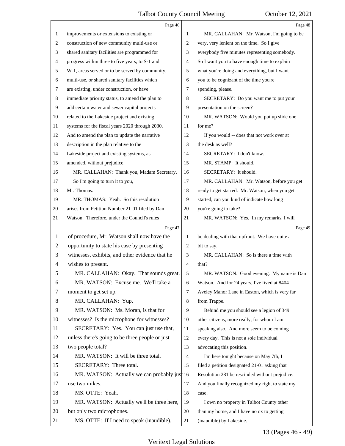|    | Page 46                                         |                | Page 48                                         |
|----|-------------------------------------------------|----------------|-------------------------------------------------|
| 1  | improvements or extensions to existing or       | 1              | MR. CALLAHAN: Mr. Watson, I'm going to be       |
| 2  | construction of new community multi-use or      | 2              | very, very lenient on the time. So I give       |
| 3  | shared sanitary facilities are programmed for   | 3              | everybody five minutes representing somebody.   |
| 4  | progress within three to five years, to S-1 and | $\overline{4}$ | So I want you to have enough time to explain    |
| 5  | W-1, areas served or to be served by community, | 5              | what you're doing and everything, but I want    |
| 6  | multi-use, or shared sanitary facilities which  | 6              | you to be cognizant of the time you're          |
| 7  | are existing, under construction, or have       | 7              | spending, please.                               |
| 8  | immediate priority status, to amend the plan to | 8              | SECRETARY: Do you want me to put your           |
| 9  | add certain water and sewer capital projects    | 9              | presentation on the screen?                     |
| 10 | related to the Lakeside project and existing    | 10             | MR. WATSON: Would you put up slide one          |
| 11 | systems for the fiscal years 2020 through 2030. | 11             | for me?                                         |
| 12 | And to amend the plan to update the narrative   | 12             | If you would -- does that not work over at      |
| 13 | description in the plan relative to the         | 13             | the desk as well?                               |
| 14 | Lakeside project and existing systems, as       | 14             | SECRETARY: I don't know.                        |
| 15 | amended, without prejudice.                     | 15             | MR. STAMP: It should.                           |
| 16 | MR. CALLAHAN: Thank you, Madam Secretary.       | 16             | SECRETARY: It should.                           |
| 17 | So I'm going to turn it to you,                 | 17             | MR. CALLAHAN: Mr. Watson, before you get        |
| 18 | Mr. Thomas.                                     | 18             | ready to get starred. Mr. Watson, when you get  |
| 19 | MR. THOMAS: Yeah. So this resolution            | 19             | started, can you kind of indicate how long      |
| 20 | arises from Petition Number 21-01 filed by Dan  | 20             | you're going to take?                           |
| 21 | Watson. Therefore, under the Council's rules    | 21             | MR. WATSON: Yes. In my remarks, I will          |
|    |                                                 |                |                                                 |
|    | Page 47                                         |                | Page 49                                         |
| 1  | of procedure, Mr. Watson shall now have the     | 1              | be dealing with that upfront. We have quite a   |
| 2  | opportunity to state his case by presenting     | 2              | bit to say.                                     |
| 3  | witnesses, exhibits, and other evidence that he | 3              | MR. CALLAHAN: So is there a time with           |
| 4  | wishes to present.                              | $\overline{4}$ | that?                                           |
| 5  | MR. CALLAHAN: Okay. That sounds great           | 5              | MR. WATSON: Good evening. My name is Dan        |
| 6  | MR. WATSON: Excuse me. We'll take a             | 6              | Watson. And for 24 years, I've lived at 8404    |
| 7  | moment to get set up.                           | $\tau$         | Aveley Manor Lane in Easton, which is very far  |
| 8  | MR. CALLAHAN: Yup.                              | 8              | from Trappe.                                    |
| 9  | MR. WATSON: Ms. Moran, is that for              | 9              | Behind me you should see a legion of 349        |
| 10 | witnesses? Is the microphone for witnesses?     | 10             | other citizens, more really, for whom I am      |
| 11 | SECRETARY: Yes. You can just use that,          | 11             | speaking also. And more seem to be coming       |
| 12 | unless there's going to be three people or just | 12             | every day. This is not a sole individual        |
| 13 | two people total?                               | 13             | advocating this position.                       |
| 14 | MR. WATSON: It will be three total.             | 14             | I'm here tonight because on May 7th, I          |
| 15 | SECRETARY: Three total.                         | 15             | filed a petition designated 21-01 asking that   |
| 16 | MR. WATSON: Actually we can probably just 16    |                | Resolution 281 be rescinded without prejudice.  |
| 17 | use two mikes.                                  | 17             | And you finally recognized my right to state my |
| 18 | MS. OTTE: Yeah.                                 | 18             | case.                                           |
| 19 | MR. WATSON: Actually we'll be three here,       | 19             | I own no property in Talbot County other        |
| 20 | but only two microphones.                       | $20\,$         | than my home, and I have no ox to getting       |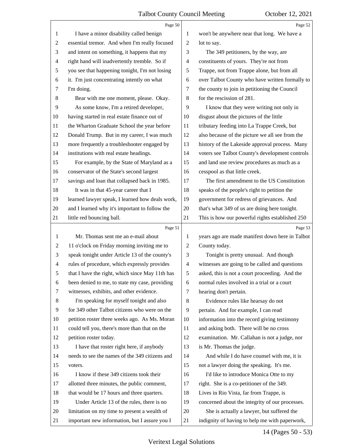|                | Page 50                                         |                | Page 52                                         |
|----------------|-------------------------------------------------|----------------|-------------------------------------------------|
| 1              | I have a minor disability called benign         | 1              | won't be anywhere near that long. We have a     |
| 2              | essential tremor. And when I'm really focused   | $\overline{2}$ | lot to say.                                     |
| 3              | and intent on something, it happens that my     | 3              | The 349 petitioners, by the way, are            |
| 4              | right hand will inadvertently tremble. So if    | $\overline{4}$ | constituents of yours. They're not from         |
| 5              | you see that happening tonight, I'm not losing  | 5              | Trappe, not from Trappe alone, but from all     |
| 6              | it. I'm just concentrating intently on what     | 6              | over Talbot County who have written formally to |
| 7              | I'm doing.                                      | 7              | the county to join in petitioning the Council   |
| 8              | Bear with me one moment, please. Okay.          | 8              | for the rescission of 281.                      |
| 9              | As some know, I'm a retired developer,          | 9              | I know that they were writing not only in       |
| 10             | having started in real estate finance out of    | 10             | disgust about the pictures of the little        |
| 11             | the Wharton Graduate School the year before     | 11             | tributary feeding into La Trappe Creek, but     |
| 12             | Donald Trump. But in my career, I was much      | 12             | also because of the picture we all see from the |
| 13             | more frequently a troubleshooter engaged by     | 13             | history of the Lakeside approval process. Many  |
| 14             | institutions with real estate headings.         | 14             | voters see Talbot County's development controls |
| 15             | For example, by the State of Maryland as a      | 15             | and land use review procedures as much as a     |
| 16             | conservator of the State's second largest       | 16             | cesspool as that little creek.                  |
| 17             | savings and loan that collapsed back in 1985.   | 17             | The first amendment to the US Constitution      |
| 18             | It was in that 45-year career that I            | 18             | speaks of the people's right to petition the    |
| 19             | learned lawyer speak, I learned how deals work, | 19             | government for redress of grievances. And       |
| 20             | and I learned why it's important to follow the  | 20             | that's what 349 of us are doing here tonight.   |
| 21             | little red bouncing ball.                       | 21             | This is how our powerful rights established 250 |
|                |                                                 |                |                                                 |
|                | Page 51                                         |                | Page 53                                         |
| 1              | Mr. Thomas sent me an e-mail about              | 1              | years ago are made manifest down here in Talbot |
| $\overline{2}$ | 11 o'clock on Friday morning inviting me to     | $\overline{2}$ | County today.                                   |
| 3              | speak tonight under Article 13 of the county's  | 3              | Tonight is pretty unusual. And though           |
| $\overline{4}$ | rules of procedure, which expressly provides    | $\overline{4}$ | witnesses are going to be called and questions  |
| 5              | that I have the right, which since May 11th has | 5              | asked, this is not a court proceeding. And the  |
| 6              | been denied to me, to state my case, providing  | 6              | normal rules involved in a trial or a court     |
| 7              | witnesses, exhibits, and other evidence.        | 7              | hearing don't pertain.                          |
| 8              | I'm speaking for myself tonight and also        | 8              | Evidence rules like hearsay do not              |
| 9              | for 349 other Talbot citizens who were on the   | 9              | pertain. And for example, I can read            |
| 10             | petition roster three weeks ago. As Ms. Moran   | 10             | information into the record giving testimony    |
| 11             | could tell you, there's more than that on the   | 11             | and asking both. There will be no cross         |
| 12             | petition roster today.                          | 12             | examination. Mr. Callahan is not a judge, nor   |
| 13             | I have that roster right here, if anybody       | 13             | is Mr. Thomas the judge.                        |
| 14             | needs to see the names of the 349 citizens and  | 14             | And while I do have counsel with me, it is      |
| 15             | voters.                                         | 15             | not a lawyer doing the speaking. It's me.       |
| 16             | I know if these 349 citizens took their         | 16             | I'd like to introduce Monica Otte to my         |
| 17             | allotted three minutes, the public comment,     | 17             | right. She is a co-petitioner of the 349.       |
| 18             | that would be 17 hours and three quarters.      | 18             | Lives in Rio Vista, far from Trappe, is         |
| 19             | Under Article 13 of the rules, there is no      | 19             | concerned about the integrity of our processes. |
| 20             | limitation on my time to present a wealth of    | 20             | She is actually a lawyer, but suffered the      |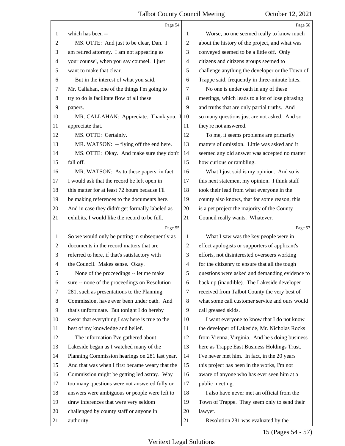|                | Page 54                                         |                          | Page 56                                         |
|----------------|-------------------------------------------------|--------------------------|-------------------------------------------------|
| 1              | which has been --                               | 1                        | Worse, no one seemed really to know much        |
| $\overline{c}$ | MS. OTTE: And just to be clear, Dan. I          | $\overline{c}$           | about the history of the project, and what was  |
| 3              | am retired attorney. I am not appearing as      | 3                        | conveyed seemed to be a little off. Only        |
| $\overline{4}$ | your counsel, when you say counsel. I just      | $\overline{\mathcal{A}}$ | citizens and citizens groups seemed to          |
| 5              | want to make that clear.                        | 5                        | challenge anything the developer or the Town of |
| 6              | But in the interest of what you said,           | 6                        | Trappe said, frequently in three-minute bites.  |
| 7              | Mr. Callahan, one of the things I'm going to    | 7                        | No one is under oath in any of these            |
| 8              | try to do is facilitate flow of all these       | $\,8\,$                  | meetings, which leads to a lot of lose phrasing |
| 9              | papers.                                         | 9                        | and truths that are only partial truths. And    |
| 10             | MR. CALLAHAN: Appreciate. Thank you. I          | 10                       | so many questions just are not asked. And so    |
| 11             | appreciate that.                                | 11                       | they're not answered.                           |
| 12             | MS. OTTE: Certainly.                            | 12                       | To me, it seems problems are primarily          |
| 13             | MR. WATSON: -- flying off the end here.         | 13                       | matters of omission. Little was asked and it    |
| 14             | MS. OTTE: Okay. And make sure they don't        | 14                       | seemed any old answer was accepted no matter    |
| 15             | fall off.                                       | 15                       | how curious or rambling.                        |
| 16             | MR. WATSON: As to these papers, in fact,        | 16                       | What I just said is my opinion. And so is       |
| 17             | I would ask that the record be left open in     | 17                       | this next statement my opinion. I think staff   |
| 18             | this matter for at least 72 hours because I'll  | 18                       | took their lead from what everyone in the       |
| 19             | be making references to the documents here.     | 19                       | county also knows, that for some reason, this   |
| 20             | And in case they didn't get formally labeled as | 20                       | is a pet project the majority of the County     |
| 21             | exhibits, I would like the record to be full.   | 21                       | Council really wants. Whatever.                 |
|                | Page 55                                         |                          |                                                 |
|                |                                                 |                          | Page 57                                         |
| $\mathbf{1}$   | So we would only be putting in subsequently as  | 1                        | What I saw was the key people were in           |
| 2              | documents in the record matters that are        | $\overline{c}$           | effect apologists or supporters of applicant's  |
| 3              | referred to here, if that's satisfactory with   | 3                        | efforts, not disinterested overseers working    |
| $\overline{4}$ | the Council. Makes sense. Okay.                 | $\overline{4}$           | for the citizenry to ensure that all the tough  |
| 5              | None of the proceedings -- let me make          | 5 <sup>1</sup>           | questions were asked and demanding evidence to  |
| 6              | sure -- none of the proceedings on Resolution   | 6                        | back up (inaudible). The Lakeside developer     |
| 7              | 281, such as presentations to the Planning      | 7                        | received from Talbot County the very best of    |
| 8              | Commission, have ever been under oath. And      | 8                        | what some call customer service and ours would  |
| 9              | that's unfortunate. But tonight I do hereby     | 9                        | call greased skids.                             |
| 10             | swear that everything I say here is true to the | 10                       | I want everyone to know that I do not know      |
| 11             | best of my knowledge and belief.                | 11                       | the developer of Lakeside, Mr. Nicholas Rocks   |
| 12             | The information I've gathered about             | 12                       | from Vienna, Virginia. And he's doing business  |
| 13             | Lakeside began as I watched many of the         | 13                       | here as Trappe East Business Holdings Trust.    |
| 14             | Planning Commission hearings on 281 last year.  | 14                       | I've never met him. In fact, in the 20 years    |
| 15             | And that was when I first became weary that the | 15                       | this project has been in the works, I'm not     |
| 16             | Commission might be getting led astray. Way     | 16                       | aware of anyone who has ever seen him at a      |
| 17             | too many questions were not answered fully or   | 17                       | public meeting.                                 |
| 18             | answers were ambiguous or people were left to   | 18                       | I also have never met an official from the      |
| 19             | draw inferences that were very seldom           | 19                       | Town of Trappe. They seem only to send their    |
| 20             | challenged by county staff or anyone in         | 20                       | lawyer.                                         |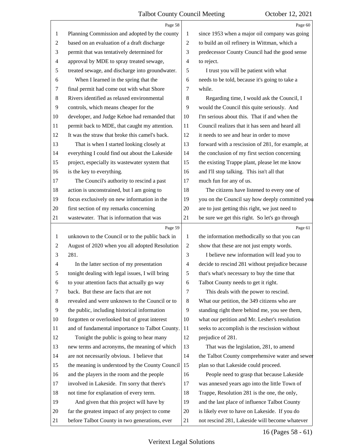|                | Page 58                                              |                          | Page 60                                           |
|----------------|------------------------------------------------------|--------------------------|---------------------------------------------------|
| 1              | Planning Commission and adopted by the county        | 1                        | since 1953 when a major oil company was going     |
| $\overline{c}$ | based on an evaluation of a draft discharge          | $\overline{c}$           | to build an oil refinery in Wittman, which a      |
| 3              | permit that was tentatively determined for           | 3                        | predecessor County Council had the good sense     |
| $\overline{4}$ | approval by MDE to spray treated sewage,             | $\overline{\mathcal{A}}$ | to reject.                                        |
| 5              | treated sewage, and discharge into groundwater.      | 5                        | I trust you will be patient with what             |
| 6              | When I learned in the spring that the                | 6                        | needs to be told, because it's going to take a    |
| 7              | final permit had come out with what Shore            | 7                        | while.                                            |
| $\,8\,$        | Rivers identified as relaxed environmental           | $\,8\,$                  | Regarding time, I would ask the Council, I        |
| 9              | controls, which means cheaper for the                | 9                        | would the Council this quite seriously. And       |
| 10             | developer, and Judge Kehoe had remanded that         | 10                       | I'm serious about this. That if and when the      |
| 11             | permit back to MDE, that caught my attention.        | 11                       | Council realizes that it has seen and heard all   |
| 12             | It was the straw that broke this camel's back.       | 12                       | it needs to see and hear in order to move         |
| 13             | That is when I started looking closely at            | 13                       | forward with a rescission of 281, for example, at |
| 14             | everything I could find out about the Lakeside       | 14                       | the conclusion of my first section concerning     |
| 15             | project, especially its wastewater system that       | 15                       | the existing Trappe plant, please let me know     |
| 16             | is the key to everything.                            | 16                       | and I'll stop talking. This isn't all that        |
| 17             | The Council's authority to rescind a past            | 17                       | much fun for any of us.                           |
| 18             | action is unconstrained, but I am going to           | 18                       | The citizens have listened to every one of        |
| 19             | focus exclusively on new information in the          | 19                       | you on the Council say how deeply committed you   |
| 20             | first section of my remarks concerning               | 20                       | are to just getting this right, we just need to   |
| 21             | wastewater. That is information that was             | 21                       | be sure we get this right. So let's go through    |
|                | Page 59                                              |                          | Page 61                                           |
| $\mathbf{1}$   | unknown to the Council or to the public back in      | 1                        | the information methodically so that you can      |
| $\overline{2}$ | August of 2020 when you all adopted Resolution       | $\overline{c}$           | show that these are not just empty words.         |
| 3              | 281.                                                 | 3                        |                                                   |
|                |                                                      |                          | I believe new information will lead you to        |
| $\overline{4}$ | In the latter section of my presentation             | $\overline{\mathcal{A}}$ | decide to rescind 281 without prejudice because   |
|                | tonight dealing with legal issues, I will bring      | 5                        | that's what's necessary to buy the time that      |
| 6              | to your attention facts that actually go way         | 6                        | Talbot County needs to get it right.              |
| 7              | back. But these are facts that are not               | 7                        | This deals with the power to rescind.             |
| 8              | revealed and were unknown to the Council or to       | 8                        | What our petition, the 349 citizens who are       |
| 9              | the public, including historical information         | 9                        | standing right there behind me, you see them,     |
| 10             | forgotten or overlooked but of great interest        | 10                       | what our petition and Mr. Lesher's resolution     |
| 11             | and of fundamental importance to Talbot County.      | 11                       | seeks to accomplish is the rescission without     |
| 12             | Tonight the public is going to hear many             | 12                       | prejudice of 281.                                 |
| 13             | new terms and acronyms, the meaning of which         | 13                       | That was the legislation, 281, to amend           |
| 14             | are not necessarily obvious. I believe that          | 14                       | the Talbot County comprehensive water and sewer   |
| 15             | the meaning is understood by the County Council   15 |                          | plan so that Lakeside could proceed.              |
| 16             | and the players in the room and the people           | 16                       | People need to grasp that because Lakeside        |
| 17             | involved in Lakeside. I'm sorry that there's         | 17                       | was annexed years ago into the little Town of     |
| 18             | not time for explanation of every term.              | 18                       | Trappe, Resolution 281 is the one, the only,      |
| 19             | And given that this project will have by             | 19                       | and the last place of influence Talbot County     |
| 20             | far the greatest impact of any project to come       | 20                       | is likely ever to have on Lakeside. If you do     |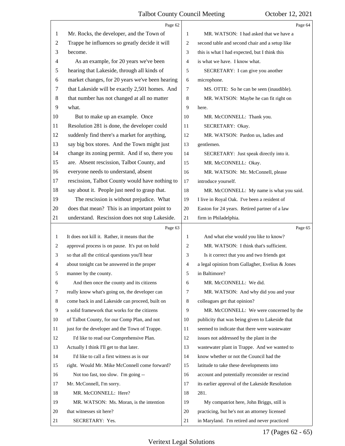|              | Page 62                                         |    | Page 64                                         |
|--------------|-------------------------------------------------|----|-------------------------------------------------|
| 1            | Mr. Rocks, the developer, and the Town of       | 1  | MR. WATSON: I had asked that we have a          |
| 2            | Trappe he influences so greatly decide it will  | 2  | second table and second chair and a setup like  |
| 3            | become.                                         | 3  | this is what I had expected, but I think this   |
| 4            | As an example, for 20 years we've been          | 4  | is what we have. I know what.                   |
| 5            | hearing that Lakeside, through all kinds of     | 5  | SECRETARY: I can give you another               |
| 6            | market changes, for 20 years we've been hearing | 6  | microphone.                                     |
| 7            | that Lakeside will be exactly 2,501 homes. And  | 7  | MS. OTTE: So he can be seen (inaudible).        |
| 8            | that number has not changed at all no matter    | 8  | MR. WATSON: Maybe he can fit right on           |
| 9            | what.                                           | 9  | here.                                           |
| 10           | But to make up an example. Once                 | 10 | MR. McCONNELL: Thank you.                       |
| 11           | Resolution 281 is done, the developer could     | 11 | SECRETARY: Okay.                                |
| 12           | suddenly find there's a market for anything,    | 12 | MR. WATSON: Pardon us, ladies and               |
| 13           | say big box stores. And the Town might just     | 13 | gentlemen.                                      |
| 14           | change its zoning permit. And if so, there you  | 14 | SECRETARY: Just speak directly into it.         |
| 15           | are. Absent rescission, Talbot County, and      | 15 | MR. McCONNELL: Okay.                            |
| 16           | everyone needs to understand, absent            | 16 | MR. WATSON: Mr. McConnell, please               |
| 17           | rescission, Talbot County would have nothing to | 17 | introduce yourself.                             |
| 18           | say about it. People just need to grasp that.   | 18 | MR. McCONNELL: My name is what you said.        |
| 19           | The rescission is without prejudice. What       | 19 | I live in Royal Oak. I've been a resident of    |
| 20           | does that mean? This is an important point to   | 20 | Easton for 24 years. Retired partner of a law   |
| 21           | understand. Rescission does not stop Lakeside.  | 21 | firm in Philadelphia.                           |
|              |                                                 |    |                                                 |
|              | Page 63                                         |    | Page 65                                         |
| $\mathbf{1}$ | It does not kill it. Rather, it means that the  | 1  | And what else would you like to know?           |
| 2            | approval process is on pause. It's put on hold  | 2  | MR. WATSON: I think that's sufficient.          |
| 3            | so that all the critical questions you'll hear  | 3  | Is it correct that you and two friends got      |
| 4            | about tonight can be answered in the proper     | 4  | a legal opinion from Gallagher, Evelius & Jones |
|              | manner by the county.                           | 5  | in Baltimore?                                   |
| 6            | And then once the county and its citizens       | 6  | MR. McCONNELL: We did.                          |
| 7            | really know what's going on, the developer can  | 7  | MR. WATSON: And why did you and your            |
| 8            | come back in and Lakeside can proceed, built on | 8  | colleagues get that opinion?                    |
| 9            | a solid framework that works for the citizens   | 9  | MR. McCONNELL: We were concerned by the         |
| 10           | of Talbot County, for our Comp Plan, and not    | 10 | publicity that was being given to Lakeside that |
| 11           | just for the developer and the Town of Trappe.  | 11 | seemed to indicate that there were wastewater   |
| 12           | I'd like to read our Comprehensive Plan.        | 12 | issues not addressed by the plant in the        |
| 13           | Actually I think I'll get to that later.        | 13 | wastewater plant in Trappe. And we wanted to    |
| 14           | I'd like to call a first witness as is our      | 14 | know whether or not the Council had the         |
| 15           | right. Would Mr. Mike McConnell come forward?   | 15 | latitude to take these developments into        |
| 16           | Not too fast, too slow. I'm going --            | 16 | account and potentially reconsider or rescind   |
| 17           | Mr. McConnell, I'm sorry.                       | 17 | its earlier approval of the Lakeside Resolution |
| 18           | MR. McCONNELL: Here?                            | 18 | 281.                                            |
| 19           | MR. WATSON: Ms. Moran, is the intention         | 19 | My compatriot here, John Briggs, still is       |
| 20           | that witnesses sit here?                        | 20 | practicing, but he's not an attorney licensed   |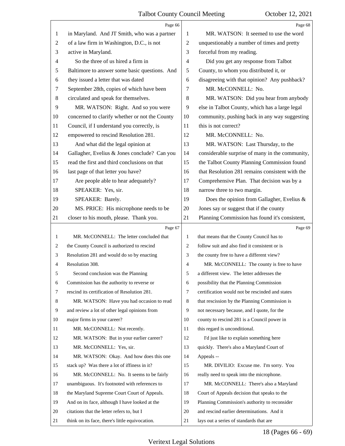|                | Page 66                                        |                | Page 68                                         |
|----------------|------------------------------------------------|----------------|-------------------------------------------------|
| 1              | in Maryland. And JT Smith, who was a partner   | 1              | MR. WATSON: It seemed to use the word           |
| $\overline{c}$ | of a law firm in Washington, D.C., is not      | 2              | unquestionably a number of times and pretty     |
| 3              | active in Maryland.                            | 3              | forceful from my reading.                       |
| 4              | So the three of us hired a firm in             | 4              | Did you get any response from Talbot            |
| 5              | Baltimore to answer some basic questions. And  | 5              | County, to whom you distributed it, or          |
| 6              | they issued a letter that was dated            | 6              | disagreeing with that opinion? Any pushback?    |
| 7              | September 28th, copies of which have been      | 7              | MR. McCONNELL: No.                              |
| 8              | circulated and speak for themselves.           | 8              | MR. WATSON: Did you hear from anybody           |
| 9              | MR. WATSON: Right. And so you were             | 9              | else in Talbot County, which has a large legal  |
| 10             | concerned to clarify whether or not the County | 10             | community, pushing back in any way suggesting   |
| 11             | Council, if I understand you correctly, is     | 11             | this is not correct?                            |
| 12             | empowered to rescind Resolution 281.           | 12             | MR. McCONNELL: No.                              |
| 13             | And what did the legal opinion at              | 13             | MR. WATSON: Last Thursday, to the               |
| 14             | Gallagher, Evelius & Jones conclude? Can you   | 14             | considerable surprise of many in the community, |
| 15             | read the first and third conclusions on that   | 15             | the Talbot County Planning Commission found     |
| 16             | last page of that letter you have?             | 16             | that Resolution 281 remains consistent with the |
| 17             | Are people able to hear adequately?            | 17             | Comprehensive Plan. That decision was by a      |
| 18             | SPEAKER: Yes, sir.                             | 18             | narrow three to two margin.                     |
| 19             | SPEAKER: Barely.                               | 19             | Does the opinion from Gallagher, Evelius &      |
| 20             | MS. PRICE: His microphone needs to be          | 20             | Jones say or suggest that if the county         |
| 21             | closer to his mouth, please. Thank you.        | 21             | Planning Commission has found it's consistent,  |
|                |                                                |                |                                                 |
|                | Page 67                                        |                | Page 69                                         |
| 1              | MR. McCONNELL: The letter concluded that       | 1              | that means that the County Council has to       |
| 2              | the County Council is authorized to rescind    | $\overline{2}$ | follow suit and also find it consistent or is   |
| 3              | Resolution 281 and would do so by enacting     | 3              | the county free to have a different view?       |
| 4              | Resolution 308.                                | $\overline{4}$ | MR. McCONNELL: The county is free to have       |
| 5              | Second conclusion was the Planning             | 5              | a different view. The letter addresses the      |
| 6              | Commission has the authority to reverse or     | 6              | possibility that the Planning Commission        |
| 7              | rescind its certification of Resolution 281.   | $\tau$         | certification would not be rescinded and states |
| 8              | MR. WATSON: Have you had occasion to read      | 8              | that rescission by the Planning Commission is   |
| 9              | and review a lot of other legal opinions from  | 9              | not necessary because, and I quote, for the     |
| 10             | major firms in your career?                    | 10             | county to rescind 281 is a Council power in     |
| 11             | MR. McCONNELL: Not recently.                   | 11             | this regard is unconditional.                   |
| 12             | MR. WATSON: But in your earlier career?        | 12             | I'd just like to explain something here         |
| 13             | MR. McCONNELL: Yes, sir.                       | 13             | quickly. There's also a Maryland Court of       |
| 14             | MR. WATSON: Okay. And how does this one        | 14             | Appeals --                                      |
| 15             | stack up? Was there a lot of iffiness in it?   | 15             | MR. DIVILIO: Excuse me. I'm sorry. You          |
| 16             | MR. McCONNELL: No. It seems to be fairly       | 16             | really need to speak into the microphone.       |
| 17             | unambiguous. It's footnoted with references to | 17             | MR. McCONNELL: There's also a Maryland          |
| 18             | the Maryland Supreme Court Court of Appeals.   | 18             | Court of Appeals decision that speaks to the    |
| 19             | And on its face, although I have looked at the | 19             | Planning Commission's authority to reconsider   |
| 20             | citations that the letter refers to, but I     | 20             | and rescind earlier determinations. And it      |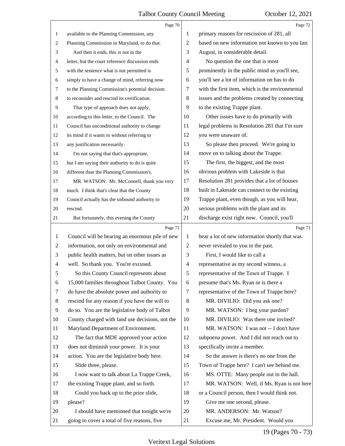|                | Page 70                                         |         | Page 72                                         |
|----------------|-------------------------------------------------|---------|-------------------------------------------------|
| 1              | available to the Planning Commission, any       | 1       | primary reasons for rescission of 281, all      |
| $\mathbf{2}$   | Planning Commission in Maryland, to do that.    | 2       | based on new information not known to you last  |
| 3              | And then it ends, this is not in the            | 3       | August, in considerable detail.                 |
| 4              | letter, but the court reference discussion ends | 4       | No question the one that is most                |
| 5              | with the sentence what is not permitted is      | 5       | prominently in the public mind as you'll see,   |
| 6              | simply to have a change of mind, referring now  | 6       | you'll see a lot of information on has to do    |
| 7              | to the Planning Commission's potential decision | 7       | with the first item, which is the environmental |
| 8              | to reconsider and rescind its certification.    | $\,8\,$ | issues and the problems created by connecting   |
| 9              | That type of approach does not apply,           | 9       | to the existing Trappe plant.                   |
| 10             | according to this letter, to the Council. The   | 10      | Other issues have to do primarily with          |
| 11             | Council has unconditional authority to change   | 11      | legal problems in Resolution 281 that I'm sure  |
| 12             | its mind if it wants to without referring to    | 12      | you were unaware of.                            |
| 13             | any justification necessarily.                  | 13      | So please then proceed. We're going to          |
| 14             | I'm not saying that that's appropriate,         | 14      | move on to talking about the Trappe.            |
| 15             | but I am saying their authority to do is quite  | 15      | The first, the biggest, and the most            |
| 16             | different than the Planning Commission's.       | 16      | obvious problem with Lakeside is that           |
| 17             | MR. WATSON: Mr. McConnell, thank you very       | 17      | Resolution 281 provides that a lot of houses    |
| 18             | much. I think that's clear that the County      | 18      | built in Lakeside can connect to the existing   |
| 19             | Council actually has the unbound authority to   | 19      | Trappe plant, even though, as you will hear,    |
| 20             | rescind.                                        | 20      | serious problems with the plant and its         |
| 21             | But fortunately, this evening the County        | 21      | discharge exist right now. Council, you'll      |
|                | Page 71                                         |         | Page 73                                         |
| 1              | Council will be hearing an enormous pile of new | 1       | hear a lot of new information shortly that was  |
| $\overline{c}$ | information, not only on environmental and      | 2       | never revealed to you in the past.              |
| 3              | public health matters, but on other issues as   | 3       | First, I would like to call a                   |
| 4              | well. So thank you. You're excused.             | 4       | representative as my second witness, a          |
| 5              | So this County Council represents about         | 5       | representative of the Town of Trappe. I         |
| 6              | 15,000 families throughout Talbot County. You   | 6       | presume that's Ms. Ryan or is there a           |
| 7              | do have the absolute power and authority to     | 7       | representative of the Town of Trappe here?      |
| 8              | rescind for any reason if you have the will to  | 8       | MR. DIVILIO: Did you ask one?                   |
| 9              | do so. You are the legislative body of Talbot   | 9       | MR. WATSON: I beg your pardon?                  |
| 10             | County charged with land use decisions, not the | 10      | MR. DIVILIO: Was there one invited?             |
| 11             | Maryland Department of Environment.             | 11      | MR. WATSON: I was not -- I don't have           |
| 12             | The fact that MDE approved your action          | 12      | subpoena power. And I did not reach out to      |
| 13             | does not diminish your power. It is your        | 13      | specifically invite a member.                   |
| 14             | action. You are the legislative body here.      | 14      | So the answer is there's no one from the        |
| 15             | Slide three, please.                            | 15      | Town of Trappe here? I can't see behind me.     |
| 16             | I now want to talk about La Trappe Creek,       | 16      | MS. OTTE: Many people out in the hall.          |
| 17             | the existing Trappe plant, and so forth.        | 17      | MR. WATSON: Well, if Ms. Ryan is not here       |
| 18             | Could you back up to the prior slide,           | 18      | or a Council person, then I would think not.    |
| 19             | please?                                         | 19      | Give me one second, please.                     |
|                |                                                 |         |                                                 |
| 20             | I should have mentioned that tonight we're      | 20      | MR. ANDERSON: Mr. Watson?                       |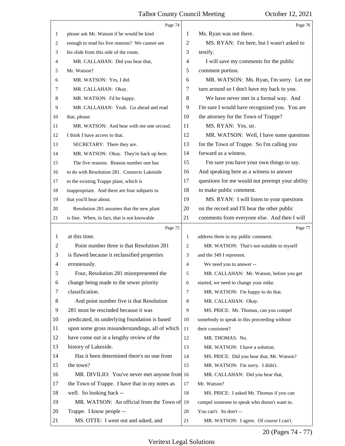|              | Page 74                                         |    | Page 76                                         |
|--------------|-------------------------------------------------|----|-------------------------------------------------|
| $\mathbf{1}$ | please ask Mr. Watson if he would be kind       | 1  | Ms. Ryan was not there.                         |
| 2            | enough to read his five reasons? We cannot see  | 2  | MS. RYAN: I'm here, but I wasn't asked to       |
| 3            | his slide from this side of the room.           | 3  | testify.                                        |
| 4            | MR. CALLAHAN: Did you hear that,                | 4  | I will save my comments for the public          |
| 5            | Mr. Watson?                                     | 5  | comment portion.                                |
| 6            | MR. WATSON: Yes, I did.                         | 6  | MR. WATSON: Ms. Ryan, I'm sorry. Let me         |
| 7            | MR. CALLAHAN: Okay.                             | 7  | turn around so I don't have my back to you.     |
| 8            | MR. WATSON: I'd be happy.                       | 8  | We have never met in a formal way. And          |
| 9            | MR. CALLAHAN: Yeah. Go ahead and read           | 9  | I'm sure I would have recognized you. You are   |
| 10           | that, please.                                   | 10 | the attorney for the Town of Trappe?            |
| 11           | MR. WATSON: And bear with me one second.        | 11 | MS. RYAN: Yes, sir.                             |
| 12           | I think I have access to that.                  | 12 | MR. WATSON: Well, I have some questions         |
| 13           | SECRETARY: There they are.                      | 13 | for the Town of Trappe. So I'm calling you      |
| 14           | MR. WATSON: Okay. They're back up here.         | 14 | forward as a witness.                           |
| 15           | The five reasons. Reason number one has         | 15 | I'm sure you have your own things to say.       |
| 16           | to do with Resolution 281. Connects Lakeside    | 16 | And speaking here as a witness to answer        |
| 17           | to the existing Trappe plant, which is          | 17 | questions for me would not preempt your ability |
| 18           | inappropriate. And there are four subparts to   | 18 | to make public comment.                         |
| 19           | that you'll hear about.                         | 19 | MS. RYAN: I will listen to your questions       |
| 20           | Resolution 281 assumes that the new plant       | 20 | on the record and I'll hear the other public    |
| 21           | is fine. When, in fact, that is not knowable    | 21 | comments from everyone else. And then I will    |
|              |                                                 |    |                                                 |
|              | Page 75                                         |    | Page 77                                         |
| 1            | at this time.                                   | 1  | address them in my public comment.              |
| 2            | Point number three is that Resolution 281       | 2  | MR. WATSON: That's not suitable to myself       |
| 3            | is flawed because it reclassified properties    | 3  | and the 349 I represent.                        |
| 4            | erroneously.                                    | 4  | We need you to answer --                        |
| 5            | Four, Resolution 281 misrepresented the         | 5  | MR. CALLAHAN: Mr. Watson, before you get        |
| 6            | change being made to the sewer priority         | 6  | started, we need to change your mike.           |
| 7            | classification.                                 | 7  | MR. WATSON: I'm happy to do that.               |
| 8            | And point number five is that Resolution        | 8  | MR. CALLAHAN: Okay.                             |
| 9            | 281 must be rescinded because it was            | 9  | MS. PRICE: Mr. Thomas, can you compel           |
| 10           | predicated, its underlying foundation is based  | 10 | somebody to speak in this proceeding without    |
| 11           | upon some gross misunderstandings, all of which | 11 | their consistent?                               |
| 12           | have come out in a lengthy review of the        | 12 | MR. THOMAS: No.                                 |
| 13           | history of Lakeside.                            | 13 | MR. WATSON: I have a solution.                  |
| 14           | Has it been determined there's no one from      | 14 | MS. PRICE: Did you hear that, Mr. Watson?       |
| 15           | the town?                                       | 15 | MR. WATSON: I'm sorry. I didn't.                |
| 16           | MR. DIVILIO: You've never met anyone from 16    |    | MR. CALLAHAN: Did you hear that,                |
| 17           | the Town of Trappe. I have that in my notes as  | 17 | Mr. Watson?                                     |
| 18           | well. So looking back --                        | 18 | MS. PRICE: I asked Mr. Thomas if you can        |
| 19           | MR. WATSON: An official from the Town of 19     |    | compel someone to speak who doesn't want to.    |
| 20           | Trappe. I know people --                        | 20 | You can't. So don't --                          |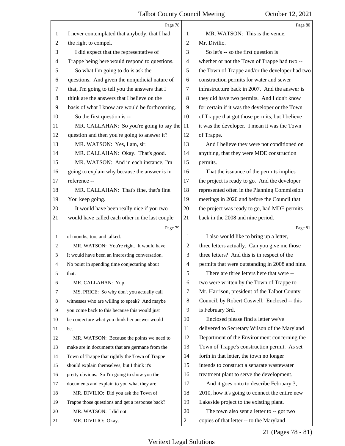|    | Page 78                                         |                | Page 80                                         |
|----|-------------------------------------------------|----------------|-------------------------------------------------|
| 1  | I never contemplated that anybody, that I had   | 1              | MR. WATSON: This is the venue,                  |
| 2  | the right to compel.                            | $\mathfrak{2}$ | Mr. Divilio.                                    |
| 3  | I did expect that the representative of         | 3              | So let's -- so the first question is            |
| 4  | Trappe being here would respond to questions.   | $\overline{4}$ | whether or not the Town of Trappe had two --    |
| 5  | So what I'm going to do is ask the              | 5              | the Town of Trappe and/or the developer had two |
| 6  | questions. And given the nonjudicial nature of  | 6              | construction permits for water and sewer        |
| 7  | that, I'm going to tell you the answers that I  | 7              | infrastructure back in 2007. And the answer is  |
| 8  | think are the answers that I believe on the     | 8              | they did have two permits. And I don't know     |
| 9  | basis of what I know are would be forthcoming.  | 9              | for certain if it was the developer or the Town |
| 10 | So the first question is --                     | 10             | of Trappe that got those permits, but I believe |
| 11 | MR. CALLAHAN: So you're going to say the        | 11             | it was the developer. I mean it was the Town    |
| 12 | question and then you're going to answer it?    | 12             | of Trappe.                                      |
| 13 | MR. WATSON: Yes, I am, sir.                     | 13             | And I believe they were not conditioned on      |
| 14 | MR. CALLAHAN: Okay. That's good.                | 14             | anything, that they were MDE construction       |
| 15 | MR. WATSON: And in each instance, I'm           | 15             | permits.                                        |
| 16 | going to explain why because the answer is in   | 16             | That the issuance of the permits implies        |
| 17 | reference --                                    | 17             | the project is ready to go. And the developer   |
| 18 | MR. CALLAHAN: That's fine, that's fine.         | 18             | represented often in the Planning Commission    |
| 19 | You keep going.                                 | 19             | meetings in 2020 and before the Council that    |
| 20 | It would have been really nice if you two       | 20             | the project was ready to go, had MDE permits    |
| 21 | would have called each other in the last couple | 21             | back in the 2008 and nine period.               |
|    | Page 79                                         |                | Page 81                                         |
| 1  | of months, too, and talked.                     | 1              | I also would like to bring up a letter,         |
| 2  | MR. WATSON: You're right. It would have.        | $\overline{c}$ | three letters actually. Can you give me those   |
| 3  | It would have been an interesting conversation. | 3              | three letters? And this is in respect of the    |
| 4  | No point in spending time conjecturing about    | $\overline{4}$ | permits that were outstanding in 2008 and nine. |
|    |                                                 |                |                                                 |
| 5  | that.                                           | 5              | There are three letters here that were --       |
| 6  | MR. CALLAHAN: Yup.                              | 6              | two were written by the Town of Trappe to       |
| 7  | MS. PRICE: So why don't you actually call       | 7              | Mr. Harrison, president of the Talbot County    |
| 8  | witnesses who are willing to speak? And maybe   | 8              | Council, by Robert Coswell. Enclosed -- this    |
| 9  | you come back to this because this would just   | 9              | is February 3rd.                                |
| 10 | be conjecture what you think her answer would   | 10             | Enclosed please find a letter we've             |
| 11 | be.                                             | 11             | delivered to Secretary Wilson of the Maryland   |
| 12 | MR. WATSON: Because the points we need to       | 12             | Department of the Environment concerning the    |
| 13 | make are in documents that are germane from the | 13             | Town of Trappe's construction permit. As set    |
| 14 | Town of Trappe that rightly the Town of Trappe  | 14             | forth in that letter, the town no longer        |
| 15 | should explain themselves, but I think it's     | 15             | intends to construct a separate wastewater      |
| 16 | pretty obvious. So I'm going to show you the    | 16             | treatment plant to serve the development.       |
| 17 | documents and explain to you what they are.     | 17             | And it goes onto to describe February 3,        |
| 18 | MR. DIVILIO: Did you ask the Town of            | 18             | 2010, how it's going to connect the entire new  |
| 19 | Trappe those questions and get a response back? | 19             | Lakeside project to the existing plant.         |
| 20 | MR. WATSON: I did not.                          | 20             | The town also sent a letter to -- got two       |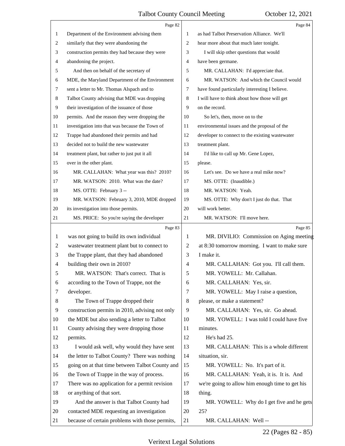|                | Page 82                                         |         | Page 84                                         |
|----------------|-------------------------------------------------|---------|-------------------------------------------------|
| 1              | Department of the Environment advising them     | 1       | as had Talbot Preservation Alliance. We'll      |
| 2              | similarly that they were abandoning the         | 2       | hear more about that much later tonight.        |
| 3              | construction permits they had because they were | 3       | I will skip other questions that would          |
| 4              | abandoning the project.                         | 4       | have been germane.                              |
| 5              | And then on behalf of the secretary of          | 5       | MR. CALLAHAN: I'd appreciate that.              |
| 6              | MDE, the Maryland Department of the Environment | 6       | MR. WATSON: And which the Council would         |
| 7              | sent a letter to Mr. Thomas Alspach and to      | 7       | have found particularly interesting I believe.  |
| 8              | Talbot County advising that MDE was dropping    | 8       | I will have to think about how those will get   |
| 9              | their investigation of the issuance of those    | 9       | on the record.                                  |
| 10             | permits. And the reason they were dropping the  | 10      | So let's, then, move on to the                  |
| 11             | investigation into that was because the Town of | 11      | environmental issues and the proposal of the    |
| 12             | Trappe had abandoned their permits and had      | 12      | developer to connect to the existing wastewater |
| 13             | decided not to build the new wastewater         | 13      | treatment plant.                                |
| 14             | treatment plant, but rather to just put it all  | 14      | I'd like to call up Mr. Gene Lopez,             |
| 15             | over in the other plant.                        | 15      | please.                                         |
| 16             | MR. CALLAHAN: What year was this? 2010?         | 16      | Let's see. Do we have a real mike now?          |
| 17             | MR. WATSON: 2010. What was the date?            | 17      | MS. OTTE: (Inaudible.)                          |
| 18             | MS. OTTE: February 3 --                         | 18      | MR. WATSON: Yeah.                               |
| 19             | MR. WATSON: February 3, 2010, MDE dropped       | 19      | MS. OTTE: Why don't I just do that. That        |
| 20             | its investigation into those permits.           | 20      | will work better.                               |
| 21             | MS. PRICE: So you're saying the developer       | 21      | MR. WATSON: I'll move here.                     |
|                |                                                 |         |                                                 |
|                | Page 83                                         |         | Page 85                                         |
| $\mathbf{1}$   | was not going to build its own individual       | 1       | MR. DIVILIO: Commission on Aging meeting        |
| $\overline{2}$ | wastewater treatment plant but to connect to    | 2       | at 8:30 tomorrow morning. I want to make sure   |
| 3              | the Trappe plant, that they had abandoned       | 3       | I make it.                                      |
| $\overline{4}$ | building their own in 2010?                     | 4       | MR. CALLAHAN: Got you. I'll call them.          |
| 5              | MR. WATSON: That's correct. That is             | 5       | MR. YOWELL: Mr. Callahan.                       |
| 6              | according to the Town of Trappe, not the        | 6       | MR. CALLAHAN: Yes, sir.                         |
| 7              | developer.                                      | $\tau$  | MR. YOWELL: May I raise a question,             |
| 8              | The Town of Trappe dropped their                | $\,8\,$ | please, or make a statement?                    |
| 9              | construction permits in 2010, advising not only | 9       | MR. CALLAHAN: Yes, sir. Go ahead.               |
| 10             | the MDE but also sending a letter to Talbot     | 10      | MR. YOWELL: I was told I could have five        |
| 11             | County advising they were dropping those        | 11      | minutes.                                        |
| 12             | permits.                                        | 12      | He's had 25.                                    |
| 13             | I would ask well, why would they have sent      | 13      | MR. CALLAHAN: This is a whole different         |
| 14             | the letter to Talbot County? There was nothing  | 14      | situation, sir.                                 |
| 15             | going on at that time between Talbot County and | 15      | MR. YOWELL: No. It's part of it.                |
| 16             | the Town of Trappe in the way of process.       | 16      | MR. CALLAHAN: Yeah, it is. It is. And           |
| 17             | There was no application for a permit revision  | 17      | we're going to allow him enough time to get his |
| 18             | or anything of that sort.                       | 18      | thing.                                          |
| 19             | And the answer is that Talbot County had        | 19      | MR. YOWELL: Why do I get five and he gets       |
| 20             | contacted MDE requesting an investigation       | 20      | 25?                                             |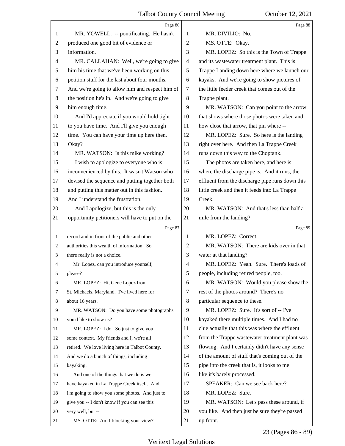|    | Page 86                                         |                          | Page 88                                         |
|----|-------------------------------------------------|--------------------------|-------------------------------------------------|
| 1  | MR. YOWELL: -- pontificating. He hasn't         | 1                        | MR. DIVILIO: No.                                |
| 2  | produced one good bit of evidence or            | $\overline{c}$           | MS. OTTE: Okay.                                 |
| 3  | information.                                    | 3                        | MR. LOPEZ: So this is the Town of Trappe        |
| 4  | MR. CALLAHAN: Well, we're going to give         | $\overline{\mathcal{A}}$ | and its wastewater treatment plant. This is     |
| 5  | him his time that we've been working on this    | 5                        | Trappe Landing down here where we launch our    |
| 6  | petition stuff for the last about four months.  | 6                        | kayaks. And we're going to show pictures of     |
| 7  | And we're going to allow him and respect him of | 7                        | the little feeder creek that comes out of the   |
| 8  | the position he's in. And we're going to give   | $\,8\,$                  | Trappe plant.                                   |
| 9  | him enough time.                                | 9                        | MR. WATSON: Can you point to the arrow          |
| 10 | And I'd appreciate if you would hold tight      | 10                       | that shows where those photos were taken and    |
| 11 | to you have time. And I'll give you enough      | 11                       | how close that arrow, that pin where --         |
| 12 | time. You can have your time up here then.      | 12                       | MR. LOPEZ: Sure. So here is the landing         |
| 13 | Okay?                                           | 13                       | right over here. And then La Trappe Creek       |
| 14 | MR. WATSON: Is this mike working?               | 14                       | runs down this way to the Choptank.             |
| 15 | I wish to apologize to everyone who is          | 15                       | The photos are taken here, and here is          |
| 16 | inconvenienced by this. It wasn't Watson who    | 16                       | where the discharge pipe is. And it runs, the   |
| 17 | devised the sequence and putting together both  | 17                       | effluent from the discharge pipe runs down this |
| 18 | and putting this matter out in this fashion.    | 18                       | little creek and then it feeds into La Trappe   |
| 19 | And I understand the frustration.               | 19                       | Creek.                                          |
| 20 | And I apologize, but this is the only           | 20                       | MR. WATSON: And that's less than half a         |
| 21 | opportunity petitioners will have to put on the | 21                       | mile from the landing?                          |
|    |                                                 |                          |                                                 |
|    | Page 87                                         |                          | Page 89                                         |
| 1  | record and in front of the public and other     | 1                        | MR. LOPEZ: Correct.                             |
| 2  | authorities this wealth of information. So      | 2                        | MR. WATSON: There are kids over in that         |
| 3  | there really is not a choice.                   | 3                        | water at that landing?                          |
| 4  | Mr. Lopez, can you introduce yourself,          | $\overline{4}$           | MR. LOPEZ: Yeah. Sure. There's loads of         |
|    | please?                                         | 5                        | people, including retired people, too.          |
| 6  | MR. LOPEZ: Hi, Gene Lopez from                  | 6                        | MR. WATSON: Would you please show the           |
| 7  | St. Michaels, Maryland. I've lived here for     | 7                        | rest of the photos around? There's no           |
| 8  | about 16 years.                                 | 8                        | particular sequence to these.                   |
| 9  | MR. WATSON: Do you have some photographs        | 9                        | MR. LOPEZ: Sure. It's sort of -- I've           |
| 10 | you'd like to show us?                          | 10                       | kayaked there multiple times. And I had no      |
| 11 | MR. LOPEZ: I do. So just to give you            | 11                       | clue actually that this was where the effluent  |
| 12 | some context. My friends and I, we're all       | 12                       | from the Trappe wastewater treatment plant was  |
| 13 | retired. We love living here in Talbot County.  | 13                       | flowing. And I certainly didn't have any sense  |
| 14 | And we do a bunch of things, including          | 14                       | of the amount of stuff that's coming out of the |
| 15 | kayaking.                                       | 15                       | pipe into the creek that is, it looks to me     |
| 16 | And one of the things that we do is we          | 16                       | like it's barely processed.                     |
| 17 | have kayaked in La Trappe Creek itself. And     | 17                       | SPEAKER: Can we see back here?                  |
| 18 | I'm going to show you some photos. And just to  | 18                       | MR. LOPEZ: Sure.                                |
| 19 | give you -- I don't know if you can see this    | 19                       | MR. WATSON: Let's pass these around, if         |
| 20 | very well, but --                               | 20                       | you like. And then just be sure they're passed  |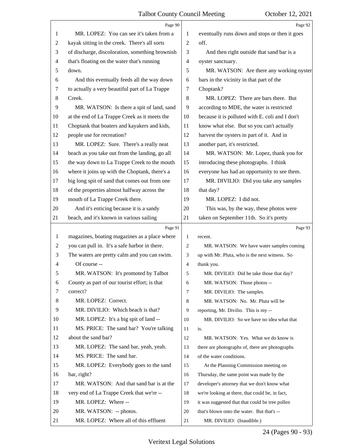|                | Page 90                                         |                          | Page 92                                         |
|----------------|-------------------------------------------------|--------------------------|-------------------------------------------------|
| 1              | MR. LOPEZ: You can see it's taken from a        | 1                        | eventually runs down and stops or then it goes  |
| $\overline{c}$ | kayak sitting in the creek. There's all sorts   | $\overline{2}$           | off.                                            |
| 3              | of discharge, discoloration, something brownish | 3                        | And then right outside that sand bar is a       |
| 4              | that's floating on the water that's running     | $\overline{\mathcal{A}}$ | oyster sanctuary.                               |
| 5              | down.                                           | 5                        | MR. WATSON: Are there any working oyster        |
| 6              | And this eventually feeds all the way down      | 6                        | bars in the vicinity in that part of the        |
| 7              | to actually a very beautiful part of La Trappe  | 7                        | Choptank?                                       |
| 8              | Creek.                                          | $\,8\,$                  | MR. LOPEZ: There are bars there. But            |
| 9              | MR. WATSON: Is there a spit of land, sand       | 9                        | according to MDE, the water is restricted       |
| 10             | at the end of La Trappe Creek as it meets the   | 10                       | because it is polluted with E. coli and I don't |
| 11             | Choptank that boaters and kayakers and kids,    | 11                       | know what else. But so you can't actually       |
| 12             | people use for recreation?                      | 12                       | harvest the oysters in part of it. And in       |
| 13             | MR. LOPEZ: Sure. There's a really neat          | 13                       | another part, it's restricted.                  |
| 14             | beach as you take out from the landing, go all  | 14                       | MR. WATSON: Mr. Lopez, thank you for            |
| 15             | the way down to La Trappe Creek to the mouth    | 15                       | introducing these photographs. I think          |
| 16             | where it joins up with the Choptank, there's a  | 16                       | everyone has had an opportunity to see them.    |
| 17             | big long spit of sand that comes out from one   | 17                       | MR. DIVILIO: Did you take any samples           |
| 18             | of the properties almost halfway across the     | 18                       | that day?                                       |
| 19             | mouth of La Trappe Creek there.                 | 19                       | MR. LOPEZ: I did not.                           |
| 20             | And it's enticing because it is a sandy         | 20                       | This was, by the way, these photos were         |
| 21             | beach, and it's known in various sailing        | 21                       | taken on September 11th. So it's pretty         |
|                |                                                 |                          |                                                 |
|                | Page 91                                         |                          | Page 93                                         |
| 1              | magazines, boating magazines as a place where   | 1                        | recent.                                         |
| $\overline{c}$ | you can pull in. It's a safe harbor in there.   | 2                        | MR. WATSON: We have water samples coming        |
| 3              | The waters are pretty calm and you can swim.    | 3                        | up with Mr. Pluta, who is the next witness. So  |
| 4              | Of course --                                    | 4                        | thank you.                                      |
| 5              | MR. WATSON: It's promoted by Talbot             | 5                        | MR. DIVILIO: Did he take those that day?        |
| 6              | County as part of our tourist effort; is that   | 6                        | MR. WATSON: Those photos --                     |
| 7              | correct?                                        | 7                        | MR. DIVILIO: The samples.                       |
| 8              | MR. LOPEZ: Correct.                             | 8                        | MR. WATSON: No. Mr. Pluta will be               |
| 9              | MR. DIVILIO: Which beach is that?               | 9                        | reporting, Mr. Divilio. This is my --           |
| 10             | MR. LOPEZ: It's a big spit of land --           | 10                       | MR. DIVILIO: So we have no idea what that       |
| 11             | MS. PRICE: The sand bar? You're talking         | 11                       | is.                                             |
| 12             | about the sand bar?                             | 12                       | MR. WATSON: Yes. What we do know is             |
| 13             | MR. LOPEZ: The sand bar, yeah, yeah.            | 13                       | there are photographs of, there are photographs |
| 14             | MS. PRICE: The sand bar.                        | 14                       | of the water conditions.                        |
| 15             | MR. LOPEZ: Everybody goes to the sand           | 15                       | At the Planning Commission meeting on           |
| 16             | bar, right?                                     | 16                       | Thursday, the same point was made by the        |
| 17             | MR. WATSON: And that sand bar is at the         | 17                       | developer's attorney that we don't know what    |
| 18             | very end of La Trappe Creek that we're --       | 18                       | we're looking at there, that could be, in fact, |
| 19             | MR. LOPEZ: Where --                             | 19                       | it was suggested that that could be tree pollen |
| 20             | MR. WATSON: -- photos.                          | 20                       | that's blown onto the water. But that's --      |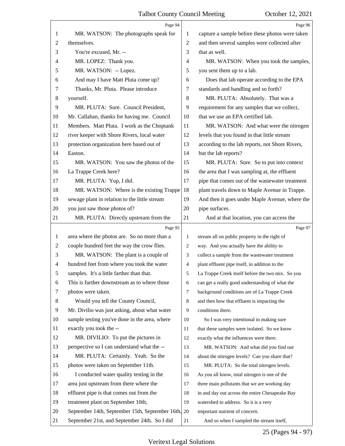|    | Page 94                                         |                | Page 96                                           |
|----|-------------------------------------------------|----------------|---------------------------------------------------|
| 1  | MR. WATSON: The photographs speak for           | 1              | capture a sample before these photos were taken   |
| 2  | themselves.                                     | $\overline{2}$ | and then several samples were collected after     |
| 3  | You're excused, Mr. --                          | 3              | that as well.                                     |
| 4  | MR. LOPEZ: Thank you.                           | 4              | MR. WATSON: When you took the samples,            |
| 5  | MR. WATSON: -- Lopez.                           | 5              | you sent them up to a lab.                        |
| 6  | And may I have Matt Pluta come up?              | 6              | Does that lab operate according to the EPA        |
| 7  | Thanks, Mr. Pluta. Please introduce             | 7              | standards and handling and so forth?              |
| 8  | yourself.                                       | 8              | MR. PLUTA: Absolutely. That was a                 |
| 9  | MR. PLUTA: Sure. Council President,             | 9              | requirement for any samples that we collect,      |
| 10 | Mr. Callahan, thanks for having me. Council     | 10             | that we use an EPA certified lab.                 |
| 11 | Members. Matt Pluta. I work as the Choptank     | 11             | MR. WATSON: And what were the nitrogen            |
| 12 | river keeper with Shore Rivers, local water     | 12             | levels that you found in that little stream       |
| 13 | protection organization here based out of       | 13             | according to the lab reports, not Shore Rivers,   |
| 14 | Easton.                                         | 14             | but the lab reports?                              |
| 15 | MR. WATSON: You saw the photos of the           | 15             | MR. PLUTA: Sure. So to put into context           |
| 16 | La Trappe Creek here?                           | 16             | the area that I was sampling at, the effluent     |
| 17 | MR. PLUTA: Yup, I did.                          | 17             | pipe that comes out of the wastewater treatment   |
| 18 | MR. WATSON: Where is the existing Trappe        | 18             | plant travels down to Maple Avenue in Trappe.     |
| 19 | sewage plant in relation to the little stream   | 19             | And then it goes under Maple Avenue, where the    |
| 20 | you just saw those photos of?                   | 20             | pipe surfaces.                                    |
| 21 | MR. PLUTA: Directly upstream from the           | 21             | And at that location, you can access the          |
|    | Page 95                                         |                | Page 97                                           |
| 1  | area where the photos are. So no more than a    | 1              | stream all on public property in the right of     |
| 2  | couple hundred feet the way the crow flies.     | 2              | way. And you actually have the ability to         |
| 3  | MR. WATSON: The plant is a couple of            | 3              | collect a sample from the wastewater treatment    |
| 4  | hundred feet from where you took the water      | $\overline{4}$ | plant effluent pipe itself, in addition to the    |
| 5  | samples. It's a little farther than that.       | 5              | La Trappe Creek itself before the two mix. So you |
| 6  | This is further downstream as to where those    | 6              | can get a really good understanding of what the   |
| 7  | photos were taken.                              | $\overline{7}$ | background conditions are of La Trappe Creek      |
| 8  | Would you tell the County Council,              | 8              | and then how that effluent is impacting the       |
| 9  | Mr. Divilio was just asking, about what water   | 9              | conditions there.                                 |
| 10 | sample testing you've done in the area, where   | 10             | So I was very intentional in making sure          |
| 11 | exactly you took the --                         | 11             | that these samples were isolated. So we know      |
| 12 | MR. DIVILIO: To put the pictures in             | 12             | exactly what the influences were there.           |
| 13 | perspective so I can understand what the --     | 13             | MR. WATSON: And what did you find out             |
| 14 | MR. PLUTA: Certainly. Yeah. So the              | 14             | about the nitrogen levels? Can you share that?    |
| 15 | photos were taken on September 11th.            | 15             | MR. PLUTA: So the total nitrogen levels.          |
| 16 | I conducted water quality testing in the        | 16             | As you all know, total nitrogen is one of the     |
| 17 | area just upstream from there where the         | 17             | three main pollutants that we are working day     |
| 18 | effluent pipe is that comes out from the        | 18             | in and day out across the entire Chesapeake Bay   |
| 19 |                                                 |                |                                                   |
|    | treatment plant on September 10th,              | 19             | watershed to address. So it is a very             |
| 20 | September 14th, September 15th, September 16th, | 20             | important nutrient of concern.                    |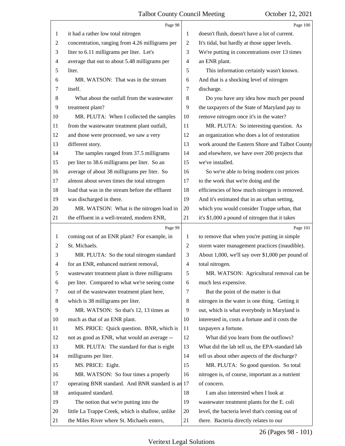|                | Page 98                                           |                | Page 100                                         |
|----------------|---------------------------------------------------|----------------|--------------------------------------------------|
| 1              | it had a rather low total nitrogen                | 1              | doesn't flush, doesn't have a lot of current.    |
| 2              | concentration, ranging from 4.26 milligrams per   | $\overline{c}$ | It's tidal, but hardly at those upper levels.    |
| 3              | liter to 6.11 milligrams per liter. Let's         | 3              | We're putting in concentrations over 13 times    |
| $\overline{4}$ | average that out to about 5.48 milligrams per     | 4              | an ENR plant.                                    |
| 5              | liter.                                            | 5              | This information certainly wasn't known.         |
| 6              | MR. WATSON: That was in the stream                | 6              | And that is a shocking level of nitrogen         |
| 7              | itself.                                           | 7              | discharge.                                       |
| $\,8\,$        | What about the outfall from the wastewater        | 8              | Do you have any idea how much per pound          |
| 9              | treatment plant?                                  | 9              | the taxpayers of the State of Maryland pay to    |
| 10             | MR. PLUTA: When I collected the samples           | 10             | remove nitrogen once it's in the water?          |
| 11             | from the wastewater treatment plant outfall,      | 11             | MR. PLUTA: So interesting question. As           |
| 12             | and those were processed, we saw a very           | 12             | an organization who does a lot of restoration    |
| 13             | different story.                                  | 13             | work around the Eastern Shore and Talbot County  |
| 14             | The samples ranged from 37.5 milligrams           | 14             | and elsewhere, we have over 200 projects that    |
| 15             | per liter to 38.6 milligrams per liter. So an     | 15             | we've installed.                                 |
| 16             | average of about 38 milligrams per liter. So      | 16             | So we're able to bring modern cost prices        |
| 17             | almost about seven times the total nitrogen       | 17             | to the work that we're doing and the             |
| 18             | load that was in the stream before the effluent   | 18             | efficiencies of how much nitrogen is removed.    |
| 19             | was discharged in there.                          | 19             | And it's estimated that in an urban setting,     |
| 20             | MR. WATSON: What is the nitrogen load in          | 20             | which you would consider Trappe urban, that      |
| 21             | the effluent in a well-treated, modern ENR,       | 21             | it's \$1,000 a pound of nitrogen that it takes   |
|                | Page 99                                           |                | Page 101                                         |
|                |                                                   |                |                                                  |
| 1              | coming out of an ENR plant? For example, in       | 1              | to remove that when you're putting in simple     |
| $\overline{c}$ | St. Michaels.                                     | $\overline{2}$ | storm water management practices (inaudible).    |
| 3              | MR. PLUTA: So the total nitrogen standard         | 3              | About 1,000, we'll say over \$1,000 per pound of |
| 4              | for an ENR, enhanced nutrient removal,            | 4              | total nitrogen.                                  |
| 5              | wastewater treatment plant is three milligrams    | 5              | MR. WATSON: Agricultural removal can be          |
| 6              | per liter. Compared to what we're seeing come     | 6              | much less expensive.                             |
| 7              | out of the wastewater treatment plant here,       | 7              | But the point of the matter is that              |
| 8              | which is 38 milligrams per liter.                 | $8\,$          | nitrogen in the water is one thing. Getting it   |
| 9              | MR. WATSON: So that's 12, 13 times as             | 9              | out, which is what everybody in Maryland is      |
| 10             | much as that of an ENR plant.                     | 10             | interested in, costs a fortune and it costs the  |
| 11             | MS. PRICE: Quick question. BNR, which is          | 11             | taxpayers a fortune.                             |
| 12             | not as good as ENR, what would an average --      | 12             | What did you learn from the outflows?            |
| 13             | MR. PLUTA: The standard for that is eight         | 13             | What did the lab tell us, the EPA-standard lab   |
| 14             | milligrams per liter.                             | 14             | tell us about other aspects of the discharge?    |
| 15             | MS. PRICE: Eight.                                 | 15             | MR. PLUTA: So good question. So total            |
| 16             | MR. WATSON: So four times a properly              | 16             | nitrogen is, of course, important as a nutrient  |
| 17             | operating BNR standard. And BNR standard is an 17 |                | of concern.                                      |
| 18             | antiquated standard.                              | 18             | I am also interested when I look at              |
| 19             | The notion that we're putting into the            | 19             | wastewater treatment plants for the E. coli      |
| 20             | little La Trappe Creek, which is shallow, unlike  | 20             | level, the bacteria level that's coming out of   |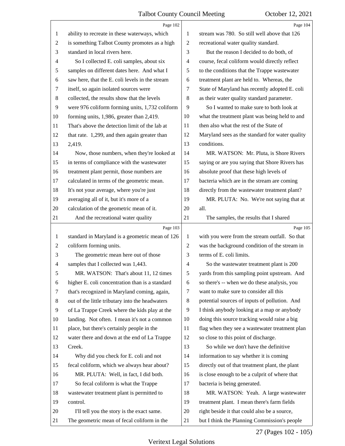|                | Page 102                                        |                | Page 104                                        |
|----------------|-------------------------------------------------|----------------|-------------------------------------------------|
| $\mathbf{1}$   | ability to recreate in these waterways, which   | 1              | stream was 780. So still well above that 126    |
| $\overline{c}$ | is something Talbot County promotes as a high   | $\mathfrak{2}$ | recreational water quality standard.            |
| 3              | standard in local rivers here.                  | 3              | But the reason I decided to do both, of         |
| 4              | So I collected E. coli samples, about six       | $\overline{4}$ | course, fecal coliform would directly reflect   |
| 5              | samples on different dates here. And what I     | 5              | to the conditions that the Trappe wastewater    |
| 6              | saw here, that the E. coli levels in the stream | 6              | treatment plant are held to. Whereas, the       |
| 7              | itself, so again isolated sources were          | 7              | State of Maryland has recently adopted E. coli  |
| 8              | collected, the results show that the levels     | 8              | as their water quality standard parameter.      |
| $\overline{9}$ | were 976 coliform forming units, 1,732 coliform | 9              | So I wanted to make sure to both look at        |
| 10             | forming units, 1,986, greater than 2,419.       | 10             | what the treatment plant was being held to and  |
| 11             | That's above the detection limit of the lab at  | 11             | then also what the rest of the State of         |
| 12             | that rate. 1,299, and then again greater than   | 12             | Maryland sees as the standard for water quality |
| 13             | 2,419.                                          | 13             | conditions.                                     |
| 14             | Now, those numbers, when they're looked at      | 14             | MR. WATSON: Mr. Pluta, is Shore Rivers          |
| 15             | in terms of compliance with the wastewater      | 15             | saying or are you saying that Shore Rivers has  |
| 16             | treatment plant permit, those numbers are       | 16             | absolute proof that these high levels of        |
| 17             | calculated in terms of the geometric mean.      | 17             | bacteria which are in the stream are coming     |
| 18             | It's not your average, where you're just        | 18             | directly from the wastewater treatment plant?   |
| 19             | averaging all of it, but it's more of a         | 19             | MR. PLUTA: No. We're not saying that at         |
| 20             | calculation of the geometric mean of it.        | 20             | all.                                            |
| 21             | And the recreational water quality              | 21             | The samples, the results that I shared          |
|                | Page 103                                        |                | Page 105                                        |
|                |                                                 |                |                                                 |
| $\mathbf{1}$   | standard in Maryland is a geometric mean of 126 | 1              | with you were from the stream outfall. So that  |
| 2              | coliform forming units.                         | $\mathfrak 2$  | was the background condition of the stream in   |
| 3              | The geometric mean here out of those            | 3              | terms of E. coli limits.                        |
| 4              | samples that I collected was 1,443.             | $\overline{4}$ | So the wastewater treatment plant is 200        |
| 5              | MR. WATSON: That's about 11, 12 times           | 5              | yards from this sampling point upstream. And    |
| 6              | higher E. coli concentration than is a standard | 6              | so there's -- when we do these analysis, you    |
| 7              | that's recognized in Maryland coming, again,    | 7              | want to make sure to consider all this          |
| 8              | out of the little tributary into the headwaters | 8              | potential sources of inputs of pollution. And   |
| 9              | of La Trappe Creek where the kids play at the   | 9              | I think anybody looking at a map or anybody     |
| 10             | landing. Not often. I mean it's not a common    | 10             | doing this source tracking would raise a big    |
| 11             | place, but there's certainly people in the      | 11             | flag when they see a wastewater treatment plan  |
| 12             | water there and down at the end of La Trappe    | 12             | so close to this point of discharge.            |
| 13             | Creek.                                          | 13             | So while we don't have the definitive           |
| 14             | Why did you check for E. coli and not           | 14             | information to say whether it is coming         |
| 15             | fecal coliform, which we always hear about?     | 15             | directly out of that treatment plant, the plant |
| 16             | MR. PLUTA: Well, in fact, I did both.           | 16             | is close enough to be a culprit of where that   |
| 17             | So fecal coliform is what the Trappe            | 17             | bacteria is being generated.                    |
| 18             | wastewater treatment plant is permitted to      | 18             | MR. WATSON: Yeah. A large wastewater            |
| 19             | control.                                        | 19             | treatment plant. I mean there's farm fields     |
| 20             | I'll tell you the story is the exact same.      | 20             | right beside it that could also be a source,    |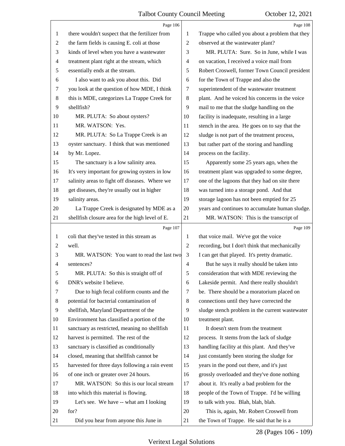|                | Page 106                                        |                | Page 108                                        |
|----------------|-------------------------------------------------|----------------|-------------------------------------------------|
| 1              | there wouldn't suspect that the fertilizer from | 1              | Trappe who called you about a problem that they |
| $\overline{c}$ | the farm fields is causing E. coli at those     | $\overline{2}$ | observed at the wastewater plant?               |
| 3              | kinds of level when you have a wastewater       | 3              | MR. PLUTA: Sure. So in June, while I was        |
| 4              | treatment plant right at the stream, which      | $\overline{4}$ | on vacation, I received a voice mail from       |
| 5              | essentially ends at the stream.                 | 5              | Robert Croswell, former Town Council president  |
| 6              | I also want to ask you about this. Did          | 6              | for the Town of Trappe and also the             |
| 7              | you look at the question of how MDE, I think    | 7              | superintendent of the wastewater treatment      |
| 8              | this is MDE, categorizes La Trappe Creek for    | 8              | plant. And he voiced his concerns in the voice  |
| 9              | shellfish?                                      | 9              | mail to me that the sludge handling on the      |
| 10             | MR. PLUTA: So about oysters?                    | 10             | facility is inadequate, resulting in a large    |
| 11             | MR. WATSON: Yes.                                | 11             | stench in the area. He goes on to say that the  |
| 12             | MR. PLUTA: So La Trappe Creek is an             | 12             | sludge is not part of the treatment process,    |
| 13             | oyster sanctuary. I think that was mentioned    | 13             | but rather part of the storing and handling     |
| 14             | by Mr. Lopez.                                   | 14             | process on the facility.                        |
| 15             | The sanctuary is a low salinity area.           | 15             | Apparently some 25 years ago, when the          |
| 16             | It's very important for growing oysters in low  | 16             | treatment plant was upgraded to some degree,    |
| 17             | salinity areas to fight off diseases. Where we  | 17             | one of the lagoons that they had on site there  |
| 18             | get diseases, they're usually out in higher     | 18             | was turned into a storage pond. And that        |
| 19             | salinity areas.                                 | 19             | storage lagoon has not been emptied for 25      |
| 20             | La Trappe Creek is designated by MDE as a       | 20             | years and continues to accumulate human sludge. |
| 21             | shellfish closure area for the high level of E. | 21             | MR. WATSON: This is the transcript of           |
|                |                                                 |                |                                                 |
|                | Page 107                                        |                | Page 109                                        |
| $\mathbf{1}$   | coli that they've tested in this stream as      | 1              | that voice mail. We've got the voice            |
| $\overline{2}$ | well.                                           | $\overline{2}$ | recording, but I don't think that mechanically  |
| 3              | MR. WATSON: You want to read the last two       | 3              | I can get that played. It's pretty dramatic.    |
| $\overline{4}$ | sentences?                                      | $\overline{4}$ | But he says it really should be taken into      |
| 5              | MR. PLUTA: So this is straight off of           | 5              | consideration that with MDE reviewing the       |
| 6              | DNR's website I believe.                        | 6              | Lakeside permit. And there really shouldn't     |
| 7              | Due to high fecal coliform counts and the       | 7              | be. There should be a moratorium placed on      |
| 8              | potential for bacterial contamination of        | 8              | connections until they have corrected the       |
| 9              | shellfish, Maryland Department of the           | 9              | sludge stench problem in the current wastewater |
| 10             | Environment has classified a portion of the     | 10             | treatment plant.                                |
| 11             | sanctuary as restricted, meaning no shellfish   | 11             | It doesn't stem from the treatment              |
| 12             | harvest is permitted. The rest of the           | 12             | process. It stems from the lack of sludge       |
| 13             | sanctuary is classified as conditionally        | 13             | handling facility at this plant. And they've    |
| 14             | closed, meaning that shellfish cannot be        | 14             | just constantly been storing the sludge for     |
| 15             | harvested for three days following a rain event | 15             | years in the pond out there, and it's just      |
| 16             | of one inch or greater over 24 hours.           | 16             | grossly overloaded and they've done nothing     |
| 17             | MR. WATSON: So this is our local stream         | 17             | about it. It's really a bad problem for the     |
| 18             | into which this material is flowing.            | 18             | people of the Town of Trappe. I'd be willing    |
| 19             | Let's see. We have -- what am I looking         | 19             | to talk with you. Blah, blah, blah.             |
| 20             | for?                                            | 20             | This is, again, Mr. Robert Croswell from        |

#### Veritext Legal Solutions

28 (Pages 106 - 109)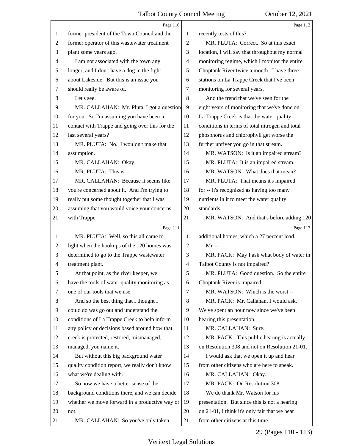|    | Page 110                                        |                | Page 112                                        |
|----|-------------------------------------------------|----------------|-------------------------------------------------|
| 1  | former president of the Town Council and the    | 1              | recently tests of this?                         |
| 2  | former operator of this wastewater treatment    | $\overline{c}$ | MR. PLUTA: Correct. So at this exact            |
| 3  | plant some years ago.                           | 3              | location, I will say that throughout my normal  |
| 4  | I am not associated with the town any           | 4              | monitoring regime, which I monitor the entire   |
| 5  | longer, and I don't have a dog in the fight     | 5              | Choptank River twice a month. I have three      |
| 6  | about Lakeside. But this is an issue you        | 6              | stations on La Trappe Creek that I've been      |
| 7  | should really be aware of.                      | 7              | monitoring for several years.                   |
| 8  | Let's see.                                      | $\,8\,$        | And the trend that we've seen for the           |
| 9  | MR. CALLAHAN: Mr. Pluta, I got a question       | 9              | eight years of monitoring that we've done on    |
| 10 | for you. So I'm assuming you have been in       | 10             | La Trappe Creek is that the water quality       |
| 11 | contact with Trappe and going over this for the | 11             | conditions in terms of total nitrogen and total |
| 12 | last several years?                             | 12             | phosphorus and chlorophyll get worse the        |
| 13 | MR. PLUTA: No. I wouldn't make that             | 13             | further upriver you go in that stream.          |
| 14 | assumption.                                     | 14             | MR. WATSON: Is it an impaired stream?           |
| 15 | MR. CALLAHAN: Okay.                             | 15             | MR. PLUTA: It is an impaired stream.            |
| 16 | MR. PLUTA: This is --                           | 16             | MR. WATSON: What does that mean?                |
| 17 | MR. CALLAHAN: Because it seems like             | 17             | MR. PLUTA: That means it's impaired             |
| 18 | you're concerned about it. And I'm trying to    | 18             | for -- it's recognized as having too many       |
| 19 | really put some thought together that I was     | 19             | nutrients in it to meet the water quality       |
| 20 | assuming that you would voice your concerns     | 20             | standards.                                      |
| 21 | with Trappe.                                    | 21             | MR. WATSON: And that's before adding 120        |
|    | Page 111                                        |                | Page 113                                        |
| 1  | MR. PLUTA: Well, so this all came to            | 1              | additional homes, which a 27 percent load.      |
| 2  | light when the hookups of the 120 homes was     | $\overline{c}$ | $Mr -$                                          |
| 3  | determined to go to the Trappe wastewater       | 3              | MR. PACK: May I ask what body of water in       |
|    |                                                 |                |                                                 |
| 4  | treatment plant.                                | $\overline{4}$ | Talbot County is not impaired?                  |
| 5  | At that point, as the river keeper, we          | 5              | MR. PLUTA: Good question. So the entire         |
| 6  | have the tools of water quality monitoring as   | 6              | Choptank River is impaired.                     |
| 7  | one of our tools that we use.                   | 7              | MR. WATSON: Which is the worst --               |
| 8  | And so the best thing that I thought I          | 8              | MR. PACK: Mr. Callahan, I would ask.            |
| 9  | could do was go out and understand the          | 9              | We've spent an hour now since we've been        |
| 10 | conditions of La Trappe Creek to help inform    | 10             | hearing this presentation.                      |
| 11 | any policy or decisions based around how that   | 11             | MR. CALLAHAN: Sure.                             |
| 12 | creek is protected, restored, mismanaged,       | 12             | MR. PACK: This public hearing is actually       |
| 13 | managed, you name it.                           | 13             | on Resolution 308 and not on Resolution 21-01.  |
| 14 | But without this big background water           | 14             | I would ask that we open it up and hear         |
| 15 | quality condition report, we really don't know  | 15             | from other citizens who are here to speak.      |
| 16 | what we're dealing with.                        | 16             | MR. CALLAHAN: Okay.                             |
| 17 | So now we have a better sense of the            | 17             | MR. PACK: On Resolution 308.                    |
| 18 | background conditions there, and we can decide  | 18             | We do thank Mr. Watson for his                  |
| 19 | whether we move forward in a productive way or  | 19             | presentation. But since this is not a hearing   |
| 20 | not.                                            | 20             | on 21-01, I think it's only fair that we hear   |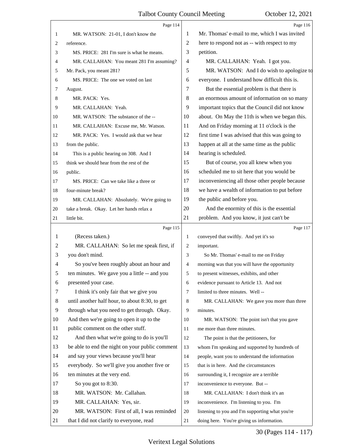|    | Page 114                                        |                | Page 116                                        |
|----|-------------------------------------------------|----------------|-------------------------------------------------|
| 1  | MR. WATSON: 21-01, I don't know the             | 1              | Mr. Thomas' e-mail to me, which I was invited   |
| 2  | reference.                                      | $\mathfrak{2}$ | here to respond not as -- with respect to my    |
| 3  | MS. PRICE: 281 I'm sure is what he means.       | 3              | petition.                                       |
| 4  | MR. CALLAHAN: You meant 281 I'm assuming?       | 4              | MR. CALLAHAN: Yeah. I got you.                  |
| 5  | Mr. Pack, you meant 281?                        | 5              | MR. WATSON: And I do wish to apologize to       |
| 6  | MS. PRICE: The one we voted on last             | 6              | everyone. I understand how difficult this is.   |
| 7  | August.                                         | 7              | But the essential problem is that there is      |
| 8  | MR. PACK: Yes.                                  | 8              | an enormous amount of information on so many    |
| 9  | MR. CALLAHAN: Yeah.                             | 9              | important topics that the Council did not know  |
| 10 | MR. WATSON: The substance of the --             | 10             | about. On May the 11th is when we began this.   |
| 11 | MR. CALLAHAN: Excuse me, Mr. Watson.            | 11             | And on Friday morning at 11 o'clock is the      |
| 12 | MR. PACK: Yes. I would ask that we hear         | 12             | first time I was advised that this was going to |
| 13 | from the public.                                | 13             | happen at all at the same time as the public    |
| 14 | This is a public hearing on 308. And I          | 14             | hearing is scheduled.                           |
| 15 | think we should hear from the rest of the       | 15             | But of course, you all knew when you            |
| 16 | public.                                         | 16             | scheduled me to sit here that you would be      |
| 17 | MS. PRICE: Can we take like a three or          | 17             | inconveniencing all those other people because  |
| 18 | four-minute break?                              | 18             | we have a wealth of information to put before   |
| 19 | MR. CALLAHAN: Absolutely. We're going to        | 19             | the public and before you.                      |
| 20 | take a break. Okay. Let her hands relax a       | 20             | And the enormity of this is the essential       |
| 21 | little bit.                                     | 21             | problem. And you know, it just can't be         |
|    |                                                 |                |                                                 |
|    | Page 115                                        |                | Page 117                                        |
| 1  | (Recess taken.)                                 | 1              | conveyed that swiftly. And yet it's so          |
| 2  | MR. CALLAHAN: So let me speak first, if         | 2              | important.                                      |
| 3  | you don't mind.                                 | 3              | So Mr. Thomas' e-mail to me on Friday           |
| 4  | So you've been roughly about an hour and        | 4              | morning was that you will have the opportunity  |
| 5  | ten minutes. We gave you a little -- and you    | 5              | to present witnesses, exhibits, and other       |
| 6  | presented your case.                            | 6              | evidence pursuant to Article 13. And not        |
| 7  | I think it's only fair that we give you         | $\overline{7}$ | limited to three minutes. Well --               |
| 8  | until another half hour, to about 8:30, to get  | 8              | MR. CALLAHAN: We gave you more than three       |
| 9  | through what you need to get through. Okay.     | 9              | minutes.                                        |
| 10 | And then we're going to open it up to the       | 10             | MR. WATSON: The point isn't that you gave       |
| 11 | public comment on the other stuff.              | 11             | me more than three minutes.                     |
| 12 | And then what we're going to do is you'll       | 12             | The point is that the petitioners, for          |
| 13 | be able to end the night on your public comment | 13             | whom I'm speaking and supported by hundreds of  |
| 14 | and say your views because you'll hear          | 14             | people, want you to understand the information  |
| 15 | everybody. So we'll give you another five or    | 15             | that is in here. And the circumstances          |
| 16 | ten minutes at the very end.                    | 16             | surrounding it, I recognize are a terrible      |
| 17 | So you got to 8:30.                             | 17             | inconvenience to everyone. But --               |
| 18 | MR. WATSON: Mr. Callahan.                       | 18             | MR. CALLAHAN: I don't think it's an             |
| 19 | MR. CALLAHAN: Yes, sir.                         | 19             | inconvenience. I'm listening to you. I'm        |
| 20 | MR. WATSON: First of all, I was reminded        | 20             | listening to you and I'm supporting what you're |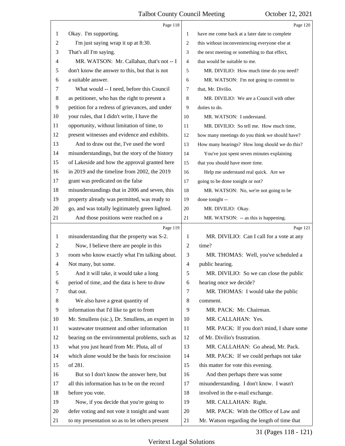|                | Page 118                                        |                | Page 120                                       |
|----------------|-------------------------------------------------|----------------|------------------------------------------------|
| 1              | Okay. I'm supporting.                           | 1              | have me come back at a later date to complete  |
| 2              | I'm just saying wrap it up at 8:30.             | 2              | this without inconveniencing everyone else at  |
| 3              | That's all I'm saying.                          | 3              | the next meeting or something to that effect,  |
| $\overline{4}$ | MR. WATSON: Mr. Callahan, that's not -- I       | $\overline{4}$ | that would be suitable to me.                  |
| 5              | don't know the answer to this, but that is not  | 5              | MR. DIVILIO: How much time do you need?        |
| 6              | a suitable answer.                              | 6              | MR. WATSON: I'm not going to commit to         |
| 7              | What would -- I need, before this Council       | 7              | that, Mr. Divilio.                             |
| 8              | as petitioner, who has the right to present a   | 8              | MR. DIVILIO: We are a Council with other       |
| 9              | petition for a redress of grievances, and under | 9              | duties to do.                                  |
| 10             | your rules, that I didn't write, I have the     | 10             | MR. WATSON: I understand.                      |
| 11             | opportunity, without limitation of time, to     | 11             | MR. DIVILIO: So tell me. How much time,        |
| 12             | present witnesses and evidence and exhibits.    | 12             | how many meetings do you think we should have? |
| 13             | And to draw out the, I've used the word         | 13             | How many hearings? How long should we do this? |
| 14             | misunderstandings, but the story of the history | 14             | You've just spent seven minutes explaining     |
| 15             | of Lakeside and how the approval granted here   | 15             | that you should have more time.                |
| 16             | in 2019 and the timeline from 2002, the 2019    | 16             | Help me understand real quick. Are we          |
| 17             | grant was predicated on the false               | $17\,$         | going to be done tonight or not?               |
| 18             | misunderstandings that in 2006 and seven, this  | 18             | MR. WATSON: No, we're not going to be          |
| 19             | property already was permitted, was ready to    | 19             | done tonight --                                |
| 20             | go, and was totally legitimately green lighted. | 20             | MR. DIVILIO: Okay.                             |
| 21             | And those positions were reached on a           | 21             | MR. WATSON: -- as this is happening.           |
|                | Page 119                                        |                | Page 121                                       |
|                |                                                 |                |                                                |
| 1              | misunderstanding that the property was S-2.     | 1              | MR. DIVILIO: Can I call for a vote at any      |
| $\overline{c}$ | Now, I believe there are people in this         | $\overline{c}$ | time?                                          |
| 3              | room who know exactly what I'm talking about.   | 3              | MR. THOMAS: Well, you've scheduled a           |
| $\overline{4}$ | Not many, but some.                             | $\overline{4}$ | public hearing.                                |
| 5              | And it will take, it would take a long          | 5              | MR. DIVILIO: So we can close the public        |
| 6              | period of time, and the data is here to draw    | 6              | hearing once we decide?                        |
| 7              | that out.                                       | 7              | MR. THOMAS: I would take the public            |
| 8              | We also have a great quantity of                | 8              | comment.                                       |
| 9              | information that I'd like to get to from        | 9              | MR. PACK: Mr. Chairman.                        |
| 10             | Mr. Smullens (sic.), Dr. Smullens, an expert in | 10             | MR. CALLAHAN: Yes.                             |
| 11             | wastewater treatment and other information      | 11             | MR. PACK: If you don't mind, I share some      |
| 12             | bearing on the environmental problems, such as  | 12             | of Mr. Divilio's frustration.                  |
| 13             | what you just heard from Mr. Pluta, all of      | 13             | MR. CALLAHAN: Go ahead, Mr. Pack.              |
| 14             | which alone would be the basis for rescission   | 14             | MR. PACK: If we could perhaps not take         |
| 15             | of 281.                                         | 15             | this matter for vote this evening.             |
| 16             | But so I don't know the answer here, but        | 16             | And then perhaps there was some                |
| 17             | all this information has to be on the record    | 17             | misunderstanding. I don't know. I wasn't       |
| 18             | before you vote.                                | 18             | involved in the e-mail exchange.               |
| 19             | Now, if you decide that you're going to         | 19             | MR. CALLAHAN: Right.                           |
| 20             | defer voting and not vote it tonight and want   | 20             | MR. PACK: With the Office of Law and           |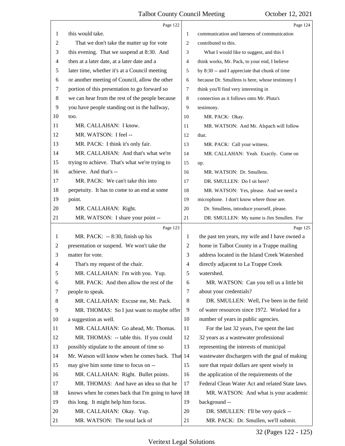|                          | Page 122                                           |                          | Page 124                                        |
|--------------------------|----------------------------------------------------|--------------------------|-------------------------------------------------|
| 1                        | this would take.                                   | 1                        | communication and lateness of communication     |
| $\overline{c}$           | That we don't take the matter up for vote          | $\overline{2}$           | contributed to this.                            |
| 3                        | this evening. That we suspend at 8:30. And         | 3                        | What I would like to suggest, and this I        |
| $\overline{\mathcal{A}}$ | then at a later date, at a later date and a        | 4                        | think works, Mr. Pack, to your end, I believe   |
| 5                        | later time, whether it's at a Council meeting      | 5                        | by 8:30 -- and I appreciate that chunk of time  |
| 6                        | or another meeting of Council, allow the other     | 6                        | because Dr. Smullens is here, whose testimony I |
| 7                        | portion of this presentation to go forward so      | 7                        | think you'll find very interesting in           |
| 8                        | we can hear from the rest of the people because    | 8                        | connection as it follows onto Mr. Pluta's       |
| 9                        | you have people standing out in the hallway,       | 9                        | testimony.                                      |
| 10                       | too.                                               | 10                       | MR. PACK: Okay.                                 |
| 11                       | MR. CALLAHAN: I know.                              | 11                       | MR. WATSON: And Mr. Alspach will follow         |
| 12                       | MR. WATSON: I feel --                              | 12                       | that.                                           |
| 13                       | MR. PACK: I think it's only fair.                  | 13                       | MR. PACK: Call your witness.                    |
| 14                       | MR. CALLAHAN: And that's what we're                | 14                       | MR. CALLAHAN: Yeah. Exactly. Come on            |
| 15                       | trying to achieve. That's what we're trying to     | 15                       | up.                                             |
| 16                       | achieve. And that's --                             | 16                       | MR. WATSON: Dr. Smullens.                       |
| 17                       | MR. PACK: We can't take this into                  | 17                       | DR. SMULLEN: Do I sit here?                     |
| 18                       | perpetuity. It has to come to an end at some       | 18                       | MR. WATSON: Yes, please. And we need a          |
| 19                       | point.                                             | 19                       | microphone. I don't know where those are.       |
| 20                       | MR. CALLAHAN: Right.                               | 20                       | Dr. Smullens, introduce yourself, please.       |
| 21                       | MR. WATSON: I share your point --                  | 21                       | DR. SMULLEN: My name is Jim Smullen. For        |
|                          |                                                    |                          |                                                 |
|                          | Page 123                                           |                          | Page 125                                        |
| 1                        | MR. PACK: -- 8:30, finish up his                   | 1                        | the past ten years, my wife and I have owned a  |
| 2                        | presentation or suspend. We won't take the         | $\overline{c}$           | home in Talbot County in a Trappe mailing       |
| 3                        | matter for vote.                                   | 3                        | address located in the Island Creek Watershed   |
| 4                        | That's my request of the chair.                    | $\overline{\mathcal{A}}$ | directly adjacent to La Trappe Creek            |
|                          | MR. CALLAHAN: I'm with you. Yup.                   | 5                        | watershed.                                      |
| 6                        | MR. PACK: And then allow the rest of the           | 6                        | MR. WATSON: Can you tell us a little bit        |
| 7                        | people to speak.                                   | 7                        | about your credentials?                         |
| 8                        | MR. CALLAHAN: Excuse me, Mr. Pack.                 | 8                        | DR. SMULLEN: Well, I've been in the field       |
| 9                        | MR. THOMAS: So I just want to maybe offer          | 9                        | of water resources since 1972. Worked for a     |
| 10                       | a suggestion as well.                              | 10                       | number of years in public agencies.             |
| 11                       | MR. CALLAHAN: Go ahead, Mr. Thomas.                | 11                       | For the last 32 years, I've spent the last      |
| 12                       | MR. THOMAS: -- table this. If you could            | 12                       | 32 years as a wastewater professional           |
| 13                       | possibly stipulate to the amount of time so        | 13                       | representing the interests of municipal         |
| 14                       | Mr. Watson will know when he comes back. That 14   |                          | wastewater dischargers with the goal of making  |
| 15                       | may give him some time to focus on --              | 15                       | sure that repair dollars are spent wisely in    |
| 16                       | MR. CALLAHAN: Right. Bullet points.                | 16                       | the application of the requirements of the      |
| 17                       | MR. THOMAS: And have an idea so that he            | 17                       | Federal Clean Water Act and related State laws. |
| 18                       | knows when he comes back that I'm going to have 18 |                          | MR. WATSON: And what is your academic           |
| 19                       | this long. It might help him focus.                | 19                       | background --                                   |
| 20                       | MR. CALLAHAN: Okay. Yup.                           | 20                       | DR. SMULLEN: I'll be very quick --              |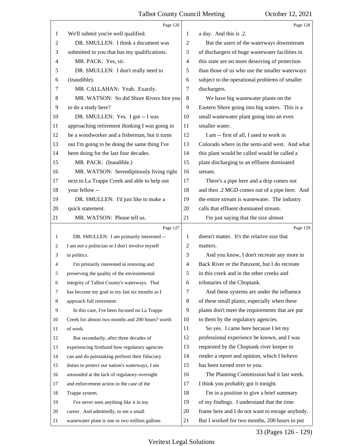|                | Page 126                                         |                | Page 128                                        |
|----------------|--------------------------------------------------|----------------|-------------------------------------------------|
| 1              | We'll submit you're well qualified.              | 1              | a day. And this is .2.                          |
| $\overline{c}$ | DR. SMULLEN: I think a document was              | $\overline{2}$ | But the users of the waterways downstream       |
| 3              | submitted to you that has my qualifications.     | 3              | of dischargers of huge wastewater facilities in |
| 4              | MR. PACK: Yes, sir.                              | $\overline{4}$ | this state are no more deserving of protection  |
| 5              | DR. SMULLEN: I don't really need to              | 5              | than those of us who use the smaller waterways  |
| 6              | (inaudible).                                     | 6              | subject to the operational problems of smaller  |
| 7              | MR. CALLAHAN: Yeah. Exactly.                     | 7              | dischargers.                                    |
| 8              | MR. WATSON: So did Shore Rivers hire you         | 8              | We have big wastewater plants on the            |
| 9              | to do a study here?                              | 9              | Eastern Shore going into big waters. This is a  |
| 10             | DR. SMULLEN: Yes. I got -- I was                 | 10             | small wastewater plant going into an even       |
| 11             | approaching retirement thinking I was going to   | 11             | smaller water.                                  |
| 12             | be a woodworker and a fisherman, but it turns    | 12             | I am -- first of all, I used to work in         |
| 13             | out I'm going to be doing the same thing I've    | 13             | Colorado where in the semi-arid west. And what  |
| 14             | been doing for the last four decades.            | 14             | this plant would be called would be called a    |
| 15             | MR. PACK: (Inaudible.)                           | 15             | plant discharging to an effluent dominated      |
| 16             | MR. WATSON: Serendipitously living right         | 16             | stream.                                         |
| 17             | next to La Trappe Creek and able to help out     | 17             | There's a pipe here and a drip comes out        |
| 18             | your fellow --                                   | 18             | and then .2 MGD comes out of a pipe here. And   |
| 19             | DR. SMULLEN: I'd just like to make a             | 19             | the entire stream is wastewater. The industry   |
| 20             | quick statement.                                 | 20             | calls that effluent dominated stream.           |
| 21             | MR. WATSON: Please tell us.                      | 21             | I'm just saying that the size almost            |
|                |                                                  |                |                                                 |
|                | Page 127                                         |                | Page 129                                        |
| 1              | DR. SMULLEN: I am primarily interested --        | 1              | doesn't matter. It's the relative size that     |
| 2              | I am not a politician or I don't involve myself  | $\overline{c}$ | matters.                                        |
| 3              | in politics.                                     | 3              | And you know, I don't recreate any more in      |
| 4              | I'm primarily interested in restoring and        | $\overline{4}$ | Back River or the Patuxent, but I do recreate   |
|                | preserving the quality of the environmental      | 5              | in this creek and in the other creeks and       |
| 6              | integrity of Talbot County's waterways. That     | 6              | tributaries of the Choptank.                    |
| 7              | has become my goal in my last six months as I    | 7              | And these systems are under the influence       |
| 8              | approach full retirement.                        | 8              | of these small plants, especially when these    |
| 9              | In this case, I've been focused on La Trappe     | 9              | plants don't meet the requirements that are put |
| 10             | Creek for almost two months and 200 hours? worth | 10             | to them by the regulatory agencies.             |
| 11             | of work.                                         | 11             | So yes. I came here because I let my            |
| 12             | But secondarily, after three decades of          | 12             | professional experience be known, and I was     |
| 13             | experiencing firsthand how regulatory agencies   | 13             | requested by the Choptank river keeper to       |
| 14             | can and do painstaking perform their fiduciary   | 14             | render a report and opinion, which I believe    |
| 15             | duties to protect our nation's waterways, I am   | 15             | has been turned over to you.                    |
| 16             | astounded at the lack of regulatory oversight    | 16             | The Planning Commission had it last week.       |
| 17             | and enforcement action in the case of the        | 17             | I think you probably got it tonight.            |
| 18             | Trappe system.                                   | 18             | I'm in a position to give a brief summary       |
| 19             | I've never seen anything like it in my           | 19             | of my findings. I understand that the time      |
| 20             | career. And admittedly, to me a small            | 20             | frame here and I do not want to enrage anybody. |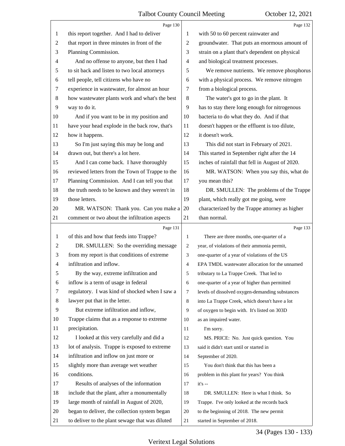|    | Page 130                                        |                | Page 132                                        |
|----|-------------------------------------------------|----------------|-------------------------------------------------|
| 1  | this report together. And I had to deliver      | 1              | with 50 to 60 percent rainwater and             |
| 2  | that report in three minutes in front of the    | $\overline{c}$ | groundwater. That puts an enormous amount of    |
| 3  | Planning Commission.                            | 3              | strain on a plant that's dependent on physical  |
| 4  | And no offense to anyone, but then I had        | 4              | and biological treatment processes.             |
| 5  | to sit back and listen to two local attorneys   | 5              | We remove nutrients. We remove phosphorus       |
| 6  | tell people, tell citizens who have no          | 6              | with a physical process. We remove nitrogen     |
| 7  | experience in wastewater, for almost an hour    | 7              | from a biological process.                      |
| 8  | how wastewater plants work and what's the best  | $\,8\,$        | The water's got to go in the plant. It          |
| 9  | way to do it.                                   | 9              | has to stay there long enough for nitrogenous   |
| 10 | And if you want to be in my position and        | 10             | bacteria to do what they do. And if that        |
| 11 | have your head explode in the back row, that's  | 11             | doesn't happen or the effluent is too dilute,   |
| 12 | how it happens.                                 | 12             | it doesn't work.                                |
| 13 | So I'm just saying this may be long and         | 13             | This did not start in February of 2021.         |
| 14 | drawn out, but there's a lot here.              | 14             | This started in September right after the 14    |
| 15 | And I can come back. I have thoroughly          | 15             | inches of rainfall that fell in August of 2020. |
| 16 | reviewed letters from the Town of Trappe to the | 16             | MR. WATSON: When you say this, what do          |
| 17 | Planning Commission. And I can tell you that    | 17             | you mean this?                                  |
| 18 | the truth needs to be known and they weren't in | 18             | DR. SMULLEN: The problems of the Trappe         |
| 19 | those letters.                                  | 19             | plant, which really got me going, were          |
| 20 | MR. WATSON: Thank you. Can you make a           | 20             | characterized by the Trappe attorney as higher  |
| 21 | comment or two about the infiltration aspects   | 21             | than normal.                                    |
|    |                                                 |                |                                                 |
|    | Page 131                                        |                | Page 133                                        |
| 1  | of this and how that feeds into Trappe?         | 1              | There are three months, one-quarter of a        |
| 2  | DR. SMULLEN: So the overriding message          | 2              | year, of violations of their ammonia permit,    |
| 3  | from my report is that conditions of extreme    | 3              | one-quarter of a year of violations of the US   |
| 4  | infiltration and inflow.                        | $\overline{4}$ | EPA TMDL wastewater allocation for the unnamed  |
| 5  | By the way, extreme infiltration and            | 5              | tributary to La Trappe Creek. That led to       |
| 6  | inflow is a term of usage in federal            | 6              | one-quarter of a year of higher than permitted  |
| 7  | regulatory. I was kind of shocked when I saw a  | 7              | levels of dissolved oxygen-demanding substances |
| 8  | lawyer put that in the letter.                  | 8              | into La Trappe Creek, which doesn't have a lot  |
| 9  | But extreme infiltration and inflow,            | 9              | of oxygen to begin with. It's listed on 303D    |
| 10 | Trappe claims that as a response to extreme     | 10             | as an impaired water.                           |
| 11 | precipitation.                                  | 11             | I'm sorry.                                      |
| 12 | I looked at this very carefully and did a       | 12             | MS. PRICE: No. Just quick question. You         |
| 13 | lot of analysis. Trappe is exposed to extreme   | 13             | said it didn't start until or started in        |
| 14 | infiltration and inflow on just more or         | 14             | September of 2020.                              |
| 15 | slightly more than average wet weather          | 15             | You don't think that this has been a            |
| 16 | conditions.                                     | 16             | problem in this plant for years? You think      |
| 17 | Results of analyses of the information          | 17             | $it's -$                                        |
| 18 | include that the plant, after a monumentally    | 18             | DR. SMULLEN: Here is what I think. So           |
| 19 | large month of rainfall in August of 2020,      | 19             | Trappe. I've only looked at the records back    |
| 20 | began to deliver, the collection system began   | 20             | to the beginning of 2018. The new permit        |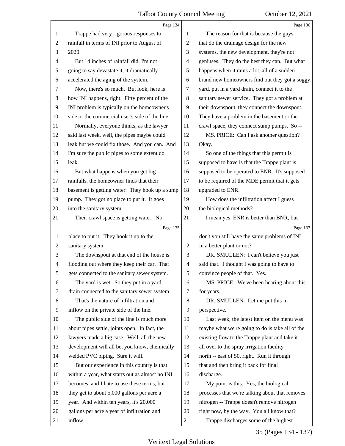|                | Page 134                                        |                | Page 136                                        |
|----------------|-------------------------------------------------|----------------|-------------------------------------------------|
| 1              | Trappe had very rigorous responses to           | 1              | The reason for that is because the guys         |
| $\overline{c}$ | rainfall in terms of INI prior to August of     | 2              | that do the drainage design for the new         |
| 3              | 2020.                                           | 3              | systems, the new development, they're not       |
| 4              | But 14 inches of rainfall did, I'm not          | 4              | geniuses. They do the best they can. But what   |
| 5              | going to say devastate it, it dramatically      | 5              | happens when it rains a lot, all of a sudden    |
| 6              | accelerated the aging of the system.            | 6              | brand new homeowners find out they got a soggy  |
| 7              | Now, there's so much. But look, here is         | 7              | yard, put in a yard drain, connect it to the    |
| 8              | how INI happens, right. Fifty percent of the    | $\,8\,$        | sanitary sewer service. They got a problem at   |
| 9              | INI problem is typically on the homeowner's     | 9              | their downspout, they connect the downspout.    |
| 10             | side or the commercial user's side of the line. | 10             | They have a problem in the basement or the      |
| 11             | Normally, everyone thinks, as the lawyer        | 11             | crawl space, they connect sump pumps. So --     |
| 12             | said last week, well, the pipes maybe could     | 12             | MS. PRICE: Can I ask another question?          |
| 13             | leak but we could fix those. And you can. And   | 13             | Okay.                                           |
| 14             | I'm sure the public pipes to some extent do     | 14             | So one of the things that this permit is        |
| 15             | leak.                                           | 15             | supposed to have is that the Trappe plant is    |
| 16             | But what happens when you get big               | 16             | supposed to be operated to ENR. It's supposed   |
| 17             | rainfalls, the homeowner finds that their       | 17             | to be required of the MDE permit that it gets   |
| 18             | basement is getting water. They hook up a sump  | 18             | upgraded to ENR.                                |
| 19             | pump. They got no place to put it. It goes      | 19             | How does the infiltration affect I guess        |
| 20             | into the sanitary system.                       | 20             | the biological methods?                         |
| 21             | Their crawl space is getting water. No          | 21             | I mean yes, ENR is better than BNR, but         |
|                | Page 135                                        |                | Page 137                                        |
| $\mathbf{1}$   | place to put it. They hook it up to the         | 1              | don't you still have the same problems of INI   |
| $\overline{c}$ | sanitary system.                                | $\overline{2}$ | in a better plant or not?                       |
| 3              | The downspout at that end of the house is       | 3              | DR. SMULLEN: I can't believe you just           |
| 4              | flooding out where they keep their car. That    | 4              | said that. I thought I was going to have to     |
| 5              | gets connected to the sanitary sewer system.    | 5              | convince people of that. Yes.                   |
| 6              | The yard is wet. So they put in a yard          | 6              | MS. PRICE: We've been hearing about this        |
| 7              | drain connected to the sanitary sewer system.   | 7              | for years.                                      |
| 8              | That's the nature of infiltration and           | 8              | DR. SMULLEN: Let me put this in                 |
| 9              | inflow on the private side of the line.         | 9              | perspective.                                    |
| 10             | The public side of the line is much more        | 10             | Last week, the latest item on the menu was      |
| 11             | about pipes settle, joints open. In fact, the   | 11             | maybe what we're going to do is take all of the |
| 12             | lawyers made a big case. Well, all the new      | 12             | existing flow to the Trappe plant and take it   |
| 13             | development will all be, you know, chemically   | 13             | all over to the spray irrigation facility       |
| 14             | welded PVC piping. Sure it will.                |                | north -- east of 50, right. Run it through      |
| 15             |                                                 | 14             |                                                 |
| 16             | But our experience in this country is that      | 15             | that and then bring it back for final           |
|                | within a year, what starts out as almost no INI | 16             | discharge.                                      |
| 17             | becomes, and I hate to use these terms, but     | 17             | My point is this. Yes, the biological           |
| 18             | they get to about 5,000 gallons per acre a      | 18             | processes that we're talking about that removes |
| 19             | year. And within ten years, it's 20,000         | 19             | nitrogen -- Trappe doesn't remove nitrogen      |
| 20             | gallons per acre a year of infiltration and     | 20             | right now, by the way. You all know that?       |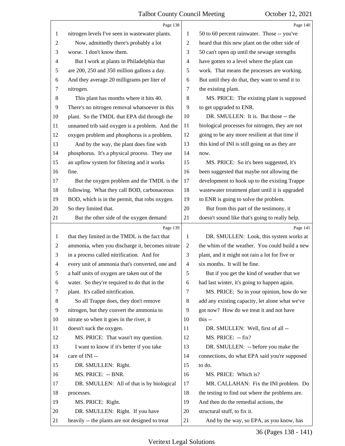|    | Page 138                                        |                          | Page 140                                        |
|----|-------------------------------------------------|--------------------------|-------------------------------------------------|
| 1  | nitrogen levels I've seen in wastewater plants. | 1                        | 50 to 60 percent rainwater. Those -- you've     |
| 2  | Now, admittedly there's probably a lot          | $\overline{c}$           | heard that this new plant on the other side of  |
| 3  | worse. I don't know them.                       | 3                        | 50 can't open up until the sewage strengths     |
| 4  | But I work at plants in Philadelphia that       | $\overline{\mathcal{A}}$ | have gotten to a level where the plant can      |
| 5  | are 200, 250 and 350 million gallons a day.     | 5                        | work. That means the processes are working.     |
| 6  | And they average 20 milligrams per liter of     | 6                        | But until they do that, they want to send it to |
| 7  | nitrogen.                                       | 7                        | the existing plant.                             |
| 8  | This plant has months where it hits 40.         | 8                        | MS. PRICE: The existing plant is supposed       |
| 9  | There's no nitrogen removal whatsoever in this  | 9                        | to get upgraded to ENR.                         |
| 10 | plant. So the TMDL that EPA did through the     | 10                       | DR. SMULLEN: It is. But those -- the            |
| 11 | unnamed trib said oxygen is a problem. And the  | 11                       | biological processes for nitrogen, they are not |
| 12 | oxygen problem and phosphorus is a problem.     | 12                       | going to be any more resilient at that time if  |
| 13 | And by the way, the plant does fine with        | 13                       | this kind of INI is still going on as they are  |
| 14 | phosphorus. It's a physical process. They use   | 14                       | now.                                            |
| 15 | an upflow system for filtering and it works     | 15                       | MS. PRICE: So it's been suggested, it's         |
| 16 | fine.                                           | 16                       | been suggested that maybe not allowing the      |
| 17 | But the oxygen problem and the TMDL is the      | 17                       | development to hook up to the existing Trappe   |
| 18 | following. What they call BOD, carbonaceous     | 18                       | wastewater treatment plant until it is upgraded |
| 19 | BOD, which is in the permit, that robs oxygen.  | 19                       | to ENR is going to solve the problem.           |
| 20 | So they limited that.                           | 20                       | But from this part of the testimony, it         |
| 21 | But the other side of the oxygen demand         | 21                       | doesn't sound like that's going to really help. |
|    |                                                 |                          |                                                 |
|    | Page 139                                        |                          | Page 141                                        |
| 1  | that they limited in the TMDL is the fact that  | 1                        | DR. SMULLEN: Look, this system works at         |
| 2  | ammonia, when you discharge it, becomes nitrate | $\overline{2}$           | the whim of the weather. You could build a new  |
| 3  | in a process called nitrification. And for      | 3                        | plant, and it might not rain a lot for five or  |
| 4  | every unit of ammonia that's converted, one and | $\overline{4}$           | six months. It will be fine.                    |
| 5  | a half units of oxygen are taken out of the     | 5                        | But if you get the kind of weather that we      |
| 6  | water. So they're required to do that in the    | 6                        | had last winter, it's going to happen again.    |
| 7  | plant. It's called nitrification.               | $\tau$                   | MS. PRICE: So in your opinion, how do we        |
| 8  | So all Trappe does, they don't remove           | 8                        | add any existing capacity, let alone what we've |
| 9  | nitrogen, but they convert the ammonia to       | 9                        | got now? How do we treat it and not have        |
| 10 | nitrate so when it goes in the river, it        | 10                       | this --                                         |
| 11 | doesn't suck the oxygen.                        | 11                       | DR. SMULLEN: Well, first of all --              |
| 12 | MS. PRICE: That wasn't my question.             | 12                       | MS. PRICE: -- fix?                              |
| 13 | I want to know if it's better if you take       | 13                       | DR. SMULLEN: -- before you make the             |
| 14 | care of INI --                                  | 14                       | connections, do what EPA said you're supposed   |
| 15 | DR. SMULLEN: Right.                             | 15                       | to do.                                          |
| 16 | MS. PRICE: -- BNR.                              | 16                       | MS. PRICE: Which is?                            |
| 17 | DR. SMULLEN: All of that is by biological       | 17                       | MR. CALLAHAN: Fix the INI problem. Do           |
| 18 | processes.                                      | 18                       | the testing to find out where the problems are. |
| 19 | MS. PRICE: Right.                               | 19                       | And then do the remedial actions, the           |
| 20 | DR. SMULLEN: Right. If you have                 | 20                       | structural stuff, to fix it.                    |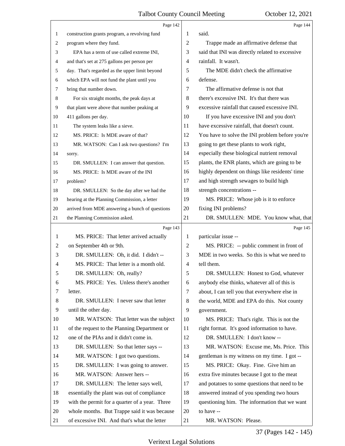|              | Page 142                                        |                | Page 144                                        |
|--------------|-------------------------------------------------|----------------|-------------------------------------------------|
| $\mathbf{1}$ | construction grants program, a revolving fund   | 1              | said.                                           |
| 2            | program where they fund.                        | $\overline{2}$ | Trappe made an affirmative defense that         |
| 3            | EPA has a term of use called extreme INI,       | 3              | said that INI was directly related to excessive |
| 4            | and that's set at 275 gallons per person per    | 4              | rainfall. It wasn't.                            |
| 5            | day. That's regarded as the upper limit beyond  | 5              | The MDE didn't check the affirmative            |
| 6            | which EPA will not fund the plant until you     | 6              | defense.                                        |
| 7            | bring that number down.                         | 7              | The affirmative defense is not that             |
| 8            | For six straight months, the peak days at       | 8              | there's excessive INI. It's that there was      |
| 9            | that plant were above that number peaking at    | 9              | excessive rainfall that caused excessive INI.   |
| 10           | 411 gallons per day.                            | 10             | If you have excessive INI and you don't         |
| 11           | The system leaks like a sieve.                  | 11             | have excessive rainfall, that doesn't count.    |
| 12           | MS. PRICE: Is MDE aware of that?                | 12             | You have to solve the INI problem before you're |
| 13           | MR. WATSON: Can I ask two questions? I'm        | 13             | going to get these plants to work right,        |
| 14           | sorry.                                          | 14             | especially these biological nutrient removal    |
| 15           | DR. SMULLEN: I can answer that question.        | 15             | plants, the ENR plants, which are going to be   |
| 16           | MS. PRICE: Is MDE aware of the INI              | 16             | highly dependent on things like residents' time |
| 17           | problem?                                        | 17             | and high strength sewages to build high         |
| 18           | DR. SMULLEN: So the day after we had the        | 18             | strength concentrations --                      |
| 19           | hearing at the Planning Commission, a letter    | 19             | MS. PRICE: Whose job is it to enforce           |
| 20           | arrived from MDE answering a bunch of questions | 20             | fixing INI problems?                            |
| 21           | the Planning Commission asked.                  | 21             | DR. SMULLEN: MDE. You know what, that           |
|              |                                                 |                |                                                 |
|              | Page 143                                        |                | Page 145                                        |
| 1            | MS. PRICE: That letter arrived actually         | 1              | particular issue --                             |
| 2            | on September 4th or 9th.                        | 2              | MS. PRICE: -- public comment in front of        |
| 3            | DR. SMULLEN: Oh, it did. I didn't --            | 3              | MDE in two weeks. So this is what we need to    |
| 4            | MS. PRICE: That letter is a month old.          | 4              | tell them.                                      |
| 5            | DR. SMULLEN: Oh, really?                        | 5              | DR. SMULLEN: Honest to God. whatever            |
| 6            | MS. PRICE: Yes. Unless there's another          | 6              | anybody else thinks, whatever all of this is    |
| 7            | letter.                                         | 7              | about, I can tell you that everywhere else in   |
| 8            | DR. SMULLEN: I never saw that letter            | 8              | the world, MDE and EPA do this. Not county      |
| 9            | until the other day.                            | 9              | government.                                     |
| 10           | MR. WATSON: That letter was the subject         | 10             | MS. PRICE: That's right. This is not the        |
| 11           | of the request to the Planning Department or    | 11             | right format. It's good information to have.    |
| 12           | one of the PIAs and it didn't come in.          | 12             | DR. SMULLEN: I don't know --                    |
| 13           | DR. SMULLEN: So that letter says --             | 13             | MR. WATSON: Excuse me, Ms. Price. This          |
| 14           | MR. WATSON: I got two questions.                | 14             | gentleman is my witness on my time. I got --    |
| 15           | DR. SMULLEN: I was going to answer.             | 15             | MS. PRICE: Okay. Fine. Give him an              |
| 16           | MR. WATSON: Answer hers --                      | 16             | extra five minutes because I got to the meat    |
| 17           | DR. SMULLEN: The letter says well,              | 17             | and potatoes to some questions that need to be  |
| 18           | essentially the plant was out of compliance     | 18             | answered instead of you spending two hours      |
| 19           | with the permit for a quarter of a year. Three  | 19             | questioning him. The information that we want   |
| 20           | whole months. But Trappe said it was because    | 20             | to have --                                      |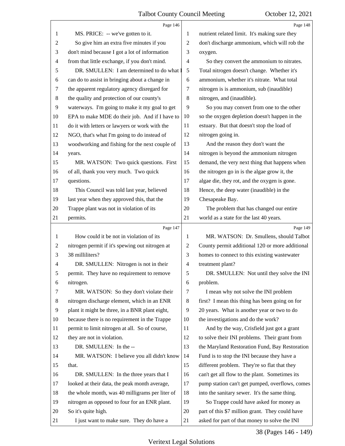|    | Page 146                                        |                | Page 148                                        |
|----|-------------------------------------------------|----------------|-------------------------------------------------|
| 1  | MS. PRICE: -- we've gotten to it.               | 1              | nutrient related limit. It's making sure they   |
| 2  | So give him an extra five minutes if you        | 2              | don't discharge ammonium, which will rob the    |
| 3  | don't mind because I got a lot of information   | 3              | oxygen.                                         |
| 4  | from that little exchange, if you don't mind.   | 4              | So they convert the ammonium to nitrates.       |
| 5  | DR. SMULLEN: I am determined to do what I       | 5              | Total nitrogen doesn't change. Whether it's     |
| 6  | can do to assist in bringing about a change in  | 6              | ammonium, whether it's nitrate. What total      |
| 7  | the apparent regulatory agency disregard for    | 7              | nitrogen is is ammonium, sub (inaudible)        |
| 8  | the quality and protection of our county's      | 8              | nitrogen, and (inaudible).                      |
| 9  | waterways. I'm going to make it my goal to get  | 9              | So you may convert from one to the other        |
| 10 | EPA to make MDE do their job. And if I have to  | 10             | so the oxygen depletion doesn't happen in the   |
| 11 | do it with letters or lawyers or work with the  | 11             | estuary. But that doesn't stop the load of      |
| 12 | NGO, that's what I'm going to do instead of     | 12             | nitrogen going in.                              |
| 13 | woodworking and fishing for the next couple of  | 13             | And the reason they don't want the              |
| 14 | years.                                          | 14             | nitrogen is beyond the ammonium nitrogen        |
| 15 | MR. WATSON: Two quick questions. First          | 15             | demand, the very next thing that happens when   |
| 16 | of all, thank you very much. Two quick          | 16             | the nitrogen go in is the algae grow it, the    |
| 17 | questions.                                      | 17             | algae die, they rot, and the oxygen is gone.    |
| 18 | This Council was told last year, believed       | 18             | Hence, the deep water (inaudible) in the        |
| 19 | last year when they approved this, that the     | 19             | Chesapeake Bay.                                 |
| 20 | Trappe plant was not in violation of its        | 20             | The problem that has changed our entire         |
| 21 | permits.                                        | 21             | world as a state for the last 40 years.         |
|    | Page 147                                        |                | Page 149                                        |
|    |                                                 |                |                                                 |
| 1  | How could it be not in violation of its         | 1              | MR. WATSON: Dr. Smullens, should Talbot         |
| 2  | nitrogen permit if it's spewing out nitrogen at | 2              | County permit additional 120 or more additional |
| 3  | 38 milliliters?                                 | 3              | homes to connect to this existing wastewater    |
| 4  | DR. SMULLEN: Nitrogen is not in their           | $\overline{4}$ | treatment plant?                                |
|    | permit. They have no requirement to remove      | 5              | DR. SMULLEN: Not until they solve the INI       |
| 6  | nitrogen.                                       | 6              | problem.                                        |
| 7  | MR. WATSON: So they don't violate their         | 7              | I mean why not solve the INI problem            |
| 8  | nitrogen discharge element, which in an ENR     | 8              | first? I mean this thing has been going on for  |
| 9  | plant it might be three, in a BNR plant eight,  | 9              | 20 years. What is another year or two to do     |
| 10 | because there is no requirement in the Trappe   | 10             | the investigations and do the work?             |
| 11 | permit to limit nitrogen at all. So of course,  | 11             | And by the way, Crisfield just got a grant      |
| 12 | they are not in violation.                      | 12             | to solve their INI problems. Their grant from   |
| 13 | DR. SMULLEN: In the --                          | 13             | the Maryland Restoration Fund, Bay Restoration  |
| 14 | MR. WATSON: I believe you all didn't know       | 14             | Fund is to stop the INI because they have a     |
| 15 | that.                                           | 15             | different problem. They're so flat that they    |
| 16 | DR. SMULLEN: In the three years that I          | 16             | can't get all flow to the plant. Sometimes its  |
| 17 | looked at their data, the peak month average,   | 17             | pump station can't get pumped, overflows, comes |
| 18 | the whole month, was 40 milligrams per liter of | 18             | into the sanitary sewer. It's the same thing.   |
| 19 | nitrogen as opposed to four for an ENR plant.   | 19             | So Trappe could have asked for money as         |
| 20 | So it's quite high.                             | 20             | part of this \$7 million grant. They could have |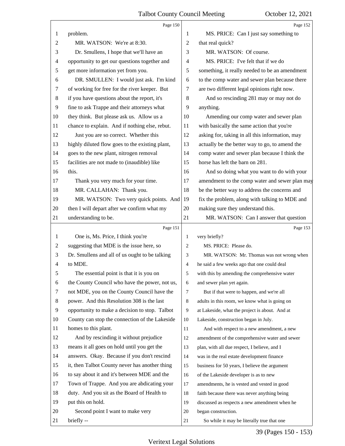|                | Page 150                                        |                | Page 152                                        |
|----------------|-------------------------------------------------|----------------|-------------------------------------------------|
| 1              | problem.                                        | 1              | MS. PRICE: Can I just say something to          |
| 2              | MR. WATSON: We're at 8:30.                      | 2              | that real quick?                                |
| 3              | Dr. Smullens, I hope that we'll have an         | 3              | MR. WATSON: Of course.                          |
| 4              | opportunity to get our questions together and   | 4              | MS. PRICE: I've felt that if we do              |
| 5              | get more information yet from you.              | 5              | something, it really needed to be an amendment  |
| 6              | DR. SMULLEN: I would just ask. I'm kind         | 6              | to the comp water and sewer plan because there  |
| 7              | of working for free for the river keeper. But   | 7              | are two different legal opinions right now.     |
| 8              | if you have questions about the report, it's    | 8              | And so rescinding 281 may or may not do         |
| 9              | fine to ask Trappe and their attorneys what     | 9              | anything.                                       |
| 10             | they think. But please ask us. Allow us a       | 10             | Amending our comp water and sewer plan          |
| 11             | chance to explain. And if nothing else, rebut.  | 11             | with basically the same action that you're      |
| 12             | Just you are so correct. Whether this           | 12             | asking for, taking in all this information, may |
| 13             | highly diluted flow goes to the existing plant, | 13             | actually be the better way to go, to amend the  |
| 14             | goes to the new plant, nitrogen removal         | 14             | comp water and sewer plan because I think the   |
| 15             | facilities are not made to (inaudible) like     | 15             | horse has left the barn on 281.                 |
| 16             | this.                                           | 16             | And so doing what you want to do with your      |
| 17             | Thank you very much for your time.              | 17             | amendment to the comp water and sewer plan may  |
| 18             | MR. CALLAHAN: Thank you.                        | 18             | be the better way to address the concerns and   |
| 19             | MR. WATSON: Two very quick points. And          | 19             | fix the problem, along with talking to MDE and  |
| 20             | then I will depart after we confirm what my     | 20             | making sure they understand this.               |
| 21             | understanding to be.                            | 21             | MR. WATSON: Can I answer that question          |
|                |                                                 |                |                                                 |
|                | Page 151                                        |                | Page 153                                        |
| 1              | One is, Ms. Price, I think you're               | $\mathbf{1}$   | very briefly?                                   |
| 2              | suggesting that MDE is the issue here, so       | 2              | MS. PRICE: Please do.                           |
| 3              | Dr. Smullens and all of us ought to be talking  | 3              | MR. WATSON: Mr. Thomas was not wrong when       |
| $\overline{4}$ | to MDE.                                         | $\overline{4}$ | he said a few weeks ago that one could deal     |
| 5              | The essential point is that it is you on        | 5              | with this by amending the comprehensive water   |
| 6              | the County Council who have the power, not us,  | 6              | and sewer plan yet again.                       |
| 7              | not MDE, you on the County Council have the     | $\tau$         | But if that were to happen, and we're all       |
| 8              | power. And this Resolution 308 is the last      | 8              | adults in this room, we know what is going on   |
| 9              | opportunity to make a decision to stop. Talbot  | $\overline{9}$ | at Lakeside, what the project is about. And at  |
| 10             | County can stop the connection of the Lakeside  | 10             | Lakeside, construction began in July.           |
| 11             | homes to this plant.                            | 11             | And with respect to a new amendment, a new      |
| 12             | And by rescinding it without prejudice          | 12             | amendment of the comprehensive water and sewer  |
| 13             | means it all goes on hold until you get the     | 13             | plan, with all due respect, I believe, and I    |
| 14             | answers. Okay. Because if you don't rescind     | 14             | was in the real estate development finance      |
| 15             | it, then Talbot County never has another thing  | 15             | business for 50 years, I believe the argument   |
| 16             | to say about it and it's between MDE and the    | 16             | of the Lakeside developer is as to new          |
| 17             | Town of Trappe. And you are abdicating your     | 17             | amendments, he is vested and vested in good     |
| 18             | duty. And you sit as the Board of Health to     | 18             | faith because there was never anything being    |
| 19             | put this on hold.                               | 19             | discussed as respects a new amendment when he   |
| 20             | Second point I want to make very                | 20             | began construction.                             |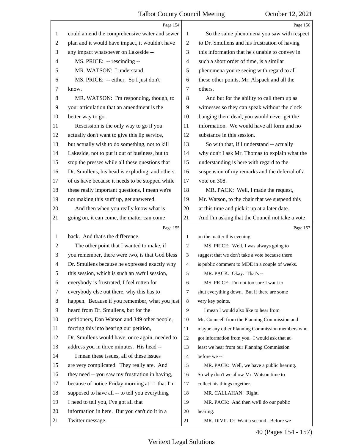|                | Page 154                                        |                | Page 156                                        |
|----------------|-------------------------------------------------|----------------|-------------------------------------------------|
| 1              | could amend the comprehensive water and sewer   | 1              | So the same phenomena you saw with respect      |
| $\overline{c}$ | plan and it would have impact, it wouldn't have | $\overline{2}$ | to Dr. Smullens and his frustration of having   |
| 3              | any impact whatsoever on Lakeside --            | 3              | this information that he's unable to convey in  |
| 4              | MS. PRICE: -- rescinding --                     | $\overline{4}$ | such a short order of time, is a similar        |
| 5              | MR. WATSON: I understand.                       | 5              | phenomena you're seeing with regard to all      |
| 6              | MS. PRICE: -- either. So I just don't           | 6              | these other points, Mr. Alspach and all the     |
| 7              | know.                                           | 7              | others.                                         |
| $\,8\,$        | MR. WATSON: I'm responding, though, to          | 8              | And but for the ability to call them up as      |
| 9              | your articulation that an amendment is the      | 9              | witnesses so they can speak without the clock   |
| 10             | better way to go.                               | 10             | banging them dead, you would never get the      |
| 11             | Rescission is the only way to go if you         | 11             | information. We would have all form and no      |
| 12             | actually don't want to give this lip service,   | 12             | substance in this session.                      |
| 13             | but actually wish to do something, not to kill  | 13             | So with that, if I understand -- actually       |
| 14             | Lakeside, not to put it out of business, but to | 14             | why don't I ask Mr. Thomas to explain what the  |
| 15             | stop the presses while all these questions that | 15             | understanding is here with regard to the        |
| 16             | Dr. Smullens, his head is exploding, and others | 16             | suspension of my remarks and the deferral of a  |
| 17             | of us have because it needs to be stopped while | 17             | vote on 308.                                    |
| 18             | these really important questions, I mean we're  | 18             | MR. PACK: Well, I made the request,             |
| 19             | not making this stuff up, get answered.         | 19             | Mr. Watson, to the chair that we suspend this   |
| 20             | And then when you really know what is           | 20             | at this time and pick it up at a later date.    |
| 21             | going on, it can come, the matter can come      | 21             | And I'm asking that the Council not take a vote |
|                |                                                 |                |                                                 |
|                | Page 155                                        |                | Page 157                                        |
| 1              | back. And that's the difference.                | 1              | on the matter this evening.                     |
| 2              | The other point that I wanted to make, if       | $\overline{2}$ | MS. PRICE: Well, I was always going to          |
| 3              | you remember, there were two, is that God bless | 3              | suggest that we don't take a vote because there |
| $\overline{4}$ | Dr. Smullens because he expressed exactly why   | 4              | is public comment to MDE in a couple of weeks.  |
| 5              | this session, which is such an awful session,   | 5              | MR. PACK: Okay. That's --                       |
| 6              | everybody is frustrated, I feel rotten for      | 6              | MS. PRICE: I'm not too sure I want to           |
| 7              | everybody else out there, why this has to       | $\tau$         | shut everything down. But if there are some     |
| 8              | happen. Because if you remember, what you just  | 8              | very key points.                                |
| 9              | heard from Dr. Smullens, but for the            | 9              | I mean I would also like to hear from           |
| 10             | petitioners, Dan Watson and 349 other people,   | 10             | Mr. Councell from the Planning Commission and   |
| 11             | forcing this into hearing our petition,         | 11             | maybe any other Planning Commission members who |
| 12             | Dr. Smullens would have, once again, needed to  | 12             | got information from you. I would ask that at   |
| 13             | address you in three minutes. His head --       | 13             | least we hear from our Planning Commission      |
| 14             | I mean these issues, all of these issues        | 14             | before we --                                    |
| 15             | are very complicated. They really are. And      | 15             | MR. PACK: Well, we have a public hearing.       |
| 16             | they need -- you saw my frustration in having,  | 16             | So why don't we allow Mr. Watson time to        |
| 17             | because of notice Friday morning at 11 that I'm | 17             | collect his things together.                    |
| 18             | supposed to have all -- to tell you everything  | 18             | MR. CALLAHAN: Right.                            |
| 19             | I need to tell you, I've got all that           | 19             | MR. PACK: And then we'll do our public          |
| 20             | information in here. But you can't do it in a   | 20             | hearing.                                        |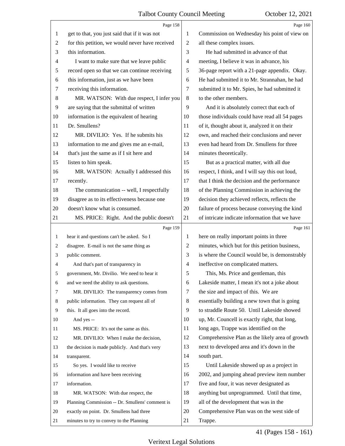|         | Page 158                                        |                          | Page 160                                        |
|---------|-------------------------------------------------|--------------------------|-------------------------------------------------|
| 1       | get to that, you just said that if it was not   | 1                        | Commission on Wednesday his point of view on    |
| 2       | for this petition, we would never have received | $\overline{2}$           | all these complex issues.                       |
| 3       | this information.                               | 3                        | He had submitted in advance of that             |
| 4       | I want to make sure that we leave public        | $\overline{\mathcal{A}}$ | meeting, I believe it was in advance, his       |
| 5       | record open so that we can continue receiving   | 5                        | 36-page report with a 21-page appendix. Okay.   |
| 6       | this information, just as we have been          | 6                        | He had submitted it to Mr. Strannahan, he had   |
| 7       | receiving this information.                     | 7                        | submitted it to Mr. Spies, he had submitted it  |
| $\,8\,$ | MR. WATSON: With due respect, I infer you       | $8\,$                    | to the other members.                           |
| 9       | are saying that the submittal of written        | 9                        | And it is absolutely correct that each of       |
| 10      | information is the equivalent of hearing        | 10                       | those individuals could have read all 54 pages  |
| 11      | Dr. Smullens?                                   | 11                       | of it, thought about it, analyzed it on their   |
| 12      | MR. DIVILIO: Yes. If he submits his             | 12                       | own, and reached their conclusions and never    |
| 13      | information to me and gives me an e-mail,       | 13                       | even had heard from Dr. Smullens for three      |
| 14      | that's just the same as if I sit here and       | 14                       | minutes theoretically.                          |
| 15      | listen to him speak.                            | 15                       | But as a practical matter, with all due         |
| 16      | MR. WATSON: Actually I addressed this           | 16                       | respect, I think, and I will say this out loud, |
| 17      | recently.                                       | 17                       | that I think the decision and the performance   |
| 18      | The communication -- well, I respectfully       | 18                       | of the Planning Commission in achieving the     |
| 19      | disagree as to its effectiveness because one    | 19                       | decision they achieved reflects, reflects the   |
| 20      | doesn't know what is consumed.                  | 20                       | failure of process because conveying the kind   |
| 21      | MS. PRICE: Right. And the public doesn't        | 21                       | of intricate indicate information that we have  |
|         |                                                 |                          |                                                 |
|         | Page 159                                        |                          | Page 161                                        |
| 1       | hear it and questions can't be asked. So I      | 1                        | here on really important points in three        |
| 2       | disagree. E-mail is not the same thing as       | $\overline{2}$           | minutes, which but for this petition business,  |
| 3       | public comment.                                 | 3                        | is where the Council would be, is demonstrably  |
| 4       | And that's part of transparency in              | $\overline{\mathcal{A}}$ | ineffective on complicated matters.             |
|         | government, Mr. Divilio. We need to hear it     | 5                        | This, Ms. Price and gentleman, this             |
| 6       | and we need the ability to ask questions.       | 6                        | Lakeside matter, I mean it's not a joke about   |
| 7       | MR. DIVILIO: The transparency comes from        | 7                        | the size and impact of this. We are             |
| 8       | public information. They can request all of     | $\,8\,$                  | essentially building a new town that is going   |
| 9       | this. It all goes into the record.              | 9                        | to straddle Route 50. Until Lakeside showed     |
| 10      | And yes --                                      | 10                       | up, Mr. Councell is exactly right, that long,   |
| 11      | MS. PRICE: It's not the same as this.           | 11                       | long ago, Trappe was identified on the          |
| 12      | MR. DIVILIO: When I make the decision,          | 12                       | Comprehensive Plan as the likely area of growth |
| 13      | the decision is made publicly. And that's very  | 13                       | next to developed area and it's down in the     |
| 14      | transparent.                                    | 14                       | south part.                                     |
| 15      | So yes. I would like to receive                 | 15                       | Until Lakeside showed up as a project in        |
| 16      | information and have been receiving             | 16                       | 2002, and jumping ahead preview item number     |
| 17      | information.                                    | 17                       | five and four, it was never designated as       |
| 18      | MR. WATSON: With due respect, the               | 18                       | anything but unprogrammed. Until that time,     |
| 19      | Planning Commission -- Dr. Smullens' comment is | 19                       | all of the development that was in the          |
| 20      | exactly on point. Dr. Smullens had three        | 20                       | Comprehensive Plan was on the west side of      |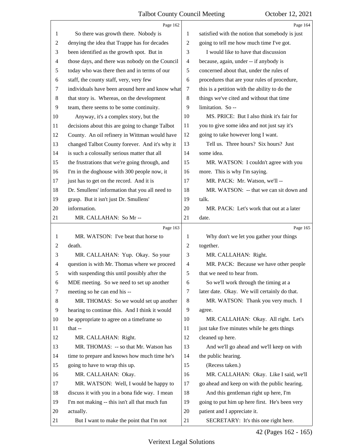|                | Page 162                                        |                          | Page 164                                        |
|----------------|-------------------------------------------------|--------------------------|-------------------------------------------------|
| 1              | So there was growth there. Nobody is            | 1                        | satisfied with the notion that somebody is just |
| 2              | denying the idea that Trappe has for decades    | $\overline{c}$           | going to tell me how much time I've got.        |
| 3              | been identified as the growth spot. But in      | 3                        | I would like to have that discussion            |
| 4              | those days, and there was nobody on the Council | $\overline{\mathcal{A}}$ | because, again, under -- if anybody is          |
| 5              | today who was there then and in terms of our    | 5                        | concerned about that, under the rules of        |
| 6              | staff, the county staff, very, very few         | 6                        | procedures that are your rules of procedure,    |
| 7              | individuals have been around here and know what | 7                        | this is a petition with the ability to do the   |
| 8              | that story is. Whereas, on the development      | 8                        | things we've cited and without that time        |
| $\overline{9}$ | team, there seems to be some continuity.        | 9                        | limitation. So --                               |
| 10             | Anyway, it's a complex story, but the           | 10                       | MS. PRICE: But I also think it's fair for       |
| 11             | decisions about this are going to change Talbot | 11                       | you to give some idea and not just say it's     |
| 12             | County. An oil refinery in Wittman would have   | 12                       | going to take however long I want.              |
| 13             | changed Talbot County forever. And it's why it  | 13                       | Tell us. Three hours? Six hours? Just           |
| 14             | is such a colossally serious matter that all    | 14                       | some idea.                                      |
| 15             | the frustrations that we're going through, and  | 15                       | MR. WATSON: I couldn't agree with you           |
| 16             | I'm in the doghouse with 300 people now, it     | 16                       | more. This is why I'm saying.                   |
| 17             | just has to get on the record. And it is        | 17                       | MR. PACK: Mr. Watson, we'll --                  |
| 18             | Dr. Smullens' information that you all need to  | 18                       | MR. WATSON: -- that we can sit down and         |
| 19             | grasp. But it isn't just Dr. Smullens'          | 19                       | talk.                                           |
| 20             | information.                                    | 20                       | MR. PACK: Let's work that out at a later        |
| 21             | MR. CALLAHAN: So Mr --                          | 21                       | date.                                           |
|                |                                                 |                          |                                                 |
|                | Page 163                                        |                          | Page 165                                        |
| 1              | MR. WATSON: I've beat that horse to             | 1                        | Why don't we let you gather your things         |
| 2              | death.                                          | 2                        | together.                                       |
| 3              | MR. CALLAHAN: Yup. Okay. So your                | 3                        | MR. CALLAHAN: Right.                            |
| 4              | question is with Mr. Thomas where we proceed    | $\overline{4}$           | MR. PACK: Because we have other people          |
| 5              | with suspending this until possibly after the   | 5                        | that we need to hear from.                      |
| 6              | MDE meeting. So we need to set up another       | 6                        | So we'll work through the timing at a           |
| 7              | meeting so he can end his --                    | 7                        | later date. Okay. We will certainly do that.    |
| 8              | MR. THOMAS: So we would set up another          | 8                        | MR. WATSON: Thank you very much. I              |
| 9              | hearing to continue this. And I think it would  | 9                        | agree.                                          |
| 10             | be appropriate to agree on a timeframe so       | 10                       | MR. CALLAHAN: Okay. All right. Let's            |
| 11             | that --                                         | 11                       | just take five minutes while he gets things     |
| 12             | MR. CALLAHAN: Right.                            | 12                       | cleaned up here.                                |
| 13             | MR. THOMAS: -- so that Mr. Watson has           | 13                       | And we'll go ahead and we'll keep on with       |
| 14             | time to prepare and knows how much time he's    | 14                       | the public hearing.                             |
| 15             | going to have to wrap this up.                  | 15                       | (Recess taken.)                                 |
| 16             | MR. CALLAHAN: Okay.                             | 16                       | MR. CALLAHAN: Okay. Like I said, we'll          |
| 17             | MR. WATSON: Well, I would be happy to           | 17                       | go ahead and keep on with the public hearing.   |
| 18             | discuss it with you in a bona fide way. I mean  | 18                       | And this gentleman right up here, I'm           |
| 19             | I'm not making -- this isn't all that much fun  | 19                       | going to put him up here first. He's been very  |
| 20             | actually.                                       | 20                       | patient and I appreciate it.                    |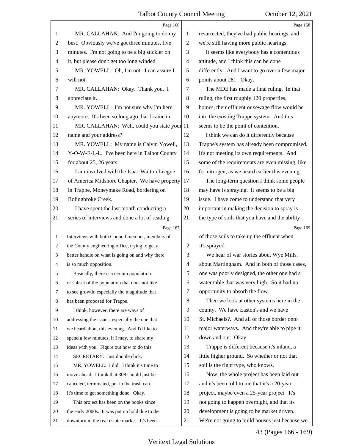|                | Page 166                                        |                | Page 168                                        |
|----------------|-------------------------------------------------|----------------|-------------------------------------------------|
| 1              | MR. CALLAHAN: And I'm going to do my            | 1              | resurrected, they've had public hearings, and   |
| $\overline{2}$ | best. Obviously we've got three minutes, five   | $\overline{2}$ | we're still having more public hearings.        |
| 3              | minutes. I'm not going to be a big stickler on  | 3              | It seems like everybody has a contentious       |
| $\overline{4}$ | it, but please don't get too long winded.       | $\overline{4}$ | attitude, and I think this can be done          |
| 5              | MR. YOWELL: Oh, I'm not. I can assure I         | 5              | differently. And I want to go over a few major  |
| 6              | will not.                                       | 6              | points about 281. Okay.                         |
| $\tau$         | MR. CALLAHAN: Okay. Thank you. I                | 7              | The MDE has made a final ruling. In that        |
| 8              | appreciate it.                                  | $\,8\,$        | ruling, the first roughly 120 properties,       |
| 9              | MR. YOWELL: I'm not sure why I'm here           | 9              | homes, their effluent or sewage flow would be   |
| 10             | anymore. It's been so long ago that I came in.  | 10             | into the existing Trappe system. And this       |
| 11             | MR. CALLAHAN: Well, could you state your 11     |                | seems to be the point of contention.            |
| 12             | name and your address?                          | 12             | I think we can do it differently because        |
| 13             | MR. YOWELL: My name is Calvin Yowell,           | 13             | Trappe's system has already been compromised.   |
| 14             | Y-O-W-E-L-L. I've been here in Talbot County    | 14             | It's not meeting its own requirements. And      |
| 15             | for about 25, 26 years.                         | 15             | some of the requirements are even missing, like |
| 16             | I am involved with the Isaac Walton League      | 16             | for nitrogen, as we heard earlier this evening. |
| 17             | of America Midshore Chapter. We have property   | 17             | The long-term question I think some people      |
| 18             | in Trappe, Moneymake Road, bordering on         | 18             | may have is spraying. It seems to be a big      |
| 19             | Bolingbroke Creek.                              | 19             | issue. I have come to understand that very      |
| 20             | I have spent the last month conducting a        | 20             | important in making the decision to spray is    |
| 21             | series of interviews and done a lot of reading. | 21             | the type of soils that you have and the ability |
|                |                                                 |                |                                                 |
|                | Page 167                                        |                | Page 169                                        |
| 1              | Interviews with both Council member, members of | 1              | of those soils to take up the effluent when     |
| 2              | the County engineering office, trying to get a  | $\overline{c}$ | it's sprayed.                                   |
| 3              | better handle on what is going on and why there | 3              | We hear of war stories about Wye Mills,         |
| $\overline{4}$ | is so much opposition.                          | $\overline{4}$ | about Martingham. And in both of those cases,   |
| 5              | Basically, there is a certain population        | 5              | one was poorly designed, the other one had a    |
| 6              | or subset of the population that does not like  | 6              | water table that was very high. So it had no    |
| 7              | to see growth, especially the magnitude that    | 7              | opportunity to absorb the flow.                 |
| 8              | has been proposed for Trappe.                   | 8              | Then we look at other systems here in the       |
| 9              | I think, however, there are ways of             | 9              | county. We have Easton's and we have            |
| 10             | addressing the issues, especially the one that  | 10             | St. Michaels?. And all of those border onto     |
| 11             | we heard about this evening. And I'd like to    | 11             | major waterways. And they're able to pipe it    |
| 12             | spend a few minutes, if I may, to share my      | 12             | down and out. Okay.                             |
| 13             | ideas with you. Figure out how to do this.      | 13             | Trappe is different because it's inland, a      |
| 14             | SECRETARY: Just double click.                   | 14             | little higher ground. So whether or not that    |
| 15             | MR. YOWELL: I did. I think it's time to         | 15             | soil is the right type, who knows.              |
| 16             | move ahead. I think that 308 should just be     | 16             | Now, the whole project has been laid out        |
| 17             | canceled, terminated, put in the trash can.     | 17             | and it's been told to me that it's a 20-year    |
| 18             | It's time to get something done. Okay.          | 18             | project, maybe even a 25-year project. It's     |
| 19             | This project has been on the books since        | 19             | not going to happen overnight, and that its     |
| 20             | the early 2000s. It was put on hold due to the  | 20             | development is going to be market driven.       |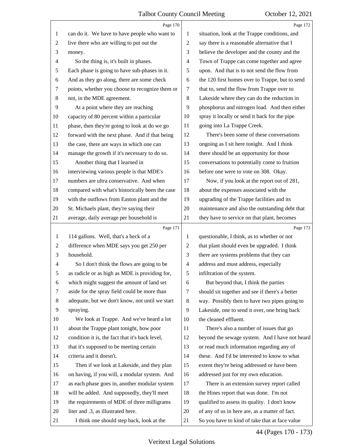|                | Page 170                                        |                | Page 172                                        |
|----------------|-------------------------------------------------|----------------|-------------------------------------------------|
| 1              | can do it. We have to have people who want to   | 1              | situation, look at the Trappe conditions, and   |
| $\overline{c}$ | live there who are willing to put out the       | $\overline{c}$ | say there is a reasonable alternative that I    |
| 3              | money.                                          | 3              | believe the developer and the county and the    |
| 4              | So the thing is, it's built in phases.          | $\overline{4}$ | Town of Trappe can come together and agree      |
| 5              | Each phase is going to have sub-phases in it.   | 5              | upon. And that is to not send the flow from     |
| 6              | And as they go along, there are some check      | 6              | the 120 first homes over to Trappe, but to send |
| 7              | points, whether you choose to recognize them or | 7              | that to, send the flow from Trappe over to      |
| 8              | not, in the MDE agreement.                      | 8              | Lakeside where they can do the reduction in     |
| 9              | At a point where they are reaching              | 9              | phosphorus and nitrogen load. And then either   |
| 10             | capacity of 80 percent within a particular      | 10             | spray it locally or send it back for the pipe   |
| 11             | phase, then they're going to look at do we go   | 11             | going into La Trappe Creek.                     |
| 12             | forward with the next phase. And if that being  | 12             | There's been some of these conversations        |
| 13             | the case, there are ways in which one can       | 13             | ongoing as I sit here tonight. And I think      |
| 14             | manage the growth if it's necessary to do so.   | 14             | there should be an opportunity for those        |
| 15             | Another thing that I learned in                 | 15             | conversations to potentially come to fruition   |
| 16             | interviewing various people is that MDE's       | 16             | before one were to vote on 308. Okay.           |
| 17             | numbers are ultra conservative. And when        | 17             | Now, if you look at the report out of 281,      |
| 18             | compared with what's historically been the case | 18             | about the expenses associated with the          |
| 19             | with the outflows from Easton plant and the     | 19             | upgrading of the Trappe facilities and its      |
| 20             | St. Michaels plant, they're saying their        | 20             | maintenance and also the outstanding debt that  |
| 21             | average, daily average per household is         | 21             | they have to service on that plant, becomes     |
|                |                                                 |                |                                                 |
|                | Page 171                                        |                | Page 173                                        |
| 1              | 114 gallons. Well, that's a heck of a           | 1              | questionable, I think, as to whether or not     |
| 2              | difference when MDE says you get 250 per        | 2              | that plant should even be upgraded. I think     |
| 3              | household.                                      | 3              | there are systems problems that they can        |
| $\overline{4}$ | So I don't think the flows are going to be      | $\overline{4}$ | address and must address, especially            |
| 5              | as radicle or as high as MDE is providing for,  | 5              | infiltration of the system.                     |
| 6              | which might suggest the amount of land set      | 6              | But beyond that, I think the parties            |
| 7              | aside for the spray field could be more than    | $\tau$         | should sit together and see if there's a better |
| 8              | adequate, but we don't know, not until we start | 8              | way. Possibly then to have two pipes going to   |
| 9              | spraying.                                       | 9              | Lakeside, one to send it over, one bring back   |
| 10             | We look at Trappe. And we've heard a lot        | 10             | the cleaned effluent.                           |
| 11             | about the Trappe plant tonight, how poor        | 11             | There's also a number of issues that go         |
| 12             | condition it is, the fact that it's back level, | 12             | beyond the sewage system. And I have not heard  |
| 13             | that it's supposed to be meeting certain        | 13             | or read much information regarding any of       |
| 14             | criteria and it doesn't.                        | 14             | these. And I'd be interested to know to what    |
| 15             | Then if we look at Lakeside, and they plan      | 15             | extent they're being addressed or have been     |
| 16             | on having, if you will, a modular system. And   | 16             | addressed just for my own education.            |
| 17             | as each phase goes in, another modular system   | 17             | There is an extension survey report called      |
| 18             | will be added. And supposedly, they'll meet     | 18             | the Hines report that was done. I'm not         |
| 19             | the requirements of MDE of three milligrams     | 19             | qualified to assess its quality. I don't know   |
| 20             | liter and .3, as illustrated here.              | 20             | of any of us in here are, as a matter of fact.  |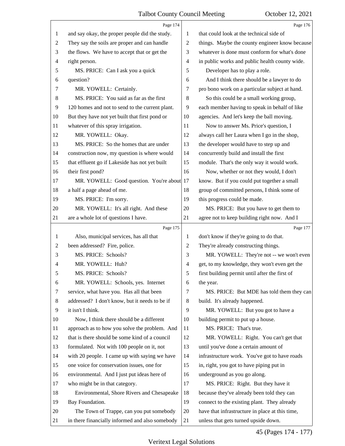|                | Page 174                                        |                | Page 176                                        |
|----------------|-------------------------------------------------|----------------|-------------------------------------------------|
| 1              | and say okay, the proper people did the study.  | 1              | that could look at the technical side of        |
| $\overline{c}$ | They say the soils are proper and can handle    | $\overline{c}$ | things. Maybe the county engineer know because  |
| 3              | the flows. We have to accept that or get the    | 3              | whatever is done must conform for what's done   |
| 4              | right person.                                   | 4              | in public works and public health county wide.  |
| 5              | MS. PRICE: Can I ask you a quick                | 5              | Developer has to play a role.                   |
| 6              | question?                                       | 6              | And I think there should be a lawyer to do      |
| 7              | MR. YOWELL: Certainly.                          | 7              | pro bono work on a particular subject at hand.  |
| 8              | MS. PRICE: You said as far as the first         | 8              | So this could be a small working group,         |
| 9              | 120 homes and not to send to the current plant. | 9              | each member having to speak in behalf of like   |
| 10             | But they have not yet built that first pond or  | 10             | agencies. And let's keep the ball moving.       |
| 11             | whatever of this spray irrigation.              | 11             | Now to answer Ms. Price's question, I           |
| 12             | MR. YOWELL: Okay.                               | 12             | always call her Laura when I go in the shop,    |
| 13             | MS. PRICE: So the homes that are under          | 13             | the developer would have to step up and         |
| 14             | construction now, my question is where would    | 14             | concurrently build and install the first        |
| 15             | that effluent go if Lakeside has not yet built  | 15             | module. That's the only way it would work.      |
| 16             | their first pond?                               | 16             | Now, whether or not they would, I don't         |
| 17             | MR. YOWELL: Good question. You're about 17      |                | know. But if you could put together a small     |
| 18             | a half a page ahead of me.                      | 18             | group of committed persons, I think some of     |
| 19             | MS. PRICE: I'm sorry.                           | 19             | this progress could be made.                    |
| 20             | MR. YOWELL: It's all right. And these           | 20             | MS. PRICE: But you have to get them to          |
| 21             | are a whole lot of questions I have.            | 21             | agree not to keep building right now. And I     |
|                |                                                 |                |                                                 |
|                | Page 175                                        |                | Page 177                                        |
| 1              | Also, municipal services, has all that          | 1              | don't know if they're going to do that.         |
| $\overline{c}$ | been addressed? Fire, police.                   | 2              | They're already constructing things.            |
| 3              | MS. PRICE: Schools?                             | 3              | MR. YOWELL: They're not -- we won't even        |
| 4              | MR. YOWELL: Huh?                                | 4              | get, to my knowledge, they won't even get the   |
| 5              | MS. PRICE: Schools?                             | 5              | first building permit until after the first of  |
| 6              | MR. YOWELL: Schools, yes. Internet              | 6              | the year.                                       |
| 7              | service, what have you. Has all that been       | $\overline{7}$ | MS. PRICE: But MDE has told them they can       |
| 8              | addressed? I don't know, but it needs to be if  | 8              | build. It's already happened.                   |
| 9              | it isn't I think.                               | 9              | MR. YOWELL: But you got to have a               |
| 10             | Now, I think there should be a different        | 10             | building permit to put up a house.              |
| 11             | approach as to how you solve the problem. And   | 11             | MS. PRICE: That's true.                         |
| 12             | that is there should be some kind of a council  | 12             | MR. YOWELL: Right. You can't get that           |
| 13             | formulated. Not with 100 people on it, not      | 13             | until you've done a certain amount of           |
| 14             | with 20 people. I came up with saying we have   | 14             | infrastructure work. You've got to have roads   |
| 15             | one voice for conservation issues, one for      | 15             | in, right, you got to have piping put in        |
| 16             | environmental. And I just put ideas here of     | 16             | underground as you go along.                    |
| 17             | who might be in that category.                  | 17             | MS. PRICE: Right. But they have it              |
| 18             | Environmental, Shore Rivers and Chesapeake      | 18             | because they've already been told they can      |
| 19             | Bay Foundation.                                 | 19             | connect to the existing plant. They already     |
| 20             | The Town of Trappe, can you put somebody        | 20             | have that infrastructure in place at this time, |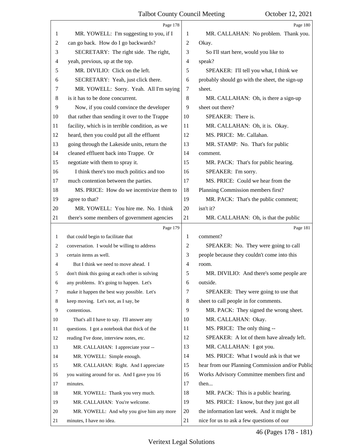|                | Page 178                                        |                | Page 180                                        |
|----------------|-------------------------------------------------|----------------|-------------------------------------------------|
| 1              | MR. YOWELL: I'm suggesting to you, if I         | 1              | MR. CALLAHAN: No problem. Thank you.            |
| $\overline{2}$ | can go back. How do I go backwards?             | $\mathbf{2}$   | Okay.                                           |
| 3              | SECRETARY: The right side. The right,           | 3              | So I'll start here, would you like to           |
| 4              | yeah, previous, up at the top.                  | 4              | speak?                                          |
| 5              | MR. DIVILIO: Click on the left.                 | 5              | SPEAKER: I'll tell you what, I think we         |
| 6              | SECRETARY: Yeah, just click there.              | 6              | probably should go with the sheet, the sign-up  |
| 7              | MR. YOWELL: Sorry. Yeah. All I'm saying         | 7              | sheet.                                          |
| 8              | is it has to be done concurrent.                | 8              | MR. CALLAHAN: Oh, is there a sign-up            |
| 9              | Now, if you could convince the developer        | 9              | sheet out there?                                |
| 10             | that rather than sending it over to the Trappe  | 10             | SPEAKER: There is.                              |
| 11             | facility, which is in terrible condition, as we | 11             | MR. CALLAHAN: Oh, it is. Okay.                  |
| 12             | heard, then you could put all the effluent      | 12             | MS. PRICE: Mr. Callahan.                        |
| 13             | going through the Lakeside units, return the    | 13             | MR. STAMP: No. That's for public                |
| 14             | cleaned effluent back into Trappe. Or           | 14             | comment.                                        |
| 15             | negotiate with them to spray it.                | 15             | MR. PACK: That's for public hearing.            |
| 16             | I think there's too much politics and too       | 16             | SPEAKER: I'm sorry.                             |
| 17             | much contention between the parties.            | 17             | MS. PRICE: Could we hear from the               |
| 18             | MS. PRICE: How do we incentivize them to        | 18             | Planning Commission members first?              |
| 19             | agree to that?                                  | 19             | MR. PACK: That's the public comment;            |
| 20             | MR. YOWELL: You hire me. No. I think            | 20             | isn't it?                                       |
| 21             | there's some members of government agencies     | 21             | MR. CALLAHAN: Oh, is that the public            |
|                |                                                 |                |                                                 |
|                | Page 179                                        |                | Page 181                                        |
| $\mathbf{1}$   | that could begin to facilitate that             | 1              | comment?                                        |
| 2              | conversation. I would be willing to address     | 2              | SPEAKER: No. They were going to call            |
| 3              | certain items as well.                          | 3              | people because they couldn't come into this     |
| 4              | But I think we need to move ahead. I            | $\overline{4}$ | room.                                           |
| 5              | don't think this going at each other is solving | 5              | MR. DIVILIO: And there's some people are        |
| 6              | any problems. It's going to happen. Let's       | 6              | outside.                                        |
| 7              | make it happen the best way possible. Let's     | 7              | SPEAKER: They were going to use that            |
| 8              | keep moving. Let's not, as I say, be            | 8              | sheet to call people in for comments.           |
| 9              | contentious.                                    | 9              | MR. PACK: They signed the wrong sheet.          |
| 10             | That's all I have to say. I'll answer any       | 10             | MR. CALLAHAN: Okay.                             |
| 11             | questions. I got a notebook that thick of the   | 11             | MS. PRICE: The only thing --                    |
| 12             | reading I've done, interview notes, etc.        | 12             | SPEAKER: A lot of them have already left.       |
| 13             | MR. CALLAHAN: I appreciate your --              | 13             | MR. CALLAHAN: I got you.                        |
| 14             | MR. YOWELL: Simple enough.                      | 14             | MS. PRICE: What I would ask is that we          |
| 15             | MR. CALLAHAN: Right. And I appreciate           | 15             | hear from our Planning Commission and/or Public |
| 16             | you waiting around for us. And I gave you 16    | 16             | Works Advisory Committee members first and      |
| 17             | minutes.                                        | 17             | then                                            |
| 18             | MR. YOWELL: Thank you very much.                | 18             | MR. PACK: This is a public hearing.             |
| 19             | MR. CALLAHAN: You're welcome.                   | 19             | MS. PRICE: I know, but they just got all        |
| 20             | MR. YOWELL: And why you give him any more       | 20             | the information last week. And it might be      |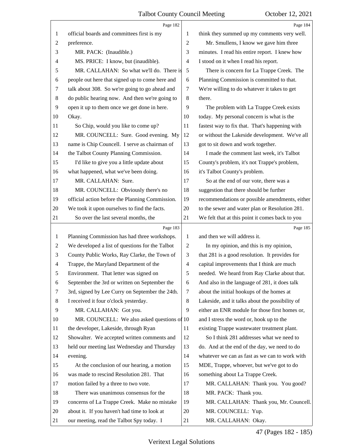|                | Page 182                                        |                          | Page 184                                        |
|----------------|-------------------------------------------------|--------------------------|-------------------------------------------------|
| 1              | official boards and committees first is my      | 1                        | think they summed up my comments very well.     |
| $\overline{c}$ | preference.                                     | $\overline{c}$           | Mr. Smullens, I know we gave him three          |
| 3              | MR. PACK: (Inaudible.)                          | 3                        | minutes. I read his entire report. I knew how   |
| 4              | MS. PRICE: I know, but (inaudible).             | $\overline{\mathcal{A}}$ | I stood on it when I read his report.           |
| 5              | MR. CALLAHAN: So what we'll do. There is        | 5                        | There is concern for La Trappe Creek. The       |
| 6              | people out here that signed up to come here and | 6                        | Planning Commission is committed to that.       |
| 7              | talk about 308. So we're going to go ahead and  | 7                        | We're willing to do whatever it takes to get    |
| 8              | do public hearing now. And then we're going to  | 8                        | there.                                          |
| 9              | open it up to them once we get done in here.    | 9                        | The problem with La Trappe Creek exists         |
| 10             | Okay.                                           | 10                       | today. My personal concern is what is the       |
| 11             | So Chip, would you like to come up?             | 11                       | fastest way to fix that. That's happening with  |
| 12             | MR. COUNCELL: Sure. Good evening. My            | 12                       | or without the Lakeside development. We've all  |
| 13             | name is Chip Councell. I serve as chairman of   | 13                       | got to sit down and work together.              |
| 14             | the Talbot County Planning Commission.          | 14                       | I made the comment last week, it's Talbot       |
| 15             | I'd like to give you a little update about      | 15                       | County's problem, it's not Trappe's problem,    |
| 16             | what happened, what we've been doing.           | 16                       | it's Talbot County's problem.                   |
| 17             | MR. CALLAHAN: Sure.                             | 17                       | So at the end of our vote, there was a          |
| 18             | MR. COUNCELL: Obviously there's no              | 18                       | suggestion that there should be further         |
| 19             | official action before the Planning Commission. | 19                       | recommendations or possible amendments, either  |
| 20             | We took it upon ourselves to find the facts.    | 20                       | to the sewer and water plan or Resolution 281.  |
| 21             | So over the last several months, the            | 21                       | We felt that at this point it comes back to you |
|                | Page 183                                        |                          | Page 185                                        |
| $\mathbf{1}$   | Planning Commission has had three workshops.    | 1                        | and then we will address it.                    |
| $\overline{c}$ | We developed a list of questions for the Talbot | 2                        | In my opinion, and this is my opinion,          |
| 3              | County Public Works, Ray Clarke, the Town of    | 3                        | that 281 is a good resolution. It provides for  |
| $\overline{4}$ | Trappe, the Maryland Department of the          | $\overline{\mathcal{A}}$ | capital improvements that I think are much      |
| 5              | Environment. That letter was signed on          | 5                        | needed. We heard from Ray Clarke about that.    |
| 6              | September the 3rd or written on September the   | 6                        | And also in the language of 281, it does talk   |
| 7              | 3rd, signed by Lee Curry on September the 24th. | 7                        | about the initial hookups of the homes at       |
| 8              | I received it four o'clock yesterday.           | 8                        | Lakeside, and it talks about the possibility of |
| 9              | MR. CALLAHAN: Got you.                          | 9                        | either an ENR module for those first homes or,  |
| 10             | MR. COUNCELL: We also asked questions of 10     |                          | and I stress the word or, hook up to the        |
| 11             | the developer, Lakeside, through Ryan           | 11                       | existing Trappe wastewater treatment plant.     |
| 12             | Showalter. We accepted written comments and     | 12                       | So I think 281 addresses what we need to        |
| 13             | held our meeting last Wednesday and Thursday    | 13                       | do. And at the end of the day, we need to do    |
| 14             | evening.                                        | 14                       | whatever we can as fast as we can to work with  |
| 15             | At the conclusion of our hearing, a motion      | 15                       | MDE, Trappe, whoever, but we've got to do       |
| 16             | was made to rescind Resolution 281. That        | 16                       | something about La Trappe Creek.                |
| 17             | motion failed by a three to two vote.           | 17                       | MR. CALLAHAN: Thank you. You good?              |
| 18             | There was unanimous consensus for the           | 18                       | MR. PACK: Thank you.                            |
| 19             |                                                 | 19                       | MR. CALLAHAN: Thank you, Mr. Councell.          |
|                | concerns of La Trappe Creek. Make no mistake    |                          |                                                 |
| 20             | about it. If you haven't had time to look at    | 20                       | MR. COUNCELL: Yup.                              |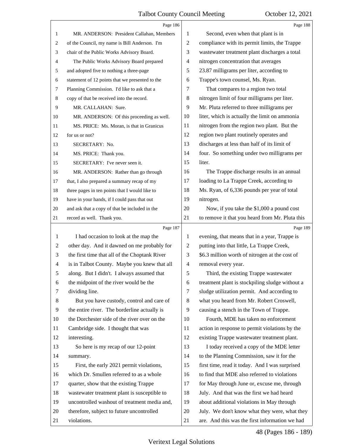|                | Page 186                                        |                          | Page 188                                        |
|----------------|-------------------------------------------------|--------------------------|-------------------------------------------------|
| 1              | MR. ANDERSON: President Callahan, Members       | 1                        | Second, even when that plant is in              |
| 2              | of the Council, my name is Bill Anderson. I'm   | 2                        | compliance with its permit limits, the Trappe   |
| 3              | chair of the Public Works Advisory Board.       | 3                        | wastewater treatment plant discharges a total   |
| 4              | The Public Works Advisory Board prepared        | $\overline{\mathcal{A}}$ | nitrogen concentration that averages            |
| 5              | and adopted five to nothing a three-page        | 5                        | 23.87 milligrams per liter, according to        |
| 6              | statement of 12 points that we presented to the | 6                        | Trappe's town counsel, Ms. Ryan.                |
| 7              | Planning Commission. I'd like to ask that a     | 7                        | That compares to a region two total             |
| 8              | copy of that be received into the record.       | 8                        | nitrogen limit of four milligrams per liter.    |
| 9              | MR. CALLAHAN: Sure.                             | 9                        | Mr. Pluta referred to three milligrams per      |
| 10             | MR. ANDERSON: Of this proceeding as well.       | 10                       | liter, which is actually the limit on ammonia   |
| 11             | MS. PRICE: Ms. Moran, is that in Granicus       | 11                       | nitrogen from the region two plant. But the     |
| 12             | for us or not?                                  | 12                       | region two plant routinely operates and         |
| 13             | SECRETARY: No.                                  | 13                       | discharges at less than half of its limit of    |
| 14             | MS. PRICE: Thank you.                           | 14                       | four. So something under two milligrams per     |
| 15             | SECRETARY: I've never seen it.                  | 15                       | liter.                                          |
| 16             | MR. ANDERSON: Rather than go through            | 16                       | The Trappe discharge results in an annual       |
| 17             | that, I also prepared a summary recap of my     | 17                       | loading to La Trappe Creek, according to        |
| 18             | three pages in ten points that I would like to  | 18                       | Ms. Ryan, of 6,336 pounds per year of total     |
| 19             | have in your hands, if I could pass that out    | 19                       | nitrogen.                                       |
| 20             | and ask that a copy of that be included in the  | 20                       | Now, if you take the \$1,000 a pound cost       |
| 21             | record as well. Thank you.                      | 21                       | to remove it that you heard from Mr. Pluta this |
|                |                                                 |                          |                                                 |
|                | Page 187                                        |                          | Page 189                                        |
| 1              | I had occasion to look at the map the           | 1                        | evening, that means that in a year, Trappe is   |
| $\overline{2}$ | other day. And it dawned on me probably for     | $\mathbf{2}$             | putting into that little, La Trappe Creek,      |
| 3              | the first time that all of the Choptank River   | 3                        | \$6.3 million worth of nitrogen at the cost of  |
| $\overline{4}$ | is in Talbot County. Maybe you knew that all    | $\overline{4}$           | removal every year.                             |
| 5              | along. But I didn't. I always assumed that      | 5                        | Third, the existing Trappe wastewater           |
| 6              | the midpoint of the river would be the          | 6                        | treatment plant is stockpiling sludge without a |
| 7              | dividing line.                                  | 7                        | sludge utilization permit. And according to     |
| 8              | But you have custody, control and care of       | 8                        | what you heard from Mr. Robert Croswell,        |
| 9              | the entire river. The borderline actually is    | 9                        | causing a stench in the Town of Trappe.         |
| 10             | the Dorchester side of the river over on the    | 10                       | Fourth, MDE has taken no enforcement            |
| 11             | Cambridge side. I thought that was              | 11                       | action in response to permit violations by the  |
| 12             | interesting.                                    | 12                       | existing Trappe wastewater treatment plant.     |
| 13             | So here is my recap of our 12-point             | 13                       | I today received a copy of the MDE letter       |
| 14             | summary.                                        | 14                       | to the Planning Commission, saw it for the      |
| 15             | First, the early 2021 permit violations,        | 15                       | first time, read it today. And I was surprised  |
| 16             | which Dr. Smullen referred to as a whole        | 16                       | to find that MDE also referred to violations    |
| 17             | quarter, show that the existing Trappe          | 17                       | for May through June or, excuse me, through     |
| 18             | wastewater treatment plant is susceptible to    | 18                       | July. And that was the first we had heard       |
| 19             | uncontrolled washout of treatment media and,    | 19                       | about additional violations in May through      |
| 20             | therefore, subject to future uncontrolled       | 20                       | July. We don't know what they were, what they   |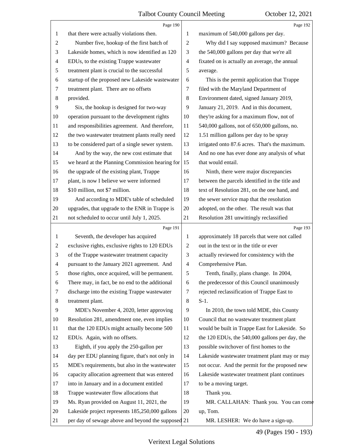|                | Page 190                                        |                | Page 192                                        |
|----------------|-------------------------------------------------|----------------|-------------------------------------------------|
| 1              | that there were actually violations then.       | 1              | maximum of 540,000 gallons per day.             |
| 2              | Number five, hookup of the first batch of       | $\mathfrak{2}$ | Why did I say supposed maximum? Because         |
| 3              | Lakeside homes, which is now identified as 120  | 3              | the 540,000 gallons per day that we're all      |
| 4              | EDUs, to the existing Trappe wastewater         | 4              | fixated on is actually an average, the annual   |
| 5              | treatment plant is crucial to the successful    | 5              | average.                                        |
| 6              | startup of the proposed new Lakeside wastewater | 6              | This is the permit application that Trappe      |
| 7              | treatment plant. There are no offsets           | 7              | filed with the Maryland Department of           |
| 8              | provided.                                       | 8              | Environment dated, signed January 2019,         |
| 9              | Six, the hookup is designed for two-way         | 9              | January 21, 2019. And in this document,         |
| 10             | operation pursuant to the development rights    | 10             | they're asking for a maximum flow, not of       |
| 11             | and responsibilities agreement. And therefore,  | 11             | 540,000 gallons, not of 650,000 gallons, no.    |
| 12             | the two wastewater treatment plants really need | 12             | 1.51 million gallons per day to be spray        |
| 13             | to be considered part of a single sewer system. | 13             | irrigated onto 87.6 acres. That's the maximum.  |
| 14             | And by the way, the new cost estimate that      | 14             | And no one has ever done any analysis of what   |
| 15             | we heard at the Planning Commission hearing for | 15             | that would entail.                              |
| 16             | the upgrade of the existing plant, Trappe       | 16             | Ninth, there were major discrepancies           |
| 17             | plant, is now I believe we were informed        | 17             | between the parcels identified in the title and |
| 18             | \$10 million, not \$7 million.                  | 18             | text of Resolution 281, on the one hand, and    |
| 19             | And according to MDE's table of scheduled       | 19             | the sewer service map that the resolution       |
| 20             | upgrades, that upgrade to the ENR in Trappe is  | 20             | adopted, on the other. The result was that      |
| 21             | not scheduled to occur until July 1, 2025.      | 21             | Resolution 281 unwittingly reclassified         |
|                |                                                 |                |                                                 |
|                | Page 191                                        |                | Page 193                                        |
| 1              | Seventh, the developer has acquired             | 1              | approximately 18 parcels that were not called   |
| $\overline{c}$ | exclusive rights, exclusive rights to 120 EDUs  | $\overline{c}$ | out in the text or in the title or ever         |
| 3              | of the Trappe wastewater treatment capacity     | 3              | actually reviewed for consistency with the      |
| 4              | pursuant to the January 2021 agreement. And     | 4              | Comprehensive Plan.                             |
| 5              | those rights, once acquired, will be permanent. | 5              | Tenth, finally, plans change. In 2004,          |
| 6              | There may, in fact, be no end to the additional | 6              | the predecessor of this Council unanimously     |
| 7              | discharge into the existing Trappe wastewater   | 7              | rejected reclassification of Trappe East to     |
| 8              | treatment plant.                                | $\,8\,$        | $S-1$ .                                         |
| 9              | MDE's November 4, 2020, letter approving        | 9              | In 2010, the town told MDE, this County         |
| 10             | Resolution 281, amendment one, even implies     | 10             | Council that no wastewater treatment plant      |
| 11             | that the 120 EDUs might actually become 500     | 11             | would be built in Trappe East for Lakeside. So  |
| 12             | EDUs. Again, with no offsets.                   | 12             | the 120 EDUs, the 540,000 gallons per day, the  |
| 13             | Eighth, if you apply the 250-gallon per         | 13             | possible switchover of first homes to the       |
| 14             | day per EDU planning figure, that's not only in | 14             | Lakeside wastewater treatment plant may or may  |
| 15             | MDE's requirements, but also in the wastewater  | 15             | not occur. And the permit for the proposed new  |
| 16             | capacity allocation agreement that was entered  | 16             | Lakeside wastewater treatment plant continues   |
| 17             | into in January and in a document entitled      | 17             | to be a moving target.                          |
| 18             | Trappe wastewater flow allocations that         | 18             | Thank you.                                      |
| 19             | Ms. Ryan provided on August 11, 2021, the       | 19             | MR. CALLAHAN: Thank you. You can come           |
| 20             | Lakeside project represents 185,250,000 gallons | 20             | up, Tom.                                        |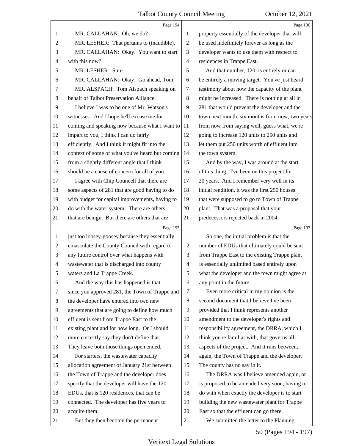|                | Page 194                                                                                        |                | Page 196                                                                                |
|----------------|-------------------------------------------------------------------------------------------------|----------------|-----------------------------------------------------------------------------------------|
| 1              | MR. CALLAHAN: Oh, we do?                                                                        | 1              | property essentially of the developer that will                                         |
| $\overline{2}$ | MR. LESHER: That pertains to (inaudible).                                                       | $\overline{c}$ | be used indefinitely forever as long as the                                             |
| 3              | MR. CALLAHAN: Okay. You want to start                                                           | 3              | developer wants to use them with respect to                                             |
| 4              | with this now?                                                                                  | $\overline{4}$ | residences in Trappe East.                                                              |
| 5              | MR. LESHER: Sure.                                                                               | 5              | And that number, 120, is entirely or can                                                |
| 6              | MR. CALLAHAN: Okay. Go ahead, Tom.                                                              | 6              | be entirely a moving target. You've just heard                                          |
| 7              | MR. ALSPACH: Tom Alspach speaking on                                                            | $\tau$         | testimony about how the capacity of the plant                                           |
| $\,8\,$        | behalf of Talbot Preservation Alliance.                                                         | 8              | might be increased. There is nothing at all in                                          |
| 9              | I believe I was to be one of Mr. Watson's                                                       | 9              | 281 that would prevent the developer and the                                            |
| 10             | witnesses. And I hope he'll excuse me for                                                       | 10             | town next month, six months from now, two years                                         |
| 11             | coming and speaking now because what I want to                                                  | 11             | from now from saying well, guess what, we're                                            |
| 12             | impart to you, I think I can do fairly                                                          | 12             | going to increase 120 units to 250 units and                                            |
| 13             | efficiently. And I think it might fit into the                                                  | 13             | let them put 250 units worth of effluent into                                           |
| 14             | context of some of what you've heard but coming                                                 | 14             | the town system.                                                                        |
| 15             | from a slightly different angle that I think                                                    | 15             | And by the way, I was around at the start                                               |
| 16             | should be a cause of concern for all of you.                                                    | 16             | of this thing. I've been on this project for                                            |
| 17             | I agree with Chip Councell that there are                                                       | 17             | 20 years. And I remember very well in its                                               |
| 18             | some aspects of 281 that are good having to do                                                  | 18             | initial rendition, it was the first 250 houses                                          |
| 19             | with budget for capital improvements, having to                                                 | 19             | that were supposed to go to Town of Trappe                                              |
| 20             | do with the water system. There are others                                                      | 20             | plant. That was a proposal that your                                                    |
| 21             | that are benign. But there are others that are                                                  | 21             | predecessors rejected back in 2004.                                                     |
|                |                                                                                                 |                |                                                                                         |
|                | Page 195                                                                                        |                | Page 197                                                                                |
| $\mathbf{1}$   |                                                                                                 | 1              | So one, the initial problem is that the                                                 |
| $\overline{2}$ | just too loosey-goosey because they essentially<br>emasculate the County Council with regard to | $\overline{2}$ | number of EDUs that ultimately could be sent                                            |
| 3              | any future control over what happens with                                                       | 3              | from Trappe East to the existing Trappe plant                                           |
| $\overline{4}$ | wastewater that is discharged into county                                                       | 4              | is essentially unlimited based entirely upon                                            |
| 5              |                                                                                                 | 5              | what the developer and the town might agree at                                          |
| 6              | waters and La Trappe Creek.                                                                     | 6              | any point in the future.                                                                |
| 7              | And the way this has happened is that                                                           | 7              |                                                                                         |
| 8              | since you approved 281, the Town of Trappe and<br>the developer have entered into two new       | $\,8\,$        | Even more critical in my opinion is the<br>second document that I believe I've been     |
| 9              |                                                                                                 | 9              |                                                                                         |
| 10             | agreements that are going to define how much                                                    | 10             | provided that I think represents another<br>amendment to the developer's rights and     |
| 11             | effluent is sent from Trappe East to the                                                        | 11             |                                                                                         |
| 12             | existing plant and for how long. Or I should                                                    | 12             | responsibility agreement, the DRRA, which I                                             |
| 13             | more correctly say they don't define that.                                                      | 13             | think you're familiar with, that governs all                                            |
|                | They leave both those things open ended.                                                        |                | aspects of the project. And it runs between,                                            |
| 14             | For starters, the wastewater capacity                                                           | 14<br>15       | again, the Town of Trappe and the developer.                                            |
| 15             | allocation agreement of January 21st between                                                    |                | The county has no say in it.                                                            |
| 16             | the Town of Trappe and the developer does                                                       | 16<br>17       | The DRRA was I believe amended again, or                                                |
| 17<br>18       | specify that the developer will have the 120                                                    | 18             | is proposed to be amended very soon, having to                                          |
| 19             | EDUs, that is 120 residences, that can be                                                       | 19             | do with when exactly the developer is to start                                          |
| 20             | connected. The developer has five years to<br>acquire them.                                     | 20             | building the new wastewater plant for Trappe<br>East so that the effluent can go there. |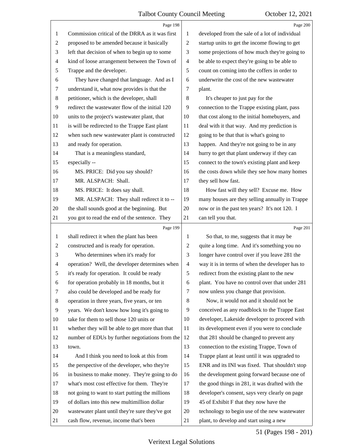|                | Page 198                                        |                          | Page 200                                        |
|----------------|-------------------------------------------------|--------------------------|-------------------------------------------------|
| $\mathbf{1}$   | Commission critical of the DRRA as it was first | 1                        | developed from the sale of a lot of individual  |
| 2              | proposed to be amended because it basically     | $\mathbf{2}$             | startup units to get the income flowing to get  |
| 3              | left that decision of when to begin up to some  | 3                        | some projections of how much they're going to   |
| 4              | kind of loose arrangement between the Town of   | $\overline{\mathcal{A}}$ | be able to expect they're going to be able to   |
| 5              | Trappe and the developer.                       | 5                        | count on coming into the coffers in order to    |
| 6              | They have changed that language. And as I       | 6                        | underwrite the cost of the new wastewater       |
| 7              | understand it, what now provides is that the    | 7                        | plant.                                          |
| 8              | petitioner, which is the developer, shall       | 8                        | It's cheaper to just pay for the                |
| $\overline{9}$ | redirect the wastewater flow of the initial 120 | 9                        | connection to the Trappe existing plant, pass   |
| 10             | units to the project's wastewater plant, that   | 10                       | that cost along to the initial homebuyers, and  |
| 11             | is will be redirected to the Trappe East plant  | 11                       | deal with it that way. And my prediction is     |
| 12             | when such new wastewater plant is constructed   | 12                       | going to be that that is what's going to        |
| 13             | and ready for operation.                        | 13                       | happen. And they're not going to be in any      |
| 14             | That is a meaningless standard,                 | 14                       | hurry to get that plant underway if they can    |
| 15             | especially --                                   | 15                       | connect to the town's existing plant and keep   |
| 16             | MS. PRICE: Did you say should?                  | 16                       | the costs down while they see how many homes    |
| 17             | MR. ALSPACH: Shall.                             | 17                       | they sell how fast.                             |
| 18             | MS. PRICE: It does say shall.                   | 18                       | How fast will they sell? Excuse me. How         |
| 19             | MR. ALSPACH: They shall redirect it to --       | 19                       | many houses are they selling annually in Trappe |
| 20             | the shall sounds good at the beginning. But     | 20                       | now or in the past ten years? It's not 120. I   |
| 21             | you got to read the end of the sentence. They   | 21                       | can tell you that.                              |
|                |                                                 |                          |                                                 |
|                | Page 199                                        |                          | Page 201                                        |
| $\mathbf{1}$   | shall redirect it when the plant has been       | 1                        | So that, to me, suggests that it may be         |
| 2              | constructed and is ready for operation.         | $\overline{c}$           | quite a long time. And it's something you no    |
| 3              | Who determines when it's ready for              | 3                        | longer have control over if you leave 281 the   |
| 4              | operation? Well, the developer determines when  | $\overline{\mathcal{A}}$ | way it is in terms of when the developer has to |
| 5              | it's ready for operation. It could be ready     | 5                        | redirect from the existing plant to the new     |
| 6              | for operation probably in 18 months, but it     | 6                        | plant. You have no control over that under 281  |
| 7              | also could be developed and be ready for        | 7                        | now unless you change that provision.           |
| 8              | operation in three years, five years, or ten    | 8                        | Now, it would not and it should not be          |
| $\overline{9}$ | years. We don't know how long it's going to     | 9                        | conceived as any roadblock to the Trappe East   |
| 10             | take for them to sell those 120 units or        | 10                       | developer, Lakeside developer to proceed with   |
| 11             | whether they will be able to get more than that | 11                       | its development even if you were to conclude    |
| 12             | number of EDUs by further negotiations from the | 12                       | that 281 should be changed to prevent any       |
| 13             | town.                                           | 13                       | connection to the existing Trappe, Town of      |
| 14             | And I think you need to look at this from       | 14                       | Trappe plant at least until it was upgraded to  |
| 15             | the perspective of the developer, who they're   | 15                       | ENR and its INI was fixed. That shouldn't stop  |
| 16             | in business to make money. They're going to do  | 16                       | the development going forward because one of    |
| 17             | what's most cost effective for them. They're    | 17                       | the good things in 281, it was drafted with the |
| 18             | not going to want to start putting the millions | 18                       | developer's consent, says very clearly on page  |
| 19             | of dollars into this new multimillion dollar    | 19                       | 45 of Exhibit F that they now have the          |
| 20             | wastewater plant until they're sure they've got | 20                       | technology to begin use of the new wastewater   |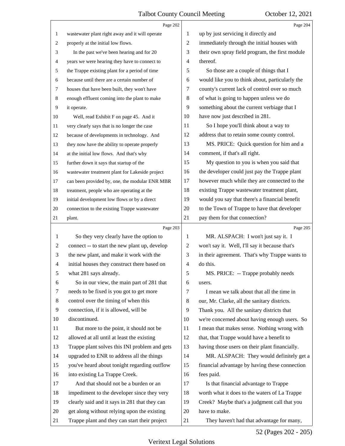|    | Page 202                                        |                | Page 204                                        |
|----|-------------------------------------------------|----------------|-------------------------------------------------|
| 1  | wastewater plant right away and it will operate | 1              | up by just servicing it directly and            |
| 2  | properly at the initial low flows.              | 2              | immediately through the initial houses with     |
| 3  | In the past we've been hearing and for 20       | 3              | their own spray field program, the first module |
| 4  | years we were hearing they have to connect to   | $\overline{4}$ | thereof.                                        |
| 5  | the Trappe existing plant for a period of time  | 5              | So those are a couple of things that I          |
| 6  | because until there are a certain number of     | 6              | would like you to think about, particularly the |
| 7  | houses that have been built, they won't have    | 7              | county's current lack of control over so much   |
| 8  | enough effluent coming into the plant to make   | $\,8\,$        | of what is going to happen unless we do         |
| 9  | it operate.                                     | 9              | something about the current verbiage that I     |
| 10 | Well, read Exhibit F on page 45. And it         | 10             | have now just described in 281.                 |
| 11 | very clearly says that is no longer the case    | 11             | So I hope you'll think about a way to           |
| 12 | because of developments in technology. And      | 12             | address that to retain some county control.     |
| 13 | they now have the ability to operate properly   | 13             | MS. PRICE: Quick question for him and a         |
| 14 | at the initial low flows. And that's why        | 14             | comment, if that's all right.                   |
| 15 | further down it says that startup of the        | 15             | My question to you is when you said that        |
| 16 | wastewater treatment plant for Lakeside project | 16             | the developer could just pay the Trappe plant   |
| 17 | can been provided by, one, the modular ENR MBR  | 17             | however much while they are connected to the    |
| 18 | treatment, people who are operating at the      | 18             | existing Trappe wastewater treatment plant,     |
| 19 | initial development low flows or by a direct    | 19             | would you say that there's a financial benefit  |
| 20 | connection to the existing Trappe wastewater    | 20             | to the Town of Trappe to have that developer    |
| 21 | plant.                                          | 21             | pay them for that connection?                   |
|    |                                                 |                |                                                 |
|    | Page 203                                        |                | Page 205                                        |
| 1  | So they very clearly have the option to         | 1              | MR. ALSPACH: I won't just say it. I             |
| 2  | connect -- to start the new plant up, develop   | $\overline{c}$ | won't say it. Well, I'll say it because that's  |
| 3  | the new plant, and make it work with the        | 3              | in their agreement. That's why Trappe wants to  |
| 4  | initial houses they construct there based on    | 4              | do this.                                        |
| 5  | what 281 says already.                          | 5              | MS. PRICE: -- Trappe probably needs             |
| 6  | So in our view, the main part of 281 that       | 6              | users.                                          |
| 7  | needs to be fixed is you got to get more        | $\tau$         | I mean we talk about that all the time in       |
| 8  | control over the timing of when this            | 8              | our, Mr. Clarke, all the sanitary districts.    |
| 9  | connection, if it is allowed, will be           | 9              | Thank you. All the sanitary districts that      |
| 10 | discontinued.                                   | 10             | we're concerned about having enough users. So   |
| 11 | But more to the point, it should not be         | 11             | I mean that makes sense. Nothing wrong with     |
| 12 | allowed at all until at least the existing      | 12             | that, that Trappe would have a benefit to       |
| 13 | Trappe plant solves this INI problem and gets   | 13             | having those users on their plant financially.  |
| 14 | upgraded to ENR to address all the things       | 14             | MR. ALSPACH: They would definitely get a        |
| 15 | you've heard about tonight regarding outflow    | 15             | financial advantage by having these connection  |
| 16 | into existing La Trappe Creek.                  | 16             | fees paid.                                      |
| 17 | And that should not be a burden or an           | 17             | Is that financial advantage to Trappe           |
| 18 | impediment to the developer since they very     | 18             | worth what it does to the waters of La Trappe   |
| 19 | clearly said and it says in 281 that they can   | 19             | Creek? Maybe that's a judgment call that you    |
| 20 | get along without relying upon the existing     | 20             | have to make.                                   |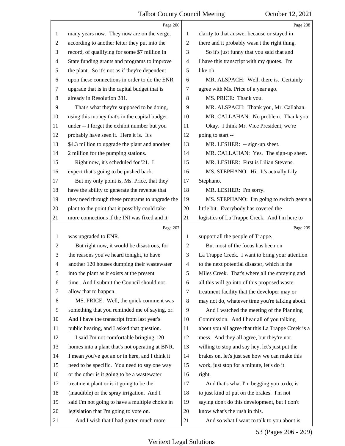|                | Page 206                                        |                          | Page 208                                           |
|----------------|-------------------------------------------------|--------------------------|----------------------------------------------------|
| 1              | many years now. They now are on the verge,      | 1                        | clarity to that answer because or stayed in        |
| $\overline{c}$ | according to another letter they put into the   | $\overline{c}$           | there and it probably wasn't the right thing.      |
| 3              | record, of qualifying for some \$7 million in   | 3                        | So it's just funny that you said that and          |
| $\overline{4}$ | State funding grants and programs to improve    | $\overline{\mathcal{A}}$ | I have this transcript with my quotes. I'm         |
| 5              | the plant. So it's not as if they're dependent  | 5                        | like oh.                                           |
| 6              | upon these connections in order to do the ENR   | 6                        | MR. ALSPACH: Well, there is. Certainly             |
| 7              | upgrade that is in the capital budget that is   | 7                        | agree with Ms. Price of a year ago.                |
| 8              | already in Resolution 281.                      | 8                        | MS. PRICE: Thank you.                              |
| 9              | That's what they're supposed to be doing,       | 9                        | MR. ALSPACH: Thank you, Mr. Callahan.              |
| 10             | using this money that's in the capital budget   | 10                       | MR. CALLAHAN: No problem. Thank you.               |
| 11             | under -- I forget the exhibit number but you    | 11                       | Okay. I think Mr. Vice President, we're            |
| 12             | probably have seen it. Here it is. It's         | 12                       | going to start --                                  |
| 13             | \$4.3 million to upgrade the plant and another  | 13                       | MR. LESHER: -- sign-up sheet.                      |
| 14             | 2 million for the pumping stations.             | 14                       | MR. CALLAHAN: Yes. The sign-up sheet.              |
| 15             | Right now, it's scheduled for '21. I            | 15                       | MR. LESHER: First is Lilian Stevens.               |
| 16             | expect that's going to be pushed back.          | 16                       | MS. STEPHANO: Hi. It's actually Lily               |
| 17             | But my only point is, Ms. Price, that they      | 17                       | Stephano.                                          |
| 18             | have the ability to generate the revenue that   | 18                       | MR. LESHER: I'm sorry.                             |
| 19             | they need through these programs to upgrade the | 19                       | MS. STEPHANO: I'm going to switch gears a          |
| 20             | plant to the point that it possibly could take  | 20                       | little bit. Everybody has covered the              |
| 21             | more connections if the INI was fixed and it    | 21                       | logistics of La Trappe Creek. And I'm here to      |
|                |                                                 |                          |                                                    |
|                | Page 207                                        |                          | Page 209                                           |
| 1              | was upgraded to ENR.                            | 1                        | support all the people of Trappe.                  |
| $\overline{2}$ | But right now, it would be disastrous, for      | $\overline{c}$           | But most of the focus has been on                  |
| 3              | the reasons you've heard tonight, to have       | 3                        | La Trappe Creek. I want to bring your attention    |
| $\overline{4}$ | another 120 houses dumping their wastewater     | $\overline{\mathcal{A}}$ | to the next potential disaster, which is the       |
| 5              | into the plant as it exists at the present      | 5                        | Miles Creek. That's where all the spraying and     |
| 6              | time. And I submit the Council should not       | 6                        | all this will go into of this proposed waste       |
| 7              | allow that to happen.                           | 7                        | treatment facility that the developer may or       |
| 8              | MS. PRICE: Well, the quick comment was          | 8                        | may not do, whatever time you're talking about.    |
| 9              | something that you reminded me of saying, or.   | 9                        | And I watched the meeting of the Planning          |
| 10             | And I have the transcript from last year's      | 10                       | Commission. And I hear all of you talking          |
| 11             | public hearing, and I asked that question.      | 11                       | about you all agree that this La Trappe Creek is a |
| 12             | I said I'm not comfortable bringing 120         | 12                       | mess. And they all agree, but they're not          |
| 13             | homes into a plant that's not operating at BNR. | 13                       | willing to stop and say hey, let's just put the    |
| 14             | I mean you've got an or in here, and I think it | 14                       | brakes on, let's just see how we can make this     |
| 15             | need to be specific. You need to say one way    | 15                       | work, just stop for a minute, let's do it          |
| 16             | or the other is it going to be a wastewater     | 16                       | right.                                             |
| 17             | treatment plant or is it going to be the        | 17                       | And that's what I'm begging you to do, is          |
| 18             | (inaudible) or the spray irrigation. And I      | 18                       | to just kind of put on the brakes. I'm not         |
| 19             | said I'm not going to have a multiple choice in | 19                       | saying don't do this development, but I don't      |
| 20             | legislation that I'm going to vote on.          | 20                       | know what's the rush in this.                      |

53 (Pages 206 - 209)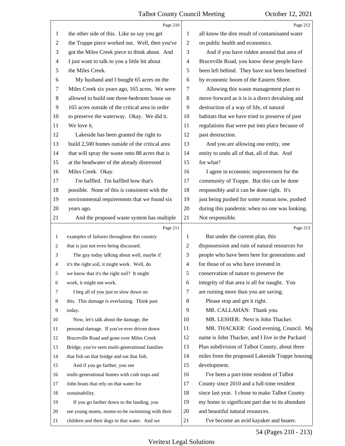|                | Page 210                                        |                | Page 212                                        |
|----------------|-------------------------------------------------|----------------|-------------------------------------------------|
| 1              | the other side of this. Like so say you get     | 1              | all know the dire result of contaminated water  |
| 2              | the Trappe piece worked out. Well, then you've  | $\overline{2}$ | on public health and economics.                 |
| 3              | got the Miles Creek piece to think about. And   | 3              | And if you have ridden around that area of      |
| $\overline{4}$ | I just want to talk to you a little bit about   | 4              | Bruceville Road, you know these people have     |
| 5              | the Miles Creek.                                | 5              | been left behind. They have not been benefited  |
| 6              | My husband and I bought 65 acres on the         | 6              | by economic boom of the Eastern Shore.          |
| 7              | Miles Creek six years ago, 165 acres. We were   | 7              | Allowing this waste management plant to         |
| 8              | allowed to build one three-bedroom house on     | 8              | move forward as it is is a direct devaluing and |
| 9              | 165 acres outside of the critical area in order | 9              | destruction of a way of life, of natural        |
| 10             | to preserve the waterway. Okay. We did it.      | 10             | habitats that we have tried to preserve of past |
| 11             | We love it.                                     | 11             | regulations that were put into place because of |
| 12             | Lakeside has been granted the right to          | 12             | past destruction.                               |
| 13             | build 2,500 homes outside of the critical area  | 13             | And you are allowing one entity, one            |
| 14             | that will spray the waste onto 88 acres that is | 14             | entity to undo all of that, all of that. And    |
| 15             | at the headwater of the already distressed      | 15             | for what?                                       |
| 16             | Miles Creek. Okay.                              | 16             | I agree in economic improvement for the         |
| 17             | I'm baffled. I'm baffled how that's             | 17             | community of Trappe. But this can be done       |
| 18             | possible. None of this is consistent with the   | 18             | responsibly and it can be done right. It's      |
| 19             | environmental requirements that we found six    | 19             | just being pushed for some reason now, pushed   |
| 20             | years ago.                                      | 20             | during this pandemic when no one was looking.   |
| 21             | And the proposed waste system has multiple      | 21             | Not responsible.                                |
|                |                                                 |                |                                                 |
|                | Page 211                                        |                | Page 213                                        |
| 1              | examples of failures throughout this country    | 1              | But under the current plan, this                |
| 2              | that is just not even being discussed.          | 2              | dispossession and ruin of natural resources for |
| 3              | The guy today talking about well, maybe if      | 3              | people who have been here for generations and   |
| 4              | it's the right soil, it might work. Well, do    | $\overline{4}$ | for those of us who have invested in            |
|                | we know that it's the right soil? It might      | 5              | conservation of nature to preserve the          |
| 6              | work, it might not work.                        | 6              | integrity of that area is all for naught. You   |
| 7              | I beg all of you just to slow down on           | 7              | are ruining more than you are saving.           |
| 8              | this. This damage is everlasting. Think past    | 8              | Please stop and get it right.                   |
| 9              | today.                                          | 9              | MR. CALLAHAN: Thank you.                        |
| 10             | Now, let's talk about the damage, the           | 10             | MR. LESHER: Next is John Thacker.               |
| 11             | personal damage. If you've ever driven down     | 11             | MR. THACKER: Good evening, Council. My          |
| 12             | Bruceville Road and gone over Miles Creek       | 12             | name is John Thacker, and I live in the Packard |
| 13             | Bridge, you've seen multi-generational families | 13             | Plan subdivision of Talbot County, about three  |
| 14             | that fish on that bridge and eat that fish.     | 14             | miles from the proposed Lakeside Trappe housing |
| 15             | And if you go farther, you see                  | 15             | development.                                    |
| 16             | multi-generational homes with crab traps and    | 16             | I've been a part-time resident of Talbot        |
| 17             | John boats that rely on that water for          | 17             | County since 2010 and a full-time resident      |
| 18             | sustainability.                                 | 18             | since last year. I chose to make Talbot County  |
| 19             | If you go farther down to the landing, you      | 19             | my home in significant part due to its abundant |
| 20             | see young moms, moms-to-be swimming with their  | 20             | and beautiful natural resources.                |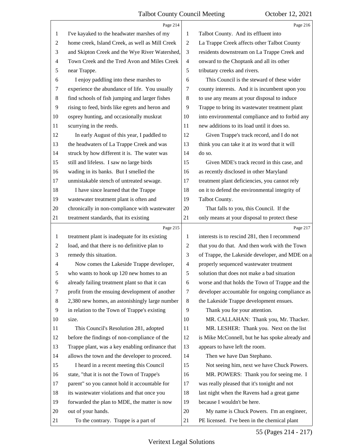|              | Page 214                                        |                | Page 216                                        |
|--------------|-------------------------------------------------|----------------|-------------------------------------------------|
| 1            | I've kayaked to the headwater marshes of my     | 1              | Talbot County. And its effluent into            |
| 2            | home creek, Island Creek, as well as Mill Creek | $\overline{2}$ | La Trappe Creek affects other Talbot County     |
| 3            | and Skipton Creek and the Wye River Watershed,  | 3              | residents downstream on La Trappe Creek and     |
| 4            | Town Creek and the Tred Avon and Miles Creek    | $\overline{4}$ | onward to the Choptank and all its other        |
| 5            | near Trappe.                                    | 5              | tributary creeks and rivers.                    |
| 6            | I enjoy paddling into these marshes to          | 6              | This Council is the steward of these wider      |
| 7            | experience the abundance of life. You usually   | 7              | county interests. And it is incumbent upon you  |
| 8            | find schools of fish jumping and larger fishes  | $\,8\,$        | to use any means at your disposal to induce     |
| 9            | rising to feed, birds like egrets and heron and | 9              | Trappe to bring its wastewater treatment plant  |
| 10           | osprey hunting, and occasionally muskrat        | 10             | into environmental compliance and to forbid any |
| 11           | scurrying in the reeds.                         | 11             | new additions to its load until it does so.     |
| 12           | In early August of this year, I paddled to      | 12             | Given Trappe's track record, and I do not       |
| 13           | the headwaters of La Trappe Creek and was       | 13             | think you can take it at its word that it will  |
| 14           | struck by how different it is. The water was    | 14             | do so.                                          |
| 15           | still and lifeless. I saw no large birds        | 15             | Given MDE's track record in this case, and      |
| 16           | wading in its banks. But I smelled the          | 16             | as recently disclosed in other Maryland         |
| 17           | unmistakable stench of untreated sewage.        | 17             | treatment plant deficiencies, you cannot rely   |
| 18           | I have since learned that the Trappe            | 18             | on it to defend the environmental integrity of  |
| 19           | wastewater treatment plant is often and         | 19             | Talbot County.                                  |
| 20           | chronically in non-compliance with wastewater   | 20             | That falls to you, this Council. If the         |
| 21           | treatment standards, that its existing          | 21             | only means at your disposal to protect these    |
|              |                                                 |                |                                                 |
|              | Page 215                                        |                | Page 217                                        |
| $\mathbf{1}$ | treatment plant is inadequate for its existing  | 1              | interests is to rescind 281, then I recommend   |
| 2            | load, and that there is no definitive plan to   | $\overline{2}$ | that you do that. And then work with the Town   |
| 3            | remedy this situation.                          | 3              | of Trappe, the Lakeside developer, and MDE on a |
| 4            | Now comes the Lakeside Trappe developer,        | $\overline{4}$ | properly sequenced wastewater treatment         |
|              | who wants to hook up 120 new homes to an        | 5              | solution that does not make a bad situation     |
| 6            | already failing treatment plant so that it can  | 6              | worse and that holds the Town of Trappe and the |
| 7            | profit from the ensuing development of another  | 7              | developer accountable for ongoing compliance as |
| 8            | 2,380 new homes, an astonishingly large number  | 8              | the Lakeside Trappe development ensues.         |
| 9            | in relation to the Town of Trappe's existing    | 9              | Thank you for your attention.                   |
| 10           | size.                                           | 10             | MR. CALLAHAN: Thank you, Mr. Thacker.           |
| 11           | This Council's Resolution 281, adopted          | 11             | MR. LESHER: Thank you. Next on the list         |
| 12           | before the findings of non-compliance of the    | 12             | is Mike McConnell, but he has spoke already and |
| 13           | Trappe plant, was a key enabling ordinance that | 13             | appears to have left the room.                  |
| 14           | allows the town and the developer to proceed.   | 14             | Then we have Dan Stephano.                      |
| 15           | I heard in a recent meeting this Council        | 15             | Not seeing him, next we have Chuck Powers.      |
| 16           | state, "that it is not the Town of Trappe's     | 16             | MR. POWERS: Thank you for seeing me. I          |
| 17           | parent" so you cannot hold it accountable for   | 17             | was really pleased that it's tonight and not    |
| 18           | its wastewater violations and that once you     | 18             | last night when the Ravens had a great game     |
| 19           | forwarded the plan to MDE, the matter is now    | 19             | because I wouldn't be here.                     |
| 20           | out of your hands.                              | 20             | My name is Chuck Powers. I'm an engineer,       |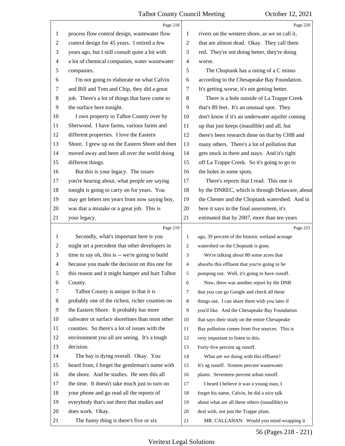|                | Page 218                                        |                | Page 220                                        |
|----------------|-------------------------------------------------|----------------|-------------------------------------------------|
| 1              | process flow control design, wastewater flow    | 1              | rivers on the western shore, as we so call it,  |
| 2              | control design for 45 years. I retired a few    | $\overline{c}$ | that are almost dead. Okay. They call them      |
| 3              | years ago, but I still consult quite a bit with | 3              | red. They're not doing better, they're doing    |
| 4              | a lot of chemical companies, water wastewater   | 4              | worse.                                          |
| 5              | companies.                                      | 5              | The Choptank has a rating of a C minus          |
| 6              | I'm not going to elaborate on what Calvin       | 6              | according to the Chesapeake Bay Foundation.     |
| 7              | and Bill and Tom and Chip, they did a great     | 7              | It's getting worse, it's not getting better.    |
| 8              | job. There's a lot of things that have come to  | $\,8\,$        | There is a hole outside of La Trappe Creek      |
| 9              | the surface here tonight.                       | 9              | that's 89 feet. It's an unusual spot. They      |
| 10             | I own property in Talbot County over by         | 10             | don't know if it's an underwater aquifer coming |
| 11             | Sherwood. I have farms, various farms and       | 11             | up that just keeps (inaudible) and all, but     |
| 12             | different properties. I love the Eastern        | 12             | there's been research done on that by CHB and   |
| 13             | Shore. I grew up on the Eastern Shore and then  | 13             | many others. There's a lot of pollution that    |
| 14             | moved away and been all over the world doing    | 14             | gets stuck in there and stays. And it's right   |
| 15             | different things.                               | 15             | off La Trappe Creek. So it's going to go to     |
| 16             | But this is your legacy. The issues             | 16             | the holes in some spots.                        |
| 17             | you're hearing about, what people are saying    | 17             | There's reports that I read. This one is        |
| 18             | tonight is going to carry on for years. You     | 18             | by the DNREC, which is through Delaware, about  |
| 19             | may get letters ten years from now saying boy,  | 19             | the Chester and the Choptank watershed. And in  |
| 20             | was that a mistake or a great job. This is      | 20             | here it says in the final assessment, it's      |
| 21             | your legacy.                                    | 21             | estimated that by 2007, more than ten years     |
|                |                                                 |                |                                                 |
|                | Page 219                                        |                | Page 221                                        |
| 1              | Secondly, what's important here is you          | 1              | ago, 39 percent of the historic wetland acreage |
| 2              | might set a precedent that other developers in  | 2              | watershed on the Choptank is gone.              |
| 3              | time to say oh, this is -- we're going to build | 3              | We're talking about 80 some acres that          |
| $\overline{4}$ | because you made the decision on this one for   | 4              | absorbs this effluent that you're going to be   |
|                | this reason and it might hamper and hurt Talbot | 5              | pumping out. Well, it's going to have runoff.   |
| 6              | County.                                         | 6              | Now, there was another report by the DNR        |
| 7              | Talbot County is unique in that it is           | 7              | that you can go Google and check all these      |
| 8              | probably one of the richest, richer counties on | 8              | things out. I can share them with you later if  |
| 9              | the Eastern Shore. It probably has more         | 9              | you'd like. And the Chesapeake Bay Foundation   |
| 10             | saltwater or surface shorelines than most other | 10             | that says their study on the entire Chesapeake  |
| 11             | counties. So there's a lot of issues with the   | 11             | Bay pollution comes from five sources. This is  |
| 12             | environment you all are seeing. It's a tough    | 12             | very important to listen to this.               |
| 13             | decision.                                       | 13             | Forty-five percent ag runoff.                   |
| 14             | The bay is dying overall. Okay. You             | 14             | What are we doing with this effluent?           |
| 15             | heard from, I forget the gentleman's name with  | 15             | It's ag runoff. Sixteen percent wastewater      |
| 16             | the shore. And he studies. He sees this all     | 16             | plants. Seventeen percent urban runoff.         |
| 17             | the time. It doesn't take much just to turn on  | 17             | I heard I believe it was a young man, I         |
| 18             | your phone and go read all the reports of       | 18             | forget his name, Calvin, he did a nice talk     |
| 19             | everybody that's out there that studies and     | 19             | about what are all these others (inaudible) to  |
| 20             | does work. Okay.                                | 20             | deal with, not just the Trappe plant.           |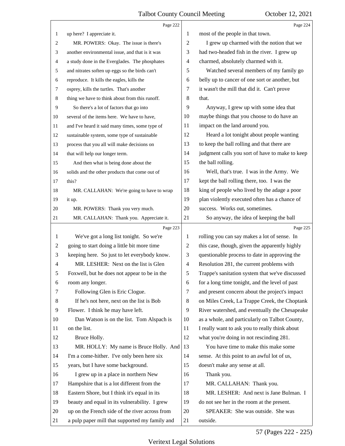|    | Page 222                                        |                | Page 224                                        |
|----|-------------------------------------------------|----------------|-------------------------------------------------|
| 1  | up here? I appreciate it.                       | 1              | most of the people in that town.                |
| 2  | MR. POWERS: Okay. The issue is there's          | $\overline{c}$ | I grew up charmed with the notion that we       |
| 3  | another environmental issue, and that is it was | 3              | had two-headed fish in the river. I grew up     |
| 4  | a study done in the Everglades. The phosphates  | 4              | charmed, absolutely charmed with it.            |
| 5  | and nitrates soften up eggs so the birds can't  | 5              | Watched several members of my family go         |
| 6  | reproduce. It kills the eagles, kills the       | 6              | belly up to cancer of one sort or another, but  |
| 7  | osprey, kills the turtles. That's another       | 7              | it wasn't the mill that did it. Can't prove     |
| 8  | thing we have to think about from this runoff.  | 8              | that.                                           |
| 9  | So there's a lot of factors that go into        | 9              | Anyway, I grew up with some idea that           |
| 10 | several of the items here. We have to have,     | 10             | maybe things that you choose to do have an      |
| 11 | and I've heard it said many times, some type of | 11             | impact on the land around you.                  |
| 12 | sustainable system, some type of sustainable    | 12             | Heard a lot tonight about people wanting        |
| 13 | process that you all will make decisions on     | 13             | to keep the ball rolling and that there are     |
| 14 | that will help our longer term.                 | 14             | judgment calls you sort of have to make to keep |
| 15 | And then what is being done about the           | 15             | the ball rolling.                               |
| 16 | solids and the other products that come out of  | 16             | Well, that's true. I was in the Army. We        |
| 17 | this?                                           | 17             | kept the ball rolling there, too. I was the     |
| 18 | MR. CALLAHAN: We're going to have to wrap       | 18             | king of people who lived by the adage a poor    |
| 19 | it up.                                          | 19             | plan violently executed often has a chance of   |
| 20 | MR. POWERS: Thank you very much.                | 20             | success. Works out, sometimes.                  |
| 21 | MR. CALLAHAN: Thank you. Appreciate it.         | 21             | So anyway, the idea of keeping the ball         |
|    |                                                 |                |                                                 |
|    | Page 223                                        |                | Page 225                                        |
| 1  | We've got a long list tonight. So we're         | 1              | rolling you can say makes a lot of sense. In    |
| 2  | going to start doing a little bit more time     | 2              | this case, though, given the apparently highly  |
| 3  | keeping here. So just to let everybody know.    | 3              | questionable process to date in approving the   |
| 4  | MR. LESHER: Next on the list is Glen            | $\overline{4}$ | Resolution 281, the current problems with       |
|    | Foxwell, but he does not appear to be in the    | 5              | Trappe's sanitation system that we've discussed |
| 6  | room any longer.                                | 6              | for a long time tonight, and the level of past  |
| 7  | Following Glen is Eric Clogue.                  | $\tau$         | and present concern about the project's impact  |
| 8  | If he's not here, next on the list is Bob       | 8              | on Miles Creek, La Trappe Creek, the Choptank   |
| 9  | Flower. I think he may have left.               | 9              | River watershed, and eventually the Chesapeake  |
| 10 | Dan Watson is on the list. Tom Alspach is       | 10             | as a whole, and particularly on Talbot County,  |
| 11 | on the list.                                    | 11             | I really want to ask you to really think about  |
| 12 | Bruce Holly.                                    | 12             | what you're doing in not rescinding 281.        |
| 13 | MR. HOLLY: My name is Bruce Holly. And          | 13             | You have time to make this make some            |
| 14 | I'm a come-hither. I've only been here six      | 14             | sense. At this point to an awful lot of us,     |
| 15 | years, but I have some background.              | 15             | doesn't make any sense at all.                  |
| 16 | I grew up in a place in northern New            | 16             | Thank you.                                      |
| 17 | Hampshire that is a lot different from the      | 17             | MR. CALLAHAN: Thank you.                        |
| 18 | Eastern Shore, but I think it's equal in its    | 18             | MR. LESHER: And next is Jane Bulman. I          |
| 19 | beauty and equal in its vulnerability. I grew   | 19             | do not see her in the room at the present.      |
| 20 | up on the French side of the river across from  | 20             | SPEAKER: She was outside. She was               |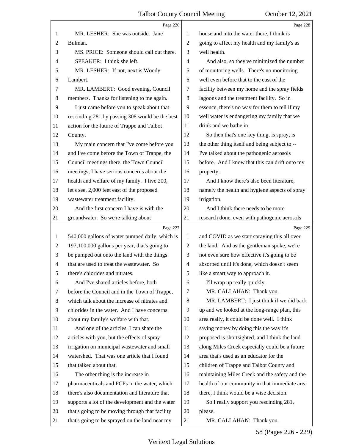|                | Page 226                                                                                          |                | Page 228                                       |
|----------------|---------------------------------------------------------------------------------------------------|----------------|------------------------------------------------|
| 1              | MR. LESHER: She was outside. Jane                                                                 | 1              | house and into the water there, I think is     |
| 2              | Bulman.                                                                                           | $\overline{2}$ | going to affect my health and my family's as   |
| 3              | MS. PRICE: Someone should call out there.                                                         | 3              | well health.                                   |
| 4              | SPEAKER: I think she left.                                                                        | $\overline{4}$ | And also, so they've minimized the number      |
| 5              | MR. LESHER: If not, next is Woody                                                                 | 5              | of monitoring wells. There's no monitoring     |
| 6              | Lambert.                                                                                          | 6              | well even before that to the east of the       |
| $\tau$         | MR. LAMBERT: Good evening, Council                                                                | 7              | facility between my home and the spray fields  |
| 8              | members. Thanks for listening to me again.                                                        | 8              | lagoons and the treatment facility. So in      |
| 9              | I just came before you to speak about that                                                        | 9              | essence, there's no way for them to tell if my |
| 10             | rescinding 281 by passing 308 would be the best                                                   | 10             | well water is endangering my family that we    |
| 11             | action for the future of Trappe and Talbot                                                        | 11             | drink and we bathe in.                         |
| 12             | County.                                                                                           | 12             | So then that's one key thing, is spray, is     |
| 13             | My main concern that I've come before you                                                         | 13             | the other thing itself and being subject to -- |
| 14             | and I've come before the Town of Trappe, the                                                      | 14             | I've talked about the pathogenic aerosols      |
| 15             | Council meetings there, the Town Council                                                          | 15             | before. And I know that this can drift onto my |
| 16             | meetings, I have serious concerns about the                                                       | 16             | property.                                      |
| 17             | health and welfare of my family. I live 200,                                                      | 17             | And I know there's also been literature,       |
| 18             | let's see, 2,000 feet east of the proposed                                                        | 18             | namely the health and hygiene aspects of spray |
| 19             | wastewater treatment facility.                                                                    | 19             | irrigation.                                    |
| 20             | And the first concern I have is with the                                                          | 20             | And I think there needs to be more             |
| 21             | groundwater. So we're talking about                                                               | 21             | research done, even with pathogenic aerosols   |
|                |                                                                                                   |                |                                                |
|                | Page 227                                                                                          |                | Page 229                                       |
| 1              | 540,000 gallons of water pumped daily, which is                                                   | 1              | and COVID as we start spraying this all over   |
| 2              | 197,100,000 gallons per year, that's going to                                                     | $\overline{2}$ | the land. And as the gentleman spoke, we're    |
| 3              | be pumped out onto the land with the things                                                       | 3              | not even sure how effective it's going to be   |
| $\overline{4}$ | that are used to treat the wastewater. So                                                         | $\overline{4}$ | absorbed until it's done, which doesn't seem   |
| 5              | there's chlorides and nitrates.                                                                   | 5              | like a smart way to approach it.               |
| 6              | And I've shared articles before, both                                                             | 6              | I'll wrap up really quickly.                   |
| 7              | before the Council and in the Town of Trappe,                                                     | 7              | MR. CALLAHAN: Thank you.                       |
| 8              | which talk about the increase of nitrates and                                                     | 8              | MR. LAMBERT: I just think if we did back       |
| 9              | chlorides in the water. And I have concerns                                                       | 9              | up and we looked at the long-range plan, this  |
| 10             | about my family's welfare with that.                                                              | 10             | area really, it could be done well. I think    |
| 11             | And one of the articles, I can share the                                                          | 11             | saving money by doing this the way it's        |
| 12             | articles with you, but the effects of spray                                                       | 12             | proposed is shortsighted, and I think the land |
| 13             | irrigation on municipal wastewater and small                                                      | 13             | along Miles Creek especially could be a future |
| 14             | watershed. That was one article that I found                                                      | 14             | area that's used as an educator for the        |
| 15             | that talked about that.                                                                           | 15             | children of Trappe and Talbot County and       |
| 16             | The other thing is the increase in                                                                | 16             | maintaining Miles Creek and the safety and the |
| 17             | pharmaceuticals and PCPs in the water, which                                                      | 17             | health of our community in that immediate area |
| 18             | there's also documentation and literature that                                                    | 18             | there, I think would be a wise decision.       |
| 19             | supports a lot of the development and the water                                                   | 19             | So I really support you rescinding 281,        |
| 20             | that's going to be moving through that facility<br>that's going to be sprayed on the land near my | 20             | please.                                        |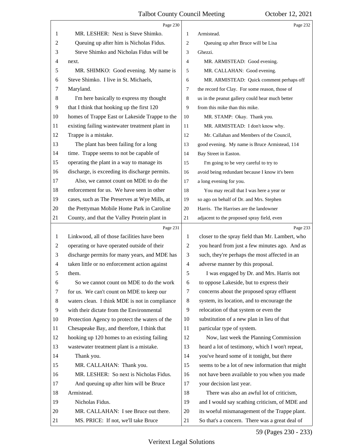|    | Page 230                                       |                | Page 232                                        |
|----|------------------------------------------------|----------------|-------------------------------------------------|
| 1  | MR. LESHER: Next is Steve Shimko.              | 1              | Armistead.                                      |
| 2  | Queuing up after him is Nicholas Fidus.        | $\mathfrak{2}$ | Queuing up after Bruce will be Lisa             |
| 3  | Steve Shimko and Nicholas Fidus will be        | 3              | Ghezzi.                                         |
| 4  | next.                                          | $\overline{4}$ | MR. ARMISTEAD: Good evening.                    |
| 5  | MR. SHIMKO: Good evening. My name is           | 5              | MR. CALLAHAN: Good evening.                     |
| 6  | Steve Shimko. I live in St. Michaels,          | 6              | MR. ARMISTEAD: Quick comment perhaps off        |
| 7  | Maryland.                                      | $\overline{7}$ | the record for Clay. For some reason, those of  |
| 8  | I'm here basically to express my thought       | 8              | us in the peanut gallery could hear much better |
| 9  | that I think that hooking up the first 120     | 9              | from this mike than this mike.                  |
| 10 | homes of Trappe East or Lakeside Trappe to the | 10             | MR. STAMP: Okay. Thank you.                     |
| 11 | existing failing wastewater treatment plant in | 11             | MR. ARMISTEAD: I don't know why.                |
| 12 | Trappe is a mistake.                           | 12             | Mr. Callahan and Members of the Council,        |
| 13 | The plant has been failing for a long          | 13             | good evening. My name is Bruce Armistead, 114   |
| 14 | time. Trappe seems to not be capable of        | 14             | Bay Street in Easton.                           |
| 15 | operating the plant in a way to manage its     | 15             | I'm going to be very careful to try to          |
| 16 | discharge, is exceeding its discharge permits. | 16             | avoid being redundant because I know it's been  |
| 17 | Also, we cannot count on MDE to do the         | 17             | a long evening for you.                         |
| 18 | enforcement for us. We have seen in other      | 18             | You may recall that I was here a year or        |
| 19 | cases, such as The Preserves at Wye Mills, at  | 19             | so ago on behalf of Dr. and Mrs. Stephen        |
| 20 | the Prettyman Mobile Home Park in Caroline     | 20             | Harris. The Harrises are the landowner          |
| 21 | County, and that the Valley Protein plant in   | 21             | adjacent to the proposed spray field, even      |
|    | Page 231                                       |                | Page 233                                        |
| 1  | Linkwood, all of those facilities have been    | 1              | closer to the spray field than Mr. Lambert, who |
| 2  | operating or have operated outside of their    | $\overline{2}$ | you heard from just a few minutes ago. And as   |
| 3  | discharge permits for many years, and MDE has  | 3              | such, they're perhaps the most affected in an   |
| 4  | taken little or no enforcement action against  | $\overline{4}$ | adverse manner by this proposal.                |
| 5  | them.                                          | 5              | I was engaged by Dr. and Mrs. Harris not        |
| 6  | So we cannot count on MDE to do the work       | 6              | to oppose Lakeside, but to express their        |
| 7  | for us. We can't count on MDE to keep our      | 7              | concerns about the proposed spray effluent      |
| 8  | waters clean. I think MDE is not in compliance | 8              | system, its location, and to encourage the      |
| 9  | with their dictate from the Environmental      | 9              | relocation of that system or even the           |
| 10 | Protection Agency to protect the waters of the | 10             | substitution of a new plan in lieu of that      |
| 11 |                                                |                |                                                 |
| 12 | Chesapeake Bay, and therefore, I think that    | 11             | particular type of system.                      |
| 13 | hooking up 120 homes to an existing failing    | 12             | Now, last week the Planning Commission          |
|    | wastewater treatment plant is a mistake.       | 13             | heard a lot of testimony, which I won't repeat, |
| 14 | Thank you.                                     | 14             | you've heard some of it tonight, but there      |
| 15 | MR. CALLAHAN: Thank you.                       | 15             | seems to be a lot of new information that might |
| 16 | MR. LESHER: So next is Nicholas Fidus.         | 16             | not have been available to you when you made    |
| 17 | And queuing up after him will be Bruce         | 17             | your decision last year.                        |
| 18 | Armistead.                                     | 18             | There was also an awful lot of criticism,       |
| 19 | Nicholas Fidus.                                | 19             | and I would say scathing criticism, of MDE and  |
| 20 | MR. CALLAHAN: I see Bruce out there.           | 20             | its woeful mismanagement of the Trappe plant.   |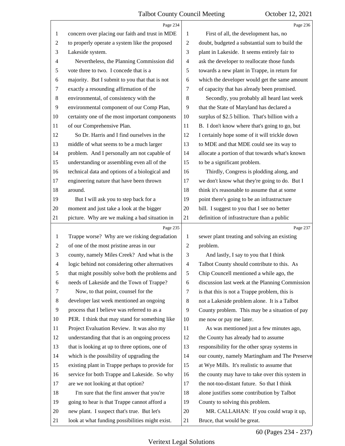|                | Page 234                                        |                | Page 236                                        |
|----------------|-------------------------------------------------|----------------|-------------------------------------------------|
| 1              | concern over placing our faith and trust in MDE | 1              | First of all, the development has, no           |
| 2              | to properly operate a system like the proposed  | $\mathbf{2}$   | doubt, budgeted a substantial sum to build the  |
| 3              | Lakeside system.                                | 3              | plant in Lakeside. It seems entirely fair to    |
| 4              | Nevertheless, the Planning Commission did       | $\overline{4}$ | ask the developer to reallocate those funds     |
| 5              | vote three to two. I concede that is a          | 5              | towards a new plant in Trappe, in return for    |
| 6              | majority. But I submit to you that that is not  | 6              | which the developer would get the same amount   |
| 7              | exactly a resounding affirmation of the         | 7              | of capacity that has already been promised.     |
| $\,8\,$        | environmental, of consistency with the          | 8              | Secondly, you probably all heard last week      |
| 9              | environmental component of our Comp Plan,       | 9              | that the State of Maryland has declared a       |
| 10             | certainty one of the most important components  | 10             | surplus of \$2.5 billion. That's billion with a |
| 11             | of our Comprehensive Plan.                      | 11             | B. I don't know where that's going to go, but   |
| 12             | So Dr. Harris and I find ourselves in the       | 12             | I certainly hope some of it will trickle down   |
| 13             | middle of what seems to be a much larger        | 13             | to MDE and that MDE could see its way to        |
| 14             | problem. And I personally am not capable of     | 14             | allocate a portion of that towards what's known |
| 15             | understanding or assembling even all of the     | 15             | to be a significant problem.                    |
| 16             | technical data and options of a biological and  | 16             | Thirdly, Congress is plodding along, and        |
| 17             | engineering nature that have been thrown        | 17             | we don't know what they're going to do. But I   |
| 18             | around.                                         | 18             | think it's reasonable to assume that at some    |
| 19             | But I will ask you to step back for a           | 19             | point there's going to be an infrastructure     |
| 20             | moment and just take a look at the bigger       | 20             | bill. I suggest to you that I see no better     |
| 21             | picture. Why are we making a bad situation in   | 21             | definition of infrastructure than a public      |
|                |                                                 |                |                                                 |
|                | Page 235                                        |                | Page 237                                        |
| 1              | Trappe worse? Why are we risking degradation    | 1              | sewer plant treating and solving an existing    |
| 2              | of one of the most pristine areas in our        | $\overline{c}$ | problem.                                        |
| 3              | county, namely Miles Creek? And what is the     | 3              | And lastly, I say to you that I think           |
| $\overline{4}$ | logic behind not considering other alternatives | $\overline{4}$ | Talbot County should contribute to this. As     |
| 5              | that might possibly solve both the problems and | 5              | Chip Councell mentioned a while ago, the        |
| 6              | needs of Lakeside and the Town of Trappe?       | 6              | discussion last week at the Planning Commission |
| 7              | Now, to that point, counsel for the             | 7              | is that this is not a Trappe problem, this is   |
| 8              | developer last week mentioned an ongoing        | 8              | not a Lakeside problem alone. It is a Talbot    |
| 9              | process that I believe was referred to as a     | 9              | County problem. This may be a situation of pay  |
| 10             | PER. I think that may stand for something like  | 10             | me now or pay me later.                         |
| 11             | Project Evaluation Review. It was also my       | 11             | As was mentioned just a few minutes ago,        |
| 12             | understanding that that is an ongoing process   | 12             | the County has already had to assume            |
| 13             | that is looking at up to three options, one of  | 13             | responsibility for the other spray systems in   |
| 14             | which is the possibility of upgrading the       | 14             | our county, namely Martingham and The Preserve  |
| 15             | existing plant in Trappe perhaps to provide for | 15             | at Wye Mills. It's realistic to assume that     |
| 16             | service for both Trappe and Lakeside. So why    | 16             | the county may have to take over this system in |
| 17             | are we not looking at that option?              | 17             | the not-too-distant future. So that I think     |
| 18             | I'm sure that the first answer that you're      | 18             | alone justifies some contribution by Talbot     |
| 19             | going to hear is that Trappe cannot afford a    | 19             | County to solving this problem.                 |
| 20             | new plant. I suspect that's true. But let's     | 20             | MR. CALLAHAN: If you could wrap it up,          |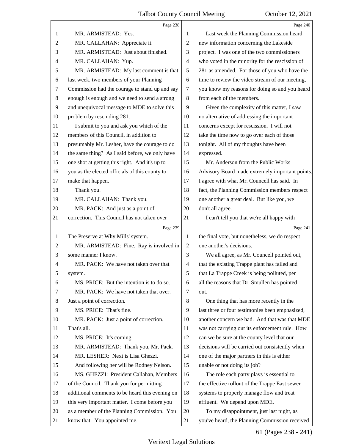|                | Page 238                                        |                          | Page 240                                        |
|----------------|-------------------------------------------------|--------------------------|-------------------------------------------------|
| 1              | MR. ARMISTEAD: Yes.                             | 1                        | Last week the Planning Commission heard         |
| 2              | MR. CALLAHAN: Appreciate it.                    | $\overline{c}$           | new information concerning the Lakeside         |
| 3              | MR. ARMISTEAD: Just about finished.             | 3                        | project. I was one of the two commissioners     |
| 4              | MR. CALLAHAN: Yup.                              | $\overline{\mathcal{A}}$ | who voted in the minority for the rescission of |
| 5              | MR. ARMISTEAD: My last comment is that          | 5                        | 281 as amended. For those of you who have the   |
| 6              | last week, two members of your Planning         | 6                        | time to review the video stream of our meeting, |
| 7              | Commission had the courage to stand up and say  | 7                        | you know my reasons for doing so and you heard  |
| $\,8\,$        | enough is enough and we need to send a strong   | 8                        | from each of the members.                       |
| $\overline{9}$ | and unequivocal message to MDE to solve this    | 9                        | Given the complexity of this matter, I saw      |
| 10             | problem by rescinding 281.                      | 10                       | no alternative of addressing the important      |
| 11             | I submit to you and ask you which of the        | 11                       | concerns except for rescission. I will not      |
| 12             | members of this Council, in addition to         | 12                       | take the time now to go over each of those      |
| 13             | presumably Mr. Lesher, have the courage to do   | 13                       | tonight. All of my thoughts have been           |
| 14             | the same thing? As I said before, we only have  | 14                       | expressed.                                      |
| 15             | one shot at getting this right. And it's up to  | 15                       | Mr. Anderson from the Public Works              |
| 16             | you as the elected officials of this county to  | 16                       | Advisory Board made extremely important points. |
| 17             | make that happen.                               | 17                       | I agree with what Mr. Councell has said. In     |
| 18             | Thank you.                                      | 18                       | fact, the Planning Commission members respect   |
| 19             | MR. CALLAHAN: Thank you.                        | 19                       | one another a great deal. But like you, we      |
| 20             | MR. PACK: And just as a point of                | 20                       | don't all agree.                                |
| 21             | correction. This Council has not taken over     | 21                       | I can't tell you that we're all happy with      |
|                |                                                 |                          |                                                 |
|                | Page 239                                        |                          | Page 241                                        |
| $\mathbf{1}$   | The Preserve at Why Mills' system.              | $\mathbf{1}$             | the final vote, but nonetheless, we do respect  |
| $\overline{c}$ | MR. ARMISTEAD: Fine. Ray is involved in         | $\overline{c}$           | one another's decisions.                        |
| 3              | some manner I know.                             | 3                        | We all agree, as Mr. Councell pointed out,      |
| 4              | MR. PACK: We have not taken over that           | 4                        | that the existing Trappe plant has failed and   |
|                | system.                                         | 5                        | that La Trappe Creek is being polluted, per     |
| 6              | MS. PRICE: But the intention is to do so.       | 6                        | all the reasons that Dr. Smullen has pointed    |
| 7              | MR. PACK: We have not taken that over.          | 7                        | out.                                            |
| 8              | Just a point of correction.                     | 8                        | One thing that has more recently in the         |
| 9              | MS. PRICE: That's fine.                         | 9                        | last three or four testimonies been emphasized, |
| 10             | MR. PACK: Just a point of correction.           | 10                       | another concern we had. And that was that MDE   |
| 11             | That's all.                                     | 11                       | was not carrying out its enforcement rule. How  |
| 12             | MS. PRICE: It's coming.                         | 12                       | can we be sure at the county level that our     |
| 13             | MR. ARMISTEAD: Thank you, Mr. Pack.             | 13                       | decisions will be carried out consistently when |
| 14             | MR. LESHER: Next is Lisa Ghezzi.                | 14                       | one of the major partners in this is either     |
| 15             | And following her will be Rodney Nelson.        | 15                       | unable or not doing its job?                    |
| 16             | MS. GHEZZI: President Callahan, Members         | 16                       | The role each party plays is essential to       |
| 17             | of the Council. Thank you for permitting        | 17                       | the effective rollout of the Trappe East sewer  |
| 18             | additional comments to be heard this evening on | 18                       | systems to properly manage flow and treat       |
| 19             | this very important matter. I come before you   | 19                       | effluent. We depend upon MDE.                   |
| 20             | as a member of the Planning Commission. You     | 20                       | To my disappointment, just last night, as       |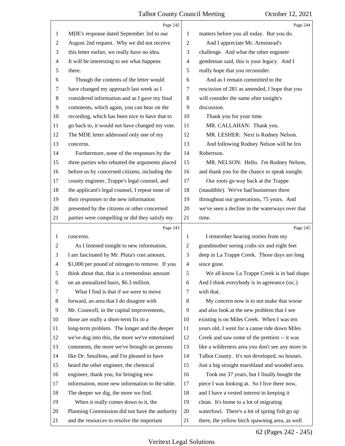|    | Page 242                                        |                | Page 244                                         |
|----|-------------------------------------------------|----------------|--------------------------------------------------|
| 1  | MDE's response dated September 3rd to our       | 1              | matters before you all today. But you do.        |
| 2  | August 2nd request. Why we did not receive      | $\overline{c}$ | And I appreciate Mr. Armistead's                 |
| 3  | this letter earlier, we really have no idea.    | 3              | challenge. And what the other engineer           |
| 4  | It will be interesting to see what happens      | 4              | gentleman said, this is your legacy. And I       |
| 5  | there.                                          | 5              | really hope that you reconsider.                 |
| 6  | Though the contents of the letter would         | 6              | And as I remain committed to the                 |
| 7  | have changed my approach last week as I         | 7              | rescission of 281 as amended, I hope that you    |
| 8  | considered information and as I gave my final   | 8              | will consider the same after tonight's           |
| 9  | comments, which again, you can hear on the      | 9              | discussion.                                      |
| 10 | recording, which has been nice to have that to  | 10             | Thank you for your time.                         |
| 11 | go back to, it would not have changed my vote.  | 11             | MR. CALLAHAN: Thank you.                         |
| 12 | The MDE letter addressed only one of my         | 12             | MR. LESHER: Next is Rodney Nelson.               |
| 13 | concerns.                                       | 13             | And following Rodney Nelson will be Iris         |
| 14 | Furthermore, none of the responses by the       | 14             | Robertson.                                       |
| 15 | three parties who rebutted the arguments placed | 15             | MR. NELSON: Hello. I'm Rodney Nelson,            |
| 16 | before us by concerned citizens, including the  | 16             | and thank you for the chance to speak tonight.   |
| 17 | county engineer, Trappe's legal counsel, and    | 17             | Our roots go way back at the Trappe              |
| 18 | the applicant's legal counsel, I repeat none of | 18             | (inaudible). We've had businesses there          |
| 19 | their responses to the new information          | 19             | throughout our generations, 75 years. And        |
| 20 | presented by the citizens or other concerned    | 20             | we've seen a decline in the waterways over that  |
| 21 | parties were compelling or did they satisfy my  | 21             | time.                                            |
|    |                                                 |                |                                                  |
|    | Page 243                                        |                | Page 245                                         |
| 1  | concerns.                                       | 1              | I remember hearing stories from my               |
| 2  | As I listened tonight to new information,       | 2              | grandmother seeing crabs six and eight feet      |
| 3  | I am fascinated by Mr. Pluta's cost amount,     | 3              | deep in La Trappe Creek. Those days are long     |
| 4  | \$1,000 per pound of nitrogen to remove. If you | 4              | since gone.                                      |
| 5  | think about that, that is a tremendous amount   | 5              | We all know La Trappe Creek is in bad shape.     |
| 6  | on an annualized basis, \$6.3 million.          | 6              | And I think everybody is in agreeance (sic.)     |
| 7  | What I find is that if we were to move          | 7              | with that.                                       |
| 8  | forward, an area that I do disagree with        | 8              | My concern now is to not make that worse         |
| 9  | Mr. Councell, in the capital improvements,      | 9              | and also look at the new problem that I see      |
| 10 | those are really a short-term fix to a          | 10             | existing is on Miles Creek. When I was ten       |
| 11 | long-term problem. The longer and the deeper    | 11             | years old, I went for a canoe ride down Miles    |
| 12 | we've dug into this, the more we've entertained | 12             | Creek and saw some of the prettiest -- it was    |
| 13 | comments, the more we've brought on persons     | 13             | like a wilderness area you don't see any more in |
| 14 | like Dr. Smullens, and I'm pleased to have      | 14             | Talbot County. It's not developed, no houses.    |
| 15 | heard the other engineer, the chemical          | 15             | Just a big straight marshland and wooded area.   |
| 16 | engineer, thank you, for bringing new           | 16             | Took me 37 years, but I finally bought the       |
| 17 | information, more new information to the table. | 17             | piece I was looking at. So I live there now,     |
| 18 | The deeper we dig, the more we find.            | 18             | and I have a vested interest in keeping it       |
| 19 | When it really comes down to it, the            | 19             | clean. It's home to a lot of migrating           |
| 20 | Planning Commission did not have the authority  | 20             | waterfowl. There's a lot of spring fish go up    |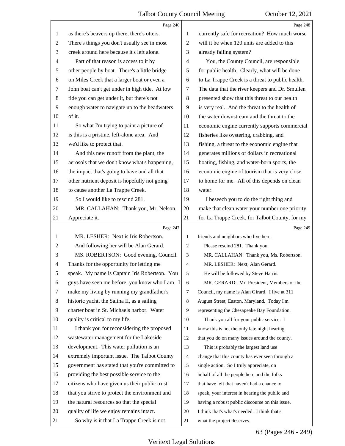|                | Page 246                                       |                | Page 248                                         |
|----------------|------------------------------------------------|----------------|--------------------------------------------------|
| 1              | as there's beavers up there, there's otters.   | 1              | currently safe for recreation? How much worse    |
| 2              | There's things you don't usually see in most   | $\overline{2}$ | will it be when 120 units are added to this      |
| 3              | creek around here because it's left alone.     | 3              | already failing system?                          |
| $\overline{4}$ | Part of that reason is access to it by         | $\overline{4}$ | You, the County Council, are responsible         |
| 5              | other people by boat. There's a little bridge  | 5              | for public health. Clearly, what will be done    |
| 6              | on Miles Creek that a larger boat or even a    | 6              | to La Trappe Creek is a threat to public health. |
| 7              | John boat can't get under in high tide. At low | 7              | The data that the river keepers and Dr. Smullen  |
| $\,8\,$        | tide you can get under it, but there's not     | 8              | presented show that this threat to our health    |
| 9              | enough water to navigate up to the headwaters  | 9              | is very real. And the threat to the health of    |
| 10             | of it.                                         | 10             | the water downstream and the threat to the       |
| 11             | So what I'm trying to paint a picture of       | 11             | economic engine currently supports commercial    |
| 12             | is this is a pristine, left-alone area. And    | 12             | fisheries like oystering, crabbing, and          |
| 13             | we'd like to protect that.                     | 13             | fishing, a threat to the economic engine that    |
| 14             | And this new runoff from the plant, the        | 14             | generates millions of dollars in recreational    |
| 15             | aerosols that we don't know what's happening,  | 15             | boating, fishing, and water-born sports, the     |
| 16             | the impact that's going to have and all that   | 16             | economic engine of tourism that is very close    |
| 17             | other nutrient deposit is hopefully not going  | 17             | to home for me. All of this depends on clean     |
| 18             | to cause another La Trappe Creek.              | 18             | water.                                           |
| 19             | So I would like to rescind 281.                | 19             | I be<br>seech you to do the right thing and      |
| 20             | MR. CALLAHAN: Thank you, Mr. Nelson.           | 20             | make that clean water your number one priority   |
| 21             | Appreciate it.                                 | 21             | for La Trappe Creek, for Talbot County, for my   |
|                |                                                |                |                                                  |
|                | Page 247                                       |                | Page 249                                         |
| 1              | MR. LESHER: Next is Iris Robertson.            | 1              | friends and neighbors who live here.             |
| 2              | And following her will be Alan Gerard.         | $\overline{2}$ | Please rescind 281. Thank you.                   |
| 3              | MS. ROBERTSON: Good evening, Council.          | 3              | MR. CALLAHAN: Thank you, Ms. Robertson.          |
| 4              | Thanks for the opportunity for letting me      | 4              | MR. LESHER: Next, Alan Gerard.                   |
| 5              | speak. My name is Captain Iris Robertson. You  | $\sqrt{5}$     | He will be followed by Steve Harris.             |
| 6              | guys have seen me before, you know who I am. I | 6              | MR. GERARD: Mr. President, Members of the        |
| 7              | make my living by running my grandfather's     | $\overline{7}$ | Council, my name is Alan Girard. I live at 311   |
| 8              | historic yacht, the Salina II, as a sailing    | 8              | August Street, Easton, Maryland. Today I'm       |
| 9              | charter boat in St. Michaels harbor. Water     | 9              | representing the Chesapeake Bay Foundation.      |
| 10             | quality is critical to my life.                | 10             | Thank you all for your public service. I         |
| 11             | I thank you for reconsidering the proposed     | 11             | know this is not the only late night hearing     |
| 12             | wastewater management for the Lakeside         | 12             | that you do on many issues around the county.    |
| 13             | development. This water pollution is an        | 13             | This is probably the largest land use            |
| 14             | extremely important issue. The Talbot County   | 14             | change that this county has ever seen through a  |
| 15             | government has stated that you're committed to | 15             | single action. So I truly appreciate, on         |
| 16             | providing the best possible service to the     | 16             | behalf of all the people here and the folks      |
| 17             | citizens who have given us their public trust, | 17             | that have left that haven't had a chance to      |
| 18             | that you strive to protect the environment and | 18             | speak, your interest in hearing the public and   |
| 19             | the natural resources so that the special      | 19             | having a robust public discourse on this issue.  |
| 20             | quality of life we enjoy remains intact.       | 20             | I think that's what's needed. I think that's     |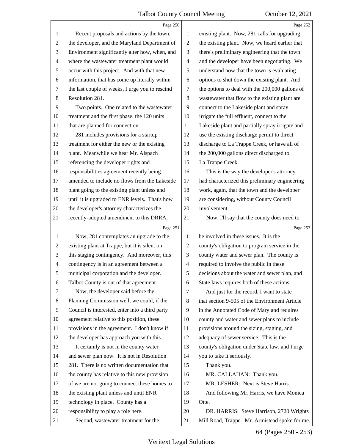|                | Page 250                                        |                         | Page 252                                        |
|----------------|-------------------------------------------------|-------------------------|-------------------------------------------------|
| 1              | Recent proposals and actions by the town,       | 1                       | existing plant. Now, 281 calls for upgrading    |
| $\overline{c}$ | the developer, and the Maryland Department of   | $\boldsymbol{2}$        | the existing plant. Now, we heard earlier that  |
| 3              | Environment significantly alter how, when, and  | 3                       | there's preliminary engineering that the town   |
| $\overline{4}$ | where the wastewater treatment plant would      | $\overline{\mathbf{4}}$ | and the developer have been negotiating. We     |
| 5              | occur with this project. And with that new      | $\sqrt{5}$              | understand now that the town is evaluating      |
| 6              | information, that has come up literally within  | 6                       | options to shut down the existing plant. And    |
| $\tau$         | the last couple of weeks, I urge you to rescind | 7                       | the options to deal with the 200,000 gallons of |
| $8\,$          | Resolution 281.                                 | $\,8\,$                 | wastewater that flow to the existing plant are  |
| 9              | Two points. One related to the wastewater       | 9                       | connect to the Lakeside plant and spray         |
| 10             | treatment and the first phase, the 120 units    | 10                      | irrigate the full effluent, connect to the      |
| 11             | that are planned for connection.                | 11                      | Lakeside plant and partially spray irrigate and |
| 12             | 281 includes provisions for a startup           | 12                      | use the existing discharge permit to direct     |
| 13             | treatment for either the new or the existing    | 13                      | discharge to La Trappe Creek, or have all of    |
| 14             | plant. Meanwhile we hear Mr. Alspach            | 14                      | the 200,000 gallons direct discharged to        |
| 15             | referencing the developer rights and            | 15                      | La Trappe Creek.                                |
| 16             | responsibilities agreement recently being       | 16                      | This is the way the developer's attorney        |
| 17             | amended to include no flows from the Lakeside   | 17                      | had characterized this preliminary engineering  |
| 18             | plant going to the existing plant unless and    | 18                      | work, again, that the town and the developer    |
| 19             | until it is upgraded to ENR levels. That's how  | 19                      | are considering, without County Council         |
| 20             | the developer's attorney characterizes the      | 20                      | involvement.                                    |
| 21             | recently-adopted amendment to this DRRA.        | 21                      | Now, I'll say that the county does need to      |
|                |                                                 |                         |                                                 |
|                | Page 251                                        |                         | Page 253                                        |
| 1              | Now, 281 contemplates an upgrade to the         | 1                       | be involved in these issues. It is the          |
| $\overline{c}$ | existing plant at Trappe, but it is silent on   | $\overline{c}$          | county's obligation to program service in the   |
| 3              | this staging contingency. And moreover, this    | 3                       | county water and sewer plan. The county is      |
| $\overline{4}$ | contingency is in an agreement between a        | $\overline{4}$          | required to involve the public in these         |
| 5              | municipal corporation and the developer.        | 5                       | decisions about the water and sewer plan, and   |
| 6              | Talbot County is out of that agreement.         | 6                       | State laws requires both of these actions.      |
| 7              | Now, the developer said before the              | $\tau$                  | And just for the record, I want to state        |
| 8              | Planning Commission well, we could, if the      | 8                       | that section 9-505 of the Environment Article   |
| 9              | Council is interested, enter into a third party | 9                       | in the Annotated Code of Maryland requires      |
| 10             | agreement relative to this position, these      | 10                      | county and water and sewer plans to include     |
| 11             | provisions in the agreement. I don't know if    | 11                      | provisions around the sizing, staging, and      |
| 12             | the developer has approach you with this.       | 12                      | adequacy of sewer service. This is the          |
| 13             | It certainly is not in the county water         | 13                      | county's obligation under State law, and I urge |
| 14             | and sewer plan now. It is not in Resolution     | 14                      | you to take it seriously.                       |
| 15             | 281. There is no written documentation that     | 15                      | Thank you.                                      |
| 16             | the county has relative to this new provision   | 16                      | MR. CALLAHAN: Thank you.                        |
| 17             | of we are not going to connect these homes to   | 17                      | MR. LESHER: Next is Steve Harris.               |
| 18             | the existing plant unless and until ENR         | 18                      | And following Mr. Harris, we have Monica        |
| 19             | technology in place. County has a               | 19                      | Otte.                                           |
| 20             | responsibility to play a role here.             | 20                      | DR. HARRIS: Steve Harrison, 2720 Wrights        |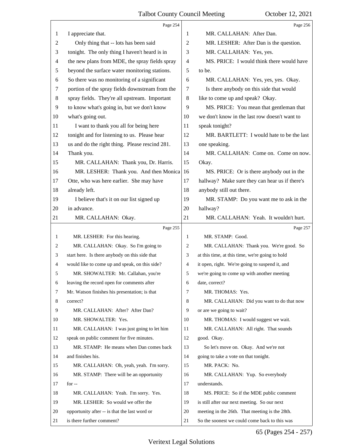|              | Page 254                                        |                | Page 256                                        |
|--------------|-------------------------------------------------|----------------|-------------------------------------------------|
| 1            | I appreciate that.                              | 1              | MR. CALLAHAN: After Dan.                        |
| 2            | Only thing that -- lots has been said           | $\overline{c}$ | MR. LESHER: After Dan is the question.          |
| 3            | tonight. The only thing I haven't heard is in   | 3              | MR. CALLAHAN: Yes, yes.                         |
| 4            | the new plans from MDE, the spray fields spray  | 4              | MS. PRICE: I would think there would have       |
| 5            | beyond the surface water monitoring stations.   | 5              | to be.                                          |
| 6            | So there was no monitoring of a significant     | 6              | MR. CALLAHAN: Yes, yes, yes. Okay.              |
| 7            | portion of the spray fields downstream from the | 7              | Is there anybody on this side that would        |
| 8            | spray fields. They're all upstream. Important   | $\,8\,$        | like to come up and speak? Okay.                |
| 9            | to know what's going in, but we don't know      | 9              | MS. PRICE: You mean that gentleman that         |
| 10           | what's going out.                               | 10             | we don't know in the last row doesn't want to   |
| 11           | I want to thank you all for being here          | 11             | speak tonight?                                  |
| 12           | tonight and for listening to us. Please hear    | 12             | MR. BARTLETT: I would hate to be the last       |
| 13           | us and do the right thing. Please rescind 281.  | 13             | one speaking.                                   |
| 14           | Thank you.                                      | 14             | MR. CALLAHAN: Come on. Come on now.             |
| 15           | MR. CALLAHAN: Thank you, Dr. Harris.            | 15             | Okay.                                           |
| 16           | MR. LESHER: Thank you. And then Monica          | 16             | MS. PRICE: Or is there anybody out in the       |
| 17           | Otte, who was here earlier. She may have        | 17             | hallway? Make sure they can hear us if there's  |
| 18           | already left.                                   | 18             | anybody still out there.                        |
| 19           | I believe that's it on our list signed up       | 19             | MR. STAMP: Do you want me to ask in the         |
| 20           | in advance.                                     | 20             | hallway?                                        |
| 21           | MR. CALLAHAN: Okay.                             | 21             | MR. CALLAHAN: Yeah. It wouldn't hurt.           |
|              |                                                 |                |                                                 |
|              | Page 255                                        |                | Page 257                                        |
| $\mathbf{1}$ | MR. LESHER: For this hearing.                   | 1              | MR. STAMP: Good.                                |
| 2            | MR. CALLAHAN: Okay. So I'm going to             | 2              | MR. CALLAHAN: Thank you. We're good. So         |
| 3            | start here. Is there anybody on this side that  | 3              | at this time, at this time, we're going to hold |
| 4            | would like to come up and speak, on this side?  | 4              | it open, right. We're going to suspend it, and  |
| 5            | MR. SHOWALTER: Mr. Callahan, you're             | 5              | we're going to come up with another meeting     |
| 6            | leaving the record open for comments after      | 6              | date, correct?                                  |
| 7            | Mr. Watson finishes his presentation; is that   | 7              | MR. THOMAS: Yes.                                |
| 8            | correct?                                        | 8              | MR. CALLAHAN: Did you want to do that now       |
| 9            | MR. CALLAHAN: After? After Dan?                 | 9              | or are we going to wait?                        |
| 10           | MR. SHOWALTER: Yes.                             | 10             | MR. THOMAS: I would suggest we wait.            |
| 11           | MR. CALLAHAN: I was just going to let him       | 11             | MR. CALLAHAN: All right. That sounds            |
| 12           | speak on public comment for five minutes.       | 12             | good. Okay.                                     |
| 13           | MR. STAMP: He means when Dan comes back         | 13             | So let's move on. Okay. And we're not           |
| 14           | and finishes his.                               | 14             | going to take a vote on that tonight.           |
| 15           | MR. CALLAHAN: Oh, yeah, yeah. I'm sorry.        | 15             | MR. PACK: No.                                   |
| 16           | MR. STAMP: There will be an opportunity         | 16             | MR. CALLAHAN: Yup. So everybody                 |
| 17           | for $-$                                         | 17             | understands.                                    |
| 18           | MR. CALLAHAN: Yeah. I'm sorry. Yes.             | 18             | MS. PRICE: So if the MDE public comment         |
| 19           | MR. LESHER: So would we offer the               | 19             | is still after our next meeting. So our next    |
| 20           | opportunity after -- is that the last word or   | 20             | meeting in the 26th. That meeting is the 28th.  |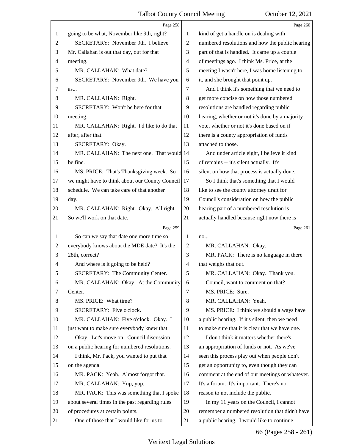|                | Page 258                                        |                | Page 260                                        |
|----------------|-------------------------------------------------|----------------|-------------------------------------------------|
| 1              | going to be what, November like 9th, right?     | 1              | kind of get a handle on is dealing with         |
| 2              | SECRETARY: November 9th. I believe              | $\mathbf{2}$   | numbered resolutions and how the public hearing |
| 3              | Mr. Callahan is out that day, out for that      | 3              | part of that is handled. It came up a couple    |
| 4              | meeting.                                        | $\overline{4}$ | of meetings ago. I think Ms. Price, at the      |
| 5              | MR. CALLAHAN: What date?                        | 5              | meeting I wasn't here, I was home listening to  |
| 6              | SECRETARY: November 9th. We have you            | 6              | it, and she brought that point up.              |
| 7              | as                                              | 7              | And I think it's something that we need to      |
| 8              | MR. CALLAHAN: Right.                            | 8              | get more concise on how those numbered          |
| 9              | SECRETARY: Won't be here for that               | 9              | resolutions are handled regarding public        |
| 10             | meeting.                                        | 10             | hearing, whether or not it's done by a majority |
| 11             | MR. CALLAHAN: Right. I'd like to do that        | 11             | vote, whether or not it's done based on if      |
| 12             | after, after that.                              | 12             | there is a county appropriation of funds        |
| 13             | SECRETARY: Okay.                                | 13             | attached to those.                              |
| 14             | MR. CALLAHAN: The next one. That would 14       |                | And under article eight, I believe it kind      |
| 15             | be fine.                                        | 15             | of remains -- it's silent actually. It's        |
| 16             | MS. PRICE: That's Thanksgiving week. So         | 16             | silent on how that process is actually done.    |
| 17             | we might have to think about our County Council | 17             | So I think that's something that I would        |
| 18             | schedule. We can take care of that another      | 18             | like to see the county attorney draft for       |
| 19             | day.                                            | 19             | Council's consideration on how the public       |
| 20             | MR. CALLAHAN: Right. Okay. All right.           | 20             | hearing part of a numbered resolution is        |
| 21             | So we'll work on that date.                     | 21             | actually handled because right now there is     |
|                |                                                 |                |                                                 |
|                | Page 259                                        |                | Page 261                                        |
| 1              | So can we say that date one more time so        | 1              | no                                              |
| 2              | everybody knows about the MDE date? It's the    | $\overline{c}$ | MR. CALLAHAN: Okay.                             |
| 3              | 28th, correct?                                  | 3              | MR. PACK: There is no language in there         |
| $\overline{4}$ | And where is it going to be held?               | 4              | that weighs that out.                           |
| 5              | SECRETARY: The Community Center.                | 5              | MR. CALLAHAN: Okay. Thank you.                  |
| 6              | MR. CALLAHAN: Okay. At the Community            | 6              | Council, want to comment on that?               |
| 7              | Center.                                         | 7              | MS. PRICE: Sure.                                |
| 8              | MS. PRICE: What time?                           | $\,8\,$        | MR. CALLAHAN: Yeah.                             |
| 9              | SECRETARY: Five o'clock.                        | 9              | MS. PRICE: I think we should always have        |
| 10             | MR. CALLAHAN: Five o'clock. Okay. I             | 10             | a public hearing. If it's silent, then we need  |
| 11             | just want to make sure everybody knew that.     | 11             | to make sure that it is clear that we have one. |
| 12             | Okay. Let's move on. Council discussion         | 12             | I don't think it matters whether there's        |
| 13             | on a public hearing for numbered resolutions.   | 13             | an appropriation of funds or not. As we've      |
| 14             | I think, Mr. Pack, you wanted to put that       | 14             | seen this process play out when people don't    |
| 15             | on the agenda.                                  | 15             | get an opportunity to, even though they can     |
| 16             | MR. PACK: Yeah. Almost forgot that.             | 16             | comment at the end of our meetings or whatever. |
| 17             | MR. CALLAHAN: Yup, yup.                         | 17             | It's a forum. It's important. There's no        |
| 18             | MR. PACK: This was something that I spoke       | 18             | reason to not include the public.               |
| 19             | about several times in the past regarding rules | 19             | In my 11 years on the Council, I cannot         |
| 20             | of procedures at certain points.                | 20             | remember a numbered resolution that didn't have |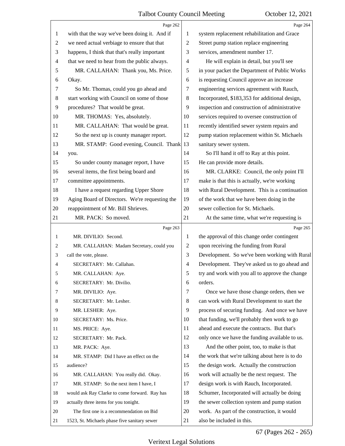|                | Page 262                                       |                | Page 264                                        |
|----------------|------------------------------------------------|----------------|-------------------------------------------------|
| 1              | with that the way we've been doing it. And if  | 1              | system replacement rehabilitation and Grace     |
| 2              | we need actual verbiage to ensure that that    | $\overline{c}$ | Street pump station replace engineering         |
| 3              | happens, I think that that's really important  | 3              | services, amendment number 17.                  |
| $\overline{4}$ | that we need to hear from the public always.   | 4              | He will explain in detail, but you'll see       |
| 5              | MR. CALLAHAN: Thank you, Ms. Price.            | 5              | in your packet the Department of Public Works   |
| 6              | Okay.                                          | 6              | is requesting Council approve an increase       |
| 7              | So Mr. Thomas, could you go ahead and          | 7              | engineering services agreement with Rauch,      |
| $\,8\,$        | start working with Council on some of those    | 8              | Incorporated, \$183,353 for additional design,  |
| 9              | procedures? That would be great.               | 9              | inspection and construction of administrative   |
| 10             | MR. THOMAS: Yes, absolutely.                   | 10             | services required to oversee construction of    |
| 11             | MR. CALLAHAN: That would be great.             | 11             | recently identified sewer system repairs and    |
| 12             | So the next up is county manager report.       | 12             | pump station replacement within St. Michaels    |
| 13             | MR. STAMP: Good evening, Council. Thank        | 13             | sanitary sewer system.                          |
| 14             | you.                                           | 14             | So I'll hand it off to Ray at this point.       |
| 15             | So under county manager report, I have         | 15             | He can provide more details.                    |
| 16             | several items, the first being board and       | 16             | MR. CLARKE: Council, the only point I'll        |
| 17             | committee appointments.                        | 17             | make is that this is actually, we're working    |
| 18             | I have a request regarding Upper Shore         | 18             | with Rural Development. This is a continuation  |
| 19             | Aging Board of Directors. We're requesting the | 19             | of the work that we have been doing in the      |
| 20             | reappointment of Mr. Bill Shrieves.            | 20             | sewer collection for St. Michaels.              |
| 21             | MR. PACK: So moved.                            | 21             | At the same time, what we're requesting is      |
|                |                                                |                |                                                 |
|                | Page 263                                       |                | Page 265                                        |
| 1              | MR. DIVILIO: Second.                           | 1              | the approval of this change order contingent    |
| 2              | MR. CALLAHAN: Madam Secretary, could you       | $\overline{c}$ | upon receiving the funding from Rural           |
| 3              | call the vote, please.                         | 3              | Development. So we've been working with Rural   |
| 4              | SECRETARY: Mr. Callahan.                       | $\overline{4}$ | Development. They've asked us to go ahead and   |
| 5              | MR. CALLAHAN: Aye.                             | 5              | try and work with you all to approve the change |
| 6              | SECRETARY: Mr. Divilio.                        | 6              | orders.                                         |
| 7              | MR. DIVILIO: Aye.                              | 7              | Once we have those change orders, then we       |
| 8              | SECRETARY: Mr. Lesher.                         | $\,8\,$        | can work with Rural Development to start the    |
| 9              | MR. LESHER: Aye.                               | 9              | process of securing funding. And once we have   |
| 10             | SECRETARY: Ms. Price.                          | 10             | that funding, we'll probably then work to go    |
| 11             | MS. PRICE: Aye.                                | 11             | ahead and execute the contracts. But that's     |
| 12             | SECRETARY: Mr. Pack.                           | 12             | only once we have the funding available to us.  |
| 13             | MR. PACK: Aye.                                 | 13             | And the other point, too, to make is that       |
| 14             | MR. STAMP: Did I have an effect on the         | 14             | the work that we're talking about here is to do |
| 15             | audience?                                      | 15             | the design work. Actually the construction      |
| 16             | MR. CALLAHAN: You really did. Okay.            | 16             | work will actually be the next request. The     |
| 17             | MR. STAMP: So the next item I have, I          | 17             | design work is with Rauch, Incorporated.        |
| 18             | would ask Ray Clarke to come forward. Ray has  | 18             | Schumer, Incorporated will actually be doing    |
| 19             | actually three items for you tonight.          | 19             | the sewer collection system and pump station    |
| 20             | The first one is a recommendation on Bid       | 20             | work. As part of the construction, it would     |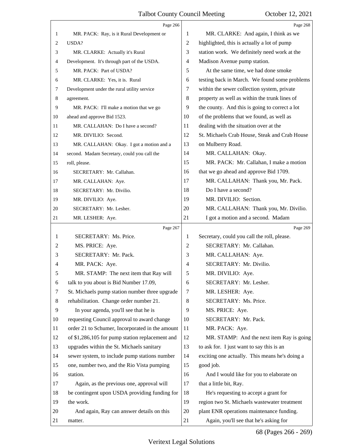|    | Page 266                                        |                | Page 268                                       |
|----|-------------------------------------------------|----------------|------------------------------------------------|
| 1  | MR. PACK: Ray, is it Rural Development or       | 1              | MR. CLARKE: And again, I think as we           |
| 2  | USDA?                                           | 2              | highlighted, this is actually a lot of pump    |
| 3  | MR. CLARKE: Actually it's Rural                 | 3              | station work. We definitely need work at the   |
| 4  | Development. It's through part of the USDA.     | 4              | Madison Avenue pump station.                   |
| 5  | MR. PACK: Part of USDA?                         | 5              | At the same time, we had done smoke            |
| 6  | MR. CLARKE: Yes, it is. Rural                   | 6              | testing back in March. We found some problems  |
| 7  | Development under the rural utility service     | 7              | within the sewer collection system, private    |
| 8  | agreement.                                      | 8              | property as well as within the trunk lines of  |
| 9  | MR. PACK: I'll make a motion that we go         | 9              | the county. And this is going to correct a lot |
| 10 | ahead and approve Bid 1523.                     | 10             | of the problems that we found, as well as      |
| 11 | MR. CALLAHAN: Do I have a second?               | 11             | dealing with the situation over at the         |
| 12 | MR. DIVILIO: Second.                            | 12             | St. Michaels Crab House, Steak and Crab House  |
| 13 | MR. CALLAHAN: Okay. I got a motion and a        | 13             | on Mulberry Road.                              |
| 14 | second. Madam Secretary, could you call the     | 14             | MR. CALLAHAN: Okay.                            |
| 15 | roll, please.                                   | 15             | MR. PACK: Mr. Callahan, I make a motion        |
| 16 | SECRETARY: Mr. Callahan.                        | 16             | that we go ahead and approve Bid 1709.         |
| 17 | MR. CALLAHAN: Aye.                              | 17             | MR. CALLAHAN: Thank you, Mr. Pack.             |
| 18 | SECRETARY: Mr. Divilio.                         | 18             | Do I have a second?                            |
| 19 | MR. DIVILIO: Aye.                               | 19             | MR. DIVILIO: Section.                          |
| 20 | SECRETARY: Mr. Lesher.                          | 20             | MR. CALLAHAN: Thank you, Mr. Divilio.          |
| 21 | MR. LESHER: Aye.                                | 21             | I got a motion and a second. Madam             |
|    | Page 267                                        |                | Page 269                                       |
|    |                                                 |                |                                                |
| 1  | SECRETARY: Ms. Price.                           | 1              | Secretary, could you call the roll, please.    |
| 2  | MS. PRICE: Aye.                                 | 2              | SECRETARY: Mr. Callahan.                       |
| 3  | SECRETARY: Mr. Pack.                            | 3              | MR. CALLAHAN: Aye.                             |
| 4  | MR. PACK: Aye.                                  | $\overline{4}$ | SECRETARY: Mr. Divilio.                        |
| 5  | MR. STAMP: The next item that Ray will          | 5              | MR. DIVILIO: Aye.                              |
| 6  | talk to you about is Bid Number 17.09,          | 6              | SECRETARY: Mr. Lesher.                         |
| 7  | St. Michaels pump station number three upgrade  | 7              | MR. LESHER: Aye.                               |
| 8  | rehabilitation. Change order number 21.         | 8              | SECRETARY: Ms. Price.                          |
| 9  | In your agenda, you'll see that he is           | 9              | MS. PRICE: Aye.                                |
| 10 | requesting Council approval to award change     | 10             | SECRETARY: Mr. Pack.                           |
| 11 | order 21 to Schumer, Incorporated in the amount | 11             | MR. PACK: Aye.                                 |
| 12 | of \$1,286,105 for pump station replacement and | 12             | MR. STAMP: And the next item Ray is going      |
| 13 | upgrades within the St. Michaels sanitary       | 13             | to ask for. I just want to say this is an      |
| 14 | sewer system, to include pump stations number   | 14             | exciting one actually. This means he's doing a |
| 15 | one, number two, and the Rio Vista pumping      | 15             | good job.                                      |
| 16 | station.                                        | 16             | And I would like for you to elaborate on       |
| 17 | Again, as the previous one, approval will       | 17             | that a little bit, Ray.                        |
| 18 | be contingent upon USDA providing funding for   | 18             | He's requesting to accept a grant for          |
| 19 | the work.                                       | 19             | region two St. Michaels wastewater treatment   |
| 20 | And again, Ray can answer details on this       | 20             | plant ENR operations maintenance funding.      |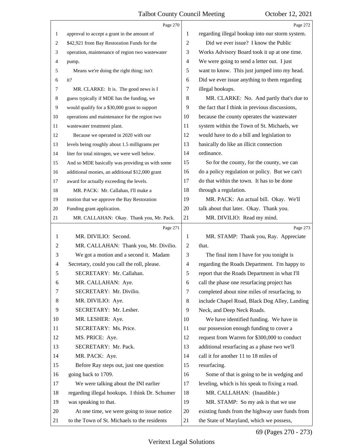|                | Page 270                                        |                | Page 272                                        |
|----------------|-------------------------------------------------|----------------|-------------------------------------------------|
| 1              | approval to accept a grant in the amount of     | 1              | regarding illegal hookup into our storm system. |
| 2              | \$42,921 from Bay Restoration Funds for the     | 2              | Did we ever issue? I know the Public            |
| 3              | operation, maintenance of region two wastewater | 3              | Works Advisory Board took it up at one time.    |
| 4              | pump.                                           | 4              | We were going to send a letter out. I just      |
| 5              | Means we're doing the right thing; isn't        | 5              | want to know. This just jumped into my head.    |
| 6              | it?                                             | 6              | Did we ever issue anything to them regarding    |
| 7              | MR. CLARKE: It is. The good news is I           | 7              | illegal hookups.                                |
| 8              | guess typically if MDE has the funding, we      | 8              | MR. CLARKE: No. And partly that's due to        |
| $\overline{9}$ | would qualify for a \$30,000 grant to support   | 9              | the fact that I think in previous discussions,  |
| 10             | operations and maintenance for the region two   | 10             | because the county operates the wastewater      |
| 11             | wastewater treatment plant.                     | 11             | system within the Town of St. Michaels, we      |
| 12             | Because we operated in 2020 with our            | 12             | would have to do a bill and legislation to      |
| 13             | levels being roughly about 1.5 milligrams per   | 13             | basically do like an illicit connection         |
| 14             | liter for total nitrogen, we were well below.   | 14             | ordinance.                                      |
| 15             | And so MDE basically was providing us with some | 15             | So for the county, for the county, we can       |
| 16             | additional monies, an additional \$12,000 grant | 16             | do a policy regulation or policy. But we can't  |
| 17             | award for actually exceeding the levels.        | 17             | do that within the town. It has to be done      |
| 18             | MR. PACK: Mr. Callahan, I'll make a             | 18             | through a regulation.                           |
| 19             | motion that we approve the Bay Restoration      | 19             | MR. PACK: An actual bill. Okay. We'll           |
| 20             | Funding grant application.                      | 20             | talk about that later. Okay. Thank you.         |
| 21             | MR. CALLAHAN: Okay. Thank you, Mr. Pack.        | 21             | MR. DIVILIO: Read my mind.                      |
|                |                                                 |                |                                                 |
|                | Page 271                                        |                | Page 273                                        |
| 1              | MR. DIVILIO: Second.                            | 1              | MR. STAMP: Thank you, Ray. Appreciate           |
| 2              | MR. CALLAHAN: Thank you, Mr. Divilio.           | $\overline{2}$ | that.                                           |
| 3              | We got a motion and a second it. Madam          | 3              | The final item I have for you tonight is        |
| 4              | Secretary, could you call the roll, please.     | 4              | regarding the Roads Department. I'm happy to    |
| 5              | SECRETARY: Mr. Callahan.                        | 5              | report that the Roads Department in what I'll   |
| 6              | MR. CALLAHAN: Aye.                              | 6              | call the phase one resurfacing project has      |
| 7              | SECRETARY: Mr. Divilio.                         | 7              | completed about nine miles of resurfacing, to   |
| 8              | MR. DIVILIO: Aye.                               | 8              | include Chapel Road, Black Dog Alley, Landing   |
| 9              | SECRETARY: Mr. Lesher.                          | 9              | Neck, and Deep Neck Roads.                      |
| 10             | MR. LESHER: Aye.                                | 10             | We have identified funding. We have in          |
| 11             | SECRETARY: Ms. Price.                           | 11             | our possession enough funding to cover a        |
| 12             | MS. PRICE: Aye.                                 | 12             | request from Warren for \$300,000 to conduct    |
| 13             | SECRETARY: Mr. Pack.                            | 13             | additional resurfacing as a phase two we'll     |
| 14             | MR. PACK: Aye.                                  | 14             | call it for another 11 to 18 miles of           |
| 15             | Before Ray steps out, just one question         | 15             | resurfacing.                                    |
| 16             | going back to 1709.                             | 16             | Some of that is going to be in wedging and      |
| 17             | We were talking about the INI earlier           | 17             | leveling, which is his speak to fixing a road.  |
| 18             | regarding illegal hookups. I think Dr. Schumer  | 18             | MR. CALLAHAN: (Inaudible.)                      |
| 19             | was speaking to that.                           | 19             | MR. STAMP: So my ask is that we use             |
| 20             | At one time, we were going to issue notice      | 20             | existing funds from the highway user funds from |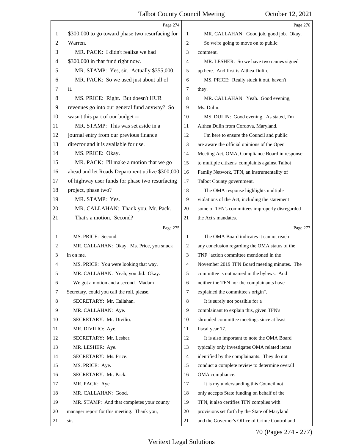|                | Page 274                                         |                | Page 276                                        |
|----------------|--------------------------------------------------|----------------|-------------------------------------------------|
| 1              | \$300,000 to go toward phase two resurfacing for | 1              | MR. CALLAHAN: Good job, good job. Okay.         |
| $\overline{c}$ | Warren.                                          | 2              | So we're going to move on to public             |
| 3              | MR. PACK: I didn't realize we had                | 3              | comment.                                        |
| 4              | \$300,000 in that fund right now.                | 4              | MR. LESHER: So we have two names signed         |
| 5              | MR. STAMP: Yes, sir. Actually \$355,000.         | 5              | up here. And first is Althea Dulin.             |
| 6              | MR. PACK: So we used just about all of           | 6              | MS. PRICE: Really stuck it out, haven't         |
| 7              | it.                                              | 7              | they.                                           |
| 8              | MS. PRICE: Right. But doesn't HUR                | 8              | MR. CALLAHAN: Yeah. Good evening,               |
| 9              | revenues go into our general fund anyway? So     | 9              | Ms. Dulin.                                      |
| 10             | wasn't this part of our budget --                | 10             | MS. DULIN: Good evening. As stated, I'm         |
| 11             | MR. STAMP: This was set aside in a               | 11             | Althea Dulin from Cordova, Maryland.            |
| 12             | journal entry from our previous finance          | 12             | I'm here to ensure the Council and public       |
| 13             | director and it is available for use.            | 13             | are aware the official opinions of the Open     |
| 14             | MS. PRICE: Okay.                                 | 14             | Meeting Act, OMA, Compliance Board in response  |
| 15             | MR. PACK: I'll make a motion that we go          | 15             | to multiple citizens' complaints against Talbot |
| 16             | ahead and let Roads Department utilize \$300,000 | 16             | Family Network, TFN, an instrumentality of      |
| 17             | of highway user funds for phase two resurfacing  | 17             | Talbot County government.                       |
| 18             | project, phase two?                              | 18             | The OMA response highlights multiple            |
| 19             | MR. STAMP: Yes.                                  | 19             | violations of the Act, including the statement  |
| 20             | MR. CALLAHAN: Thank you, Mr. Pack.               | 20             | some of TFN's committees improperly disregarded |
| 21             | That's a motion. Second?                         | 21             | the Act's mandates.                             |
|                |                                                  |                |                                                 |
|                | Page 275                                         |                | Page 277                                        |
| 1              | MS. PRICE: Second.                               | 1              | The OMA Board indicates it cannot reach         |
| 2              | MR. CALLAHAN: Okay. Ms. Price, you snuck         | 2              | any conclusion regarding the OMA status of the  |
| 3              | in on me.                                        | 3              | TNF "action committee mentioned in the          |
| 4              | MS. PRICE: You were looking that way.            | 4              | November 2019 TFN Board meeting minutes. The    |
| 5              | MR. CALLAHAN: Yeah, you did. Okay.               | 5              | committee is not named in the bylaws. And       |
| 6              | We got a motion and a second. Madam              | 6              | neither the TFN nor the complainants have       |
| 7              | Secretary, could you call the roll, please.      | $\overline{7}$ | explained the committee's origin".              |
| 8              | SECRETARY: Mr. Callahan.                         | 8              | It is surely not possible for a                 |
| 9              | MR. CALLAHAN: Aye.                               | 9              | complainant to explain this, given TFN's        |
| 10             | SECRETARY: Mr. Divilio.                          | 10             | shrouded committee meetings since at least      |
| 11             | MR. DIVILIO: Aye.                                | 11             | fiscal year 17.                                 |
| 12             | SECRETARY: Mr. Lesher.                           | 12             | It is also important to note the OMA Board      |
| 13             | MR. LESHER: Aye.                                 | 13             | typically only investigates OMA related items   |
| 14             | SECRETARY: Ms. Price.                            | 14             | identified by the complainants. They do not     |
| 15             | MS. PRICE: Aye.                                  | 15             | conduct a complete review to determine overall  |
| 16             | SECRETARY: Mr. Pack.                             | 16             | OMA compliance.                                 |
| 17             | MR. PACK: Aye.                                   | 17             | It is my understanding this Council not         |
| 18             | MR. CALLAHAN: Good.                              | 18             | only accepts State funding on behalf of the     |
| 19             | MR. STAMP: And that completes your county        | 19             | TFN, it also certifies TFN complies with        |
| 20             | manager report for this meeting. Thank you,      | 20             | provisions set forth by the State of Maryland   |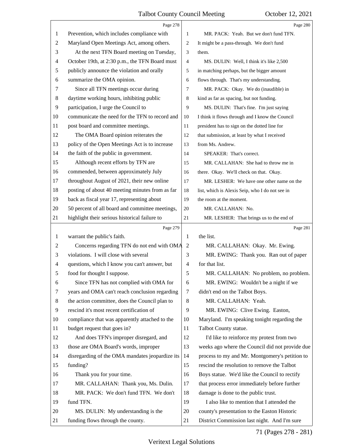|              | Page 278                                        |                | Page 280                                        |
|--------------|-------------------------------------------------|----------------|-------------------------------------------------|
| 1            | Prevention, which includes compliance with      | $\mathbf{1}$   | MR. PACK: Yeah. But we don't fund TFN.          |
| 2            | Maryland Open Meetings Act, among others.       | $\overline{2}$ | It might be a pass-through. We don't fund       |
| 3            | At the next TFN Board meeting on Tuesday,       | 3              | them.                                           |
| 4            | October 19th, at 2:30 p.m., the TFN Board must  | $\overline{4}$ | MS. DULIN: Well, I think it's like 2,500        |
| 5            | publicly announce the violation and orally      | 5              | in matching perhaps, but the bigger amount      |
| 6            | summarize the OMA opinion.                      | 6              | flows through. That's my understanding.         |
| 7            | Since all TFN meetings occur during             | 7              | MR. PACK: Okay. We do (inaudible) in            |
| 8            | daytime working hours, inhibiting public        | 8              | kind as far as spacing, but not funding.        |
| 9            | participation, I urge the Council to            | 9              | MS. DULIN: That's fine. I'm just saying         |
| 10           | communicate the need for the TFN to record and  | 10             | I think it flows through and I know the Council |
| 11           | post board and committee meetings.              | 11             | president has to sign on the dotted line for    |
| 12           | The OMA Board opinion reiterates the            | 12             | that submission, at least by what I received    |
| 13           | policy of the Open Meetings Act is to increase  | 13             | from Ms. Andrew.                                |
| 14           | the faith of the public in government.          | 14             | SPEAKER: That's correct.                        |
| 15           | Although recent efforts by TFN are              | 15             | MR. CALLAHAN: She had to throw me in            |
| 16           | commended, between approximately July           | 16             | there. Okay. We'll check on that. Okay.         |
| 17           | throughout August of 2021, their new online     | 17             | MR. LESHER: We have one other name on the       |
| 18           | posting of about 40 meeting minutes from as far | 18             | list, which is Alexis Seip, who I do not see in |
| 19           | back as fiscal year 17, representing about      | 19             | the room at the moment.                         |
| 20           | 50 percent of all board and committee meetings, | 20             | MR. CALLAHAN: No.                               |
| 21           | highlight their serious historical failure to   | 21             | MR. LESHER: That brings us to the end of        |
|              |                                                 |                |                                                 |
|              | Page 279                                        |                | Page 281                                        |
| $\mathbf{1}$ | warrant the public's faith.                     | 1              | the list.                                       |
| 2            | Concerns regarding TFN do not end with OMA      | 2              | MR. CALLAHAN: Okay. Mr. Ewing.                  |
| 3            | violations. I will close with several           | 3              | MR. EWING: Thank you. Ran out of paper          |
| 4            | questions, which I know you can't answer, but   | $\overline{4}$ | for that list.                                  |
|              | food for thought I suppose.                     | 5              | MR. CALLAHAN: No problem, no problem.           |
| 6            | Since TFN has not complied with OMA for         | 6              | MR. EWING: Wouldn't be a night if we            |
| 7            | years and OMA can't reach conclusion regarding  | 7              | didn't end on the Talbot Boys.                  |
| 8            | the action committee, does the Council plan to  | 8              | MR. CALLAHAN: Yeah.                             |
| 9            | rescind it's most recent certification of       | 9              | MR. EWING: Clive Ewing. Easton,                 |
| 10           | compliance that was apparently attached to the  | 10             | Maryland. I'm speaking tonight regarding the    |
| 11           | budget request that goes in?                    | 11             | Talbot County statue.                           |
| 12           | And does TFN's improper disregard, and          | 12             | I'd like to reinforce my protest from two       |
| 13           | those are OMA Board's words, improper           | 13             | weeks ago where the Council did not provide due |
| 14           | disregarding of the OMA mandates jeopardize its | 14             | process to my and Mr. Montgomery's petition to  |
| 15           | funding?                                        | 15             | rescind the resolution to remove the Talbot     |
| 16           | Thank you for your time.                        | 16             | Boys statue. We'd like the Council to rectify   |
| 17           | MR. CALLAHAN: Thank you, Ms. Dulin.             | 17             | that process error immediately before further   |
| 18           | MR. PACK: We don't fund TFN. We don't           | 18             | damage is done to the public trust.             |
| 19           | fund TFN.                                       | 19             | I also like to mention that I attended the      |
| 20           | MS. DULIN: My understanding is the              | 20             | county's presentation to the Easton Historic    |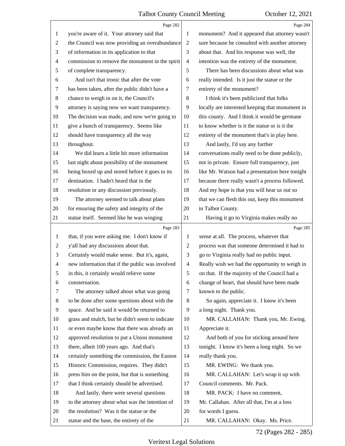<span id="page-72-0"></span>

|                          | Page 282                                        |                  | Page 284                                        |
|--------------------------|-------------------------------------------------|------------------|-------------------------------------------------|
| 1                        | you're aware of it. Your attorney said that     | 1                | monument? And it appeared that attorney wasn't  |
| $\overline{c}$           | the Council was now providing an overabundance  | $\boldsymbol{2}$ | sure because he consulted with another attorney |
| 3                        | of information in its application to that       | 3                | about that. And his response was well, the      |
| $\overline{\mathcal{A}}$ | commission to remove the monument in the spirit | $\overline{4}$   | intention was the entirety of the monument.     |
| 5                        | of complete transparency.                       | 5                | There has been discussions about what was       |
| 6                        | And isn't that ironic that after the vote       | 6                | really intended. Is it just the statue or the   |
| 7                        | has been taken, after the public didn't have a  | 7                | entirety of the monument?                       |
| $\,8\,$                  | chance to weigh in on it, the Council's         | $\,8\,$          | I think it's been publicized that folks         |
| 9                        | attorney is saying now we want transparency.    | 9                | locally are interested keeping that monument in |
| 10                       | The decision was made, and now we're going to   | 10               | this county. And I think it would be germane    |
| 11                       | give a bunch of transparency. Seems like        | 11               | to know whether is it the statue or is it the   |
| 12                       | should have transparency all the way            | 12               | entirety of the monument that's in play here.   |
| 13                       | throughout.                                     | 13               | And lastly, I'd say any further                 |
| 14                       | We did learn a little bit more information      | 14               | conversations really need to be done publicly,  |
| 15                       | last night about possibility of the monument    | 15               | not in private. Ensure full transparency, just  |
| 16                       | being boxed up and stored before it goes to its | 16               | like Mr. Watson had a presentation here tonight |
| 17                       | destination. I hadn't heard that in the         | 17               | because there really wasn't a process followed. |
| 18                       | resolution or any discussion previously.        | 18               | And my hope is that you will hear us out so     |
| 19                       | The attorney seemed to talk about plans         | 19               | that we can flesh this out, keep this monument  |
| 20                       | for ensuring the safety and integrity of the    | 20               | in Talbot County.                               |
| 21                       | statue itself. Seemed like he was winging       | 21               | Having it go to Virginia makes really no        |
|                          |                                                 |                  |                                                 |
|                          | Page 283                                        |                  | Page 285                                        |
| 1                        | that, if you were asking me. I don't know if    | 1                | sense at all. The process, whatever that        |
| $\overline{2}$           | y'all had any discussions about that.           | $\mathfrak{2}$   | process was that someone determined it had to   |
| 3                        | Certainly would make sense. But it's, again,    | 3                | go to Virginia really had no public input.      |
| $\overline{4}$           | new information that if the public was involved | $\overline{4}$   | Really wish we had the opportunity to weigh in  |
| 5                        | in this, it certainly would relieve some        | 5                | on that. If the majority of the Council had a   |
| 6                        | consternation.                                  | 6                | change of heart, that should have been made     |
| 7                        | The attorney talked about what was going        | 7                | known to the public.                            |
| 8                        | to be done after some questions about with the  | 8                | So again, appreciate it. I know it's been       |
| 9                        | space. And he said it would be returned to      | 9                | a long night. Thank you.                        |
| 10                       | grass and mulch, but he didn't seem to indicate | 10               | MR. CALLAHAN: Thank you, Mr. Ewing.             |
| 11                       | or even maybe know that there was already an    | 11               | Appreciate it.                                  |
| 12                       | approved resolution to put a Union monument     | 12               | And both of you for sticking around here        |
| 13                       | there, albeit 100 years ago. And that's         | 13               | tonight. I know it's been a long night. So we   |
| 14                       | certainly something the commission, the Easton  | 14               | really thank you.                               |
| 15                       | Historic Commission, requires. They didn't      | 15               | MR. EWING: We thank you.                        |
| 16                       | press him on the point, but that is something   | 16               | MR. CALLAHAN: Let's wrap it up with             |
| 17                       | that I think certainly should be advertised.    | 17               | Council comments. Mr. Pack.                     |
| 18                       | And lastly, there were several questions        | 18               | MR. PACK: I have no comment,                    |
| 19                       | to the attorney about what was the intention of | 19               | Mr. Callahan. After all that, I'm at a loss     |
| 20                       | the resolution? Was it the statue or the        | 20               | for words I guess.                              |

#### Veritext Legal Solutions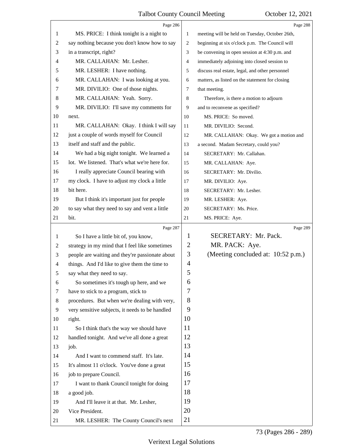<span id="page-73-0"></span>

|                | Page 286                                        |                | Page 288                                        |
|----------------|-------------------------------------------------|----------------|-------------------------------------------------|
| 1              | MS. PRICE: I think tonight is a night to        | 1              | meeting will be held on Tuesday, October 26th,  |
| $\overline{2}$ | say nothing because you don't know how to say   | $\overline{c}$ | beginning at six o'clock p.m. The Council will  |
| 3              | in a transcript, right?                         | 3              | be convening in open session at 4:30 p.m. and   |
| $\overline{4}$ | MR. CALLAHAN: Mr. Lesher.                       | 4              | immediately adjoining into closed session to    |
| 5              | MR. LESHER: I have nothing.                     | 5              | discuss real estate, legal, and other personnel |
| 6              | MR. CALLAHAN: I was looking at you.             | 6              | matters, as listed on the statement for closing |
| 7              | MR. DIVILIO: One of those nights.               | 7              | that meeting.                                   |
| 8              | MR. CALLAHAN: Yeah. Sorry.                      | 8              | Therefore, is there a motion to adjourn         |
| 9              | MR. DIVILIO: I'll save my comments for          | 9              | and to reconvene as specified?                  |
| 10             | next.                                           | 10             | MS. PRICE: So moved.                            |
| 11             | MR. CALLAHAN: Okay. I think I will say          | 11             | MR. DIVILIO: Second.                            |
| 12             | just a couple of words myself for Council       | 12             | MR. CALLAHAN: Okay. We got a motion and         |
| 13             | itself and staff and the public.                | 13             | a second. Madam Secretary, could you?           |
| 14             | We had a big night tonight. We learned a        | 14             | SECRETARY: Mr. Callahan.                        |
| 15             | lot. We listened. That's what we're here for.   | 15             | MR. CALLAHAN: Aye.                              |
| 16             | I really appreciate Council bearing with        | 16             | SECRETARY: Mr. Divilio.                         |
| 17             | my clock. I have to adjust my clock a little    | 17             | MR. DIVILIO: Aye.                               |
| 18             | bit here.                                       | 18             | SECRETARY: Mr. Lesher.                          |
| 19             | But I think it's important just for people      | 19             | MR. LESHER: Aye.                                |
| 20             | to say what they need to say and vent a little  | 20             | SECRETARY: Ms. Price.                           |
| 21             | bit.                                            | 21             | MS. PRICE: Aye.                                 |
|                |                                                 |                |                                                 |
|                | Page 287                                        |                | Page 289                                        |
| 1              | So I have a little bit of, you know,            | 1              | SECRETARY: Mr. Pack.                            |
| 2              | strategy in my mind that I feel like sometimes  | $\overline{2}$ | MR. PACK: Aye.                                  |
| 3              | people are waiting and they're passionate about | 3              | (Meeting concluded at: 10:52 p.m.)              |
| $\overline{4}$ | things. And I'd like to give them the time to   | 4              |                                                 |
| 5              | say what they need to say.                      | 5              |                                                 |
| 6              | So sometimes it's tough up here, and we         | 6              |                                                 |
| 7              | have to stick to a program, stick to            | 7              |                                                 |
| 8              | procedures. But when we're dealing with very,   | 8              |                                                 |
| 9              | very sensitive subjects, it needs to be handled | 9              |                                                 |
| 10             | right.                                          | 10             |                                                 |
| 11             | So I think that's the way we should have        | 11             |                                                 |
| 12             | handled tonight. And we've all done a great     | 12             |                                                 |
| 13             | job.                                            | 13             |                                                 |
| 14             | And I want to commend staff. It's late.         | 14             |                                                 |
| 15             | It's almost 11 o'clock. You've done a great     | 15             |                                                 |
| 16             | job to prepare Council.                         | 16             |                                                 |
| 17             | I want to thank Council tonight for doing       | 17             |                                                 |
| 18             | a good job.                                     | 18             |                                                 |
| 19             | And I'll leave it at that. Mr. Lesher,          | 19             |                                                 |
| 20             | Vice President.                                 | 20             |                                                 |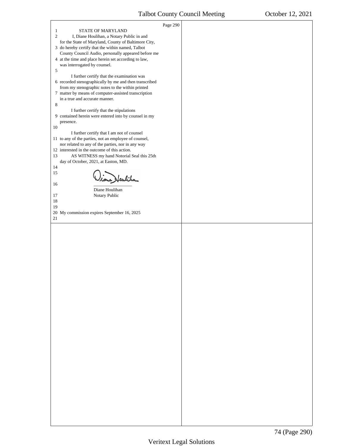<span id="page-74-0"></span>

|                                                                                                             | Page 290 |  |
|-------------------------------------------------------------------------------------------------------------|----------|--|
| <b>STATE OF MARYLAND</b><br>$\mathbf{1}$<br>2<br>I, Diane Houlihan, a Notary Public in and                  |          |  |
| for the State of Maryland, County of Baltimore City,                                                        |          |  |
| 3 do hereby certify that the within named, Talbot                                                           |          |  |
| County Council Audio, personally appeared before me<br>4 at the time and place herein set according to law, |          |  |
| was interrogated by counsel.                                                                                |          |  |
| 5                                                                                                           |          |  |
| I further certify that the examination was<br>6 recorded stenographically by me and then transcribed        |          |  |
| from my stenographic notes to the within printed                                                            |          |  |
| 7 matter by means of computer-assisted transcription                                                        |          |  |
| in a true and accurate manner.<br>8                                                                         |          |  |
| I further certify that the stipulations                                                                     |          |  |
| 9 contained herein were entered into by counsel in my                                                       |          |  |
| presence.<br>10                                                                                             |          |  |
| I further certify that I am not of counsel                                                                  |          |  |
| 11 to any of the parties, not an employee of counsel,                                                       |          |  |
| nor related to any of the parties, nor in any way<br>12 interested in the outcome of this action.           |          |  |
| 13<br>AS WITNESS my hand Notorial Seal this 25th                                                            |          |  |
| day of October, 2021, at Easton, MD.                                                                        |          |  |
| 14<br>15                                                                                                    |          |  |
| ione Heulika                                                                                                |          |  |
| 16<br>Diane Houlihan                                                                                        |          |  |
| Notary Public<br>17                                                                                         |          |  |
| 18                                                                                                          |          |  |
| 19<br>20 My commission expires September 16, 2025                                                           |          |  |
| $21\,$                                                                                                      |          |  |
|                                                                                                             |          |  |
|                                                                                                             |          |  |
|                                                                                                             |          |  |
|                                                                                                             |          |  |
|                                                                                                             |          |  |
|                                                                                                             |          |  |
|                                                                                                             |          |  |
|                                                                                                             |          |  |
|                                                                                                             |          |  |
|                                                                                                             |          |  |
|                                                                                                             |          |  |
|                                                                                                             |          |  |
|                                                                                                             |          |  |
|                                                                                                             |          |  |
|                                                                                                             |          |  |
|                                                                                                             |          |  |
|                                                                                                             |          |  |
|                                                                                                             |          |  |
|                                                                                                             |          |  |
|                                                                                                             |          |  |
|                                                                                                             |          |  |
|                                                                                                             |          |  |
|                                                                                                             |          |  |
|                                                                                                             |          |  |
|                                                                                                             |          |  |
|                                                                                                             |          |  |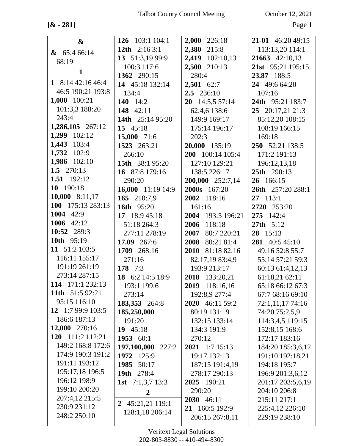**[& - 281]** Page 1

| &                 | 126 103:1 104:1         | 2,000 226:18          | $21-01$ 46:20 49:15      |
|-------------------|-------------------------|-----------------------|--------------------------|
| $\& 65:466:14$    | 12th $2:163:1$          | 2,380 215:8           | 113:13,20 114:1          |
| 68:19             | 13 $51:3,1999:9$        | 2,419 102:10,13       | $21663$ 42:10,13         |
|                   | 100:3 117:6             | 2,500 210:13          | 21st 95:21 195:15        |
| $\mathbf{1}$      | 1362 290:15             | 280:4                 | 23.87 188:5              |
| 1 8:14 42:16 46:4 | 14 45:18 132:14         | $2,501$ 62:7          | 24 49:6 64:20            |
| 46:5 190:21 193:8 | 134:4                   | 2.5 236:10            | 107:16                   |
| 1,000 100:21      | 140 $14:2$              | 20<br>14:5,5 57:14    | 24th 95:21 183:7         |
| 101:3,3 188:20    | 148 42:11               | 62:4,6 138:6          | 25 20:17,21 21:3         |
| 243:4             | <b>14th</b> 25:14 95:20 | 149:9 169:17          | 85:12,20 108:15          |
| 1,286,105 267:12  | 15 45:18                | 175:14 196:17         | 108:19 166:15            |
| 1,299 102:12      | 15,000 71:6             | 202:3                 | 169:18                   |
| 1,443 103:4       | 1523 263:21             | 20,000 135:19         | 250 52:21 138:5          |
| 1,732 102:9       | 266:10                  | 200 100:14 105:4      | 171:2 191:13             |
| 1,986 102:10      | 15th 38:1 95:20         | 127:10 129:21         | 196:12,13,18             |
| 1.5 $270:13$      | 16 87:8 179:16          | 138:5 226:17          | 25th 290:13              |
| 1.51 192:12       | 290:20                  | 200,000 252:7,14      | 26 166:15                |
| 10 190:18         | 16,000 11:19 14:9       | <b>2000s</b> 167:20   | <b>26th</b> 257:20 288:1 |
| 10,000 8:11,17    | 165 210:7,9             | 2002 118:16           | $27 \quad 113:1$         |
| 100 175:13 283:13 | 16th 95:20              | 161:16                | 2720 253:20              |
| 1004 42:9         | 17 18:9 45:18           | 2004 193:5 196:21     | 275 142:4                |
| 1006 42:12        | 51:18 264:3             | 2006<br>118:18        | 27th 5:12                |
| 10:52 289:3       | 277:11 278:19           | 2007 80:7 220:21      | 28 15:13                 |
| 10th 95:19        | 17.09 267:6             | 2008 80:21 81:4       | 281 40:5 45:10           |
| 11 51:2 103:5     | 1709 268:16             | 2010<br>81:18 82:16   | 49:16 52:8 55:7          |
| 116:11 155:17     | 271:16                  | 82:17,19 83:4,9       | 55:14 57:21 59:3         |
| 191:19 261:19     | 178 7:3                 | 193:9 213:17          | 60:13 61:4,12,13         |
| 273:14 287:15     | 18 6:2 14:5 18:9        | 2018 133:20,21        | 61:18,21 62:11           |
| 114 171:1 232:13  | 193:1 199:6             | 2019 118:16,16        | 65:18 66:12 67:3         |
| 11th 51:5 92:21   | 273:14                  | 192:8,9 277:4         | 67:7 68:16 69:10         |
| 95:15 116:10      | 183,353 264:8           | 2020 46:11 59:2       | 72:1,11,17 74:16         |
| 12 1:7 99:9 103:5 | 185,250,000             | 80:19 131:19          | 74:20 75:2,5,9           |
| 186:6 187:13      | 191:20                  | 132:15 133:14         | 114:3,4,5 119:15         |
| 12,000 270:16     | 19 $45:18$              | 134:3 191:9           | 152:8,15 168:6           |
| 120 111:2 112:21  | 1953 60:1               | 270:12                | 172:17 183:16            |
| 149:2 168:8 172:6 | 197,100,000 227:2       | $2021 \quad 1:715:13$ | 184:20 185:3,6,12        |
| 174:9 190:3 191:2 | 1972 125:9              | 19:17 132:13          | 191:10 192:18,21         |
| 191:11 193:12     | 1985<br>50:17           | 187:15 191:4,19       | 194:18 195:7             |
| 195:17,18 196:5   | <b>19th</b> 278:4       | 278:17 290:13         | 196:9 201:3,6,12         |
| 196:12 198:9      | 1st $7:1,3,7$ 13:3      | 2025 190:21           | 201:17 203:5,6,19        |
| 199:10 200:20     | $\overline{2}$          | 290:20                | 204:10 206:8             |
| 207:4,12 215:5    | 2 45:21,21 119:1        | 2030 46:11            | 215:11 217:1             |
| 230:9 231:12      | 128:1,18 206:14         | 21 160:5 192:9        | 225:4,12 226:10          |
| 248:2 250:10      |                         | 206:15 267:8,11       | 229:19 238:10            |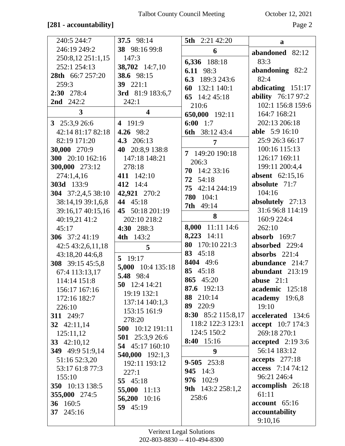## **[281 - accountability]** Page 2

| 240:5 244:7        | 37.5 98:14              | 5th 2:21 42:20              | a                         |
|--------------------|-------------------------|-----------------------------|---------------------------|
| 246:19 249:2       | 38 98:16 99:8           | 6                           | abandoned 82:12           |
| 250:8,12 251:1,15  | 147:3                   | 6,336 188:18                | 83:3                      |
| 252:1 254:13       | 38,702 14:7,10          | 6.11 98:3                   | abandoning 82:2           |
| 28th 66:7 257:20   | 38.6 98:15              | 6.3 189:3 243:6             | 82:4                      |
| 259:3              | 39 221:1                | 132:1 140:1<br>60           | abdicating 151:17         |
| 2:30 278:4         | 3rd 81:9 183:6,7        | 65 14:2 45:18               | <b>ability</b> 76:17 97:2 |
| 2nd 242:2          | 242:1                   | 210:6                       | 102:1 156:8 159:6         |
| $\mathbf{3}$       | $\overline{\mathbf{4}}$ | 650,000 192:11              | 164:7 168:21              |
| 3 $25:3,926:6$     | 4 191:9                 | $6:00 \quad 1:7$            | 202:13 206:18             |
| 42:14 81:17 82:18  | 4.26 98:2               | <b>6th</b> 38:12 43:4       | <b>able</b> 5:9 16:10     |
| 82:19 171:20       | 4.3 206:13              | $\overline{7}$              | 25:9 26:3 66:17           |
| 30,000 270:9       | 20:8,9 138:8<br>40      |                             | 100:16 115:13             |
| 300 20:10 162:16   | 147:18 148:21           | 149:20 190:18<br>7          | 126:17 169:11             |
| 300,000 273:12     | 278:18                  | 206:3                       | 199:11 200:4,4            |
| 274:1,4,16         | 411 142:10              | $70$ 14:2 33:16<br>72       | absent 62:15,16           |
| <b>303d</b> 133:9  | 412 14:4                | 54:18<br>75<br>42:14 244:19 | absolute 71:7             |
| 304 37:2,4,5 38:10 | 42,921 270:2            | 780<br>104:1                | 104:16                    |
| 38:14,19 39:1,6,8  | 44 45:18                | <b>7th</b> 49:14            | absolutely 27:13          |
| 39:16,17 40:15,16  | 45 50:18 201:19         |                             | 31:6 96:8 114:19          |
| 40:19,21 41:2      | 202:10 218:2            | 8                           | 160:9 224:4               |
| 45:17              | 4:30 288:3              | 8,000 11:11 14:6            | 262:10                    |
| 306 37:241:19      | 4th 143:2               | 8,223 14:11                 | absorb $169:7$            |
| 42:5 43:2,6,11,18  | 5                       | 80<br>170:10 221:3          | absorbed 229:4            |
| 43:18,20 44:6,8    | 5 $19:17$               | 45:18<br>83                 | absorbs $221:4$           |
| 308 39:15 45:5,8   | 5,000 10:4 135:18       | 8404 49:6                   | abundance 214:7           |
| 67:4 113:13,17     | 5.48 98:4               | 85 45:18                    | abundant 213:19           |
| 114:14 151:8       | 50 12:4 14:21           | 865 45:20                   | abuse $21:1$              |
| 156:17 167:16      | 19:19 132:1             | 87.6 192:13                 | academic 125:18           |
| 172:16 182:7       | 137:14 140:1,3          | 88 210:14                   | academy 19:6,8            |
| 226:10             | 153:15 161:9            | 89 220:9                    | 19:10                     |
| 311 249:7          | 278:20                  | 8:30 85:2 115:8,17          | accelerated 134:6         |
| 32 42:11,14        | 10:12 191:11<br>500     | 118:2 122:3 123:1           | <b>accept</b> 10:7 174:3  |
| 125:11,12          | 501 25:3,9 26:6         | 124:5 150:2                 | 269:18 270:1              |
| 33 42:10,12        | 54 45:17 160:10         | 8:40 15:16                  | accepted $2:193:6$        |
| 349 49:9 51:9,14   | 540,000 192:1,3         | 9                           | 56:14 183:12              |
| 51:16 52:3,20      | 192:11 193:12           | $9 - 505$ 253:8             | accepts 277:18            |
| 53:17 61:8 77:3    | 227:1                   | <b>945</b> 14:3             | access 7:14 74:12         |
| 155:10             | 55 45:18                | <b>976</b> 102:9            | 96:21 246:4               |
| 350 10:13 138:5    | 55,000 11:13            | 9th 143:2 258:1,2           | accomplish 26:18<br>61:11 |
| 355,000 274:5      | 56,200 10:16            | 258:6                       | account 65:16             |
| 36 160:5           | 59 45:19                |                             | accountability            |
| 37 245:16          |                         |                             | 9:10,16                   |
|                    |                         |                             |                           |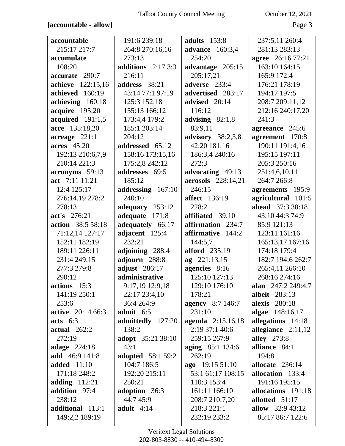### **[accountable - allow]** Page 3

| accountable         | 191:6 239:18             | <b>adults</b> 153:8       | 237:5,11 260:4          |
|---------------------|--------------------------|---------------------------|-------------------------|
| 215:17 217:7        | 264:8 270:16,16          | <b>advance</b> 160:3,4    | 281:13 283:13           |
| accumulate          | 273:13                   | 254:20                    | agree 26:16 77:21       |
| 108:20              | additions $2:173:3$      | advantage 205:15          | 163:10 164:15           |
| accurate 290:7      | 216:11                   | 205:17,21                 | 165:9 172:4             |
| achieve 122:15,16   | address 38:21            | adverse 233:4             | 176:21 178:19           |
| achieved 160:19     | 43:14 77:1 97:19         | advertised 283:17         | 194:17 197:5            |
| achieving 160:18    | 125:3 152:18             | advised 20:14             | 208:7 209:11,12         |
| acquire 195:20      | 155:13 166:12            | 116:12                    | 212:16 240:17,20        |
| acquired $191:1,5$  | 173:4,4 179:2            | advising $82:1,8$         | 241:3                   |
| acre 135:18,20      | 185:1 203:14             | 83:9,11                   | agreeance 245:6         |
| $acreage$ 221:1     | 204:12                   | advisory 38:2,3,8         | agreement 170:8         |
| <b>acres</b> 45:20  | addressed 65:12          | 42:20 181:16              | 190:11 191:4,16         |
| 192:13 210:6,7,9    | 158:16 173:15,16         | 186:3,4 240:16            | 195:15 197:11           |
| 210:14 221:3        | 175:2,8 242:12           | 272:3                     | 205:3 250:16            |
| acronyms 59:13      | addresses 69:5           | advocating 49:13          | 251:4,6,10,11           |
| act 7:11 11:21      | 185:12                   | <b>aerosols</b> 228:14,21 | 264:7 266:8             |
| 12:4 125:17         | addressing 167:10        | 246:15                    | agreements 195:9        |
| 276:14,19 278:2     | 240:10                   | <b>affect</b> 136:19      | agricultural 101:5      |
| 278:13              | adequacy 253:12          | 228:2                     | <b>ahead</b> 37:3 38:18 |
| act's 276:21        | adequate 171:8           | affiliated 39:10          | 43:10 44:3 74:9         |
| action 38:5 58:18   | adequately 66:17         | affirmation 234:7         | 85:9 121:13             |
| 71:12,14 127:17     | adjacent 125:4           | affirmative<br>144:2      | 123:11 161:16           |
| 152:11 182:19       | 232:21                   | 144:5,7                   | 165:13,17 167:16        |
| 189:11 226:11       | adjoining 288:4          | <b>afford</b> 235:19      | 174:18 179:4            |
| 231:4 249:15        | adjourn 288:8            | ag 221:13,15              | 182:7 194:6 262:7       |
| 277:3 279:8         | adjust 286:17            | agencies 8:16             | 265:4,11 266:10         |
| 290:12              | administrative           | 125:10 127:13             | 268:16 274:16           |
| actions 15:3        | 9:17,19 12:9,18          | 129:10 176:10             | alan 247:2 249:4,7      |
| 141:19 250:1        | 22:17 23:4,10            | 178:21                    | <b>albeit</b> 283:13    |
| 253:6               | 36:4 264:9               | <b>agency</b> 8:7 146:7   | <b>alexis</b> 280:18    |
| active 20:14 66:3   | admit $6:5$              | 231:10                    | algae 148:16,17         |
| acts $6:3$          | admittedly 127:20        | agenda 2:15,16,18         | allegations 14:18       |
| actual $262:2$      | 138:2                    | 2:19 37:1 40:6            | allegiance $2:11,12$    |
| 272:19              | <b>adopt</b> 35:21 38:10 | 259:15 267:9              | <b>alley</b> 273:8      |
| <b>adage</b> 224:18 | 43:1                     | aging 85:1 134:6          | alliance 84:1           |
| add 46:9 141:8      | <b>adopted</b> 58:1 59:2 | 262:19                    | 194:8                   |
| <b>added</b> 11:10  | 104:7 186:5              | ago 19:15 51:10           | allocate 236:14         |
| 171:18 248:2        | 192:20 215:11            | 53:1 61:17 108:15         | allocation 133:4        |
| adding $112:21$     | 250:21                   | 110:3 153:4               | 191:16 195:15           |
| addition 97:4       | adoption 36:3            | 161:11 166:10             | allocations 191:18      |
| 238:12              | 44:7 45:9                | 208:7 210:7,20            | allotted 51:17          |
| additional 113:1    | adult $4:14$             | 218:3 221:1               | <b>allow</b> 32:9 43:12 |
| 149:2,2 189:19      |                          | 232:19 233:2              | 85:17 86:7 122:6        |
|                     |                          |                           |                         |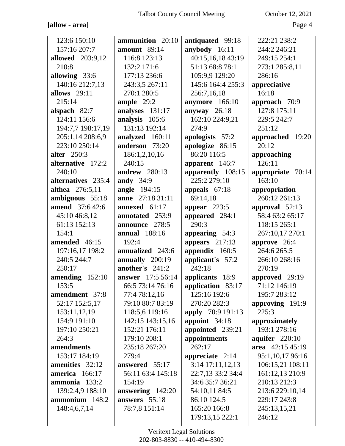### [allow - area]

| 123:6 150:10            | ammunition 20:10         | antiquated 99:18         | 222:21 238:2      |
|-------------------------|--------------------------|--------------------------|-------------------|
| 157:16 207:7            | <b>amount</b> 89:14      | anybody 16:11            | 244:2 246:21      |
| <b>allowed</b> 203:9,12 | 116:8 123:13             | 40:15,16,18 43:19        | 249:15 254:1      |
| 210:8                   | 132:2 171:6              | 51:13 68:8 78:1          | 273:1 285:8,11    |
| allowing 33:6           | 177:13 236:6             | 105:9,9 129:20           | 286:16            |
| 140:16 212:7,13         | 243:3,5 267:11           | 145:6 164:4 255:3        | appreciative      |
| allows 29:11            | 270:1 280:5              | 256:7,16,18              | 16:18             |
| 215:14                  | ample $29:2$             | anymore 166:10           | approach 70:9     |
| alspach $82:7$          | analyses 131:17          | anyway $26:18$           | 127:8 175:11      |
| 124:11 156:6            | analysis 105:6           | 162:10 224:9,21          | 229:5 242:7       |
| 194:7,7 198:17,19       | 131:13 192:14            | 274:9                    | 251:12            |
| 205:1,14 208:6,9        | analyzed 160:11          | apologists 57:2          | approached 19:20  |
| 223:10 250:14           | anderson 73:20           | apologize 86:15          | 20:12             |
| <b>alter</b> 250:3      | 186:1,2,10,16            | 86:20 116:5              | approaching       |
| alternative 172:2       | 240:15                   | apparent 146:7           | 126:11            |
| 240:10                  | <b>andrew</b> 280:13     | apparently 108:15        | appropriate 70:14 |
| alternatives 235:4      | andy 34:9                | 225:2 279:10             | 163:10            |
| althea 276:5,11         | angle 194:15             | appeals 67:18            | appropriation     |
| ambiguous 55:18         | anne 27:18 31:11         | 69:14,18                 | 260:12 261:13     |
| <b>amend</b> 37:6 42:6  | annexed 61:17            | appear $223:5$           | approval 52:13    |
| 45:10 46:8,12           | annotated 253:9          | appeared 284:1           | 58:4 63:2 65:17   |
| 61:13 152:13            | announce 278:5           | 290:3                    | 118:15 265:1      |
| 154:1                   | <b>annual</b> 188:16     | appearing 54:3           | 267:10,17 270:1   |
| amended 46:15           | 192:4                    | appears $217:13$         | approve $26:4$    |
| 197:16,17 198:2         | annualized 243:6         | appendix 160:5           | 264:6 265:5       |
| 240:5 244:7             | annually 200:19          | applicant's 57:2         | 266:10 268:16     |
| 250:17                  | another's $241:2$        | 242:18                   | 270:19            |
| amending 152:10         | <b>answer</b> 17:5 56:14 | applicants 18:9          | approved 29:19    |
| 153:5                   | 66:5 73:14 76:16         | application 83:17        | 71:12 146:19      |
| amendment 37:8          | 77:4 78:12,16            | 125:16 192:6             | 195:7 283:12      |
| 52:17 152:5,17          | 79:10 80:7 83:19         | 270:20 282:3             | approving 191:9   |
| 153:11,12,19            | 118:5,6 119:16           | <b>apply</b> 70:9 191:13 | 225:3             |
| 154:9 191:10            | 142:15 143:15,16         | appoint $34:18$          | approximately     |
| 197:10 250:21           | 152:21 176:11            | appointed 239:21         | 193:1 278:16      |
| 264:3                   | 179:10 208:1             | appointments             | aquifer 220:10    |
| amendments              | 235:18 267:20            | 262:17                   | area 42:15 45:19  |
| 153:17 184:19           | 279:4                    | appreciate $2:14$        | 95:1,10,17 96:16  |
| amenities 32:12         | answered 55:17           | $3:14$ 17:11,12,13       | 106:15,21 108:11  |
| america 166:17          | 56:11 63:4 145:18        | 22:7,13 33:2 34:4        | 161:12,13 210:9   |
| ammonia 133:2           | 154:19                   | 34:6 35:7 36:21          | 210:13 212:3      |
| 139:2,4,9 188:10        | answering $142:20$       | 54:10,11 84:5            | 213:6 229:10,14   |
| ammonium 148:2          | answers 55:18            | 86:10 124:5              | 229:17 243:8      |
| 148:4,6,7,14            | 78:7,8 151:14            | 165:20 166:8             | 245:13,15,21      |
|                         |                          | 179:13,15 222:1          | 246:12            |
|                         |                          |                          |                   |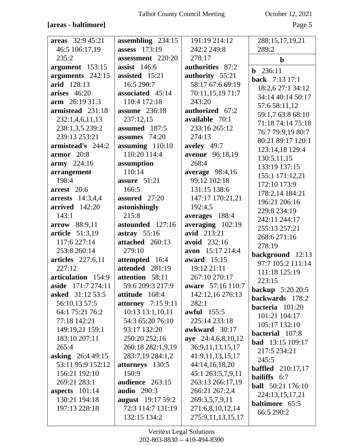### **[areas - baltimore]** Page 5

| areas 32:9 45:21         | assembling $234:15$       | 191:19 214:12           | 288:15,17,19,21          |
|--------------------------|---------------------------|-------------------------|--------------------------|
| 46:5 106:17,19           | <b>assess</b> 173:19      | 242:2 249:8             | 289:2                    |
| 235:2                    | assessment 220:20         | 278:17                  | $\mathbf b$              |
| argument 153:15          | assist $146:6$            | authorities 87:2        | $b$ 236:11               |
| arguments 242:15         | assisted 15:21            | authority 55:21         | back 7:13 17:1           |
| arid 128:13              | 16:5 290:7                | 58:17 67:6 69:19        | 18:2,6 27:1 34:12        |
| arises $46:20$           | associated 45:14          | 70:11,15,19 71:7        | 34:14 40:14 50:17        |
| $arm \quad 26:1931:3$    | 110:4 172:18              | 243:20                  | 57:6 58:11,12            |
| armistead 231:18         | <b>assume</b> 236:18      | authorized 67:2         | 59:1,7 63:8 68:10        |
| 232:1,4,6,11,13          | 237:12,15                 | available 70:1          | 71:18 74:14 75:18        |
| 238:1,3,5 239:2          | assumed 187:5             | 233:16 265:12           |                          |
| 239:13 253:21            | assumes 74:20             | 274:13                  | 76:7 79:9,19 80:7        |
| armistead's 244:2        | assuming 110:10           | aveley 49:7             | 80:21 89:17 120:1        |
| $\textbf{armor}$ 20:8    | 110:20 114:4              | avenue 96:18,19         | 123:14,18 129:4          |
| army 224:16              | assumption                | 268:4                   | 130:5,11,15              |
| arrangement              | 110:14                    | <b>average</b> 98:4,16  | 133:19 137:15            |
| 198:4                    | assure 51:21              | 99:12 102:18            | 155:1 171:12,21          |
| arrest 20:6              | 166:5                     | 131:15 138:6            | 172:10 173:9             |
| <b>arrests</b> 14:3,4,4  | assured 27:20             | 147:17 170:21,21        | 178:2,14 184:21          |
| <b>arrived</b> 142:20    | astonishingly             | 192:4,5                 | 196:21 206:16            |
| 143:1                    | 215:8                     | averages 188:4          | 229:8 234:19             |
| arrow 88:9,11            | astounded 127:16          | averaging 102:19        | 242:11 244:17            |
| <b>article</b> 51:3,19   | astray $55:16$            | avid 213:21             | 255:13 257:21            |
| 117:6 227:14             | attached 260:13           | avoid 232:16            | 268:6 271:16             |
| 253:8 260:14             | 279:10                    | <b>avon</b> 15:17 214:4 | 278:19                   |
| <b>articles</b> 227:6,11 | attempted 16:4            | award $15:15$           | background 12:13         |
| 227:12                   | attended 281:19           | 19:12 21:11             | 97:7 105:2 111:14        |
| articulation 154:9       | attention 58:11           | 267:10 270:17           | 111:18 125:19            |
| aside 171:7 274:11       | 59:6 209:3 217:9          | aware 57:16 110:7       | 223:15                   |
| <b>asked</b> 31:12 53:5  | attitude 168:4            | 142:12,16 276:13        | backup 5:20 20:5         |
| 56:10,13 57:5            | <b>attorney</b> 7:15 9:11 | 282:1                   | backwards 178:2          |
| 64:1 75:21 76:2          | 10:13 13:1,10,11          | awful $155:5$           | bacteria 101:20          |
| 77:18 142:21             | 54:3 65:20 76:10          | 225:14 233:18           | 101:21 104:17            |
| 149:19,21 159:1          | 93:17 132:20              | awkward 30:17           | 105:17 132:10            |
| 183:10 207:11            | 250:20 252:16             | aye $24:4,6,8,10,12$    | bacterial 107:8          |
| 265:4                    | 260:18 282:1,9,19         | 36:9,11,13,15,17        | <b>bad</b> 13:15 109:17  |
| <b>asking</b> 26:4 49:15 | 283:7,19 284:1,2          | 41:9,11,13,15,17        | 217:5 234:21             |
| 53:11 95:9 152:12        | attorneys 130:5           | 44:14,16,18,20          | 245:5                    |
| 156:21 192:10            | 150:9                     | 45:1 263:5,7,9,11       | <b>baffled</b> 210:17,17 |
| 269:21 283:1             | audience 263:15           | 263:13 266:17,19        | <b>bailiffs</b> 6:7      |
| aspects $101:14$         | <b>audio</b> 290:3        | 266:21 267:2,4          | <b>ball</b> 50:21 176:10 |
| 130:21 194:18            | august 19:17 59:2         | 269:3,5,7,9,11          | 224:13,15,17,21          |
| 197:13 228:18            | 72:3 114:7 131:19         | 271:6,8,10,12,14        | <b>baltimore</b> 65:5    |
|                          | 132:15 134:2              | 275:9,11,13,15,17       | 66:5 290:2               |
|                          |                           |                         |                          |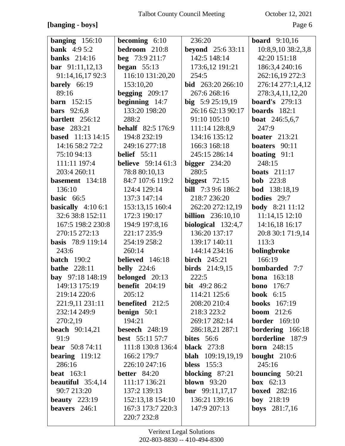## **[banging - boys]** Page 6

| banging $156:10$           | <b>becoming</b> $6:10$    | 236:20                     | <b>board</b> $9:10,16$ |
|----------------------------|---------------------------|----------------------------|------------------------|
| <b>bank</b> $4:95:2$       | bedroom 210:8             | <b>beyond</b> $25:633:11$  | 10:8,9,10 38:2,3,8     |
| <b>banks</b> 214:16        | beg $73:9211:7$           | 142:5 148:14               | 42:20 151:18           |
| <b>bar</b> $91:11,12,13$   | began $55:13$             | 173:6,12 191:21            | 186:3,4 240:16         |
| 91:14,16,17 92:3           | 116:10 131:20,20          | 254:5                      | 262:16,19 272:3        |
| barely 66:19               | 153:10,20                 | <b>bid</b> 263:20 266:10   | 276:14 277:1,4,12      |
| 89:16                      | begging $209:17$          | 267:6 268:16               | 278:3,4,11,12,20       |
| <b>barn</b> 152:15         | beginning $14:7$          | big $5:925:19,19$          | <b>board's</b> 279:13  |
| <b>bars</b> 92:6,8         | 133:20 198:20             | 26:16 62:13 90:17          | boards $182:1$         |
| bartlett 256:12            | 288:2                     | 91:10 105:10               | <b>boat</b> 246:5,6,7  |
| <b>base</b> 283:21         | <b>behalf</b> 82:5 176:9  | 111:14 128:8,9             | 247:9                  |
| <b>based</b> 11:13 14:15   | 194:8 232:19              | 134:16 135:12              | <b>boater</b> 213:21   |
| 14:16 58:2 72:2            | 249:16 277:18             | 166:3 168:18               | boaters $90:11$        |
| 75:10 94:13                | <b>belief</b> 55:11       | 245:15 286:14              | boating $91:1$         |
| 111:11 197:4               | <b>believe</b> 59:14 61:3 | bigger $234:20$            | 248:15                 |
| 203:4 260:11               | 78:8 80:10,13             | 280:5                      | boats $211:17$         |
| basement 134:18            | 84:7 107:6 119:2          | biggest $72:15$            | <b>bob</b> 223:8       |
| 136:10                     | 124:4 129:14              | <b>bill</b> 7:3 9:6 186:2  | <b>bod</b> 138:18,19   |
| basic $66:5$               | 137:3 147:14              | 218:7 236:20               | <b>bodies</b> 29:7     |
| basically $4:106:1$        | 153:13,15 160:4           | 262:20 272:12,19           | <b>body</b> 8:21 11:12 |
| 32:6 38:8 152:11           | 172:3 190:17              | <b>billion</b> $236:10,10$ | 11:14,15 12:10         |
| 167:5 198:2 230:8          | 194:9 197:8,16            | biological $132:4,7$       | 14:16,18 16:17         |
| 270:15 272:13              | 221:17 235:9              | 136:20 137:17              | 20:8 30:1 71:9,14      |
| <b>basis</b> 78:9 119:14   | 254:19 258:2              | 139:17 140:11              | 113:3                  |
| 243:6                      | 260:14                    | 144:14 234:16              | bolingbroke            |
| batch $190:2$              | believed 146:18           | <b>birch</b> 245:21        | 166:19                 |
| <b>bathe</b> 228:11        | <b>belly</b> 224:6        | <b>birds</b> $214:9,15$    | <b>bombarded</b> 7:7   |
| bay 97:18 148:19           | belonged 20:13            | 222:5                      | <b>bona</b> 163:18     |
| 149:13 175:19              | benefit $204:19$          | bit 49:2 86:2              | <b>bono</b> 176:7      |
| 219:14 220:6               | 205:12                    | 114:21 125:6               | <b>book</b> $6:15$     |
| 221:9,11 231:11            | <b>benefited</b> 212:5    | 208:20 210:4               | <b>books</b> 167:19    |
| 232:14 249:9               | <b>benign</b> $50:1$      | 218:3 223:2                | <b>boom</b> $212:6$    |
| 270:2,19                   | 194:21                    | 269:17 282:14              | <b>border</b> 169:10   |
| <b>beach</b> $90:14,21$    | beseech $248:19$          | 286:18,21 287:1            | bordering 166:18       |
| 91:9                       | <b>best</b> $55:11\,57:7$ | <b>bites</b> 56:6          | borderline 187:9       |
| <b>bear</b> $50:874:11$    | 111:8 130:8 136:4         | <b>black</b> 273:8         | <b>born</b> 248:15     |
| bearing $119:12$           | 166:2 179:7               | <b>blah</b> 109:19,19,19   | <b>bought</b> $210:6$  |
| 286:16                     | 226:10 247:16             | <b>bless</b> 155:3         | 245:16                 |
| <b>beat</b> 163:1          | <b>better</b> 84:20       | blocking 87:21             | bouncing $50:21$       |
| <b>beautiful</b> $35:4,14$ | 111:17 136:21             | blown $93:20$              | <b>box</b> $62:13$     |
| 90:7 213:20                | 137:2 139:13              | <b>bnr</b> $99:11,17,17$   | <b>boxed</b> 282:16    |
| beauty $223:19$            | 152:13,18 154:10          | 136:21 139:16              | <b>boy</b> $218:19$    |
| beavers 246:1              | 167:3 173:7 220:3         | 147:9 207:13               | <b>boys</b> $281:7,16$ |
|                            | 220:7 232:8               |                            |                        |
|                            |                           |                            |                        |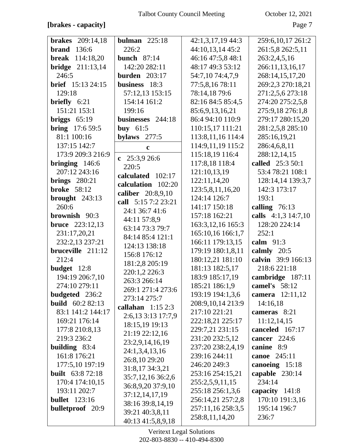### **[brakes - capacity]** Page 7

| bulman $225:18$<br>42:1,3,17,19 44:3<br><b>brakes</b><br>209:14,18<br>259:6, 10, 17 261:2<br>44:10,13,14 45:2<br><b>brand</b><br>136:6<br>226:2<br>261:5,8 262:5,11<br><b>break</b> 114:18,20<br>46:16 47:5,8 48:1<br>263:2,4,5,16<br>bunch $87:14$<br><b>bridge</b> $211:13,14$<br>142:20 282:11<br>48:17 49:3 53:12<br>266:11,13,16,17<br>54:7,10 74:4,7,9<br>246:5<br><b>burden</b> 203:17<br>268:14,15,17,20<br>brief 15:13 24:15<br>business 18:3<br>77:5,8,16 78:11<br>269:2,3 270:18,21<br>57:12,13 153:15<br>129:18<br>78:14,18 79:6<br>271:2,5,6 273:18<br>82:16 84:5 85:4,5<br>274:20 275:2,5,8<br><b>briefly</b> $6:21$<br>154:14 161:2<br>151:21 153:1<br>85:6,9,13,16,21<br>275:9,18 276:1,8<br>199:16<br>businesses 244:18<br>86:4 94:10 110:9<br>279:17 280:15,20<br>$briggs$ 65:19<br><b>bring</b> $17:659:5$<br>buy $61:5$<br>110:15,17 111:21<br>281:2,5,8 285:10<br>113:8, 11, 16 114:4<br>81:1 100:16<br>bylaws $277:5$<br>285:16,19,21<br>114:9,11,19 115:2<br>137:15 142:7<br>286:4,6,8,11<br>$\mathbf c$<br>115:18,19 116:4<br>288:12,14,15<br>173:9 209:3 216:9<br>c $25:3,926:6$<br>117:8,18 118:4<br>called 25:3 50:1<br>bringing $146:6$<br>220:5<br>207:12 243:16<br>121:10,13,19<br>53:4 78:21 108:1<br>calculated 102:17<br>122:11,14,20<br>128:14,14 139:3,7<br>$brings$ 280:21<br>calculation 102:20<br>123:5,8,11,16,20<br>142:3 173:17<br><b>broke</b> 58:12<br>caliber 20:8,9,10<br>124:14 126:7<br>193:1<br>brought $243:13$<br>call 5:15 7:2 23:21<br>260:6<br>calling 76:13<br>141:17 150:18<br>24:1 36:7 41:6 |
|------------------------------------------------------------------------------------------------------------------------------------------------------------------------------------------------------------------------------------------------------------------------------------------------------------------------------------------------------------------------------------------------------------------------------------------------------------------------------------------------------------------------------------------------------------------------------------------------------------------------------------------------------------------------------------------------------------------------------------------------------------------------------------------------------------------------------------------------------------------------------------------------------------------------------------------------------------------------------------------------------------------------------------------------------------------------------------------------------------------------------------------------------------------------------------------------------------------------------------------------------------------------------------------------------------------------------------------------------------------------------------------------------------------------------------------------------------------------------------------------------------------------------------------------------|
|                                                                                                                                                                                                                                                                                                                                                                                                                                                                                                                                                                                                                                                                                                                                                                                                                                                                                                                                                                                                                                                                                                                                                                                                                                                                                                                                                                                                                                                                                                                                                      |
|                                                                                                                                                                                                                                                                                                                                                                                                                                                                                                                                                                                                                                                                                                                                                                                                                                                                                                                                                                                                                                                                                                                                                                                                                                                                                                                                                                                                                                                                                                                                                      |
|                                                                                                                                                                                                                                                                                                                                                                                                                                                                                                                                                                                                                                                                                                                                                                                                                                                                                                                                                                                                                                                                                                                                                                                                                                                                                                                                                                                                                                                                                                                                                      |
|                                                                                                                                                                                                                                                                                                                                                                                                                                                                                                                                                                                                                                                                                                                                                                                                                                                                                                                                                                                                                                                                                                                                                                                                                                                                                                                                                                                                                                                                                                                                                      |
|                                                                                                                                                                                                                                                                                                                                                                                                                                                                                                                                                                                                                                                                                                                                                                                                                                                                                                                                                                                                                                                                                                                                                                                                                                                                                                                                                                                                                                                                                                                                                      |
|                                                                                                                                                                                                                                                                                                                                                                                                                                                                                                                                                                                                                                                                                                                                                                                                                                                                                                                                                                                                                                                                                                                                                                                                                                                                                                                                                                                                                                                                                                                                                      |
|                                                                                                                                                                                                                                                                                                                                                                                                                                                                                                                                                                                                                                                                                                                                                                                                                                                                                                                                                                                                                                                                                                                                                                                                                                                                                                                                                                                                                                                                                                                                                      |
|                                                                                                                                                                                                                                                                                                                                                                                                                                                                                                                                                                                                                                                                                                                                                                                                                                                                                                                                                                                                                                                                                                                                                                                                                                                                                                                                                                                                                                                                                                                                                      |
|                                                                                                                                                                                                                                                                                                                                                                                                                                                                                                                                                                                                                                                                                                                                                                                                                                                                                                                                                                                                                                                                                                                                                                                                                                                                                                                                                                                                                                                                                                                                                      |
|                                                                                                                                                                                                                                                                                                                                                                                                                                                                                                                                                                                                                                                                                                                                                                                                                                                                                                                                                                                                                                                                                                                                                                                                                                                                                                                                                                                                                                                                                                                                                      |
|                                                                                                                                                                                                                                                                                                                                                                                                                                                                                                                                                                                                                                                                                                                                                                                                                                                                                                                                                                                                                                                                                                                                                                                                                                                                                                                                                                                                                                                                                                                                                      |
|                                                                                                                                                                                                                                                                                                                                                                                                                                                                                                                                                                                                                                                                                                                                                                                                                                                                                                                                                                                                                                                                                                                                                                                                                                                                                                                                                                                                                                                                                                                                                      |
|                                                                                                                                                                                                                                                                                                                                                                                                                                                                                                                                                                                                                                                                                                                                                                                                                                                                                                                                                                                                                                                                                                                                                                                                                                                                                                                                                                                                                                                                                                                                                      |
|                                                                                                                                                                                                                                                                                                                                                                                                                                                                                                                                                                                                                                                                                                                                                                                                                                                                                                                                                                                                                                                                                                                                                                                                                                                                                                                                                                                                                                                                                                                                                      |
|                                                                                                                                                                                                                                                                                                                                                                                                                                                                                                                                                                                                                                                                                                                                                                                                                                                                                                                                                                                                                                                                                                                                                                                                                                                                                                                                                                                                                                                                                                                                                      |
|                                                                                                                                                                                                                                                                                                                                                                                                                                                                                                                                                                                                                                                                                                                                                                                                                                                                                                                                                                                                                                                                                                                                                                                                                                                                                                                                                                                                                                                                                                                                                      |
|                                                                                                                                                                                                                                                                                                                                                                                                                                                                                                                                                                                                                                                                                                                                                                                                                                                                                                                                                                                                                                                                                                                                                                                                                                                                                                                                                                                                                                                                                                                                                      |
|                                                                                                                                                                                                                                                                                                                                                                                                                                                                                                                                                                                                                                                                                                                                                                                                                                                                                                                                                                                                                                                                                                                                                                                                                                                                                                                                                                                                                                                                                                                                                      |
|                                                                                                                                                                                                                                                                                                                                                                                                                                                                                                                                                                                                                                                                                                                                                                                                                                                                                                                                                                                                                                                                                                                                                                                                                                                                                                                                                                                                                                                                                                                                                      |
|                                                                                                                                                                                                                                                                                                                                                                                                                                                                                                                                                                                                                                                                                                                                                                                                                                                                                                                                                                                                                                                                                                                                                                                                                                                                                                                                                                                                                                                                                                                                                      |
| calls 4:1,3 14:7,10<br>brownish 90:3<br>157:18 162:21<br>44:11 57:8,9                                                                                                                                                                                                                                                                                                                                                                                                                                                                                                                                                                                                                                                                                                                                                                                                                                                                                                                                                                                                                                                                                                                                                                                                                                                                                                                                                                                                                                                                                |
| 163:3, 12, 16 165:3<br><b>bruce</b> 223:12,13<br>128:20 224:14<br>63:14 73:3 79:7                                                                                                                                                                                                                                                                                                                                                                                                                                                                                                                                                                                                                                                                                                                                                                                                                                                                                                                                                                                                                                                                                                                                                                                                                                                                                                                                                                                                                                                                    |
| 231:17,20,21<br>165:10,16 166:1,7<br>252:1<br>84:14 85:4 121:1                                                                                                                                                                                                                                                                                                                                                                                                                                                                                                                                                                                                                                                                                                                                                                                                                                                                                                                                                                                                                                                                                                                                                                                                                                                                                                                                                                                                                                                                                       |
| 166:11 179:13,15<br>232:2,13 237:21<br>calm $91:3$<br>124:13 138:18                                                                                                                                                                                                                                                                                                                                                                                                                                                                                                                                                                                                                                                                                                                                                                                                                                                                                                                                                                                                                                                                                                                                                                                                                                                                                                                                                                                                                                                                                  |
| bruceville 211:12<br>179:19 180:1,8,11<br>calmly $20:5$<br>156:8 176:12                                                                                                                                                                                                                                                                                                                                                                                                                                                                                                                                                                                                                                                                                                                                                                                                                                                                                                                                                                                                                                                                                                                                                                                                                                                                                                                                                                                                                                                                              |
| 180:12,21 181:10<br>calvin 39:9 166:13<br>212:4<br>181:2,8 205:19                                                                                                                                                                                                                                                                                                                                                                                                                                                                                                                                                                                                                                                                                                                                                                                                                                                                                                                                                                                                                                                                                                                                                                                                                                                                                                                                                                                                                                                                                    |
| budget 12:8<br>181:13 182:5,17<br>218:6 221:18<br>220:1,2 226:3                                                                                                                                                                                                                                                                                                                                                                                                                                                                                                                                                                                                                                                                                                                                                                                                                                                                                                                                                                                                                                                                                                                                                                                                                                                                                                                                                                                                                                                                                      |
| 194:19 206:7,10<br>183:9 185:17,19<br>cambridge 187:11<br>263:3 266:14                                                                                                                                                                                                                                                                                                                                                                                                                                                                                                                                                                                                                                                                                                                                                                                                                                                                                                                                                                                                                                                                                                                                                                                                                                                                                                                                                                                                                                                                               |
| 274:10 279:11<br>185:21 186:1,9<br>camel's 58:12<br>269:1 271:4 273:6                                                                                                                                                                                                                                                                                                                                                                                                                                                                                                                                                                                                                                                                                                                                                                                                                                                                                                                                                                                                                                                                                                                                                                                                                                                                                                                                                                                                                                                                                |
| 193:19 194:1,3,6<br><b>budgeted</b> 236:2<br>camera 12:11,12<br>273:14 275:7                                                                                                                                                                                                                                                                                                                                                                                                                                                                                                                                                                                                                                                                                                                                                                                                                                                                                                                                                                                                                                                                                                                                                                                                                                                                                                                                                                                                                                                                         |
| 208:9,10,14 213:9<br><b>build</b> $60:282:13$<br>14:16,18<br>callahan $1:152:3$                                                                                                                                                                                                                                                                                                                                                                                                                                                                                                                                                                                                                                                                                                                                                                                                                                                                                                                                                                                                                                                                                                                                                                                                                                                                                                                                                                                                                                                                      |
| 83:1 141:2 144:17<br>217:10 221:21<br>cameras 8:21<br>2:6,13 3:13 17:7,9                                                                                                                                                                                                                                                                                                                                                                                                                                                                                                                                                                                                                                                                                                                                                                                                                                                                                                                                                                                                                                                                                                                                                                                                                                                                                                                                                                                                                                                                             |
| 222:18,21 225:17<br>11:12,14,15<br>169:21 176:14<br>18:15,19 19:13                                                                                                                                                                                                                                                                                                                                                                                                                                                                                                                                                                                                                                                                                                                                                                                                                                                                                                                                                                                                                                                                                                                                                                                                                                                                                                                                                                                                                                                                                   |
| 229:7,21 231:15<br>177:8 210:8,13<br>canceled 167:17<br>21:19 22:12,16                                                                                                                                                                                                                                                                                                                                                                                                                                                                                                                                                                                                                                                                                                                                                                                                                                                                                                                                                                                                                                                                                                                                                                                                                                                                                                                                                                                                                                                                               |
| 231:20 232:5,12<br>219:3 236:2<br>cancer $224:6$<br>23:2,9,14,16,19                                                                                                                                                                                                                                                                                                                                                                                                                                                                                                                                                                                                                                                                                                                                                                                                                                                                                                                                                                                                                                                                                                                                                                                                                                                                                                                                                                                                                                                                                  |
| building $83:4$<br>237:20 238:2,4,19<br>canine 8:9<br>24:1,3,4,13,16                                                                                                                                                                                                                                                                                                                                                                                                                                                                                                                                                                                                                                                                                                                                                                                                                                                                                                                                                                                                                                                                                                                                                                                                                                                                                                                                                                                                                                                                                 |
| 161:8 176:21<br>239:16 244:11<br>canoe 245:11<br>26:8,10 29:20                                                                                                                                                                                                                                                                                                                                                                                                                                                                                                                                                                                                                                                                                                                                                                                                                                                                                                                                                                                                                                                                                                                                                                                                                                                                                                                                                                                                                                                                                       |
| 177:5,10 197:19<br>246:20 249:3<br>canoeing 15:18<br>31:8,17 34:3,21                                                                                                                                                                                                                                                                                                                                                                                                                                                                                                                                                                                                                                                                                                                                                                                                                                                                                                                                                                                                                                                                                                                                                                                                                                                                                                                                                                                                                                                                                 |
| <b>built</b> 63:8 72:18<br>253:16 254:15,21<br>capable $230:14$<br>35:7,12,16 36:2,6                                                                                                                                                                                                                                                                                                                                                                                                                                                                                                                                                                                                                                                                                                                                                                                                                                                                                                                                                                                                                                                                                                                                                                                                                                                                                                                                                                                                                                                                 |
| 170:4 174:10,15<br>255:2,5,9,11,15<br>234:14<br>36:8,9,20 37:9,10                                                                                                                                                                                                                                                                                                                                                                                                                                                                                                                                                                                                                                                                                                                                                                                                                                                                                                                                                                                                                                                                                                                                                                                                                                                                                                                                                                                                                                                                                    |
| 193:11 202:7<br>255:18 256:1,3,6<br>capacity 141:8<br>37:12,14,17,19                                                                                                                                                                                                                                                                                                                                                                                                                                                                                                                                                                                                                                                                                                                                                                                                                                                                                                                                                                                                                                                                                                                                                                                                                                                                                                                                                                                                                                                                                 |
| <b>bullet</b> 123:16<br>256:14,21 257:2,8<br>170:10 191:3,16<br>38:16 39:8,14,19                                                                                                                                                                                                                                                                                                                                                                                                                                                                                                                                                                                                                                                                                                                                                                                                                                                                                                                                                                                                                                                                                                                                                                                                                                                                                                                                                                                                                                                                     |
| 257:11,16 258:3,5<br><b>bulletproof</b> 20:9<br>195:14 196:7<br>39:21 40:3,8,11                                                                                                                                                                                                                                                                                                                                                                                                                                                                                                                                                                                                                                                                                                                                                                                                                                                                                                                                                                                                                                                                                                                                                                                                                                                                                                                                                                                                                                                                      |
| 258:8,11,14,20<br>236:7<br>40:13 41:5,8,9,18                                                                                                                                                                                                                                                                                                                                                                                                                                                                                                                                                                                                                                                                                                                                                                                                                                                                                                                                                                                                                                                                                                                                                                                                                                                                                                                                                                                                                                                                                                         |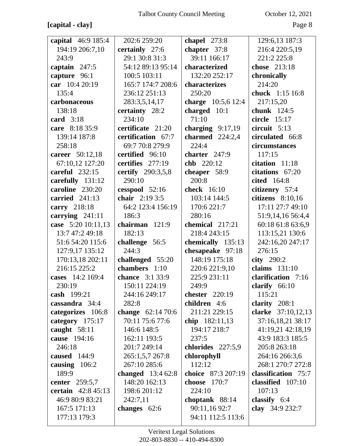# **[capital - clay]** Page 8

| capital 46:9 185:4        | 202:6 259:20             | chapel $273:8$            | 129:6,13 187:3      |
|---------------------------|--------------------------|---------------------------|---------------------|
| 194:19 206:7,10           | certainly 27:6           | chapter 37:8              | 216:4 220:5,19      |
| 243:9                     | 29:1 30:8 31:3           | 39:11 166:17              | 221:2 225:8         |
|                           |                          |                           |                     |
| captain $247:5$           | 54:12 89:13 95:14        | characterized             | chose 213:18        |
| capture 96:1              | 100:5 103:11             | 132:20 252:17             | chronically         |
| car 10:4 20:19            | 165:7 174:7 208:6        | characterizes             | 214:20              |
| 135:4                     | 236:12 251:13            | 250:20                    | chuck 1:15 16:8     |
| carbonaceous              | 283:3,5,14,17            | <b>charge</b> 10:5,6 12:4 | 217:15,20           |
| 138:18                    | certainty 28:2           | charged 10:1              | chunk 124:5         |
| card $3:18$               | 234:10                   | 71:10                     | circle 15:17        |
| care 8:18 35:9            | certificate 21:20        | charging $9:17,19$        | circuit $5:13$      |
| 139:14 187:8              | certification 67:7       | charmed $224:2,4$         | circulated 66:8     |
| 258:18                    | 69:7 70:8 279:9          | 224:4                     | circumstances       |
| career 50:12,18           | certified 96:10          | charter $247:9$           | 117:15              |
| 67:10,12 127:20           | certifies 277:19         | chb 220:12                | citation 11:18      |
| careful $232:15$          | <b>certify</b> 290:3,5,8 | cheaper 58:9              | citations 67:20     |
| carefully 131:12          | 290:10                   | 200:8                     | cited 164:8         |
| caroline 230:20           | cesspool 52:16           | check 16:10               | citizenry 57:4      |
| carried 241:13            | chair $2:193:5$          | 103:14 144:5              | citizens $8:10,16$  |
| carry 218:18              | 64:2 123:4 156:19        | 170:6 221:7               | 17:11 27:7 49:10    |
| carrying 241:11           | 186:3                    | 280:16                    | 51:9,14,16 56:4,4   |
| case 5:20 10:11,13        | chairman 121:9           | chemical 217:21           | 60:18 61:8 63:6,9   |
| 13:7 47:2 49:18           | 182:13                   | 218:4 243:15              | 113:15,21 130:6     |
| 51:6 54:20 115:6          | challenge 56:5           | chemically 135:13         | 242:16,20 247:17    |
| 127:9,17 135:12           | 244:3                    | chesapeake 97:18          | 276:15              |
| 170:13,18 202:11          | challenged 55:20         | 148:19 175:18             | city $290:2$        |
| 216:15 225:2              | chambers 1:10            | 220:6 221:9,10            | claims 131:10       |
| cases 14:2 169:4          | chance 3:1 33:9          | 225:9 231:11              | clarification 7:16  |
| 230:19                    | 150:11 224:19            | 249:9                     | clarify $66:10$     |
| cash 199:21               | 244:16 249:17            | chester $220:19$          | 115:21              |
| cassandra 34:4            | 282:8                    | children 4:6              | clarity 208:1       |
| categorizes 106:8         | change $62:1470:6$       | 211:21 229:15             | clarke 37:10,12,13  |
| category 175:17           | 70:11 75:6 77:6          | chip 182:11,13            | 37:16,18,21 38:17   |
| caught 58:11              | 146:6 148:5              | 194:17 218:7              | 41:19,21 42:18,19   |
| cause 194:16              | 162:11 193:5             | 237:5                     | 43:9 183:3 185:5    |
| 246:18                    | 201:7 249:14             | chlorides 227:5,9         | 205:8 263:18        |
| caused 144:9              | 265:1,5,7 267:8          | chlorophyll               | 264:16 266:3,6      |
| causing $106:2$           | 267:10 285:6             | 112:12                    | 268:1 270:7 272:8   |
| 189:9                     | changed $13:462:8$       | choice 87:3 207:19        | classification 75:7 |
| center 259:5,7            | 148:20 162:13            | choose 170:7              | classified 107:10   |
| <b>certain</b> 42:8 45:13 | 198:6 201:12             | 224:10                    | 107:13              |
| 46:9 80:9 83:21           | 242:7,11                 | choptank 88:14            | classify $6:4$      |
| 167:5 171:13              | changes $62:6$           | 90:11,16 92:7             | clay 34:9 232:7     |
| 177:13 179:3              |                          | 94:11 112:5 113:6         |                     |
|                           |                          |                           |                     |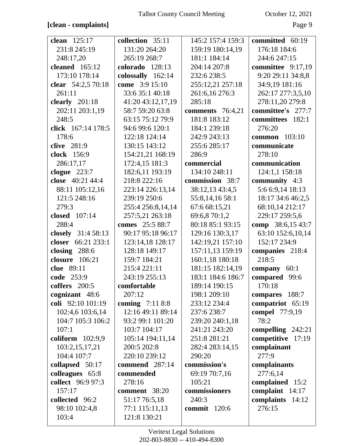### [clean - complaints]

October 12, 2021

| clean $125:17$     | collection 35:11        | 145:2 157:4 159:3   | committed 60:19   |
|--------------------|-------------------------|---------------------|-------------------|
| 231:8 245:19       | 131:20 264:20           | 159:19 180:14,19    | 176:18 184:6      |
| 248:17,20          | 265:19 268:7            | 181:1 184:14        | 244:6 247:15      |
| cleaned $165:12$   | colorado 128:13         | 204:14 207:8        | committee 9:17,19 |
| 173:10 178:14      | colossally 162:14       | 232:6 238:5         | 9:20 29:11 34:8,8 |
| clear 54:2,5 70:18 | come 3:9 15:10          | 255:12,21 257:18    | 34:9,19 181:16    |
| 261:11             | 33:6 35:1 40:18         | 261:6,16 276:3      | 262:17 277:3,5,10 |
| clearly $201:18$   | 41:20 43:12,17,19       | 285:18              | 278:11,20 279:8   |
| 202:11 203:1,19    | 58:7 59:20 63:8         | comments 76:4,21    | committee's 277:7 |
| 248:5              | 63:15 75:12 79:9        | 181:8 183:12        | committees 182:1  |
| click 167:14 178:5 | 94:6 99:6 120:1         | 184:1 239:18        | 276:20            |
| 178:6              | 122:18 124:14           | 242:9 243:13        | common 103:10     |
| clive 281:9        | 130:15 143:12           | 255:6 285:17        | communicate       |
| clock 156:9        | 154:21,21 168:19        | 286:9               | 278:10            |
| 286:17,17          | 172:4,15 181:3          | commercial          | communication     |
| clogue $223:7$     | 182:6,11 193:19         | 134:10 248:11       | 124:1,1 158:18    |
| close $40:21,44:4$ | 218:8 222:16            | commission 38:7     | community 4:3     |
| 88:11 105:12,16    | 223:14 226:13,14        | 38:12,13 43:4,5     | 5:6 6:9,14 18:13  |
| 121:5 248:16       | 239:19 250:6            | 55:8,14,1658:1      | 18:17 34:6 46:2,5 |
| 279:3              | 255:4 256:8,14,14       | 67:6 68:15,21       | 68:10,14 212:17   |
| closed 107:14      | 257:5,21 263:18         | 69:6,8 70:1,2       | 229:17 259:5,6    |
| 288:4              | comes 25:5 88:7         | 80:18 85:1 93:15    | comp 38:6,15 43:7 |
| closely 31:4 58:13 | 90:17 95:18 96:17       | 129:16 130:3,17     | 63:10 152:6,10,14 |
| closer 66:21 233:1 | 123:14,18 128:17        | 142:19,21 157:10    | 152:17 234:9      |
| closing $288:6$    | 128:18 149:17           | 157:11,13 159:19    | companies 218:4   |
| closure 106:21     | 159:7 184:21            | 160:1,18 180:18     | 218:5             |
| clue 89:11         | 215:4 221:11            | 181:15 182:14,19    | company 60:1      |
| code 253:9         | 243:19 255:13           | 183:1 184:6 186:7   | compared 99:6     |
| coffers 200:5      | comfortable             | 189:14 190:15       | 170:18            |
| cognizant 48:6     | 207:12                  | 198:1 209:10        | compares 188:7    |
| coli 92:10 101:19  | <b>coming</b> $7:118:8$ | 233:12 234:4        | compatriot 65:19  |
| 102:4,6 103:6,14   | 12:16 49:11 89:14       | 237:6 238:7         | compel 77:9,19    |
| 104:7 105:3 106:2  | 93:2 99:1 101:20        | 239:20 240:1,18     | 78:2              |
| 107:1              | 103:7 104:17            | 241:21 243:20       | compelling 242:21 |
| coliform $102:9.9$ | 105:14 194:11,14        | 251:8 281:21        | competitive 17:19 |
| 103:2,15,17,21     | 200:5 202:8             | 282:4 283:14,15     | complainant       |
| 104:4 107:7        | 220:10 239:12           | 290:20              | 277:9             |
| collapsed 50:17    | commend 287:14          | commission's        | complainants      |
| colleagues 65:8    | commended               | 69:19 70:7,16       | 277:6,14          |
| collect 96:9 97:3  | 278:16                  | 105:21              | complained 15:2   |
| 157:17             | comment 38:20           | commissioners       | complaint $14:17$ |
| collected 96:2     | 51:17 76:5,18           | 240:3               | complaints 14:12  |
| 98:10 102:4,8      | 77:1 115:11,13          | <b>commit</b> 120:6 | 276:15            |
| 103:4              | 121:8 130:21            |                     |                   |
|                    |                         |                     |                   |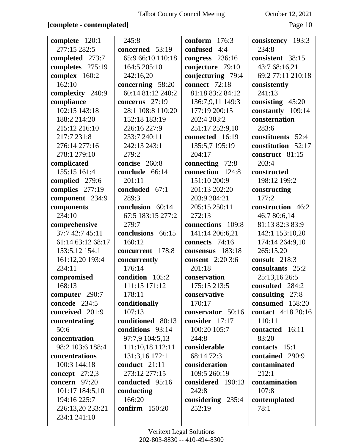### **[complete - contemplated]** Page 10

| complete 120:1    | 245:8             | conform $176:3$         | consistency 193:3         |
|-------------------|-------------------|-------------------------|---------------------------|
| 277:15 282:5      | concerned 53:19   | confused<br>4:4         | 234:8                     |
| completed 273:7   | 65:9 66:10 110:18 | congress 236:16         | consistent 38:15          |
| completes 275:19  | 164:5 205:10      | conjecture 79:10        | 43:7 68:16,21             |
| complex 160:2     | 242:16,20         | conjecturing 79:4       | 69:2 77:11 210:18         |
| 162:10            | concerning 58:20  | connect 72:18           | consistently              |
| complexity 240:9  | 60:14 81:12 240:2 | 81:18 83:2 84:12        | 241:13                    |
| compliance        | concerns 27:19    | 136:7,9,11 149:3        | consisting $45:20$        |
| 102:15 143:18     | 28:1 108:8 110:20 | 177:19 200:15           | constantly 109:14         |
| 188:2 214:20      | 152:18 183:19     | 202:4 203:2             | consternation             |
| 215:12 216:10     | 226:16 227:9      | 251:17 252:9,10         | 283:6                     |
| 217:7 231:8       | 233:7 240:11      | connected 16:19         | constituents 52:4         |
| 276:14 277:16     | 242:13 243:1      | 135:5,7 195:19          | constitution 52:17        |
| 278:1 279:10      | 279:2             | 204:17                  | construct 81:15           |
| complicated       | concise 260:8     | connecting 72:8         | 203:4                     |
| 155:15 161:4      | conclude 66:14    | connection 124:8        | constructed               |
| complied 279:6    | 201:11            | 151:10 200:9            | 198:12 199:2              |
| complies 277:19   | concluded 67:1    | 201:13 202:20           | constructing              |
| component 234:9   | 289:3             | 203:9 204:21            | 177:2                     |
| components        | conclusion 60:14  | 205:15 250:11           | construction 46:2         |
| 234:10            | 67:5 183:15 277:2 | 272:13                  | 46:7 80:6,14              |
| comprehensive     | 279:7             | connections 109:8       | 81:13 82:3 83:9           |
| 37:7 42:7 45:11   | conclusions 66:15 | 141:14 206:6,21         | 142:1 153:10,20           |
| 61:14 63:12 68:17 | 160:12            | connects 74:16          | 174:14 264:9,10           |
| 153:5,12 154:1    | concurrent 178:8  | consensus 183:18        | 265:15,20                 |
| 161:12,20 193:4   | concurrently      | <b>consent</b> 2:20 3:6 | consult 218:3             |
| 234:11            | 176:14            | 201:18                  | consultants 25:2          |
| compromised       | condition 105:2   | conservation            | 25:13,16 26:5             |
| 168:13            | 111:15 171:12     | 175:15 213:5            | consulted 284:2           |
| computer 290:7    | 178:11            | conservative            | consulting 27:8           |
| concede 234:5     | conditionally     | 170:17                  | consumed 158:20           |
| conceived 201:9   | 107:13            | conservator 50:16       | <b>contact</b> 4:18 20:16 |
| concentrating     | conditioned 80:13 | consider 17:17          | 110:11                    |
| 50:6              | conditions 93:14  | 100:20 105:7            | contacted 16:11           |
| concentration     | 97:7,9 104:5,13   | 244:8                   | 83:20                     |
| 98:2 103:6 188:4  | 111:10,18 112:11  | considerable            | contacts 15:1             |
| concentrations    | 131:3,16 172:1    | 68:14 72:3              | contained 290:9           |
| 100:3 144:18      | conduct 21:11     | consideration           | contaminated              |
| concept $27:2,3$  | 273:12 277:15     | 109:5 260:19            | 212:1                     |
| concern $97:20$   | conducted 95:16   | considered 190:13       | contamination             |
| 101:17 184:5,10   | conducting        | 242:8                   | 107:8                     |
| 194:16 225:7      | 166:20            | considering 235:4       | contemplated              |
| 226:13,20 233:21  | confirm $150:20$  | 252:19                  | 78:1                      |
| 234:1 241:10      |                   |                         |                           |
|                   |                   |                         |                           |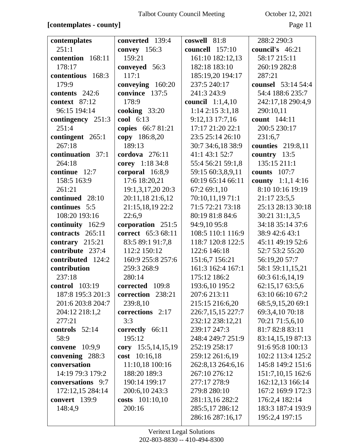### **[contemplates - county]** Page 11

| contemplates          | converted 139:4    | coswell 81:8            | 288:2 290:3               |
|-----------------------|--------------------|-------------------------|---------------------------|
| 251:1                 | convey 156:3       | councell 157:10         | council's 46:21           |
| contention 168:11     | 159:21             | 161:10 182:12,13        | 58:17 215:11              |
| 178:17                | conveyed 56:3      | 182:18 183:10           | 260:19 282:8              |
| contentious 168:3     | 117:1              | 185:19,20 194:17        | 287:21                    |
| 179:9                 | conveying 160:20   | 237:5 240:17            | <b>counsel</b> 53:14 54:4 |
| contents 242:6        | convince 137:5     | 241:3 243:9             | 54:4 188:6 235:7          |
| context $87:12$       | 178:9              | <b>council</b> 1:1,4,10 | 242:17,18 290:4,9         |
| 96:15 194:14          | cooking $33:20$    | 1:142:153:1,18          | 290:10,11                 |
| contingency 251:3     | cool 6:13          | 9:12,13 17:7,16         | count 144:11              |
| 251:4                 | copies 66:7 81:21  | 17:17 21:20 22:1        | 200:5 230:17              |
| contingent 265:1      | copy 186:8,20      | 23:5 25:14 26:10        | 231:6,7                   |
| 267:18                | 189:13             | 30:7 34:6,18 38:9       | counties 219:8,11         |
| continuation 37:1     | cordova $276:11$   | 41:1 43:1 52:7          | country 13:5              |
| 264:18                | corey 1:18 34:8    | 55:4 56:21 59:1,8       | 135:15 211:1              |
| continue 12:7         | corporal 16:8,9    | 59:15 60:3,8,9,11       | <b>counts</b> 107:7       |
| 158:5 163:9           | 17:6 18:20,21      | 60:19 65:14 66:11       | county $1:1,1,4:16$       |
| 261:21                | 19:1,3,17,20 20:3  | 67:2 69:1,10            | 8:10 10:16 19:19          |
| continued 28:10       | 20:11,18 21:6,12   | 70:10,11,19 71:1        | 21:17 23:5,5              |
| continues 5:5         | 21:15,18,19 22:2   | 71:5 72:21 73:18        | 25:13 28:13 30:18         |
| 108:20 193:16         | 22:6,9             | 80:19 81:8 84:6         | 30:21 31:1,3,5            |
| continuity 162:9      | corporation 251:5  | 94:9,10 95:8            | 34:18 35:14 37:6          |
| contracts 265:11      | correct 65:3 68:11 | 108:5 110:1 116:9       | 38:9 42:6 43:1            |
| contrary $215:21$     | 83:5 89:1 91:7,8   | 118:7 120:8 122:5       | 45:11 49:19 52:6          |
| contribute 237:4      | 112:2 150:12       | 122:6 146:18            | 52:7 53:2 55:20           |
| contributed 124:2     | 160:9 255:8 257:6  | 151:6,7 156:21          | 56:19,20 57:7             |
| contribution          | 259:3 268:9        | 161:3 162:4 167:1       | 58:1 59:11,15,21          |
| 237:18                | 280:14             | 175:12 186:2            | 60:3 61:6,14,19           |
| <b>control</b> 103:19 | corrected 109:8    | 193:6,10 195:2          | 62:15,17 63:5,6           |
| 187:8 195:3 201:3     | correction 238:21  | 207:6 213:11            | 63:10 66:10 67:2          |
| 201:6 203:8 204:7     | 239:8,10           | 215:15 216:6,20         | 68:5,9,15,20 69:1         |
| 204:12 218:1,2        | corrections 2:17   | 226:7,15,15 227:7       | 69:3,4,10 70:18           |
| 277:21                | 3:3                | 232:12 238:12,21        | 70:21 71:5,6,10           |
| controls 52:14        | correctly 66:11    | 239:17 247:3            | 81:7 82:8 83:11           |
| 58:9                  | 195:12             | 248:4 249:7 251:9       | 83:14,15,19 87:13         |
| convene $10:9.9$      | cory 15:5,14,15,19 | 252:19 258:17           | 91:6 95:8 100:13          |
| convening 288:3       | cost 10:16,18      | 259:12 261:6,19         | 102:2 113:4 125:2         |
| conversation          | 11:10,18 100:16    | 262:8,13 264:6,16       | 145:8 149:2 151:6         |
| 14:19 79:3 179:2      | 188:20 189:3       | 267:10 276:12           | 151:7,10,15 162:6         |
| conversations 9:7     | 190:14 199:17      | 277:17 278:9            | 162:12,13 166:14          |
| 172:12,15 284:14      | 200:6,10 243:3     | 279:8 280:10            | 167:2 169:9 172:3         |
| convert 139:9         | costs 101:10,10    | 281:13,16 282:2         | 176:2,4 182:14            |
| 148:4,9               | 200:16             | 285:5,17 286:12         | 183:3 187:4 193:9         |
|                       |                    | 286:16 287:16,17        | 195:2,4 197:15            |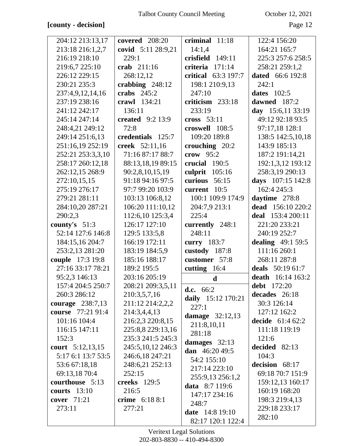### **[county - decision]** Page 12

| 204:12 213:13,17   | covered 208:20      | criminal $11:18$       | 122:4 156:20            |
|--------------------|---------------------|------------------------|-------------------------|
| 213:18 216:1,2,7   | covid 5:11 28:9,21  | 14:1,4                 | 164:21 165:7            |
| 216:19 218:10      | 229:1               | crisfield 149:11       | 225:3 257:6 258:5       |
| 219:6,7 225:10     | crab 211:16         | criteria 171:14        | 258:21 259:1,2          |
| 226:12 229:15      | 268:12,12           | critical 63:3 197:7    | <b>dated</b> 66:6 192:8 |
| 230:21 235:3       | crabbing $248:12$   | 198:1 210:9,13         | 242:1                   |
| 237:4,9,12,14,16   | crabs $245:2$       | 247:10                 | <b>dates</b> 102:5      |
| 237:19 238:16      | crawl 134:21        | criticism 233:18       | dawned 187:2            |
| 241:12 242:17      | 136:11              | 233:19                 | day 15:6,11 33:19       |
| 245:14 247:14      | created 9:2 13:9    | cross 53:11            | 49:12 92:18 93:5        |
| 248:4,21 249:12    | 72:8                | croswell 108:5         | 97:17,18 128:1          |
| 249:14 251:6,13    | credentials 125:7   | 109:20 189:8           | 138:5 142:5,10,18       |
| 251:16,19 252:19   | creek 52:11,16      | crouching $20:2$       | 143:9 185:13            |
| 252:21 253:3,3,10  | 71:16 87:17 88:7    | crow $95:2$            | 187:2 191:14,21         |
| 258:17 260:12,18   | 88:13,18,19 89:15   | crucial 190:5          | 192:1,3,12 193:12       |
| 262:12,15 268:9    | 90:2,8,10,15,19     | culprit 105:16         | 258:3,19 290:13         |
| 272:10,15,15       | 91:18 94:16 97:5    | curious 56:15          | days 107:15 142:8       |
| 275:19 276:17      | 97:7 99:20 103:9    | current 10:5           | 162:4 245:3             |
| 279:21 281:11      | 103:13 106:8,12     | 100:1 109:9 174:9      | daytime 278:8           |
| 284:10,20 287:21   | 106:20 111:10,12    | 204:7,9 213:1          | dead 156:10 220:2       |
| 290:2,3            | 112:6,10 125:3,4    | 225:4                  | deal 153:4 200:11       |
| county's $51:3$    | 126:17 127:10       | currently 248:1        | 221:20 233:21           |
| 52:14 127:6 146:8  | 129:5 133:5,8       | 248:11                 | 240:19 252:7            |
| 184:15,16 204:7    | 166:19 172:11       | curry 183:7            | dealing $49:159:5$      |
| 253:2,13 281:20    | 183:19 184:5,9      | custody 187:8          | 111:16 260:1            |
| couple 17:3 19:8   | 185:16 188:17       | customer 57:8          | 268:11 287:8            |
| 27:16 33:17 78:21  | 189:2 195:5         | cutting 16:4           | deals 50:19 61:7        |
| 95:2,3 146:13      | 203:16 205:19       | d                      | death $16:14$ 163:2     |
| 157:4 204:5 250:7  | 208:21 209:3,5,11   | d.c. $66:2$            | debt 172:20             |
| 260:3 286:12       | 210:3,5,7,16        | daily 15:12 170:21     | decades 26:18           |
| courage 238:7,13   | 211:12 214:2,2,2    | 227:1                  | 30:3 126:14             |
| course 77:21 91:4  | 214:3,4,4,13        | damage $32:12,13$      | 127:12 162:2            |
| 101:16 104:4       | 216:2,3 220:8,15    | 211:8,10,11            | decide $61:462:2$       |
| 116:15 147:11      | 225:8,8 229:13,16   | 281:18                 | 111:18 119:19           |
| 152:3              | 235:3 241:5 245:3   | damages $32:13$        | 121:6                   |
| court 5:12,13,15   | 245:5, 10, 12 246:3 | dan $46:2049:5$        | decided 82:13           |
| 5:17 6:1 13:7 53:5 | 246:6,18 247:21     | 54:2 155:10            | 104:3                   |
| 53:6 67:18,18      | 248:6,21 252:13     | 217:14 223:10          | decision 68:17          |
| 69:13,18 70:4      | 252:15              | 255:9,13 256:1,2       | 69:18 70:7 151:9        |
| courthouse 5:13    | creeks 129:5        | data 8:7 119:6         | 159:12,13 160:17        |
| courts $13:10$     | 216:5               | 147:17 234:16          | 160:19 168:20           |
| cover $71:21$      | crime 6:18 8:1      | 248:7                  | 198:3 219:4,13          |
| 273:11             | 277:21              | <b>date</b> 14:8 19:10 | 229:18 233:17           |
|                    |                     | 82:17 120:1 122:4      | 282:10                  |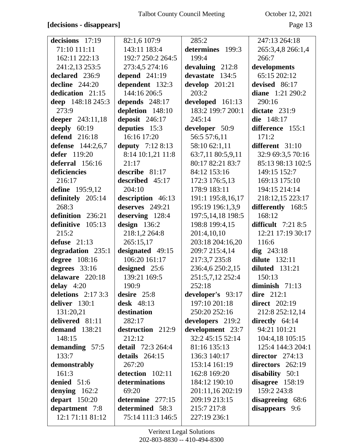### **[decisions - disappears]** Page 13

| decisions 17:19        | 82:1,6 107:9             | 285:2               | 247:13 264:18        |
|------------------------|--------------------------|---------------------|----------------------|
| 71:10 111:11           | 143:11 183:4             | determines 199:3    | 265:3,4,8 266:1,4    |
| 162:11 222:13          | 192:7 250:2 264:5        | 199:4               | 266:7                |
| 241:2,13 253:5         | 273:4,5 274:16           | devaluing 212:8     | developments         |
| declared 236:9         | depend $241:19$          | devastate 134:5     | 65:15 202:12         |
| decline $244:20$       | dependent 132:3          | develop $201:21$    | devised 86:17        |
| dedication 21:15       | 144:16 206:5             | 203:2               | diane $1:21\,290:2$  |
| deep 148:18 245:3      | depends $248:17$         | developed 161:13    | 290:16               |
| 273:9                  | depletion 148:10         | 183:2 199:7 200:1   | dictate 231:9        |
| deeper 243:11,18       | deposit 246:17           | 245:14              | die 148:17           |
| deeply 60:19           | deputies 15:3            | developer 50:9      | difference 155:1     |
| defend 216:18          | 16:16 17:20              | 56:5 57:6,11        | 171:2                |
| defense 144:2,6,7      | deputy $7:128:13$        | 58:10 62:1,11       | different 31:10      |
| defer 119:20           | 8:14 10:1,21 11:8        | 63:7,11 80:5,9,11   | 32:9 69:3,5 70:16    |
| deferral 156:16        | 21:17                    | 80:17 82:21 83:7    | 85:13 98:13 102:5    |
| deficiencies           | describe $81:17$         | 84:12 153:16        | 149:15 152:7         |
| 216:17                 | described 45:17          | 172:3 176:5,13      | 169:13 175:10        |
| <b>define</b> 195:9,12 | 204:10                   | 178:9 183:11        | 194:15 214:14        |
| definitely 205:14      | description 46:13        | 191:1 195:8,16,17   | 218:12,15 223:17     |
| 268:3                  | deserves 249:21          | 195:19 196:1,3,9    | differently 168:5    |
| definition 236:21      | deserving 128:4          | 197:5, 14, 18 198:5 | 168:12               |
| definitive<br>105:13   | design $136:2$           | 198:8 199:4,15      | difficult $7:218:5$  |
| 215:2                  | 218:1,2 264:8            | 201:4,10,10         | 12:21 17:19 30:17    |
| defuse $21:13$         | 265:15,17                | 203:18 204:16,20    | 116:6                |
| degradation 235:1      | designated 49:15         | 209:7 215:4,14      | $dig$ 243:18         |
| degree 108:16          | 106:20 161:17            | 217:3,7 235:8       | <b>dilute</b> 132:11 |
| degrees 33:16          | designed 25:6            | 236:4,6 250:2,15    | diluted 131:21       |
| delaware 220:18        | 139:21 169:5             | 251:5,7,12 252:4    | 150:13               |
| delay $4:20$           | 190:9                    | 252:18              | diminish $71:13$     |
| deletions $2:173:3$    | desire $25:8$            | developer's 93:17   | dire $212:1$         |
| deliver 130:1          | <b>desk</b> 48:13        | 197:10 201:18       | direct $202:19$      |
| 131:20,21              | destination              | 250:20 252:16       | 212:8 252:12,14      |
| delivered 81:11        | 282:17                   | developers 219:2    | directly $64:14$     |
| demand 138:21          | destruction 212:9        | development 23:7    | 94:21 101:21         |
| 148:15                 | 212:12                   | 32:2 45:15 52:14    | 104:4,18 105:15      |
| demanding 57:5         | <b>detail</b> 72:3 264:4 | 81:16 135:13        | 125:4 144:3 204:1    |
| 133:7                  | details $264:15$         | 136:3 140:17        | director $274:13$    |
| demonstrably           | 267:20                   | 153:14 161:19       | directors 262:19     |
| 161:3                  | detection 102:11         | 162:8 169:20        | disability 50:1      |
| denied 51:6            | determinations           | 184:12 190:10       | disagree 158:19      |
| denying $162:2$        | 69:20                    | 201:11,16 202:19    | 159:2 243:8          |
| depart $150:20$        | determine 277:15         | 209:19 213:15       | disagreeing 68:6     |
| department 7:8         | determined 58:3          | 215:7 217:8         | disappears 9:6       |
| 12:1 71:11 81:12       | 75:14 111:3 146:5        | 227:19 236:1        |                      |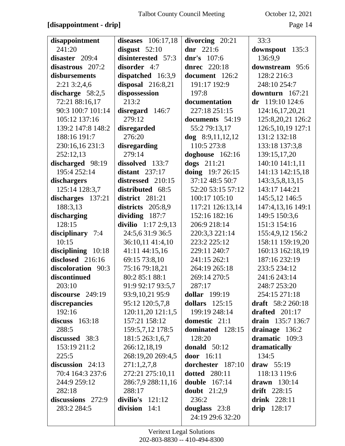## **[disappointment - drip]** Page 14

| disappointment     | diseases $106:17,18$ | divorcing 20:21      | 33:3                |
|--------------------|----------------------|----------------------|---------------------|
| 241:20             | disgust $52:10$      | dnr $221:6$          | downspout 135:3     |
| disaster 209:4     | disinterested 57:3   | dnr's $107:6$        | 136:9,9             |
| disastrous 207:2   | disorder 4:7         | <b>dnrec</b> 220:18  | downstream 95:6     |
| disbursements      | dispatched 16:3,9    | document 126:2       | 128:2 216:3         |
| $2:21$ 3:2,4,6     | disposal $216:8,21$  | 191:17 192:9         | 248:10 254:7        |
| discharge 58:2,5   | dispossession        | 197:8                | downturn 167:21     |
| 72:21 88:16,17     | 213:2                | documentation        | dr 119:10 124:6     |
| 90:3 100:7 101:14  | disregard 146:7      | 227:18 251:15        | 124:16,17,20,21     |
| 105:12 137:16      | 279:12               | documents 54:19      | 125:8,20,21 126:2   |
| 139:2 147:8 148:2  | disregarded          | 55:2 79:13,17        | 126:5, 10, 19 127:1 |
| 188:16 191:7       | 276:20               | $dog$ 8:9,11,12,12   | 131:2 132:18        |
| 230:16,16 231:3    | disregarding         | 110:5 273:8          | 133:18 137:3,8      |
| 252:12,13          | 279:14               | doghouse $162:16$    | 139:15,17,20        |
| discharged 98:19   | dissolved 133:7      | dogs 211:21          | 140:10 141:1,11     |
| 195:4 252:14       | distant $237:17$     | doing 19:7 26:15     | 141:13 142:15,18    |
| dischargers        | distressed 210:15    | 37:12 48:5 50:7      | 143:3,5,8,13,15     |
| 125:14 128:3,7     | distributed 68:5     | 52:20 53:15 57:12    | 143:17 144:21       |
| discharges 137:21  | district 281:21      | 100:17 105:10        | 145:5,12 146:5      |
| 188:3,13           | districts 205:8,9    | 117:21 126:13,14     | 147:4,13,16 149:1   |
| discharging        | dividing 187:7       | 152:16 182:16        | 149:5 150:3,6       |
| 128:15             | divilio $1:172:9,13$ | 206:9 218:14         | 151:3 154:16        |
| disciplinary 7:4   | 24:5,6 31:9 36:5     | 220:3,3 221:14       | 155:4,9,12 156:2    |
| 10:15              | 36:10,11 41:4,10     | 223:2 225:12         | 158:11 159:19,20    |
| disciplining 10:18 | 41:11 44:15,16       | 229:11 240:7         | 160:13 162:18,19    |
| disclosed 216:16   | 69:15 73:8,10        | 241:15 262:1         | 187:16 232:19       |
| discoloration 90:3 | 75:16 79:18,21       | 264:19 265:18        | 233:5 234:12        |
| discontinued       | 80:2 85:1 88:1       | 269:14 270:5         | 241:6 243:14        |
| 203:10             | 91:9 92:17 93:5,7    | 287:17               | 248:7 253:20        |
| discourse 249:19   | 93:9,10,21 95:9      | <b>dollar</b> 199:19 | 254:15 271:18       |
| discrepancies      | 95:12 120:5,7,8      | dollars $125:15$     | draft $58:2 260:18$ |
| 192:16             | 120:11,20 121:1,5    | 199:19 248:14        | drafted $201:17$    |
| discuss $163:18$   | 157:21 158:12        | domestic 21:1        | drain 135:7 136:7   |
| 288:5              | 159:5,7,12 178:5     | dominated 128:15     | drainage $136:2$    |
| discussed 38:3     | 181:5 263:1,6,7      | 128:20               | dramatic 109:3      |
| 153:19 211:2       | 266:12,18,19         | donald $50:12$       | dramatically        |
| 225:5              | 268:19,20 269:4,5    | door 16:11           | 134:5               |
| discussion $24:13$ | 271:1,2,7,8          | dorchester 187:10    | draw $55:19$        |
| 70:4 164:3 237:6   | 272:21 275:10,11     | <b>dotted</b> 280:11 | 118:13 119:6        |
| 244:9 259:12       | 286:7,9 288:11,16    | <b>double</b> 167:14 | drawn $130:14$      |
| 282:18             | 288:17               | doubt $21:2,9$       | drift 228:15        |
| discussions 272:9  | divilio's $121:12$   | 236:2                | drink $228:11$      |
| 283:2 284:5        | division 14:1        | douglass 23:8        | <b>drip</b> 128:17  |
|                    |                      | 24:19 29:6 32:20     |                     |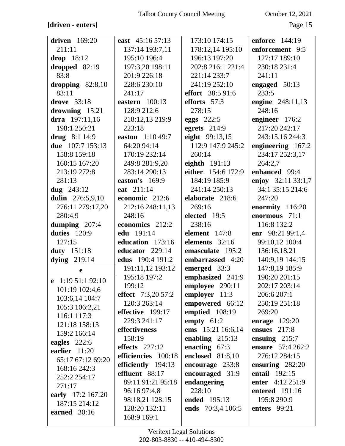## [driven - enters]

October 12, 2021

| driven $169:20$    | east 45:16 57:13    | 173:10 174:15           | <b>enforce</b> 144:19 |
|--------------------|---------------------|-------------------------|-----------------------|
| 211:11             | 137:14 193:7,11     | 178:12,14 195:10        | enforcement 9:5       |
| drop $18:12$       | 195:10 196:4        | 196:13 197:20           | 127:17 189:10         |
| dropped 82:19      | 197:3,20 198:11     | 202:8 216:1 221:4       | 230:18 231:4          |
| 83:8               | 201:9 226:18        | 221:14 233:7            | 241:11                |
| dropping $82:8,10$ | 228:6 230:10        | 241:19 252:10           | engaged 50:13         |
| 83:11              | 241:17              | <b>effort</b> 38:5 91:6 | 233:5                 |
| <b>drove</b> 33:18 | eastern $100:13$    | efforts 57:3            | engine 248:11,13      |
| drowning 15:21     | 128:9 212:6         | 278:15                  | 248:16                |
| drra 197:11,16     | 218:12,13 219:9     | eggs $222:5$            | engineer 176:2        |
| 198:1 250:21       | 223:18              | egrets 214:9            | 217:20 242:17         |
| drug 8:1 14:9      | easton 1:10 49:7    | eight 99:13,15          | 243:15,16 244:3       |
| due 107:7 153:13   | 64:20 94:14         | 112:9 147:9 245:2       | engineering 167:2     |
| 158:8 159:18       | 170:19 232:14       | 260:14                  | 234:17 252:3,17       |
| 160:15 167:20      | 249:8 281:9,20      | eighth 191:13           | 264:2,7               |
| 213:19 272:8       | 283:14 290:13       | either 154:6 172:9      | enhanced 99:4         |
| 281:13             | easton's 169:9      | 184:19 185:9            | enjoy 32:11 33:1,7    |
| dug $243:12$       | eat 211:14          | 241:14 250:13           | 34:1 35:15 214:6      |
| dulin 276:5,9,10   | economic 212:6      | elaborate 218:6         | 247:20                |
| 276:11 279:17,20   | 212:16 248:11,13    | 269:16                  | enormity 116:20       |
| 280:4,9            | 248:16              | elected 19:5            | enormous 71:1         |
| dumping 207:4      | economics 212:2     | 238:16                  | 116:8 132:2           |
| duties 120:9       | edu 191:14          | element 147:8           | enr 98:21 99:1,4      |
|                    |                     |                         |                       |
| 127:15             | education 173:16    | elements 32:16          | 99:10,12 100:4        |
| duty 151:18        | educator 229:14     | emasculate 195:2        | 136:16,18,21          |
|                    | edus 190:4 191:2    | embarrassed 4:20        | 140:9,19 144:15       |
| dying $219:14$     | 191:11,12 193:12    | emerged 33:3            | 147:8,19 185:9        |
| $\mathbf e$        | 195:18 197:2        | emphasized 241:9        | 190:20 201:15         |
| e $1:1951:192:10$  | 199:12              | employee 290:11         | 202:17 203:14         |
| 101:19 102:4,6     | effect 7:3,20 57:2  | employer 11:3           | 206:6 207:1           |
| 103:6,14 104:7     | 120:3 263:14        | empowered 66:12         | 250:19 251:18         |
| 105:3 106:2,21     | effective 199:17    | emptied 108:19          | 269:20                |
| 116:1 117:3        | 229:3 241:17        | empty $61:2$            | <b>enrage</b> 129:20  |
| 121:18 158:13      | effectiveness       | ems 15:21 16:6,14       | ensues $217:8$        |
| 159:2 166:14       | 158:19              | enabling $215:13$       | ensuing $215:7$       |
| eagles $222:6$     | effects $227:12$    | enacting 67:3           | ensure 57:4 262:2     |
| earlier 11:20      | efficiencies 100:18 | enclosed 81:8,10        | 276:12 284:15         |
| 65:17 67:12 69:20  | efficiently 194:13  | encourage 233:8         | ensuring $282:20$     |
| 168:16 242:3       | effluent 88:17      | encouraged 31:9         | entail 192:15         |
| 252:2 254:17       | 89:11 91:21 95:18   | endangering             | enter 4:12 251:9      |
| 271:17             | 96:16 97:4,8        | 228:10                  | <b>entered</b> 191:16 |
| early 17:2 167:20  | 98:18,21 128:15     | ended 195:13            | 195:8 290:9           |
| 187:15 214:12      | 128:20 132:11       | ends 70:3,4 106:5       | enters $99:21$        |
| earned $30:16$     | 168:9 169:1         |                         |                       |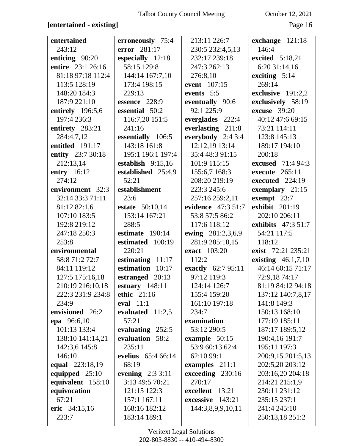# [entertained - existing]

October 12, 2021

| entertained       | erroneously 75:4       | 213:11 226:7        | exchange 121:18       |
|-------------------|------------------------|---------------------|-----------------------|
| 243:12            | error 281:17           | 230:5 232:4,5,13    | 146:4                 |
| enticing $90:20$  | especially 12:18       | 232:17 239:18       | excited 5:18,21       |
| entire 23:1 26:16 | 58:15 129:8            | 247:3 262:13        | 6:20 31:14,16         |
| 81:18 97:18 112:4 | 144:14 167:7,10        | 276:8,10            | exciting $5:14$       |
| 113:5 128:19      | 173:4 198:15           | event 107:15        | 269:14                |
| 148:20 184:3      | 229:13                 | events 5:5          | exclusive $191:2,2$   |
| 187:9 221:10      | essence 228:9          | eventually 90:6     | exclusively 58:19     |
| entirely 196:5,6  | essential 50:2         | 92:1 225:9          | excuse $39:20$        |
| 197:4 236:3       | 116:7,20 151:5         | everglades 222:4    | 40:12 47:6 69:15      |
| entirety 283:21   | 241:16                 | everlasting 211:8   | 73:21 114:11          |
| 284:4,7,12        | essentially 106:5      | everybody $2:43:4$  | 123:8 145:13          |
| entitled 191:17   | 143:18 161:8           | 12:12,19 13:14      | 189:17 194:10         |
| entity 23:7 30:18 | 195:1 196:1 197:4      | 35:4 48:3 91:15     | 200:18                |
| 212:13,14         | establish $9:15,16$    | 101:9 115:15        | excused 71:4 94:3     |
| entry 16:12       | established 25:4,9     | 155:6,7 168:3       | execute 265:11        |
| 274:12            | 52:21                  | 208:20 219:19       | executed 224:19       |
| environment 32:3  | establishment          | 223:3 245:6         | exemplary 21:15       |
| 32:14 33:3 71:11  | 23:6                   | 257:16 259:2,11     | exempt 23:7           |
| 81:12 82:1,6      | <b>estate</b> 50:10,14 | evidence 47:3 51:7  | <b>exhibit</b> 201:19 |
| 107:10 183:5      | 153:14 167:21          | 53:8 57:5 86:2      | 202:10 206:11         |
| 192:8 219:12      | 288:5                  | 117:6 118:12        | exhibits 47:3 51:7    |
| 247:18 250:3      | estimate 190:14        | ewing 281:2,3,6,9   | 54:21 117:5           |
| 253:8             | estimated 100:19       | 281:9 285:10,15     | 118:12                |
| environmental     | 220:21                 | <b>exact</b> 103:20 | exist 72:21 235:21    |
| 58:8 71:2 72:7    | estimating $11:17$     | 112:2               | existing $46:1,7,10$  |
| 84:11 119:12      | estimation 10:17       | exactly 62:7 95:11  | 46:14 60:15 71:17     |
| 127:5 175:16,18   | estranged 20:13        | 97:12 119:3         | 72:9,18 74:17         |
| 210:19 216:10,18  | estuary $148:11$       | 124:14 126:7        | 81:19 84:12 94:18     |
| 222:3 231:9 234:8 | ethic $21:16$          | 155:4 159:20        | 137:12 140:7,8,17     |
| 234:9             | eval 11:1              | 161:10 197:18       | 141:8 149:3           |
| envisioned 26:2   | evaluated $11:2,5$     | 234:7               | 150:13 168:10         |
| epa 96:6,10       | 57:21                  | examination         | 177:19 185:11         |
| 101:13 133:4      | evaluating 252:5       | 53:12 290:5         | 187:17 189:5,12       |
| 138:10 141:14,21  | evaluation 58:2        | example $50:15$     | 190:4,16 191:7        |
| 142:3,6 145:8     | 235:11                 | 53:9 60:13 62:4     | 195:11 197:3          |
| 146:10            | evelius 65:4 66:14     | 62:10 99:1          | 200:9,15 201:5,13     |
| equal 223:18,19   | 68:19                  | examples 211:1      | 202:5,20 203:12       |
| equipped 25:10    | evening $2:33:11$      | exceeding 230:16    | 203:16,20 204:18      |
| equivalent 158:10 | 3:13 49:5 70:21        | 270:17              | 214:21 215:1,9        |
| equivocation      | 121:15 122:3           | excellent 13:21     | 230:11 231:12         |
| 67:21             | 157:1 167:11           | excessive 143:21    | 235:15 237:1          |
| eric 34:15,16     | 168:16 182:12          | 144:3,8,9,9,10,11   | 241:4 245:10          |
| 223:7             | 183:14 189:1           |                     | 250:13,18 251:2       |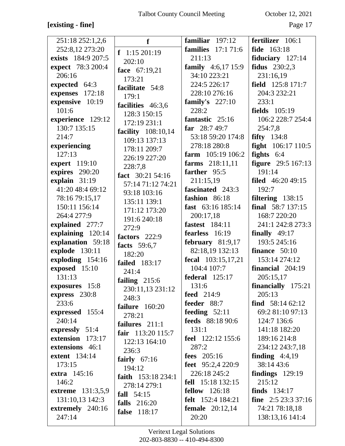## **[existing - fine]** Page 17

| 251:18 252:1,2,6         | f                   | familiar $197:12$         | fertilizer 106:1               |
|--------------------------|---------------------|---------------------------|--------------------------------|
| 252:8,12 273:20          | $f$ 1:15 201:19     | <b>families</b> 17:1 71:6 | fide 163:18                    |
| exists 184:9 207:5       | 202:10              | 211:13                    | fiduciary $127:14$             |
| expect 78:3 200:4        | face 67:19,21       | family 4:6,17 15:9        | <b>fidus</b> 230:2,3           |
| 206:16                   | 173:21              | 34:10 223:21              | 231:16,19                      |
| expected 64:3            | facilitate 54:8     | 224:5 226:17              | field 125:8 171:7              |
| expenses 172:18          | 179:1               | 228:10 276:16             | 204:3 232:21                   |
| expensive 10:19          | facilities 46:3,6   | family's $227:10$         | 233:1                          |
| 101:6                    | 128:3 150:15        | 228:2                     | fields $105:19$                |
| experience 129:12        | 172:19 231:1        | fantastic 25:16           | 106:2 228:7 254:4              |
| 130:7 135:15             | facility 108:10,14  | far $28:749:7$            | 254:7,8                        |
| 214:7                    | 109:13 137:13       | 53:18 59:20 174:8         | fifty $134:8$                  |
| experiencing             | 178:11 209:7        | 278:18 280:8              | <b>fight</b> 106:17 110:5      |
| 127:13                   | 226:19 227:20       | farm $105:19106:2$        | fights $6:4$                   |
| expert 119:10            | 228:7,8             | farms 218:11,11           | <b>figure</b> 29:5 167:13      |
| expires 290:20           | fact 30:21 54:16    | farther 95:5              | 191:14                         |
| explain 31:19            | 57:14 71:12 74:21   | 211:15,19                 | <b>filed</b> 46:20 49:15       |
| 41:20 48:4 69:12         | 93:18 103:16        | fascinated 243:3          | 192:7                          |
| 78:16 79:15,17           | 135:11 139:1        | fashion 86:18             | filtering $138:15$             |
| 150:11 156:14            | 171:12 173:20       | fast 63:16 185:14         | final 58:7 137:15              |
| 264:4 277:9              | 191:6 240:18        | 200:17,18                 | 168:7 220:20                   |
| explained 277:7          | 272:9               | <b>fastest</b> 184:11     | 241:1 242:8 273:3              |
| explaining 120:14        | factors 222:9       | fearless 16:19            | finally $49:17$                |
| explanation 59:18        | facts 59:6,7        | february $81:9,17$        | 193:5 245:16                   |
| explode 130:11           | 182:20              | 82:18,19 132:13           | finance $50:10$                |
| exploding 154:16         | failed 183:17       | <b>fecal</b> 103:15,17,21 | 153:14 274:12                  |
| exposed 15:10            | 241:4               | 104:4 107:7               | financial $204:19$             |
| 131:13                   | failing 215:6       | <b>federal</b> 125:17     | 205:15,17                      |
| exposures 15:8           | 230:11,13 231:12    | 131:6                     | <b>financially</b> 175:21      |
| express 230:8            | 248:3               | <b>feed</b> 214:9         | 205:13                         |
| 233:6                    | failure 160:20      | feeder 88:7               | find $58:1462:12$              |
| expressed 155:4          | 278:21              | feeding $52:11$           | 69:2 81:10 97:13               |
| 240:14                   | failures 211:1      | <b>feeds</b> 88:18 90:6   | 124:7 136:6                    |
| expressly 51:4           | fair 113:20 115:7   | 131:1                     | 141:18 182:20                  |
| extension 173:17         | 122:13 164:10       | feel 122:12 155:6         | 189:16 214:8                   |
| extensions 46:1          | 236:3               | 287:2                     | 234:12 243:7,18                |
| <b>extent</b> 134:14     | fairly $67:16$      | <b>fees</b> 205:16        | finding $4:4,19$               |
| 173:15                   | 194:12              | feet $95:2,4220:9$        | 38:14 43:6                     |
| <b>extra</b> 145:16      | faith $153:18234:1$ | 226:18 245:2              | findings $129:19$              |
| 146:2                    | 278:14 279:1        | fell 15:18 132:15         | 215:12                         |
| <b>extreme</b> 131:3,5,9 | fall $54:15$        | <b>fellow</b> 126:18      | finds $134:17$                 |
| 131:10,13 142:3          | falls 216:20        | <b>felt</b> 152:4 184:21  | <b>fine</b> $2:5\,23:3\,37:16$ |
| extremely 240:16         | false 118:17        | <b>female</b> 20:12,14    | 74:21 78:18,18                 |
| 247:14                   |                     | 20:20                     | 138:13,16 141:4                |
|                          |                     |                           |                                |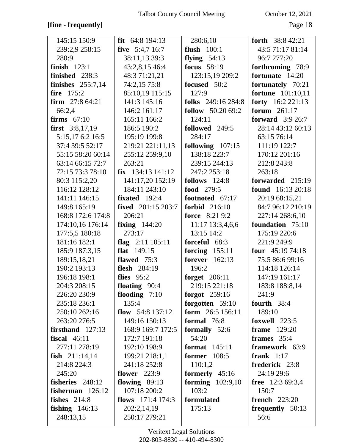## **[fine - frequently]** Page 18

| 145:15 150:9        | fit $64:8194:13$             | 280:6,10              | <b>forth</b> $38:842:21$ |
|---------------------|------------------------------|-----------------------|--------------------------|
| 239:2,9 258:15      | five 5:4,7 16:7              | flush $100:1$         | 43:5 71:17 81:14         |
| 280:9               | 38:11,13 39:3                | flying $54:13$        | 96:7 277:20              |
| finish $123:1$      | 43:2,8,15 46:4               | focus 58:19           | forthcoming 78:9         |
| finished 238:3      | 48:3 71:21,21                | 123:15,19 209:2       | fortunate 14:20          |
| finishes $255:7,14$ | 74:2,15 75:8                 | focused 50:2          | fortunately 70:21        |
| <b>fire</b> $175:2$ | 85:10,19 115:15              | 127:9                 | fortune 101:10,11        |
| firm $27:864:21$    | 141:3 145:16                 | folks 249:16 284:8    | forty $16:2221:13$       |
| 66:2,4              | 146:2 161:17                 | follow $50:2069:2$    | forum $261:17$           |
| firms $67:10$       | 165:11 166:2                 | 124:11                | forward $3:926:7$        |
| first $3:8,17,19$   | 186:5 190:2                  | followed 249:5        | 28:14 43:12 60:13        |
| 5:15,17 6:2 16:5    | 195:19 199:8                 | 284:17                | 63:15 76:14              |
| 37:4 39:5 52:17     | 219:21 221:11,13             | following $107:15$    | 111:19 122:7             |
| 55:15 58:20 60:14   | 255:12 259:9,10              | 138:18 223:7          | 170:12 201:16            |
| 63:14 66:15 72:7    | 263:21                       | 239:15 244:13         | 212:8 243:8              |
| 72:15 73:3 78:10    | $fix$ 134:13 141:12          | 247:2 253:18          | 263:18                   |
| 80:3 115:2,20       | 141:17,20 152:19             | follows $124:8$       | forwarded 215:19         |
| 116:12 128:12       | 184:11 243:10                | food 279:5            | <b>found</b> 16:13 20:18 |
| 141:11 146:15       | fixated 192:4                | footnoted 67:17       | 20:19 68:15,21           |
| 149:8 165:19        | <b>fixed</b> $201:15\,203:7$ | forbid 216:10         | 84:7 96:12 210:19        |
| 168:8 172:6 174:8   | 206:21                       | <b>force</b> 8:21 9:2 | 227:14 268:6,10          |
| 174:10,16 176:14    | fixing $144:20$              | 11:17 13:3,4,6,6      | foundation 75:10         |
| 177:5,5 180:18      | 273:17                       | 13:15 14:2            | 175:19 220:6             |
| 181:16 182:1        | flag $2:11$ $105:11$         | forceful 68:3         | 221:9 249:9              |
| 185:9 187:3,15      | flat 149:15                  | forcing $155:11$      | four $45:1974:18$        |
| 189:15,18,21        | flawed $75:3$                | <b>forever</b> 162:13 | 75:5 86:6 99:16          |
| 190:2 193:13        | flesh 284:19                 | 196:2                 | 114:18 126:14            |
| 196:18 198:1        | flies $95:2$                 | forget 206:11         | 147:19 161:17            |
| 204:3 208:15        | floating 90:4                | 219:15 221:18         | 183:8 188:8,14           |
| 226:20 230:9        | flooding $7:10$              | forgot 259:16         | 241:9                    |
| 235:18 236:1        | 135:4                        | forgotten 59:10       | fourth 38:4              |
| 250:10 262:16       | flow $54:8137:12$            | form 26:5 156:11      | 189:10                   |
| 263:20 276:5        | 149:16 150:13                | formal 76:8           | <b>foxwell</b> 223:5     |
| firsthand $127:13$  | 168:9 169:7 172:5            | formally 52:6         | <b>frame</b> 129:20      |
| fiscal $46:11$      | 172:7 191:18                 | 54:20                 | frames $35:4$            |
| 277:11 278:19       | 192:10 198:9                 | <b>format</b> 145:11  | framework 63:9           |
| fish $211:14,14$    | 199:21 218:1,1               | <b>former</b> 108:5   | frank $1:17$             |
| 214:8 224:3         | 241:18 252:8                 | 110:1,2               | frederick 23:8           |
| 245:20              | flower $223:9$               | formerly $45:16$      | 24:19 29:6               |
| fisheries 248:12    | flowing $89:13$              | forming $102:9,10$    | <b>free</b> $12:369:3,4$ |
| fisherman $126:12$  | 107:18 200:2                 | 103:2                 | 150:7                    |
| fishes $214:8$      | flows $171:4 174:3$          | formulated            | <b>french</b> 223:20     |
| fishing $146:13$    | 202:2,14,19                  | 175:13                | frequently 50:13         |
| 248:13,15           | 250:17 279:21                |                       | 56:6                     |
|                     |                              |                       |                          |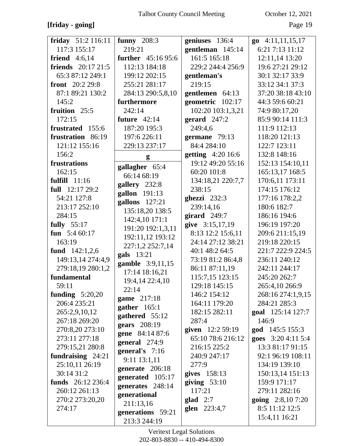### **[friday - going]** Page 19

| friday 51:2 116:11<br>funny $208:3$<br>geniuses 136:4<br>go 4:11,11,15,17<br>219:21<br>6:21 7:13 11:12<br>117:3 155:17<br>gentleman 145:14<br>161:5 165:18<br>12:11,14 13:20<br>friend $4:6,14$<br>further 45:16 95:6<br>friends $20:1721:5$<br>19:6 27:21 29:12<br>112:13 184:18<br>229:2 244:4 256:9<br>65:3 87:12 249:1<br>199:12 202:15<br>30:1 32:17 33:9<br>gentleman's<br>219:15<br>33:12 34:1 37:3<br>front 20:2 29:8<br>255:21 281:17<br>37:20 38:18 43:10<br>87:1 89:21 130:2<br>284:13 290:5,8,10<br>gentlemen 64:13<br>geometric 102:17<br>145:2<br>furthermore<br>44:3 59:6 60:21<br>242:14<br>102:20 103:1,3,21<br>fruition 25:5<br>74:9 80:17,20<br>85:9 90:14 111:3<br>172:15<br>gerard $247:2$<br>future $42:14$<br>249:4,6<br>frustrated 155:6<br>187:20 195:3<br>111:9 112:13<br>197:6 226:11<br>frustration 86:19<br>germane 79:13<br>118:20 121:13<br>229:13 237:17<br>84:4 284:10<br>121:12 155:16<br>122:7 123:11<br>156:2<br>getting 4:20 16:6<br>132:8 148:16<br>g<br>19:12 49:20 55:16<br>152:13 154:10,11<br>frustrations<br>gallagher 65:4<br>60:20 101:8<br>165:13,17 168:5<br>162:15<br>66:14 68:19<br>fulfill 11:16<br>134:18,21 220:7,7<br>170:6,11 173:11<br>gallery 232:8<br>full 12:17 29:2<br>174:15 176:12<br>238:15<br>gallon 191:13<br>54:21 127:8<br>ghezzi $232:3$<br>177:16 178:2,2<br>gallons 127:21<br>239:14,16<br>180:6 182:7<br>213:17 252:10<br>135:18,20 138:5<br>girard $249:7$<br>284:15<br>186:16 194:6<br>142:4,10 171:1<br>fully $55:17$<br>give 3:15,17,19<br>196:19 197:20<br>191:20 192:1,3,11<br>8:13 12:2 15:6,11<br>fun $5:460:17$<br>209:6 211:15,19<br>192:11,12 193:12<br>24:14 27:12 38:21<br>219:18 220:15<br>163:19<br>227:1,2 252:7,14<br>fund $142:1,2,6$<br>221:7 222:9 224:5<br>40:1 48:2 64:5<br>gals 13:21<br>149:13,14 274:4,9<br>73:19 81:2 86:4,8<br>236:11 240:12<br>gamble 3:9,11,15<br>279:18,19 280:1,2<br>86:11 87:11,19<br>242:11 244:17<br>17:14 18:16,21<br>115:7,15 123:15<br>fundamental<br>245:20 262:7<br>19:4,14 22:4,10<br>129:18 145:15<br>265:4,10 266:9<br>59:11<br>22:14<br>funding $5:20,20$<br>146:2 154:12<br>268:16 274:1,9,15<br>game 217:18<br>206:4 235:21<br>164:11 179:20<br>284:21 285:3<br>gather $165:1$<br>265:2,9,10,12<br>182:15 282:11<br>goal 125:14 127:7<br>gathered 55:12<br>267:18 269:20<br>146:9<br>287:4<br>gears 208:19<br>270:8,20 273:10<br><b>god</b> 145:5 155:3<br>given $12:2 59:19$<br>gene 84:14 87:6<br>65:10 78:6 216:12<br>273:11 277:18<br>goes $3:204:115:4$<br>general 274:9<br>13:3 81:17 91:15<br>279:15,21 280:8<br>216:15 225:2<br>general's 7:16<br>fundraising 24:21<br>92:1 96:19 108:11<br>240:9 247:17<br>9:11 13:1,11<br>25:10,11 26:19<br>277:9<br>134:19 139:10<br>generate 206:18<br>30:14 31:2<br>150:13,14 151:13<br>gives $158:13$<br>generated 105:17<br><b>funds</b> 26:12 236:4<br>giving $53:10$<br>159:9 171:17<br>generates 248:14<br>260:12 261:13<br>117:21<br>279:11 282:16<br>generational |                 |           |                                |                    |
|----------------------------------------------------------------------------------------------------------------------------------------------------------------------------------------------------------------------------------------------------------------------------------------------------------------------------------------------------------------------------------------------------------------------------------------------------------------------------------------------------------------------------------------------------------------------------------------------------------------------------------------------------------------------------------------------------------------------------------------------------------------------------------------------------------------------------------------------------------------------------------------------------------------------------------------------------------------------------------------------------------------------------------------------------------------------------------------------------------------------------------------------------------------------------------------------------------------------------------------------------------------------------------------------------------------------------------------------------------------------------------------------------------------------------------------------------------------------------------------------------------------------------------------------------------------------------------------------------------------------------------------------------------------------------------------------------------------------------------------------------------------------------------------------------------------------------------------------------------------------------------------------------------------------------------------------------------------------------------------------------------------------------------------------------------------------------------------------------------------------------------------------------------------------------------------------------------------------------------------------------------------------------------------------------------------------------------------------------------------------------------------------------------------------------------------------------------------------------------------------------------------------------------------------------------------------------------------------------------------------------------------------------------------------------------------------------------------------------------------------------------------------------------------------------------------------------------------------------------------------------------------------------------------------------------------------------------|-----------------|-----------|--------------------------------|--------------------|
|                                                                                                                                                                                                                                                                                                                                                                                                                                                                                                                                                                                                                                                                                                                                                                                                                                                                                                                                                                                                                                                                                                                                                                                                                                                                                                                                                                                                                                                                                                                                                                                                                                                                                                                                                                                                                                                                                                                                                                                                                                                                                                                                                                                                                                                                                                                                                                                                                                                                                                                                                                                                                                                                                                                                                                                                                                                                                                                                                          |                 |           |                                |                    |
|                                                                                                                                                                                                                                                                                                                                                                                                                                                                                                                                                                                                                                                                                                                                                                                                                                                                                                                                                                                                                                                                                                                                                                                                                                                                                                                                                                                                                                                                                                                                                                                                                                                                                                                                                                                                                                                                                                                                                                                                                                                                                                                                                                                                                                                                                                                                                                                                                                                                                                                                                                                                                                                                                                                                                                                                                                                                                                                                                          |                 |           |                                |                    |
|                                                                                                                                                                                                                                                                                                                                                                                                                                                                                                                                                                                                                                                                                                                                                                                                                                                                                                                                                                                                                                                                                                                                                                                                                                                                                                                                                                                                                                                                                                                                                                                                                                                                                                                                                                                                                                                                                                                                                                                                                                                                                                                                                                                                                                                                                                                                                                                                                                                                                                                                                                                                                                                                                                                                                                                                                                                                                                                                                          |                 |           |                                |                    |
|                                                                                                                                                                                                                                                                                                                                                                                                                                                                                                                                                                                                                                                                                                                                                                                                                                                                                                                                                                                                                                                                                                                                                                                                                                                                                                                                                                                                                                                                                                                                                                                                                                                                                                                                                                                                                                                                                                                                                                                                                                                                                                                                                                                                                                                                                                                                                                                                                                                                                                                                                                                                                                                                                                                                                                                                                                                                                                                                                          |                 |           |                                |                    |
|                                                                                                                                                                                                                                                                                                                                                                                                                                                                                                                                                                                                                                                                                                                                                                                                                                                                                                                                                                                                                                                                                                                                                                                                                                                                                                                                                                                                                                                                                                                                                                                                                                                                                                                                                                                                                                                                                                                                                                                                                                                                                                                                                                                                                                                                                                                                                                                                                                                                                                                                                                                                                                                                                                                                                                                                                                                                                                                                                          |                 |           |                                |                    |
|                                                                                                                                                                                                                                                                                                                                                                                                                                                                                                                                                                                                                                                                                                                                                                                                                                                                                                                                                                                                                                                                                                                                                                                                                                                                                                                                                                                                                                                                                                                                                                                                                                                                                                                                                                                                                                                                                                                                                                                                                                                                                                                                                                                                                                                                                                                                                                                                                                                                                                                                                                                                                                                                                                                                                                                                                                                                                                                                                          |                 |           |                                |                    |
|                                                                                                                                                                                                                                                                                                                                                                                                                                                                                                                                                                                                                                                                                                                                                                                                                                                                                                                                                                                                                                                                                                                                                                                                                                                                                                                                                                                                                                                                                                                                                                                                                                                                                                                                                                                                                                                                                                                                                                                                                                                                                                                                                                                                                                                                                                                                                                                                                                                                                                                                                                                                                                                                                                                                                                                                                                                                                                                                                          |                 |           |                                |                    |
|                                                                                                                                                                                                                                                                                                                                                                                                                                                                                                                                                                                                                                                                                                                                                                                                                                                                                                                                                                                                                                                                                                                                                                                                                                                                                                                                                                                                                                                                                                                                                                                                                                                                                                                                                                                                                                                                                                                                                                                                                                                                                                                                                                                                                                                                                                                                                                                                                                                                                                                                                                                                                                                                                                                                                                                                                                                                                                                                                          |                 |           |                                |                    |
|                                                                                                                                                                                                                                                                                                                                                                                                                                                                                                                                                                                                                                                                                                                                                                                                                                                                                                                                                                                                                                                                                                                                                                                                                                                                                                                                                                                                                                                                                                                                                                                                                                                                                                                                                                                                                                                                                                                                                                                                                                                                                                                                                                                                                                                                                                                                                                                                                                                                                                                                                                                                                                                                                                                                                                                                                                                                                                                                                          |                 |           |                                |                    |
|                                                                                                                                                                                                                                                                                                                                                                                                                                                                                                                                                                                                                                                                                                                                                                                                                                                                                                                                                                                                                                                                                                                                                                                                                                                                                                                                                                                                                                                                                                                                                                                                                                                                                                                                                                                                                                                                                                                                                                                                                                                                                                                                                                                                                                                                                                                                                                                                                                                                                                                                                                                                                                                                                                                                                                                                                                                                                                                                                          |                 |           |                                |                    |
|                                                                                                                                                                                                                                                                                                                                                                                                                                                                                                                                                                                                                                                                                                                                                                                                                                                                                                                                                                                                                                                                                                                                                                                                                                                                                                                                                                                                                                                                                                                                                                                                                                                                                                                                                                                                                                                                                                                                                                                                                                                                                                                                                                                                                                                                                                                                                                                                                                                                                                                                                                                                                                                                                                                                                                                                                                                                                                                                                          |                 |           |                                |                    |
|                                                                                                                                                                                                                                                                                                                                                                                                                                                                                                                                                                                                                                                                                                                                                                                                                                                                                                                                                                                                                                                                                                                                                                                                                                                                                                                                                                                                                                                                                                                                                                                                                                                                                                                                                                                                                                                                                                                                                                                                                                                                                                                                                                                                                                                                                                                                                                                                                                                                                                                                                                                                                                                                                                                                                                                                                                                                                                                                                          |                 |           |                                |                    |
|                                                                                                                                                                                                                                                                                                                                                                                                                                                                                                                                                                                                                                                                                                                                                                                                                                                                                                                                                                                                                                                                                                                                                                                                                                                                                                                                                                                                                                                                                                                                                                                                                                                                                                                                                                                                                                                                                                                                                                                                                                                                                                                                                                                                                                                                                                                                                                                                                                                                                                                                                                                                                                                                                                                                                                                                                                                                                                                                                          |                 |           |                                |                    |
|                                                                                                                                                                                                                                                                                                                                                                                                                                                                                                                                                                                                                                                                                                                                                                                                                                                                                                                                                                                                                                                                                                                                                                                                                                                                                                                                                                                                                                                                                                                                                                                                                                                                                                                                                                                                                                                                                                                                                                                                                                                                                                                                                                                                                                                                                                                                                                                                                                                                                                                                                                                                                                                                                                                                                                                                                                                                                                                                                          |                 |           |                                |                    |
|                                                                                                                                                                                                                                                                                                                                                                                                                                                                                                                                                                                                                                                                                                                                                                                                                                                                                                                                                                                                                                                                                                                                                                                                                                                                                                                                                                                                                                                                                                                                                                                                                                                                                                                                                                                                                                                                                                                                                                                                                                                                                                                                                                                                                                                                                                                                                                                                                                                                                                                                                                                                                                                                                                                                                                                                                                                                                                                                                          |                 |           |                                |                    |
|                                                                                                                                                                                                                                                                                                                                                                                                                                                                                                                                                                                                                                                                                                                                                                                                                                                                                                                                                                                                                                                                                                                                                                                                                                                                                                                                                                                                                                                                                                                                                                                                                                                                                                                                                                                                                                                                                                                                                                                                                                                                                                                                                                                                                                                                                                                                                                                                                                                                                                                                                                                                                                                                                                                                                                                                                                                                                                                                                          |                 |           |                                |                    |
|                                                                                                                                                                                                                                                                                                                                                                                                                                                                                                                                                                                                                                                                                                                                                                                                                                                                                                                                                                                                                                                                                                                                                                                                                                                                                                                                                                                                                                                                                                                                                                                                                                                                                                                                                                                                                                                                                                                                                                                                                                                                                                                                                                                                                                                                                                                                                                                                                                                                                                                                                                                                                                                                                                                                                                                                                                                                                                                                                          |                 |           |                                |                    |
|                                                                                                                                                                                                                                                                                                                                                                                                                                                                                                                                                                                                                                                                                                                                                                                                                                                                                                                                                                                                                                                                                                                                                                                                                                                                                                                                                                                                                                                                                                                                                                                                                                                                                                                                                                                                                                                                                                                                                                                                                                                                                                                                                                                                                                                                                                                                                                                                                                                                                                                                                                                                                                                                                                                                                                                                                                                                                                                                                          |                 |           |                                |                    |
|                                                                                                                                                                                                                                                                                                                                                                                                                                                                                                                                                                                                                                                                                                                                                                                                                                                                                                                                                                                                                                                                                                                                                                                                                                                                                                                                                                                                                                                                                                                                                                                                                                                                                                                                                                                                                                                                                                                                                                                                                                                                                                                                                                                                                                                                                                                                                                                                                                                                                                                                                                                                                                                                                                                                                                                                                                                                                                                                                          |                 |           |                                |                    |
|                                                                                                                                                                                                                                                                                                                                                                                                                                                                                                                                                                                                                                                                                                                                                                                                                                                                                                                                                                                                                                                                                                                                                                                                                                                                                                                                                                                                                                                                                                                                                                                                                                                                                                                                                                                                                                                                                                                                                                                                                                                                                                                                                                                                                                                                                                                                                                                                                                                                                                                                                                                                                                                                                                                                                                                                                                                                                                                                                          |                 |           |                                |                    |
|                                                                                                                                                                                                                                                                                                                                                                                                                                                                                                                                                                                                                                                                                                                                                                                                                                                                                                                                                                                                                                                                                                                                                                                                                                                                                                                                                                                                                                                                                                                                                                                                                                                                                                                                                                                                                                                                                                                                                                                                                                                                                                                                                                                                                                                                                                                                                                                                                                                                                                                                                                                                                                                                                                                                                                                                                                                                                                                                                          |                 |           |                                |                    |
|                                                                                                                                                                                                                                                                                                                                                                                                                                                                                                                                                                                                                                                                                                                                                                                                                                                                                                                                                                                                                                                                                                                                                                                                                                                                                                                                                                                                                                                                                                                                                                                                                                                                                                                                                                                                                                                                                                                                                                                                                                                                                                                                                                                                                                                                                                                                                                                                                                                                                                                                                                                                                                                                                                                                                                                                                                                                                                                                                          |                 |           |                                |                    |
|                                                                                                                                                                                                                                                                                                                                                                                                                                                                                                                                                                                                                                                                                                                                                                                                                                                                                                                                                                                                                                                                                                                                                                                                                                                                                                                                                                                                                                                                                                                                                                                                                                                                                                                                                                                                                                                                                                                                                                                                                                                                                                                                                                                                                                                                                                                                                                                                                                                                                                                                                                                                                                                                                                                                                                                                                                                                                                                                                          |                 |           |                                |                    |
|                                                                                                                                                                                                                                                                                                                                                                                                                                                                                                                                                                                                                                                                                                                                                                                                                                                                                                                                                                                                                                                                                                                                                                                                                                                                                                                                                                                                                                                                                                                                                                                                                                                                                                                                                                                                                                                                                                                                                                                                                                                                                                                                                                                                                                                                                                                                                                                                                                                                                                                                                                                                                                                                                                                                                                                                                                                                                                                                                          |                 |           |                                |                    |
|                                                                                                                                                                                                                                                                                                                                                                                                                                                                                                                                                                                                                                                                                                                                                                                                                                                                                                                                                                                                                                                                                                                                                                                                                                                                                                                                                                                                                                                                                                                                                                                                                                                                                                                                                                                                                                                                                                                                                                                                                                                                                                                                                                                                                                                                                                                                                                                                                                                                                                                                                                                                                                                                                                                                                                                                                                                                                                                                                          |                 |           |                                |                    |
|                                                                                                                                                                                                                                                                                                                                                                                                                                                                                                                                                                                                                                                                                                                                                                                                                                                                                                                                                                                                                                                                                                                                                                                                                                                                                                                                                                                                                                                                                                                                                                                                                                                                                                                                                                                                                                                                                                                                                                                                                                                                                                                                                                                                                                                                                                                                                                                                                                                                                                                                                                                                                                                                                                                                                                                                                                                                                                                                                          |                 |           |                                |                    |
|                                                                                                                                                                                                                                                                                                                                                                                                                                                                                                                                                                                                                                                                                                                                                                                                                                                                                                                                                                                                                                                                                                                                                                                                                                                                                                                                                                                                                                                                                                                                                                                                                                                                                                                                                                                                                                                                                                                                                                                                                                                                                                                                                                                                                                                                                                                                                                                                                                                                                                                                                                                                                                                                                                                                                                                                                                                                                                                                                          |                 |           |                                |                    |
|                                                                                                                                                                                                                                                                                                                                                                                                                                                                                                                                                                                                                                                                                                                                                                                                                                                                                                                                                                                                                                                                                                                                                                                                                                                                                                                                                                                                                                                                                                                                                                                                                                                                                                                                                                                                                                                                                                                                                                                                                                                                                                                                                                                                                                                                                                                                                                                                                                                                                                                                                                                                                                                                                                                                                                                                                                                                                                                                                          |                 |           |                                |                    |
|                                                                                                                                                                                                                                                                                                                                                                                                                                                                                                                                                                                                                                                                                                                                                                                                                                                                                                                                                                                                                                                                                                                                                                                                                                                                                                                                                                                                                                                                                                                                                                                                                                                                                                                                                                                                                                                                                                                                                                                                                                                                                                                                                                                                                                                                                                                                                                                                                                                                                                                                                                                                                                                                                                                                                                                                                                                                                                                                                          |                 |           |                                |                    |
|                                                                                                                                                                                                                                                                                                                                                                                                                                                                                                                                                                                                                                                                                                                                                                                                                                                                                                                                                                                                                                                                                                                                                                                                                                                                                                                                                                                                                                                                                                                                                                                                                                                                                                                                                                                                                                                                                                                                                                                                                                                                                                                                                                                                                                                                                                                                                                                                                                                                                                                                                                                                                                                                                                                                                                                                                                                                                                                                                          |                 |           |                                |                    |
|                                                                                                                                                                                                                                                                                                                                                                                                                                                                                                                                                                                                                                                                                                                                                                                                                                                                                                                                                                                                                                                                                                                                                                                                                                                                                                                                                                                                                                                                                                                                                                                                                                                                                                                                                                                                                                                                                                                                                                                                                                                                                                                                                                                                                                                                                                                                                                                                                                                                                                                                                                                                                                                                                                                                                                                                                                                                                                                                                          |                 |           |                                |                    |
|                                                                                                                                                                                                                                                                                                                                                                                                                                                                                                                                                                                                                                                                                                                                                                                                                                                                                                                                                                                                                                                                                                                                                                                                                                                                                                                                                                                                                                                                                                                                                                                                                                                                                                                                                                                                                                                                                                                                                                                                                                                                                                                                                                                                                                                                                                                                                                                                                                                                                                                                                                                                                                                                                                                                                                                                                                                                                                                                                          |                 |           |                                |                    |
|                                                                                                                                                                                                                                                                                                                                                                                                                                                                                                                                                                                                                                                                                                                                                                                                                                                                                                                                                                                                                                                                                                                                                                                                                                                                                                                                                                                                                                                                                                                                                                                                                                                                                                                                                                                                                                                                                                                                                                                                                                                                                                                                                                                                                                                                                                                                                                                                                                                                                                                                                                                                                                                                                                                                                                                                                                                                                                                                                          |                 |           |                                |                    |
|                                                                                                                                                                                                                                                                                                                                                                                                                                                                                                                                                                                                                                                                                                                                                                                                                                                                                                                                                                                                                                                                                                                                                                                                                                                                                                                                                                                                                                                                                                                                                                                                                                                                                                                                                                                                                                                                                                                                                                                                                                                                                                                                                                                                                                                                                                                                                                                                                                                                                                                                                                                                                                                                                                                                                                                                                                                                                                                                                          |                 |           |                                |                    |
|                                                                                                                                                                                                                                                                                                                                                                                                                                                                                                                                                                                                                                                                                                                                                                                                                                                                                                                                                                                                                                                                                                                                                                                                                                                                                                                                                                                                                                                                                                                                                                                                                                                                                                                                                                                                                                                                                                                                                                                                                                                                                                                                                                                                                                                                                                                                                                                                                                                                                                                                                                                                                                                                                                                                                                                                                                                                                                                                                          |                 |           |                                |                    |
|                                                                                                                                                                                                                                                                                                                                                                                                                                                                                                                                                                                                                                                                                                                                                                                                                                                                                                                                                                                                                                                                                                                                                                                                                                                                                                                                                                                                                                                                                                                                                                                                                                                                                                                                                                                                                                                                                                                                                                                                                                                                                                                                                                                                                                                                                                                                                                                                                                                                                                                                                                                                                                                                                                                                                                                                                                                                                                                                                          |                 |           |                                |                    |
|                                                                                                                                                                                                                                                                                                                                                                                                                                                                                                                                                                                                                                                                                                                                                                                                                                                                                                                                                                                                                                                                                                                                                                                                                                                                                                                                                                                                                                                                                                                                                                                                                                                                                                                                                                                                                                                                                                                                                                                                                                                                                                                                                                                                                                                                                                                                                                                                                                                                                                                                                                                                                                                                                                                                                                                                                                                                                                                                                          |                 |           |                                |                    |
|                                                                                                                                                                                                                                                                                                                                                                                                                                                                                                                                                                                                                                                                                                                                                                                                                                                                                                                                                                                                                                                                                                                                                                                                                                                                                                                                                                                                                                                                                                                                                                                                                                                                                                                                                                                                                                                                                                                                                                                                                                                                                                                                                                                                                                                                                                                                                                                                                                                                                                                                                                                                                                                                                                                                                                                                                                                                                                                                                          |                 |           |                                |                    |
|                                                                                                                                                                                                                                                                                                                                                                                                                                                                                                                                                                                                                                                                                                                                                                                                                                                                                                                                                                                                                                                                                                                                                                                                                                                                                                                                                                                                                                                                                                                                                                                                                                                                                                                                                                                                                                                                                                                                                                                                                                                                                                                                                                                                                                                                                                                                                                                                                                                                                                                                                                                                                                                                                                                                                                                                                                                                                                                                                          |                 |           |                                |                    |
|                                                                                                                                                                                                                                                                                                                                                                                                                                                                                                                                                                                                                                                                                                                                                                                                                                                                                                                                                                                                                                                                                                                                                                                                                                                                                                                                                                                                                                                                                                                                                                                                                                                                                                                                                                                                                                                                                                                                                                                                                                                                                                                                                                                                                                                                                                                                                                                                                                                                                                                                                                                                                                                                                                                                                                                                                                                                                                                                                          |                 |           |                                |                    |
|                                                                                                                                                                                                                                                                                                                                                                                                                                                                                                                                                                                                                                                                                                                                                                                                                                                                                                                                                                                                                                                                                                                                                                                                                                                                                                                                                                                                                                                                                                                                                                                                                                                                                                                                                                                                                                                                                                                                                                                                                                                                                                                                                                                                                                                                                                                                                                                                                                                                                                                                                                                                                                                                                                                                                                                                                                                                                                                                                          |                 |           |                                |                    |
|                                                                                                                                                                                                                                                                                                                                                                                                                                                                                                                                                                                                                                                                                                                                                                                                                                                                                                                                                                                                                                                                                                                                                                                                                                                                                                                                                                                                                                                                                                                                                                                                                                                                                                                                                                                                                                                                                                                                                                                                                                                                                                                                                                                                                                                                                                                                                                                                                                                                                                                                                                                                                                                                                                                                                                                                                                                                                                                                                          |                 |           |                                |                    |
|                                                                                                                                                                                                                                                                                                                                                                                                                                                                                                                                                                                                                                                                                                                                                                                                                                                                                                                                                                                                                                                                                                                                                                                                                                                                                                                                                                                                                                                                                                                                                                                                                                                                                                                                                                                                                                                                                                                                                                                                                                                                                                                                                                                                                                                                                                                                                                                                                                                                                                                                                                                                                                                                                                                                                                                                                                                                                                                                                          | 270:2 273:20,20 | 211:13,16 | $\boldsymbol{\text{glad}}$ 2:7 | going $2:8,107:20$ |
| glen 223:4,7<br>8:5 11:12 12:5<br>274:17<br>generations 59:21                                                                                                                                                                                                                                                                                                                                                                                                                                                                                                                                                                                                                                                                                                                                                                                                                                                                                                                                                                                                                                                                                                                                                                                                                                                                                                                                                                                                                                                                                                                                                                                                                                                                                                                                                                                                                                                                                                                                                                                                                                                                                                                                                                                                                                                                                                                                                                                                                                                                                                                                                                                                                                                                                                                                                                                                                                                                                            |                 |           |                                |                    |
| 15:4,11 16:21<br>213:3 244:19                                                                                                                                                                                                                                                                                                                                                                                                                                                                                                                                                                                                                                                                                                                                                                                                                                                                                                                                                                                                                                                                                                                                                                                                                                                                                                                                                                                                                                                                                                                                                                                                                                                                                                                                                                                                                                                                                                                                                                                                                                                                                                                                                                                                                                                                                                                                                                                                                                                                                                                                                                                                                                                                                                                                                                                                                                                                                                                            |                 |           |                                |                    |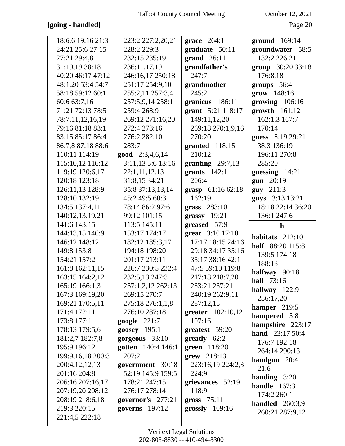### **[going - handled]** Page 20

| 18:6,6 19:16 21:3 | 223:2 227:2,20,21  | grace $264:1$      | ground 169:14     |
|-------------------|--------------------|--------------------|-------------------|
| 24:21 25:6 27:15  | 228:2 229:3        | graduate 50:11     | groundwater 58:5  |
| 27:21 29:4,8      | 232:15 235:19      | $grand$ 26:11      | 132:2 226:21      |
| 31:19,19 38:18    | 236:11,17,19       | grandfather's      | group 30:20 33:18 |
| 40:20 46:17 47:12 | 246:16,17 250:18   | 247:7              | 176:8,18          |
| 48:1,20 53:4 54:7 | 251:17 254:9,10    | grandmother        | groups 56:4       |
| 58:18 59:12 60:1  | 255:2,11 257:3,4   | 245:2              | grow 148:16       |
| 60:6 63:7,16      | 257:5,9,14 258:1   | granicus 186:11    | growing $106:16$  |
| 71:21 72:13 78:5  | 259:4 268:9        | grant 5:21 118:17  | $growth$ 161:12   |
| 78:7,11,12,16,19  | 269:12 271:16,20   | 149:11,12,20       | 162:1,3 167:7     |
| 79:16 81:18 83:1  | 272:4 273:16       | 269:18 270:1,9,16  | 170:14            |
| 83:15 85:17 86:4  | 276:2 282:10       | 270:20             | guess 8:19 29:21  |
| 86:7,8 87:18 88:6 | 283:7              | granted 118:15     | 38:3 136:19       |
| 110:11 114:19     | good 2:3,4,6,14    | 210:12             | 196:11 270:8      |
| 115:10,12 116:12  | 3:11,13 5:6 13:16  | granting $29:7,13$ | 285:20            |
| 119:19 120:6,17   | 22:1,11,12,13      | grants $142:1$     | guessing 14:21    |
| 120:18 123:18     | 31:8,15 34:21      | 206:4              | gun 20:19         |
| 126:11,13 128:9   | 35:8 37:13,13,14   | grasp 61:16 62:18  | 211:3<br>guy      |
| 128:10 132:19     | 45:2 49:5 60:3     | 162:19             | guys 3:13 13:21   |
| 134:5 137:4,11    | 78:14 86:2 97:6    | grass 283:10       | 18:18 22:14 36:20 |
| 140:12,13,19,21   | 99:12 101:15       | grassy $19:21$     | 136:1 247:6       |
| 141:6 143:15      | 113:5 145:11       | greased 57:9       | $\mathbf h$       |
| 144:13,15 146:9   | 153:17 174:17      | great 3:10 17:10   | habitats 212:10   |
| 146:12 148:12     | 182:12 185:3,17    | 17:17 18:15 24:16  | half 88:20 115:8  |
| 149:8 153:8       | 194:18 198:20      | 29:18 34:17 35:16  | 139:5 174:18      |
| 154:21 157:2      | 201:17 213:11      | 35:17 38:16 42:1   | 188:13            |
| 161:8 162:11,15   | 226:7 230:5 232:4  | 47:5 59:10 119:8   | halfway 90:18     |
| 163:15 164:2,12   | 232:5,13 247:3     | 217:18 218:7,20    | hall 73:16        |
| 165:19 166:1,3    | 257:1,2,12 262:13  | 233:21 237:21      | hallway 122:9     |
| 167:3 169:19,20   | 269:15 270:7       | 240:19 262:9,11    | 256:17,20         |
| 169:21 170:5,11   | 275:18 276:1,1,8   | 287:12,15          | hamper 219:5      |
| 171:4 172:11      | 276:10 287:18      | greater 102:10,12  | hampered 5:8      |
| 173:8 177:1       | google $221:7$     | 107:16             | hampshire 223:17  |
| 178:13 179:5,6    | goosey 195:1       | greatest 59:20     | hand 23:17 50:4   |
| 181:2,7 182:7,8   | gorgeous 33:10     | $g realty 62:2$    | 176:7 192:18      |
| 195:9 196:12      | gotten 140:4 146:1 | green 118:20       | 264:14 290:13     |
| 199:9,16,18 200:3 | 207:21             | grew 218:13        | handgun $20:4$    |
| 200:4, 12, 12, 13 | government 30:18   | 223:16,19 224:2,3  | 21:6              |
| 201:16 204:8      | 52:19 145:9 159:5  | 224:9              | handing $3:20$    |
| 206:16 207:16,17  | 178:21 247:15      | grievances 52:19   | handle $167:3$    |
| 207:19,20 208:12  | 276:17 278:14      | 118:9              | 174:2 260:1       |
| 208:19 218:6,18   | governor's 277:21  | gross $75:11$      | handled $260:3,9$ |
| 219:3 220:15      | governs $197:12$   | $grossly$ 109:16   | 260:21 287:9,12   |
| 221:4,5 222:18    |                    |                    |                   |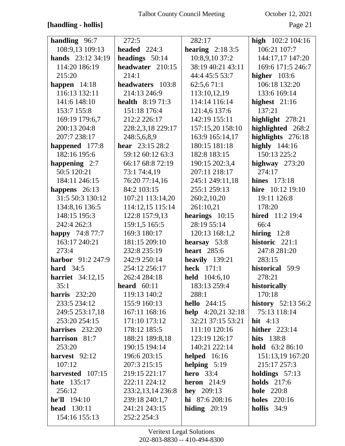### [handling - hollis]

October 12, 2021

| handling 96:7             | 272:5                    | 282:17                      | high $102:2 104:16$        |
|---------------------------|--------------------------|-----------------------------|----------------------------|
| 108:9,13 109:13           | headed $224:3$           | hearing $2:183:5$           | 106:21 107:7               |
| <b>hands</b> 23:12 34:19  | headings 50:14           | 10:8,9,10 37:2              | 144:17,17 147:20           |
| 114:20 186:19             | headwater 210:15         | 38:19 40:21 43:11           | 169:6 171:5 246:7          |
| 215:20                    | 214:1                    | 44:4 45:5 53:7              | higher $103:6$             |
| happen $14:18$            | headwaters 103:8         | 62:5,671:1                  | 106:18 132:20              |
| 116:13 132:11             | 214:13 246:9             | 113:10,12,19                | 133:6 169:14               |
| 141:6 148:10              | <b>health</b> $8:1971:3$ | 114:14 116:14               | highest $21:16$            |
| 153:7 155:8               | 151:18 176:4             | 121:4,6 137:6               | 137:21                     |
| 169:19 179:6,7            | 212:2 226:17             | 142:19 155:11               | highlight 278:21           |
| 200:13 204:8              | 228:2,3,18 229:17        | 157:15,20 158:10            | highlighted 268:2          |
| 207:7 238:17              | 248:5,6,8,9              | 163:9 165:14,17             | highlights 276:18          |
| happened 177:8            | <b>hear</b> $23:1528:2$  | 180:15 181:18               | highly $144:16$            |
| 182:16 195:6              | 59:12 60:12 63:3         | 182:8 183:15                | 150:13 225:2               |
| happening $2:7$           | 66:17 68:8 72:19         | 190:15 202:3,4              | highway $273:20$           |
| 50:5 120:21               | 73:1 74:4,19             | 207:11 218:17               | 274:17                     |
| 184:11 246:15             | 76:20 77:14,16           | 245:1 249:11,18             | <b>hines</b> 173:18        |
| happens 26:13             | 84:2 103:15              | 255:1 259:13                | hire 10:12 19:10           |
| 31:5 50:3 130:12          | 107:21 113:14,20         | 260:2,10,20                 | 19:11 126:8                |
| 134:8,16 136:5            | 114:12,15 115:14         | 261:10,21                   | 178:20                     |
| 148:15 195:3              | 122:8 157:9,13           | hearings $10:15$            | hired 11:2 19:4            |
| 242:4 262:3               | 159:1,5 165:5            | 28:19 55:14                 | 66:4                       |
| <b>happy</b> 74:8 77:7    | 169:3 180:17             | 120:13 168:1,2              | hiring $12:8$              |
| 163:17 240:21             | 181:15 209:10            | hearsay 53:8                | historic 221:1             |
| 273:4                     | 232:8 235:19             | <b>heart</b> 285:6          | 247:8 281:20               |
| <b>harbor</b> $91:2247:9$ | 242:9 250:14             | heavily $139:21$            | 283:15                     |
| hard $34:5$               | 254:12 256:17            | <b>heck</b> 171:1           | historical 59:9            |
| <b>harriet</b> 34:12,15   | 262:4 284:18             | <b>held</b> 104:6,10        | 278:21                     |
| 35:1                      | <b>heard</b> $60:11$     | 183:13 259:4                | historically               |
| harris $232:20$           | 119:13 140:2             | 288:1                       | 170:18                     |
| 233:5 234:12              | 155:9 160:13             | <b>hello</b> 244:15         | <b>history</b> $52:1356:2$ |
| 249:5 253:17,18           | 167:11 168:16            | <b>help</b> $4:20,21$ 32:18 | 75:13 118:14               |
| 253:20 254:15             | 171:10 173:12            | 32:21 37:15 53:21           | hit $4:13$                 |
| harrises 232:20           | 178:12 185:5             | 111:10 120:16               | hither $223:14$            |
| harrison 81:7             | 188:21 189:8,18          | 123:19 126:17               | <b>hits</b> 138:8          |
| 253:20                    | 190:15 194:14            | 140:21 222:14               | <b>hold</b> 63:2 86:10     |
| harvest 92:12             | 196:6 203:15             | helped $16:16$              | 151:13,19 167:20           |
| 107:12                    | 207:3 215:15             | helping $5:19$              | 215:17 257:3               |
| harvested 107:15          | 219:15 221:17            | hero $33:4$                 | holdings 57:13             |
| <b>hate</b> 135:17        | 222:11 224:12            | heron $214:9$               | <b>holds</b> 217:6         |
| 256:12                    | 233:2,13,14 236:8        | hey $209:13$                | <b>hole</b> 220:8          |
| $he'll$ 194:10            | 239:18 240:1,7           | hi $87:6208:16$             | <b>holes</b> 220:16        |
| <b>head</b> 130:11        | 241:21 243:15            | hiding $20:19$              | hollis 34:9                |
| 154:16 155:13             | 252:2 254:3              |                             |                            |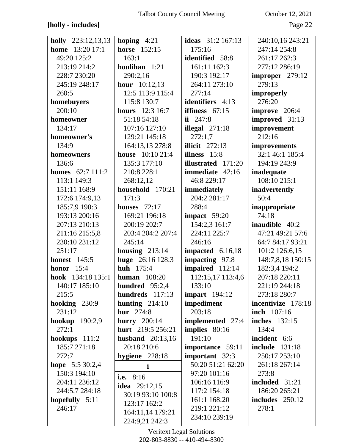## [holly - includes]

October 12, 2021

Page 22

| holly 223:12,13,13       | hoping $4:21$           | <b>ideas</b> 31:2 167:13 | 240:10,16 243:21      |
|--------------------------|-------------------------|--------------------------|-----------------------|
| <b>home</b> 13:20 17:1   | <b>horse</b> 152:15     | 175:16                   | 247:14 254:8          |
| 49:20 125:2              | 163:1                   | identified 58:8          | 261:17 262:3          |
| 213:19 214:2             | houlihan $1:21$         | 161:11 162:3             | 277:12 286:19         |
| 228:7 230:20             | 290:2,16                | 190:3 192:17             | improper 279:12       |
| 245:19 248:17            | <b>hour</b> $10:12,13$  | 264:11 273:10            | 279:13                |
| 260:5                    | 12:5 113:9 115:4        | 277:14                   | improperly            |
| homebuyers               | 115:8 130:7             | <b>identifiers</b> 4:13  | 276:20                |
| 200:10                   | hours 12:3 16:7         | iffiness $67:15$         | improve 206:4         |
| homeowner                | 51:18 54:18             | ii $247:8$               | improved 31:13        |
| 134:17                   | 107:16 127:10           | illegal $271:18$         | improvement           |
| homeowner's              | 129:21 145:18           | 272:1,7                  | 212:16                |
| 134:9                    | 164:13,13 278:8         | <b>illicit</b> 272:13    | improvements          |
| homeowners               | <b>house</b> 10:10 21:4 | illness 15:8             | 32:1 46:1 185:4       |
| 136:6                    | 135:3 177:10            | illustrated 171:20       | 194:19 243:9          |
| <b>homes</b> $62:7111:2$ | 210:8 228:1             | immediate 42:16          | inadequate            |
| 113:1 149:3              | 268:12,12               | 46:8 229:17              | 108:10 215:1          |
| 151:11 168:9             | household 170:21        | immediately              | inadvertently         |
| 172:6 174:9,13           | 171:3                   | 204:2 281:17             | 50:4                  |
| 185:7,9 190:3            | houses $72:17$          | 288:4                    | inappropriate         |
| 193:13 200:16            | 169:21 196:18           | impact $59:20$           | 74:18                 |
| 207:13 210:13            | 200:19 202:7            | 154:2,3 161:7            | <b>inaudible</b> 40:2 |
| 211:16 215:5,8           | 203:4 204:2 207:4       | 224:11 225:7             | 47:21 49:21 57:6      |
| 230:10 231:12            | 245:14                  | 246:16                   | 64:7 84:17 93:21      |
| 251:17                   | housing $213:14$        | impacted $6:16,18$       | 101:2 126:6,15        |
| <b>honest</b> 145:5      | huge 26:16 128:3        | impacting 97:8           | 148:7,8,18 150:15     |
| honor $15:4$             | huh 175:4               | impaired 112:14          | 182:3,4 194:2         |
| hook 134:18 135:1        | human $108:20$          | 112:15,17 113:4,6        | 207:18 220:11         |
| 140:17 185:10            | hundred 95:2,4          | 133:10                   | 221:19 244:18         |
| 215:5                    | hundreds 117:13         | $impart$ 194:12          | 273:18 280:7          |
| hooking $230:9$          | hunting $214:10$        | impediment               | incentivize 178:18    |
| 231:12                   | <b>hur</b> 274:8        | 203:18                   | <b>inch</b> 107:16    |
| <b>hookup</b> 190:2,9    | hurry $200:14$          | implemented 27:4         | <b>inches</b> 132:15  |
| 272:1                    | hurt 219:5 256:21       | implies 80:16            | 134:4                 |
| hookups $111:2$          | husband $20:13,16$      | 191:10                   | incident 6:6          |
| 185:7 271:18             | 20:18 210:6             | importance 59:11         | <b>include</b> 131:18 |
| 272:7                    | hygiene 228:18          | important 32:3           | 250:17 253:10         |
| hope $5:530:2,4$         | $\mathbf{i}$            | 50:20 51:21 62:20        | 261:18 267:14         |
| 150:3 194:10             | i.e. 8:16               | 97:20 101:16             | 273:8                 |
| 204:11 236:12            | <b>idea</b> 29:12,15    | 106:16 116:9             | included 31:21        |
| 244:5,7 284:18           | 30:19 93:10 100:8       | 117:2 154:18             | 186:20 265:21         |
| hopefully $5:11$         | 123:17 162:2            | 161:1 168:20             | includes $250:12$     |
| 246:17                   | 164:11,14 179:21        | 219:1 221:12             | 278:1                 |
|                          | 224:9,21 242:3          | 234:10 239:19            |                       |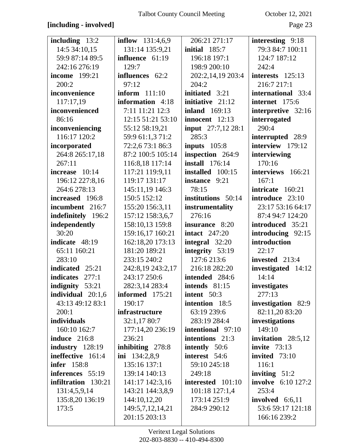## [including - involved]

October 12, 2021

Page 23

| including $13:2$          | <b>inflow</b> 131:4,6,9 | 206:21 271:17             | interesting 9:18          |
|---------------------------|-------------------------|---------------------------|---------------------------|
| 14:5 34:10,15             | 131:14 135:9,21         | initial 185:7             | 79:3 84:7 100:11          |
| 59:9 87:14 89:5           | influence 61:19         | 196:18 197:1              | 124:7 187:12              |
| 242:16 276:19             | 129:7                   | 198:9 200:10              | 242:4                     |
| <b>income</b> 199:21      | influences 62:2         | 202:2,14,19 203:4         | interests $125:13$        |
| 200:2                     | 97:12                   | 204:2                     | 216:7 217:1               |
| inconvenience             | inform $111:10$         | initiated 3:21            | international 33:4        |
| 117:17,19                 | information 4:18        | initiative 21:12          | internet 175:6            |
| inconvenienced            | 7:11 11:21 12:3         | <b>inland</b> 169:13      | interpretive 32:16        |
| 86:16                     | 12:15 51:21 53:10       | innocent $12:13$          | interrogated              |
| inconveniencing           | 55:12 58:19,21          | <b>input</b> 27:7,12 28:1 | 290:4                     |
| 116:17 120:2              | 59:9 61:1,3 71:2        | 285:3                     | interrupted 28:9          |
| incorporated              | 72:2,6 73:1 86:3        | inputs $105:8$            | interview 179:12          |
| 264:8 265:17,18           | 87:2 100:5 105:14       | inspection 264:9          | interviewing              |
| 267:11                    | 116:8,18 117:14         | <b>install</b> 176:14     | 170:16                    |
| increase 10:14            | 117:21 119:9,11         | installed 100:15          | interviews 166:21         |
| 196:12 227:8,16           | 119:17 131:17           | instance 9:21             | 167:1                     |
| 264:6 278:13              | 145:11,19 146:3         | 78:15                     | intricate 160:21          |
| increased 196:8           | 150:5 152:12            | institutions 50:14        | introduce 23:10           |
| incumbent 216:7           | 155:20 156:3,11         | instrumentality           | 23:17 53:16 64:17         |
| indefinitely 196:2        | 157:12 158:3,6,7        | 276:16                    | 87:4 94:7 124:20          |
| independently             | 158:10,13 159:8         | insurance 8:20            | introduced 35:21          |
| 30:20                     | 159:16,17 160:21        | <b>intact</b> 247:20      | introducing 92:15         |
| indicate 48:19            | 162:18,20 173:13        | integral $32:20$          | introduction              |
| 65:11 160:21              | 181:20 189:21           | integrity 53:19           | 22:17                     |
| 283:10                    | 233:15 240:2            | 127:6 213:6               | invested 213:4            |
| indicated 25:21           | 242:8,19 243:2,17       | 216:18 282:20             | investigated 14:12        |
| <b>indicates</b><br>277:1 | 243:17 250:6            | intended 284:6            | 14:14                     |
| indignity 53:21           | 282:3,14 283:4          | intends $81:15$           | investigates              |
| individual $20:1,6$       | informed 175:21         | intent 50:3               | 277:13                    |
| 43:13 49:12 83:1          | 190:17                  | intention 18:5            | investigation 82:9        |
| 200:1                     | infrastructure          | 63:19 239:6               | 82:11,20 83:20            |
| individuals               | 32:1,1780:7             | 283:19 284:4              | investigations            |
| 160:10 162:7              | 177:14,20 236:19        | intentional 97:10         | 149:10                    |
| <b>induce</b> 216:8       | 236:21                  | intentions 21:3           | invitation $28:5,12$      |
| industry $128:19$         | inhibiting 278:8        | intently 50:6             | invite $73:13$            |
| ineffective 161:4         | ini $134:2.8.9$         | interest 54:6             | invited $73:10$           |
| <b>infer</b> 158:8        | 135:16 137:1            | 59:10 245:18              | 116:1                     |
| inferences 55:19          | 139:14 140:13           | 249:18                    | inviting $51:2$           |
| infiltration 130:21       | 141:17 142:3,16         | interested 101:10         | <b>involve</b> 6:10 127:2 |
| 131:4,5,9,14              | 143:21 144:3,8,9        | 101:18 127:1,4            | 253:4                     |
| 135:8,20 136:19           | 144:10,12,20            | 173:14 251:9              | involved 6:6,11           |
| 173:5                     | 149:5,7,12,14,21        | 284:9 290:12              | 53:6 59:17 121:18         |
|                           | 201:15 203:13           |                           | 166:16 239:2              |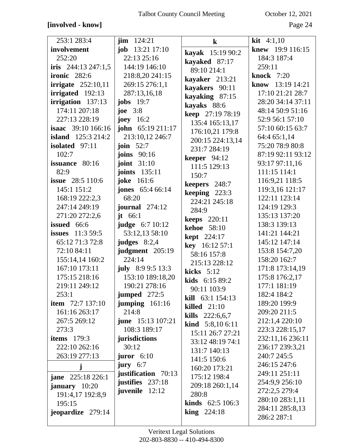### **[involved - know]** Page 24

| 253:1 283:4                      | <b>jim</b> $124:21$       | $\bf k$                  | <b>kit</b> $4:1,10$       |
|----------------------------------|---------------------------|--------------------------|---------------------------|
| involvement                      | <b>job</b> $13:21$ 17:10  |                          | knew 19:9 116:15          |
| 252:20                           | 22:13 25:16               | kayak 15:19 90:2         | 184:3 187:4               |
| iris $244:13\,247:1,5$           | 144:19 146:10             | kayaked 87:17            | 259:11                    |
| <b>ironic</b> 282:6              | 218:8,20 241:15           | 89:10 214:1              | <b>knock</b> 7:20         |
| irrigate $252:10,11$             | 269:15 276:1,1            | kayaker 213:21           | <b>know</b> $13:19$ 14:21 |
| irrigated 192:13                 | 287:13,16,18              | kayakers 90:11           | 17:10 21:21 28:7          |
| irrigation 137:13                | jobs $19:7$               | kayaking 87:15           | 28:20 34:14 37:11         |
| 174:11 207:18                    | joe $3:8$                 | kayaks 88:6              | 48:14 50:9 51:16          |
| 227:13 228:19                    | joey $16:2$               | keep 27:19 78:19         | 52:9 56:1 57:10           |
| <b>isaac</b> 39:10 166:16        | <b>john</b> $65:19211:17$ | 135:4 165:13,17          | 57:10 60:15 63:7          |
| <b>island</b> 125:3 214:2        | 213:10,12 246:7           | 176:10,21 179:8          | 64:4 65:1,14              |
| isolated $97:11$                 | join $52:7$               | 200:15 224:13,14         | 75:20 78:9 80:8           |
| 102:7                            | joins $90:16$             | 231:7 284:19             | 87:19 92:11 93:12         |
| issuance 80:16                   | joint $31:10$             | keeper $94:12$           | 93:17 97:11,16            |
| 82:9                             | joints 135:11             | 111:5 129:13             | 111:15 114:1              |
| <b>issue</b> 28:5 110:6          | joke 161:6                | 150:7                    | 116:9,21 118:5            |
| 145:1 151:2                      | <b>jones</b> 65:4 66:14   | keepers 248:7            | 119:3,16 121:17           |
| 168:19 222:2,3                   | 68:20                     | keeping 223:3            | 122:11 123:14             |
| 247:14 249:19                    | <b>journal</b> 274:12     | 224:21 245:18            | 124:19 129:3              |
| 271:20 272:2,6                   | jt $66:1$                 | 284:9                    | 135:13 137:20             |
| issued 66:6                      | <b>judge</b> 6:7 10:12    | <b>keeps</b> 220:11      | 138:3 139:13              |
| <b>issues</b> $11:359:5$         | 53:12,13 58:10            | <b>kehoe</b> 58:10       | 141:21 144:21             |
| 65:12 71:3 72:8                  |                           | <b>kept</b> 224:17       | 145:12 147:14             |
| 72:10 84:11                      | judges $8:2,4$            | key 16:12 57:1           | 153:8 154:7,20            |
|                                  | judgment 205:19<br>224:14 | 58:16 157:8              | 158:20 162:7              |
| 155:14,14 160:2<br>167:10 173:11 |                           | 215:13 228:12            | 171:8 173:14,19           |
|                                  | <b>july</b> 8:9 9:5 13:3  | kicks $5:12$             |                           |
| 175:15 218:16                    | 153:10 189:18,20          | kids 6:15 89:2           | 175:8 176:2,17            |
| 219:11 249:12                    | 190:21 278:16             | 90:11 103:9              | 177:1 181:19              |
| 253:1                            | jumped 272:5              | kill 63:1 154:13         | 182:4 184:2               |
| <b>item</b> $72:7137:10$         | jumping 161:16            | killed $21:10$           | 189:20 199:9              |
| 161:16 263:17                    | 214:8                     | kills 222:6,6,7          | 209:20 211:5              |
| 267:5 269:12                     | <b>june</b> 15:13 107:21  | <b>kind</b> $5:8,106:11$ | 212:1,4 220:10            |
| 273:3                            | 108:3 189:17              | 15:11 26:7 27:21         | 223:3 228:15,17           |
| items $179:3$                    | jurisdictions             | 33:12 48:19 74:1         | 232:11,16 236:11          |
| 222:10 262:16                    | 30:12                     | 131:7 140:13             | 236:17 239:3,21           |
| 263:19 277:13                    | juror $6:10$              | 141:5 150:6              | 240:7 245:5               |
| j                                | jury $6:7$                | 160:20 173:21            | 246:15 247:6              |
| <b>jane</b> $225:18226:1$        | justification 70:13       | 175:12 198:4             | 249:11 251:11             |
| january 10:20                    | justifies 237:18          | 209:18 260:1,14          | 254:9,9 256:10            |
| 191:4,17 192:8,9                 | juvenile 12:12            | 280:8                    | 272:2,5 279:4             |
| 195:15                           |                           | <b>kinds</b> $62:5106:3$ | 280:10 283:1,11           |
| jeopardize 279:14                |                           | $\text{king}$ 224:18     | 284:11 285:8,13           |
|                                  |                           |                          | 286:2 287:1               |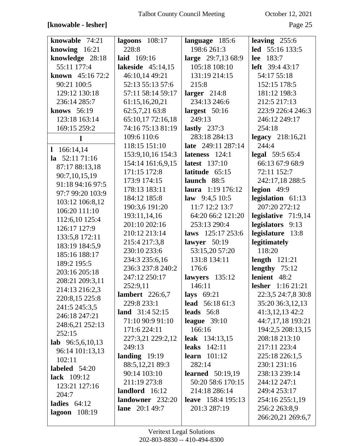### [knowable - lesher]

October 12, 2021

| knowable 74:21            | lagoons $108:17$        | language 185:6            | leaving $255:6$          |
|---------------------------|-------------------------|---------------------------|--------------------------|
| knowing $16:21$           | 228:8                   | 198:6 261:3               | <b>led</b> 55:16 133:5   |
| knowledge 28:18           | laid 169:16             | large 29:7,13 68:9        | 183:7<br>lee             |
| 55:11 177:4               | lakeside $45:14,15$     | 105:18 108:10             | <b>left</b> 39:4 43:17   |
| <b>known</b> $45:1672:2$  | 46:10,14 49:21          | 131:19 214:15             | 54:17 55:18              |
| 90:21 100:5               | 52:13 55:13 57:6        | 215:8                     | 152:15 178:5             |
| 129:12 130:18             | 57:11 58:14 59:17       | larger $214:8$            | 181:12 198:3             |
| 236:14 285:7              | 61:15,16,20,21          | 234:13 246:6              | 212:5 217:13             |
| <b>knows</b> 56:19        | 62:5,7,21 63:8          | largest $50:16$           | 223:9 226:4 246:3        |
| 123:18 163:14             | 65:10,17 72:16,18       | 249:13                    | 246:12 249:17            |
| 169:15 259:2              | 74:16 75:13 81:19       | lastly $237:3$            | 254:18                   |
| $\mathbf{l}$              | 109:6 110:6             | 283:18 284:13             | legacy 218:16,21         |
| 166:14,14<br>$\mathbf{l}$ | 118:15 151:10           | <b>late</b> 249:11 287:14 | 244:4                    |
| la $52:1171:16$           | 153:9, 10, 16 154:3     | lateness 124:1            | <b>legal</b> 59:5 65:4   |
| 87:17 88:13,18            | 154:14 161:6,9,15       | <b>latest</b> 137:10      | 66:13 67:9 68:9          |
| 90:7,10,15,19             | 171:15 172:8            | latitude 65:15            | 72:11 152:7              |
| 91:18 94:16 97:5          | 173:9 174:15            | launch 88:5               | 242:17,18 288:5          |
| 97:7 99:20 103:9          | 178:13 183:11           | <b>laura</b> 1:19 176:12  | legion 49:9              |
| 103:12 106:8,12           | 184:12 185:8            | law $9:4,510:5$           | legislation 61:13        |
| 106:20 111:10             | 190:3,6 191:20          | 11:7 12:2 13:7            | 207:20 272:12            |
| 112:6,10 125:4            | 193:11,14,16            | 64:20 66:2 121:20         | legislative $71:9,14$    |
| 126:17 127:9              | 201:10 202:16           | 253:13 290:4              | legislators 9:13         |
| 133:5,8 172:11            | 210:12 213:14           | laws $125:17253:6$        | legislature 13:8         |
| 183:19 184:5,9            | 215:4 217:3,8           | lawyer $50:19$            | legitimately             |
| 185:16 188:17             | 230:10 233:6            | 53:15,20 57:20            | 118:20                   |
| 189:2 195:5               | 234:3 235:6,16          | 131:8 134:11              | length $121:21$          |
| 203:16 205:18             | 236:3 237:8 240:2       | 176:6                     | lengthy 75:12            |
| 208:21 209:3,11           | 247:12 250:17           | lawyers $135:12$          | lenient 48:2             |
| 214:13 216:2,3            | 252:9,11                | 146:11                    | <b>lesher</b> 1:16 21:21 |
| 220:8,15 225:8            | <b>lambert</b> 226:6,7  | lays $69:21$              | 22:3,5 24:7,8 30:8       |
| 241:5 245:3,5             | 229:8 233:1             | <b>lead</b> 56:18 61:3    | 35:20 36:3,12,13         |
| 246:18 247:21             | <b>land</b> $31:452:15$ | leads $56:8$              | 41:3,12,13 42:2          |
| 248:6,21 252:13           | 71:10 90:9 91:10        | league $39:10$            | 44:7,17,18 193:21        |
| 252:15                    | 171:6 224:11            | 166:16                    | 194:2,5 208:13,15        |
| lab $96:5,6,10,13$        | 227:3,21 229:2,12       | <b>leak</b> 134:13,15     | 208:18 213:10            |
| 96:14 101:13,13           | 249:13                  | <b>leaks</b> 142:11       | 217:11 223:4             |
| 102:11                    | landing $19:19$         | learn $101:12$            | 225:18 226:1,5           |
| labeled 54:20             | 88:5,12,21 89:3         | 282:14                    | 230:1 231:16             |
| lack 109:12               | 90:14 103:10            | learned $50:19,19$        | 238:13 239:14            |
| 123:21 127:16             | 211:19 273:8            | 50:20 58:6 170:15         | 244:12 247:1             |
| 204:7                     | landlord 16:12          | 214:18 286:14             | 249:4 253:17             |
| ladies $64:12$            | landowner 232:20        | <b>leave</b> 158:4 195:13 | 254:16 255:1,19          |
| lagoon 108:19             | <b>lane</b> 20:1 49:7   | 201:3 287:19              | 256:2 263:8,9            |
|                           |                         |                           | 266:20,21 269:6,7        |
|                           |                         |                           |                          |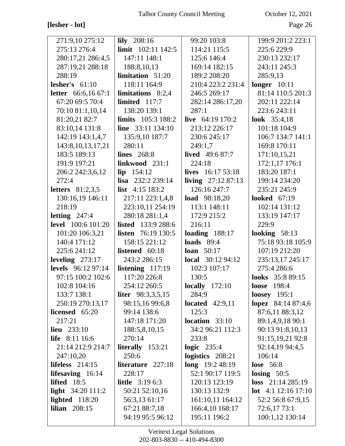## $[{\bf lesher-lot}]$

October 12, 2021

Page 26

| 271:9,10 275:12            | $\textbf{lily} \quad 208:16$      | 99:20 103:8                     | 199:9 201:2 223:1               |
|----------------------------|-----------------------------------|---------------------------------|---------------------------------|
| 275:13 276:4               | <b>limit</b> $102:11$ 142:5       | 114:21 115:5                    | 225:6 229:9                     |
| 280:17,21 286:4,5          | 147:11 148:1                      | 125:6 146:4                     | 230:13 232:17                   |
| 287:19,21 288:18           | 188:8, 10, 13                     | 169:14 182:15                   | 243:11 245:3                    |
| 288:19                     | limitation 51:20                  | 189:2 208:20                    | 285:9,13                        |
| lesher's $61:10$           | 118:11 164:9                      | 210:4 223:2 231:4               | longer $10:11$                  |
| <b>letter</b> 66:6,16 67:1 | limitations $8:2,4$               | 246:5 269:17                    | 81:14 110:5 201:3               |
| 67:20 69:5 70:4            | limited $117:7$                   | 282:14 286:17,20                | 202:11 222:14                   |
| 70:10 81:1,10,14           | 138:20 139:1                      | 287:1                           | 223:6 243:11                    |
| 81:20,21 82:7              | <b>limits</b> $105:3 188:2$       | live $64:19170:2$               | <b>look</b> 35:4,18             |
| 83:10,14 131:8             | line $33:11$ 134:10               | 213:12 226:17                   | 101:18 104:9                    |
| 142:19 143:1,4,7           | 135:9,10 187:7                    | 230:6 245:17                    | 106:7 134:7 141:1               |
| 143:8, 10, 13, 17, 21      | 280:11                            | 249:1,7                         | 169:8 170:11                    |
| 183:5 189:13               | lines $268:8$                     | <b>lived</b> 49:6 87:7          | 171:10,15,21                    |
| 191:9 197:21               | linkwood 231:1                    | 224:18                          | 172:1,17 176:1                  |
| 206:2 242:3,6,12           | $lip$ 154:12                      | lives 16:17 53:18               | 183:20 187:1                    |
| 272:4                      | lisa $232:2239:14$                | living 27:12 87:13              | 199:14 234:20                   |
| letters $81:2,3,5$         | list $4:15$ 183:2                 | 126:16 247:7                    | 235:21 245:9                    |
| 130:16,19 146:11           | 217:11 223:1,4,8                  | <b>load</b> 98:18,20            | <b>looked</b> 67:19             |
| 218:19                     | 223:10,11 254:19                  | 113:1 148:11                    | 102:14 131:12                   |
| letting $247:4$            | 280:18 281:1,4                    | 172:9 215:2                     | 133:19 147:17                   |
| <b>level</b> 100:6 101:20  | <b>listed</b> 133:9 288:6         | 216:11                          | 229:9                           |
| 101:20 106:3,21            | <b>listen</b> $76:19130:5$        | loading $188:17$                | looking $58:13$                 |
| 140:4 171:12               | 158:15 221:12                     | loads $89:4$                    | 75:18 93:18 105:9               |
| 225:6 241:12               | listened 60:18                    | <b>loan</b> 50:17               | 107:19 212:20                   |
| leveling $273:17$          | 243:2 286:15                      | <b>local</b> $30:1294:12$       | 235:13,17 245:17                |
| <b>levels</b> 96:12 97:14  | listening $117:19$                | 102:3 107:17                    | 275:4 286:6                     |
| 97:15 100:2 102:6          |                                   |                                 |                                 |
|                            | 117:20 226:8                      | 130:5                           | looks 35:8 89:15                |
| 102:8 104:16               | 254:12 260:5                      | <b>locally</b> 172:10           | <b>loose</b> 198:4              |
| 133:7 138:1                | <b>liter</b> $98:3,3,5,15$        | 284:9                           | <b>loosey</b> 195:1             |
| 250:19 270:13,17           | 98:15,16 99:6,8                   | located $42:9,11$               | lopez 84:14 87:4,6              |
| licensed $65:20$           | 99:14 138:6                       | 125:3                           | 87:6,11 88:3,12                 |
| 217:21                     | 147:18 171:20                     | location $33:10$                | 89:1,4,9,18 90:1                |
| <b>lieu</b> 233:10         | 188:5,8,10,15                     | 34:2 96:21 112:3                | 90:13 91:8,10,13                |
| life 8:11 16:6             | 270:14                            | 233:8                           | 91:15,19,21 92:8                |
| 21:14 212:9 214:7          | literally $153:21$                | logic $235:4$                   | 92:14,19 94:4,5                 |
| 247:10,20                  | 250:6                             | logistics 208:21                | 106:14                          |
| lifeless $214:15$          | literature 227:18                 | $long$ 19:2 48:19               | <b>lose</b> 56:8                |
| lifesaving $16:14$         | 228:17                            | 52:1 90:17 119:5                | losing $50:5$                   |
| <b>lifted</b> $18:5$       | <b>little</b> $3:196:3$           | 120:13 123:19                   | <b>loss</b> $21:14285:19$       |
| light $34:20111:2$         | 50:21 52:10,16                    | 130:13 132:9                    | <b>lot</b> 4:1 12:16 17:10      |
| lighted $118:20$           | 56:3,13 61:17                     | 161:10,11 164:12                | 52:2 56:8 67:9,15               |
| lilian $208:15$            | 67:21 88:7,18<br>94:19 95:5 96:12 | 166:4,10 168:17<br>195:11 196:2 | 72:6,17 73:1<br>100:1,12 130:14 |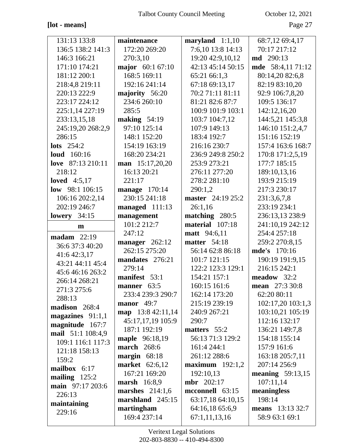## **[lot - means]** Page 27

| 131:13 133:8       | maintenance           | maryland $1:1,10$   | 68:7,12 69:4,17         |
|--------------------|-----------------------|---------------------|-------------------------|
| 136:5 138:2 141:3  | 172:20 269:20         | 7:6,10 13:8 14:13   | 70:17 217:12            |
| 146:3 166:21       | 270:3,10              | 19:20 42:9,10,12    | <b>md</b> 290:13        |
| 171:10 174:21      | major 60:1 67:10      | 42:13 45:14 50:15   | mde 58:4,11 71:12       |
| 181:12 200:1       | 168:5 169:11          | 65:21 66:1,3        | 80:14,20 82:6,8         |
| 218:4,8 219:11     | 192:16 241:14         | 67:18 69:13,17      | 82:19 83:10,20          |
| 220:13 222:9       | majority 56:20        | 70:2 71:11 81:11    | 92:9 106:7,8,20         |
| 223:17 224:12      | 234:6 260:10          | 81:21 82:6 87:7     | 109:5 136:17            |
| 225:1,14 227:19    | 285:5                 | 100:9 101:9 103:1   | 142:12,16,20            |
| 233:13,15,18       | making $54:19$        | 103:7 104:7,12      | 144:5,21 145:3,8        |
| 245:19,20 268:2,9  | 97:10 125:14          | 107:9 149:13        | 146:10 151:2,4,7        |
| 286:15             | 148:1 152:20          | 183:4 192:7         | 151:16 152:19           |
| lots $254:2$       | 154:19 163:19         | 216:16 230:7        | 157:4 163:6 168:7       |
| <b>loud</b> 160:16 | 168:20 234:21         | 236:9 249:8 250:2   | 170:8 171:2,5,19        |
| love 87:13 210:11  | man 15:17,20,20       | 253:9 273:21        | 177:7 185:15            |
| 218:12             | 16:13 20:21           | 276:11 277:20       | 189:10,13,16            |
| loved $4:5,17$     | 221:17                | 278:2 281:10        | 193:9 215:19            |
| low $98:1106:15$   | <b>manage</b> 170:14  | 290:1,2             | 217:3 230:17            |
| 106:16 202:2,14    | 230:15 241:18         | master 24:19 25:2   | 231:3,6,7,8             |
| 202:19 246:7       | managed 111:13        | 26:1,16             | 233:19 234:1            |
| lowery $34:15$     | management            | matching 280:5      | 236:13,13 238:9         |
| m                  | 101:2 212:7           | material 107:18     | 241:10,19 242:12        |
| madam $22:19$      | 247:12                | <b>matt</b> 94:6,11 | 254:4 257:18            |
|                    | manager 262:12        | matter $54:18$      | 259:2 270:8,15          |
|                    |                       |                     |                         |
| 36:6 37:3 40:20    | 262:15 275:20         | 56:14 62:8 86:18    | <b>mde's</b> 170:16     |
| 41:6 42:3,17       | mandates 276:21       | 101:7 121:15        | 190:19 191:9,15         |
| 43:21 44:11 45:4   | 279:14                | 122:2 123:3 129:1   | 216:15 242:1            |
| 45:646:16263:2     | manifest 53:1         | 154:21 157:1        | meadow 32:2             |
| 266:14 268:21      | manner 63:5           | 160:15 161:6        | mean 27:3 30:8          |
| 271:3 275:6        | 233:4 239:3 290:7     | 162:14 173:20       | 62:20 80:11             |
| 288:13             | manor 49:7            | 215:19 239:19       | 102:17,20 103:1,3       |
| madison 268:4      | map $13:842:11,14$    | 240:9 267:21        | 103:10,21 105:19        |
| magazines 91:1,1   | 45:17,17,19 105:9     | 290:7               | 112:16 132:17           |
| magnitude 167:7    | 187:1 192:19          | matters 55:2        | 136:21 149:7,8          |
| mail 51:1 108:4,9  | maple 96:18,19        | 56:13 71:3 129:2    | 154:18 155:14           |
| 109:1 116:1 117:3  | <b>march</b> 268:6    | 161:4 244:1         | 157:9 161:6             |
| 121:18 158:13      | margin 68:18          | 261:12 288:6        | 163:18 205:7,11         |
| 159:2              | <b>market</b> 62:6,12 | maximum $192:1,2$   | 207:14 256:9            |
| mailbox $6:17$     | 167:21 169:20         | 192:10,13           | meaning $59:13,15$      |
| mailing $125:2$    | <b>marsh</b> 16:8,9   | <b>mbr</b> 202:17   | 107:11,14               |
| main 97:17 203:6   | marshes $214:1,6$     | mcconnell 63:15     | meaningless             |
| 226:13             | marshland 245:15      | 63:17,18 64:10,15   | 198:14                  |
| maintaining        | martingham            | 64:16,18 65:6,9     | <b>means</b> 13:13 32:7 |
| 229:16             | 169:4 237:14          | 67:1,11,13,16       | 58:9 63:1 69:1          |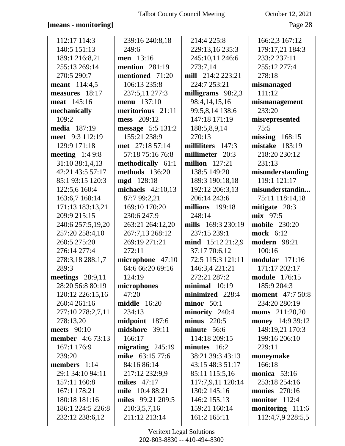### **[means - monitoring]** Page 28

| 112:17 114:3            | 239:16 240:8,18       | 214:4 225:8        | 166:2,3 167:12          |
|-------------------------|-----------------------|--------------------|-------------------------|
| 140:5 151:13            | 249:6                 | 229:13,16 235:3    | 179:17,21 184:3         |
| 189:1 216:8,21          | <b>men</b> 13:16      | 245:10,11 246:6    | 233:2 237:11            |
| 255:13 269:14           | <b>mention</b> 281:19 | 273:7,14           | 255:12 277:4            |
| 270:5 290:7             | mentioned 71:20       | mill 214:2 223:21  | 278:18                  |
| <b>meant</b> 114:4,5    | 106:13 235:8          | 224:7 253:21       | mismanaged              |
| measures 18:17          | 237:5,11 277:3        | milligrams 98:2,3  | 111:12                  |
| <b>meat</b> 145:16      | <b>menu</b> 137:10    | 98:4,14,15,16      | mismanagement           |
| mechanically            | meritorious 21:11     | 99:5,8,14 138:6    | 233:20                  |
| 109:2                   | mess 209:12           | 147:18 171:19      | misrepresented          |
| <b>media</b> 187:19     | message 5:5 131:2     | 188:5,8,9,14       | 75:5                    |
| meet 9:3 112:19         | 155:21 238:9          | 270:13             | missing $168:15$        |
| 129:9 171:18            | met 27:18 57:14       | milliliters 147:3  | <b>mistake</b> 183:19   |
| meeting $1:49:8$        | 57:18 75:16 76:8      | millimeter 20:3    | 218:20 230:12           |
| 31:10 38:1,4,13         | methodically 61:1     | million $127:21$   | 231:13                  |
| 42:21 43:5 57:17        | methods 136:20        | 138:5 149:20       | misunderstanding        |
| 85:1 93:15 120:3        | mgd 128:18            | 189:3 190:18,18    | 119:1 121:17            |
| 122:5,6 160:4           | michaels $42:10,13$   | 192:12 206:3,13    | misunderstandin         |
| 163:6,7 168:14          | 87:7 99:2,21          | 206:14 243:6       | 75:11 118:14,18         |
| 171:13 183:13,21        | 169:10 170:20         | millions 199:18    | mitigate 28:3           |
| 209:9 215:15            | 230:6 247:9           | 248:14             | mix 97:5                |
| 240:6 257:5,19,20       | 263:21 264:12,20      | mills 169:3 230:19 | <b>mobile</b> 230:20    |
| 257:20 258:4,10         | 267:7,13 268:12       | 237:15 239:1       | mock 6:12               |
| 260:5 275:20            | 269:19 271:21         | mind 15:12 21:2,9  | modern 98:21            |
| 276:14 277:4            | 272:11                | 37:17 70:6,12      | 100:16                  |
| 278:3,18 288:1,7        | microphone 47:10      | 72:5 115:3 121:11  | modular 171:16          |
| 289:3                   | 64:6 66:20 69:16      | 146:3,4 221:21     | 171:17 202:17           |
| meetings $28:9,11$      | 124:19                | 272:21 287:2       | module 176:15           |
| 28:20 56:8 80:19        | microphones           | $minimal$ 10:19    | 185:9 204:3             |
| 120:12 226:15,16        | 47:20                 | minimized 228:4    | <b>moment</b> 47:7 50:8 |
| 260:4 261:16            | <b>middle</b> 16:20   | minor $50:1$       | 234:20 280:19           |
| 277:10 278:2,7,11       | 234:13                | minority 240:4     | <b>moms</b> $211:20,20$ |
| 278:13,20               | midpoint 187:6        | minus $220:5$      | money 14:9 39:12        |
| <b>meets</b> 90:10      | midshore 39:11        | minute 56:6        | 149:19,21 170:3         |
| <b>member</b> 4:6 73:13 | 166:17                | 114:18 209:15      | 199:16 206:10           |
| 167:1 176:9             | migrating $245:19$    | minutes 16:2       | 229:11                  |
| 239:20                  | mike 63:15 77:6       | 38:21 39:3 43:13   | moneymake               |
| members $1:14$          | 84:16 86:14           | 43:15 48:3 51:17   | 166:18                  |
| 29:1 34:10 94:11        | 217:12 232:9,9        | 85:11 115:5,16     | monica $53:16$          |
| 157:11 160:8            | mikes $47:17$         | 117:7,9,11 120:14  | 253:18 254:16           |
| 167:1 178:21            | mile 10:4 88:21       | 130:2 145:16       | <b>monies</b> 270:16    |
| 180:18 181:16           | miles 99:21 209:5     | 146:2 155:13       | monitor 112:4           |
| 186:1 224:5 226:8       | 210:3,5,7,16          | 159:21 160:14      | monitoring 111:6        |
| 232:12 238:6,12         | 211:12 213:14         | 161:2 165:11       | 112:4,7,9 228:5,5       |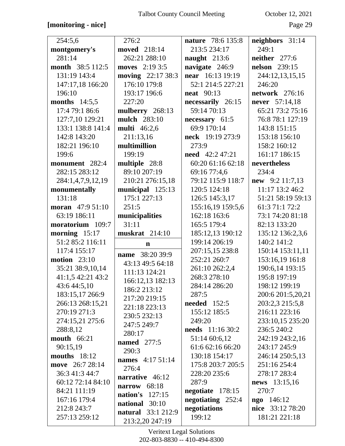### **[monitoring - nice]** Page 29

| 254:5,6                      | 276:2                                       | nature 78:6 135:8      | neighbors 31:14                   |
|------------------------------|---------------------------------------------|------------------------|-----------------------------------|
| montgomery's                 | moved 218:14                                | 213:5 234:17           | 249:1                             |
| 281:14                       | 262:21 288:10                               | naught 213:6           | neither 277:6                     |
| month 38:5 112:5             | moves 2:19 3:5                              | navigate 246:9         | <b>nelson</b> 239:15              |
| 131:19 143:4                 | moving 22:17 38:3                           | near 16:13 19:19       | 244:12,13,15,15                   |
| 147:17,18 166:20             | 176:10 179:8                                | 52:1 214:5 227:21      | 246:20                            |
| 196:10                       | 193:17 196:6                                | <b>neat</b> 90:13      | network 276:16                    |
| months $14:5,5$              | 227:20                                      | necessarily 26:15      | never 57:14,18                    |
| 17:4 79:1 86:6               | mulberry 268:13                             | 59:14 70:13            | 65:21 73:2 75:16                  |
| 127:7,10 129:21              | mulch 283:10                                | necessary 61:5         | 76:8 78:1 127:19                  |
| 133:1 138:8 141:4            | <b>multi</b> 46:2,6                         | 69:9 170:14            | 143:8 151:15                      |
| 142:8 143:20                 | 211:13,16                                   | neck 19:19 273:9       | 153:18 156:10                     |
| 182:21 196:10                | multimillion                                | 273:9                  | 158:2 160:12                      |
| 199:6                        | 199:19                                      | <b>need</b> 42:2 47:21 | 161:17 186:15                     |
| monument 282:4               | multiple 28:8                               | 60:20 61:16 62:18      | nevertheless                      |
| 282:15 283:12                | 89:10 207:19                                | 69:16 77:4,6           | 234:4                             |
| 284:1,4,7,9,12,19            | 210:21 276:15,18                            | 79:12 115:9 118:7      | new 9:2 11:7,13                   |
| monumentally                 | municipal 125:13                            | 120:5 124:18           | 11:17 13:2 46:2                   |
| 131:18                       | 175:1 227:13                                | 126:5 145:3,17         | 51:21 58:19 59:13                 |
| <b>moran</b> $47:951:10$     | 251:5                                       | 155:16,19 159:5,6      | 61:3 71:1 72:2                    |
| 63:19 186:11                 | municipalities                              | 162:18 163:6           | 73:1 74:20 81:18                  |
| moratorium 109:7             | 31:11                                       | 165:5 179:4            | 82:13 133:20                      |
|                              |                                             |                        |                                   |
| morning $15:17$              | muskrat 214:10                              | 185:12,13 190:12       | 135:12 136:2,3,6                  |
| 51:2 85:2 116:11             | $\mathbf n$                                 | 199:14 206:19          | 140:2 141:2                       |
| 117:4 155:17                 |                                             | 207:15,15 238:8        | 150:14 153:11,11                  |
| <b>motion</b> 23:10          | name 38:20 39:9                             | 252:21 260:7           | 153:16,19 161:8                   |
| 35:21 38:9,10,14             | 43:13 49:5 64:18                            | 261:10 262:2,4         | 190:6,14 193:15                   |
| 41:1,5 42:21 43:2            | 111:13 124:21                               | 268:3 278:10           | 195:8 197:19                      |
| 43:6 44:5,10                 | 166:12,13 182:13                            | 284:14 286:20          | 198:12 199:19                     |
| 183:15,17 266:9              | 186:2 213:12                                | 287:5                  | 200:6 201:5,20,21                 |
| 266:13 268:15,21             | 217:20 219:15                               | <b>needed</b> 152:5    | 203:2,3 215:5,8                   |
| 270:19 271:3                 | 221:18 223:13                               | 155:12 185:5           | 216:11 223:16                     |
| 274:15,21 275:6              | 230:5 232:13                                | 249:20                 | 233:10,15 235:20                  |
| 288:8,12                     | 247:5 249:7                                 | needs 11:16 30:2       | 236:5 240:2                       |
| mouth 66:21                  | 280:17                                      | 51:14 60:6,12          | 242:19 243:2,16                   |
| 90:15,19                     | <b>named</b> 277:5                          | 61:6 62:16 66:20       | 243:17 245:9                      |
| mouths $18:12$               | 290:3                                       | 130:18 154:17          | 246:14 250:5,13                   |
| move 26:7 28:14              | <b>names</b> 4:17 51:14                     | 175:8 203:7 205:5      | 251:16 254:4                      |
| 36:3 41:3 44:7               | 276:4                                       | 228:20 235:6           | 278:17 283:4                      |
| 60:12 72:14 84:10            | narrative 46:12                             | 287:9                  | news 13:15,16                     |
| 84:21 111:19                 | narrow 68:18                                | negotiate $178:15$     | 270:7                             |
| 167:16 179:4                 | nation's $127:15$                           | negotiating 252:4      | ngo 146:12                        |
| 212:8 243:7<br>257:13 259:12 | national 30:10<br><b>natural</b> 33:1 212:9 | negotiations<br>199:12 | nice 33:12 78:20<br>181:21 221:18 |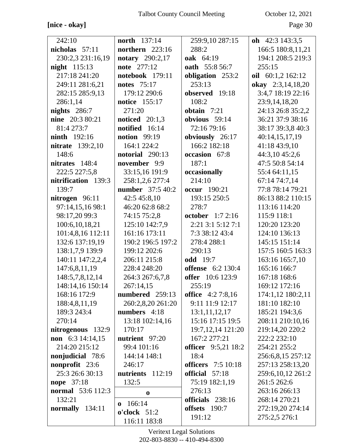[nice - okay]

October 12, 2021

| 242:10                   | <b>north</b> 137:14     | 259:9,10 287:15            | oh $42:3$ 143:3,5 |
|--------------------------|-------------------------|----------------------------|-------------------|
| nicholas $57:11$         | northern 223:16         | 288:2                      | 166:5 180:8,11,21 |
| 230:2,3 231:16,19        | notary 290:2,17         | oak 64:19                  | 194:1 208:5 219:3 |
| night 115:13             | note 277:12             | oath 55:8 56:7             | 255:15            |
| 217:18 241:20            | notebook 179:11         | obligation 253:2           | oil 60:1,2 162:12 |
| 249:11 281:6,21          | <b>notes</b> 75:17      | 253:13                     | okay 2:3,14,18,20 |
| 282:15 285:9,13          | 179:12 290:6            | observed 19:18             | 3:4,7 18:19 22:16 |
| 286:1,14                 | <b>notice</b> 155:17    | 108:2                      | 23:9,14,18,20     |
| nights 286:7             | 271:20                  | obtain $7:21$              | 24:13 26:8 35:2,2 |
| nine 20:3 80:21          | noticed $20:1,3$        | obvious $59:14$            | 36:21 37:9 38:16  |
| 81:4 273:7               | notified 16:14          | 72:16 79:16                | 38:17 39:3,8 40:3 |
| <b>ninth</b> 192:16      | <b>notion</b> 99:19     | obviously 26:17            | 40:14,15,17,19    |
| <b>nitrate</b> 139:2,10  | 164:1 224:2             | 166:2 182:18               | 41:18 43:9,10     |
| 148:6                    | notorial 290:13         | occasion 67:8              | 44:3,10 45:2,6    |
| nitrates 148:4           | november 9:9            | 187:1                      | 47:5 50:8 54:14   |
| 222:5 227:5,8            | 33:15,16 191:9          | occasionally               | 55:4 64:11,15     |
| nitrification 139:3      | 258:1,2,6 277:4         | 214:10                     | 67:14 74:7,14     |
| 139:7                    | <b>number</b> 37:5 40:2 | <b>occur</b> 190:21        | 77:8 78:14 79:21  |
| nitrogen $96:11$         | 42:5 45:8,10            | 193:15 250:5               | 86:13 88:2 110:15 |
| 97:14,15,16 98:1         | 46:20 62:8 68:2         | 278:7                      | 113:16 114:20     |
| 98:17,20 99:3            | 74:15 75:2,8            | <b>october</b> 1:7 2:16    | 115:9 118:1       |
| 100:6,10,18,21           | 125:10 142:7,9          | 2:21 3:1 5:12 7:1          | 120:20 123:20     |
| 101:4,8,16 112:11        | 161:16 173:11           | 7:3 38:12 43:4             | 124:10 136:13     |
| 132:6 137:19,19          | 190:2 196:5 197:2       | 278:4 288:1                | 145:15 151:14     |
| 138:1,7,9 139:9          | 199:12 202:6            | 290:13                     | 157:5 160:5 163:3 |
| 140:11 147:2,2,4         | 206:11 215:8            | <b>odd</b> 19:7            | 163:16 165:7,10   |
| 147:6,8,11,19            | 228:4 248:20            | <b>offense</b> 6:2 130:4   | 165:16 166:7      |
| 148:5,7,8,12,14          | 264:3 267:6,7,8         | <b>offer</b> 10:6 123:9    | 167:18 168:6      |
| 148:14,16 150:14         | 267:14,15               | 255:19                     | 169:12 172:16     |
| 168:16 172:9             | numbered 259:13         | <b>office</b> 4:2 7:8,16   | 174:1,12 180:2,11 |
| 188:4,8,11,19            | 260:2,8,20 261:20       | 9:11 11:9 12:17            | 181:10 182:10     |
| 189:3 243:4              | numbers 4:18            | 13:1,11,12,17              | 185:21 194:3,6    |
| 270:14                   | 13:18 102:14,16         | 15:16 17:15 19:5           | 208:11 210:10,16  |
| nitrogenous 132:9        | 170:17                  | 19:7, 12, 14 121: 20       | 219:14,20 220:2   |
| non $6:3$ 14:14,15       | nutrient 97:20          | 167:2 277:21               | 222:2 232:10      |
| 214:20 215:12            | 99:4 101:16             | <b>officer</b> 9:5,21 18:2 | 254:21 255:2      |
| nonjudicial 78:6         | 144:14 148:1            | 18:4                       | 256:6,8,15 257:12 |
| nonprofit 23:6           | 246:17                  | <b>officers</b> 7:5 10:18  | 257:13 258:13,20  |
| 25:3 26:6 30:13          | nutrients 112:19        | official $57:18$           | 259:6,10,12 261:2 |
| <b>nope</b> 37:18        | 132:5                   | 75:19 182:1,19             | 261:5 262:6       |
| <b>normal</b> 53:6 112:3 | $\mathbf 0$             | 276:13                     | 263:16 266:13     |
| 132:21                   | 166:14<br>$\mathbf{0}$  | officials 238:16           | 268:14 270:21     |
| normally 134:11          | $o'clock$ 51:2          | offsets 190:7              | 272:19,20 274:14  |
|                          | 116:11 183:8            | 191:12                     | 275:2,5 276:1     |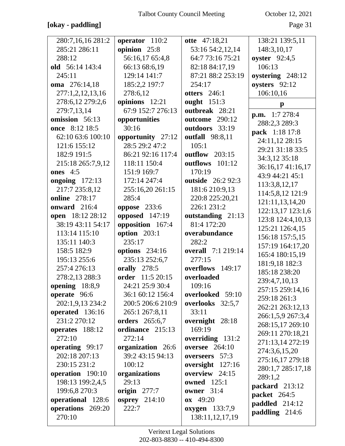### [okay - paddling]

October 12, 2021

Page 31

| 280:7,16,16 281:2    | operator 110:2        | otte 47:18,21             | 138:21 139:5,11       |
|----------------------|-----------------------|---------------------------|-----------------------|
| 285:21 286:11        | opinion 25:8          | 53:16 54:2,12,14          | 148:3,10,17           |
| 288:12               | 56:16,17 65:4,8       | 64:7 73:16 75:21          | oyster 92:4,5         |
| old 56:14 143:4      | 66:13 68:6,19         | 82:18 84:17,19            | 106:13                |
| 245:11               | 129:14 141:7          | 87:21 88:2 253:19         | oystering 248:12      |
| oma 276:14,18        | 185:2,2 197:7         | 254:17                    | oysters 92:12         |
| 277:1,2,12,13,16     | 278:6,12              | otters $246:1$            | 106:10,16             |
| 278:6,12 279:2,6     | opinions 12:21        | ought 151:3               | $\mathbf{p}$          |
| 279:7,13,14          | 67:9 152:7 276:13     | outbreak 28:21            |                       |
| omission 56:13       | opportunities         | <b>outcome</b> 290:12     | <b>p.m.</b> 1:7 278:4 |
| once 8:12 18:5       | 30:16                 | outdoors 33:19            | 288:2,3 289:3         |
| 62:10 63:6 100:10    | opportunity 27:12     | <b>outfall</b> 98:8,11    | pack 1:18 17:8        |
| 121:6 155:12         | 28:5 29:2 47:2        | 105:1                     | 24:11,12 28:15        |
| 182:9 191:5          | 86:21 92:16 117:4     | <b>outflow</b> 203:15     | 29:21 31:18 33:5      |
| 215:18 265:7,9,12    | 118:11 150:4          | outflows<br>101:12        | 34:3,12 35:18         |
| <b>ones</b> 4:5      | 151:9 169:7           | 170:19                    | 36:16,17 41:16,17     |
| ongoing 172:13       | 172:14 247:4          | <b>outside</b> 26:2 92:3  | 43:9 44:21 45:1       |
| 217:7 235:8,12       | 255:16,20 261:15      | 181:6 210:9,13            | 113:3,8,12,17         |
| <b>online</b> 278:17 | 285:4                 | 220:8 225:20,21           | 114:5,8,12 121:9      |
| onward 216:4         | oppose $233:6$        | 226:1 231:2               | 121:11,13,14,20       |
| open 18:12 28:12     | opposed 147:19        | outstanding 21:13         | 122:13,17 123:1,6     |
| 38:19 43:11 54:17    | opposition 167:4      | 81:4 172:20               | 123:8 124:4,10,13     |
| 113:14 115:10        | option 203:1          | overabundance             | 125:21 126:4,15       |
| 135:11 140:3         | 235:17                | 282:2                     | 156:18 157:5,15       |
| 158:5 182:9          | options 234:16        | <b>overall</b> 7:1 219:14 | 157:19 164:17,20      |
| 195:13 255:6         | 235:13 252:6,7        | 277:15                    | 165:4 180:15,19       |
| 257:4 276:13         | orally 278:5          | overflows 149:17          | 181:9,18 182:3        |
| 278:2,13 288:3       | order 11:5 20:15      | overloaded                | 185:18 238:20         |
| opening 18:8,9       | 24:21 25:9 30:4       | 109:16                    | 239:4,7,10,13         |
| operate 96:6         | 36:1 60:12 156:4      | overlooked 59:10          | 257:15 259:14,16      |
| 202:1,9,13 234:2     | 200:5 206:6 210:9     | overlooks 32:5,7          | 259:18 261:3          |
| operated 136:16      | 265:1 267:8,11        | 33:11                     | 262:21 263:12,13      |
| 231:2 270:12         | <b>orders</b> 265:6,7 | overnight 28:18           | 266:1,5,9 267:3,4     |
| operates 188:12      | ordinance 215:13      | 169:19                    | 268:15,17 269:10      |
| 272:10               | 272:14                | overriding $131:2$        | 269:11 270:18,21      |
| operating 99:17      | organization 26:6     | <b>oversee</b> 264:10     | 271:13,14 272:19      |
| 202:18 207:13        | 39:2 43:15 94:13      | overseers 57:3            | 274:3,6,15,20         |
| 230:15 231:2         | 100:12                | oversight $127:16$        | 275:16,17 279:18      |
| operation 190:10     | organizations         | overview $24:15$          | 280:1,7 285:17,18     |
| 198:13 199:2,4,5     | 29:13                 | <b>owned</b> 125:1        | 289:1,2               |
| 199:6,8 270:3        | origin $277:7$        | owner $31:4$              | packard 213:12        |
| operational 128:6    | osprey $214:10$       | $\mathbf{ox}$ 49:20       | packet 264:5          |
| operations 269:20    | 222:7                 | oxygen $133:7,9$          | paddled 214:12        |
| 270:10               |                       | 138:11,12,17,19           | paddling 214:6        |
|                      |                       |                           |                       |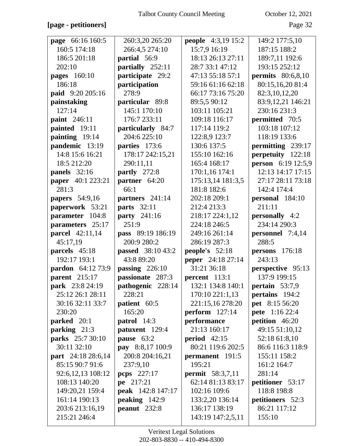### **[page - petitioners]** Page 32

| page 66:16 160:5       | 260:3,20 265:20                    | <b>people</b> 4:3,19 15:2 | 149:2 177:5,10           |
|------------------------|------------------------------------|---------------------------|--------------------------|
| 160:5 174:18           | 266:4,5 274:10                     | 15:7,9 16:19              | 187:15 188:2             |
| 186:5 201:18           | partial 56:9                       | 18:13 26:13 27:11         | 189:7,11 192:6           |
| 202:10                 | partially 252:11                   | 28:7 33:1 47:12           | 193:15 252:12            |
| <b>pages</b> 160:10    | participate 29:2                   | 47:13 55:18 57:1          | <b>permits</b> 80:6,8,10 |
| 186:18                 | participation                      | 59:16 61:16 62:18         | 80:15,16,20 81:4         |
| paid 9:20 205:16       | 278:9                              | 66:17 73:16 75:20         | 82:3,10,12,20            |
| painstaking            | particular 89:8                    | 89:5,5 90:12              | 83:9,12,21 146:21        |
| 127:14                 | 145:1 170:10                       | 103:11 105:21             | 230:16 231:3             |
| paint 246:11           | 176:7 233:11                       | 109:18 116:17             | permitted 70:5           |
| painted 19:11          | particularly 84:7                  | 117:14 119:2              | 103:18 107:12            |
| painting 19:14         | 204:6 225:10                       | 122:8,9 123:7             | 118:19 133:6             |
| pandemic 13:19         | parties 173:6                      | 130:6 137:5               | permitting 239:17        |
| 14:8 15:6 16:21        | 178:17 242:15,21                   | 155:10 162:16             | perpetuity 122:18        |
| 18:5 212:20            | 290:11,11                          | 165:4 168:17              | person 6:19 12:5,9       |
| panels 32:16           | partly 272:8                       | 170:1,16 174:1            | 12:13 14:17 17:15        |
| paper 40:1 223:21      | partner 64:20                      | 175:13,14 181:3,5         | 27:17 28:11 73:18        |
| 281:3                  | 66:1                               | 181:8 182:6               | 142:4 174:4              |
| <b>papers</b> 54:9,16  | partners 241:14                    | 202:18 209:1              | personal 184:10          |
| paperwork 53:21        | <b>parts</b> 32:11                 | 212:4 213:3               | 211:11                   |
| parameter 104:8        | party 241:16                       | 218:17 224:1,12           | personally 4:2           |
| parameters 25:17       | 251:9                              | 224:18 246:5              | 234:14 290:3             |
| <b>parcel</b> 42:11,14 | pass 89:19 186:19                  | 249:16 261:14             | personnel 7:4,14         |
| 45:17,19               | 200:9 280:2                        | 286:19 287:3              | 288:5                    |
| parcels 45:18          | passed 38:10 43:2                  | people's 52:18            | <b>persons</b> 176:18    |
| 192:17 193:1           | 43:8 89:20                         | <b>peper</b> 24:18 27:14  | 243:13                   |
| pardon 64:12 73:9      | passing 226:10                     | 31:21 36:18               | perspective 95:13        |
| <b>parent</b> 215:17   | passionate 287:3                   | $percent$ 113:1           | 137:9 199:15             |
| park 23:8 24:19        | pathogenic 228:14                  | 132:1 134:8 140:1         | pertain 53:7,9           |
| 25:12 26:1 28:11       | 228:21                             | 170:10 221:1,13           | pertains 194:2           |
| 30:16 32:11 33:7       | patient 60:5                       | 221:15,16 278:20          | pet 8:15 56:20           |
| 230:20                 | 165:20                             | perform $127:14$          | pete 1:16 22:4           |
| parked 20:1            | patrol 14:3                        | performance               | petition 46:20           |
| parking 21:3           | patuxent 129:4                     | 21:13 160:17              | 49:15 51:10,12           |
| parks 25:7 30:10       | pause 63:2                         | <b>period</b> $42:15$     | 52:18 61:8,10            |
| 30:11 32:10            | pay 8:8,17 100:9                   | 80:21 119:6 202:5         | 86:6 116:3 118:9         |
| part 24:18 28:6,14     | 200:8 204:16,21                    | permanent 191:5           | 155:11 158:2             |
| 85:15 90:7 91:6        | 237:9,10                           | 195:21                    | 161:2 164:7              |
| 92:6, 12, 13 108: 12   | <b>pcps</b> 227:17                 | <b>permit</b> 58:3,7,11   | 281:14                   |
| 108:13 140:20          | pe 217:21                          | 62:14 81:13 83:17         | petitioner 53:17         |
| 149:20,21 159:4        | peak 142:8 147:17                  | 102:16 109:6              | 118:8 198:8              |
| 161:14 190:13          | peaking $142:9$                    | 133:2,20 136:14           | petitioners 52:3         |
| 203:6 213:16,19        | $\boldsymbol{\text{peanut}}$ 232:8 | 136:17 138:19             | 86:21 117:12             |
| 215:21 246:4           |                                    | 143:19 147:2,5,11         | 155:10                   |
|                        |                                    |                           |                          |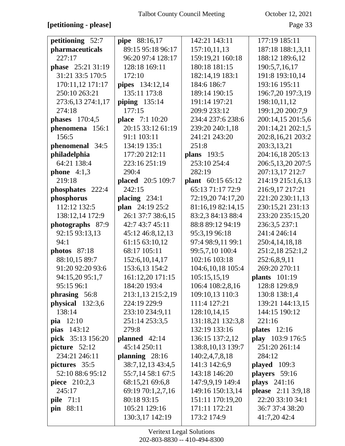## **[petitioning - please]** Page 33

| petitioning 52:7   | <b>pipe</b> 88:16,17   | 142:21 143:11       | 177:19 185:11             |
|--------------------|------------------------|---------------------|---------------------------|
| pharmaceuticals    | 89:15 95:18 96:17      | 157:10,11,13        | 187:18 188:1,3,11         |
| 227:17             | 96:20 97:4 128:17      | 159:19,21 160:18    | 188:12 189:6,12           |
| phase 25:21 31:19  | 128:18 169:11          | 180:18 181:15       | 190:5,7,16,17             |
| 31:21 33:5 170:5   | 172:10                 | 182:14,19 183:1     | 191:8 193:10,14           |
| 170:11,12 171:17   | <b>pipes</b> 134:12,14 | 184:6 186:7         | 193:16 195:11             |
| 250:10 263:21      | 135:11 173:8           | 189:14 190:15       | 196:7,20 197:3,19         |
| 273:6,13 274:1,17  | piping $135:14$        | 191:14 197:21       | 198:10,11,12              |
| 274:18             | 177:15                 | 209:9 233:12        | 199:1,20 200:7,9          |
| phases $170:4,5$   | place 7:1 10:20        | 234:4 237:6 238:6   | 200:14,15 201:5,6         |
| phenomena 156:1    | 20:15 33:12 61:19      | 239:20 240:1,18     | 201:14,21 202:1,5         |
| 156:5              | 91:1 103:11            | 241:21 243:20       | 202:8,16,21 203:2         |
| phenomenal 34:5    | 134:19 135:1           | 251:8               | 203:3,13,21               |
| philadelphia       | 177:20 212:11          | <b>plans</b> 193:5  | 204:16,18 205:13          |
| 64:21 138:4        | 223:16 251:19          | 253:10 254:4        | 206:5,13,20 207:5         |
| phone $4:1,3$      | 290:4                  | 282:19              | 207:13,17 212:7           |
| 219:18             | placed 20:5 109:7      | plant 60:15 65:12   | 214:19 215:1,6,13         |
| phosphates 222:4   | 242:15                 | 65:13 71:17 72:9    | 216:9,17 217:21           |
| phosphorus         | placing $234:1$        | 72:19,20 74:17,20   | 221:20 230:11,13          |
| 112:12 132:5       | plan 24:19 25:2        | 81:16,19 82:14,15   | 230:15,21 231:13          |
| 138:12,14 172:9    | 26:1 37:7 38:6,15      | 83:2,3 84:13 88:4   | 233:20 235:15,20          |
| photographs 87:9   | 42:7 43:7 45:11        | 88:8 89:12 94:19    | 236:3,5 237:1             |
| 92:15 93:13,13     | 45:12 46:8,12,13       | 95:3,19 96:18       | 241:4 246:14              |
| 94:1               | 61:15 63:10,12         | 97:4 98:9,11 99:1   | 250:4,14,18,18            |
| photos $87:18$     | 68:17 105:11           | 99:5,7,10 100:4     | 251:2,18 252:1,2          |
| 88:10,15 89:7      | 152:6, 10, 14, 17      | 102:16 103:18       | 252:6,8,9,11              |
| 91:20 92:20 93:6   | 153:6,13 154:2         | 104:6, 10, 18 105:4 | 269:20 270:11             |
| 94:15,20 95:1,7    | 161:12,20 171:15       | 105:15,15,19        | plants $101:19$           |
| 95:15 96:1         | 184:20 193:4           | 106:4 108:2,8,16    | 128:8 129:8,9             |
| phrasing 56:8      | 213:1,13 215:2,19      | 109:10,13 110:3     | 130:8 138:1,4             |
| physical $132:3,6$ | 224:19 229:9           | 111:4 127:21        | 139:21 144:13,15          |
| 138:14             | 233:10 234:9,11        | 128:10,14,15        | 144:15 190:12             |
| pia 12:10          | 251:14 253:3,5         | 131:18,21 132:3,8   | 221:16                    |
| pias 143:12        | 279:8                  | 132:19 133:16       | plates $12:16$            |
| pick 35:13 156:20  | planned $42:14$        | 136:15 137:2,12     | play 103:9 176:5          |
| picture 52:12      | 45:14 250:11           | 138:8, 10, 13 139:7 | 251:20 261:14             |
| 234:21 246:11      | planning $28:16$       | 140:2,4,7,8,18      | 284:12                    |
| pictures 35:5      | 38:7, 12, 13 43:4, 5   | 141:3 142:6,9       | played $109:3$            |
| 52:10 88:6 95:12   | 55:7,14 58:1 67:5      | 143:18 146:20       | players 59:16             |
| piece 210:2,3      | 68:15,21 69:6,8        | 147:9,9,19 149:4    | <b>plays</b> 241:16       |
| 245:17             | 69:19 70:1,2,7,16      | 149:16 150:13,14    | <b>please</b> 2:11 3:9,18 |
| <b>pile</b> 71:1   | 80:18 93:15            | 151:11 170:19,20    | 22:20 33:10 34:1          |
| pin 88:11          | 105:21 129:16          | 171:11 172:21       | 36:7 37:4 38:20           |
|                    | 130:3,17 142:19        | 173:2 174:9         | 41:7,20 42:4              |
|                    |                        |                     |                           |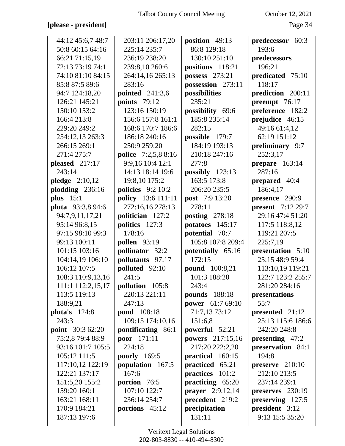## **[please - president]** Page 34

| 44:12 45:6,7 48:7       | 203:11 206:17,20           | position $49:13$        | predecessor 60:3         |
|-------------------------|----------------------------|-------------------------|--------------------------|
| 50:8 60:15 64:16        | 225:14 235:7               | 86:8 129:18             | 193:6                    |
| 66:21 71:15,19          | 236:19 238:20              | 130:10 251:10           | predecessors             |
| 72:13 73:19 74:1        | 239:8,10 260:6             | positions 118:21        | 196:21                   |
| 74:10 81:10 84:15       | 264:14,16 265:13           | possess 273:21          | predicated 75:10         |
| 85:8 87:5 89:6          | 283:16                     | possession 273:11       | 118:17                   |
| 94:7 124:18,20          | pointed 241:3,6            | possibilities           | prediction 200:11        |
| 126:21 145:21           | <b>points</b> 79:12        | 235:21                  | preempt 76:17            |
| 150:10 153:2            | 123:16 150:19              | possibility 69:6        | preference 182:2         |
| 166:4 213:8             | 156:6 157:8 161:1          | 185:8 235:14            | prejudice 46:15          |
| 229:20 249:2            | 168:6 170:7 186:6          | 282:15                  | 49:16 61:4,12            |
| 254:12,13 263:3         | 186:18 240:16              | possible 179:7          | 62:19 151:12             |
| 266:15 269:1            | 250:9 259:20               | 184:19 193:13           | preliminary 9:7          |
| 271:4 275:7             | <b>police</b> 7:2,5,8 8:16 | 210:18 247:16           | 252:3,17                 |
| pleased 217:17          | 9:9,16 10:4 12:1           | 277:8                   | prepare $163:14$         |
| 243:14                  | 14:13 18:14 19:6           | possibly $123:13$       | 287:16                   |
| pledge $2:10,12$        | 19:8,10 175:2              | 163:5 173:8             | prepared 40:4            |
| plodding 236:16         | <b>policies</b> 9:2 10:2   | 206:20 235:5            | 186:4,17                 |
| plus $15:1$             | policy 13:6 111:11         | post 7:9 13:20          | presence 290:9           |
| pluta 93:3,8 94:6       | 272:16,16 278:13           | 278:11                  | <b>present</b> 7:12 29:7 |
| 94:7,9,11,17,21         | politician 127:2           | <b>posting</b> 278:18   | 29:16 47:4 51:20         |
| 95:14 96:8,15           | politics 127:3             | potatoes 145:17         | 117:5 118:8,12           |
| 97:15 98:10 99:3        | 178:16                     | potential 70:7          | 119:21 207:5             |
| 99:13 100:11            | <b>pollen</b> 93:19        | 105:8 107:8 209:4       | 225:7,19                 |
| 101:15 103:16           | pollinator 32:2            | potentially 65:16       | presentation 5:10        |
| 104:14,19 106:10        | pollutants 97:17           | 172:15                  | 25:15 48:9 59:4          |
| 106:12 107:5            | polluted 92:10             | <b>pound</b> 100:8,21   | 113:10,19 119:21         |
| 108:3 110:9,13,16       | 241:5                      | 101:3 188:20            | 122:7 123:2 255:7        |
| 111:1 112:2,15,17       | pollution 105:8            | 243:4                   | 281:20 284:16            |
| 113:5 119:13            | 220:13 221:11              | pounds 188:18           | presentations            |
| 188:9,21                | 247:13                     | power 61:7 69:10        | 55:7                     |
| pluta's $124:8$         | <b>pond</b> 108:18         | 71:7,13 73:12           | presented 21:12          |
| 243:3                   | 109:15 174:10,16           | 151:6,8                 | 25:13 115:6 186:6        |
| <b>point</b> 30:3 62:20 | pontificating 86:1         | powerful 52:21          | 242:20 248:8             |
| 75:2,8 79:4 88:9        | poor 171:11                | powers 217:15,16        | presenting 47:2          |
| 93:16 101:7 105:5       | 224:18                     | 217:20 222:2,20         | preservation 84:1        |
| 105:12 111:5            | poorly 169:5               | practical 160:15        | 194:8                    |
| 117:10,12 122:19        | population 167:5           | practiced 65:21         | preserve $210:10$        |
| 122:21 137:17           | 167:6                      | practices 101:2         | 212:10 213:5             |
| 151:5,20 155:2          | portion 76:5               | practicing 65:20        | 237:14 239:1             |
| 159:20 160:1            | 107:10 122:7               | <b>prayer</b> 2:9,12,14 | preserves 230:19         |
| 163:21 168:11           | 236:14 254:7               | precedent 219:2         | preserving 127:5         |
| 170:9 184:21            | portions 45:12             | precipitation           | president 3:12           |
| 187:13 197:6            |                            | 131:11                  | 9:13 15:5 35:20          |
|                         |                            |                         |                          |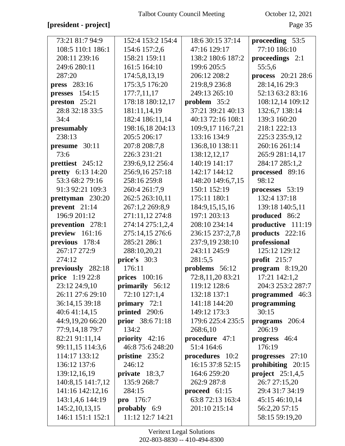# **[president - project]** Page 35

| 73:21 81:7 94:9          | 152:4 153:2 154:4  | 18:6 30:15 37:14  | proceeding 53:5    |
|--------------------------|--------------------|-------------------|--------------------|
| 108:5 110:1 186:1        | 154:6 157:2,6      | 47:16 129:17      | 77:10 186:10       |
| 208:11 239:16            | 158:21 159:11      | 138:2 180:6 187:2 | proceedings 2:1    |
| 249:6 280:11             | 161:5 164:10       | 199:6 205:5       | 55:5,6             |
| 287:20                   | 174:5,8,13,19      | 206:12 208:2      | process 20:21 28:6 |
| press 283:16             | 175:3,5 176:20     | 219:8,9 236:8     | 28:14,16 29:3      |
| presses $154:15$         | 177:7,11,17        | 249:13 265:10     | 52:13 63:2 83:16   |
| preston $25:21$          | 178:18 180:12,17   | problem 35:2      | 108:12,14 109:12   |
| 28:8 32:18 33:5          | 181:11,14,19       | 37:21 39:21 40:13 | 132:6,7 138:14     |
| 34:4                     | 182:4 186:11,14    | 40:13 72:16 108:1 | 139:3 160:20       |
| presumably               | 198:16,18 204:13   | 109:9,17 116:7,21 | 218:1 222:13       |
| 238:13                   | 205:5 206:17       | 133:16 134:9      | 225:3 235:9,12     |
| presume 30:11            | 207:8 208:7,8      | 136:8,10 138:11   | 260:16 261:14      |
| 73:6                     | 226:3 231:21       | 138:12,12,17      | 265:9 281:14,17    |
| prettiest 245:12         | 239:6,9,12 256:4   | 140:19 141:17     | 284:17 285:1,2     |
| <b>pretty</b> 6:13 14:20 | 256:9,16 257:18    | 142:17 144:12     | processed 89:16    |
| 53:3 68:2 79:16          | 258:16 259:8       | 148:20 149:6,7,15 | 98:12              |
| 91:3 92:21 109:3         | 260:4 261:7,9      | 150:1 152:19      | processes 53:19    |
| prettyman 230:20         | 262:5 263:10,11    | 175:11 180:1      | 132:4 137:18       |
| prevent 21:14            | 267:1,2 269:8,9    | 184:9,15,15,16    | 139:18 140:5,11    |
| 196:9 201:12             | 271:11,12 274:8    | 197:1 203:13      | produced 86:2      |
| prevention 278:1         | 274:14 275:1,2,4   | 208:10 234:14     | productive 111:19  |
| preview 161:16           | 275:14,15 276:6    | 236:15 237:2,7,8  | products 222:16    |
| previous 178:4           | 285:21 286:1       | 237:9,19 238:10   | professional       |
| 267:17 272:9             | 288:10,20,21       | 243:11 245:9      | 125:12 129:12      |
| 274:12                   | price's 30:3       | 281:5,5           | profit $215:7$     |
| previously 282:18        | 176:11             | problems 56:12    | program $8:19,20$  |
| <b>price</b> 1:19 22:8   | prices $100:16$    | 72:8,11,20 83:21  | 17:21 142:1,2      |
| 23:12 24:9,10            | primarily 56:12    | 119:12 128:6      | 204:3 253:2 287:7  |
| 26:11 27:6 29:10         | 72:10 127:1,4      | 132:18 137:1      | programmed 46:3    |
| 36:14,15 39:18           | primary $72:1$     | 141:18 144:20     | programming        |
| 40:6 41:14,15            | printed 290:6      | 149:12 173:3      | 30:15              |
| 44:9,19,20 66:20         | prior 38:671:18    | 179:6 225:4 235:5 | programs 206:4     |
| 77:9,14,18 79:7          | 134:2              | 268:6,10          | 206:19             |
| 82:21 91:11,14           | priority $42:16$   | procedure 47:1    | progress 46:4      |
| 99:11,15 114:3,6         | 46:8 75:6 248:20   | 51:4 164:6        | 176:19             |
| 114:17 133:12            | pristine 235:2     | procedures 10:2   | progresses 27:10   |
| 136:12 137:6             | 246:12             | 16:15 37:8 52:15  | prohibiting 20:15  |
| 139:12,16,19             | private 18:3,7     | 164:6 259:20      | project $25:1,4,5$ |
| 140:8,15 141:7,12        | 135:9 268:7        | 262:9 287:8       | 26:7 27:15,20      |
| 141:16 142:12,16         | 284:15             | proceed $61:15$   | 29:4 31:7 34:19    |
| 143:1,4,6 144:19         | <b>pro</b> $176:7$ | 63:8 72:13 163:4  | 45:15 46:10,14     |
| 145:2,10,13,15           | probably 6:9       | 201:10 215:14     | 56:2,20 57:15      |
| 146:1 151:1 152:1        | 11:12 12:7 14:21   |                   | 58:15 59:19,20     |
|                          |                    |                   |                    |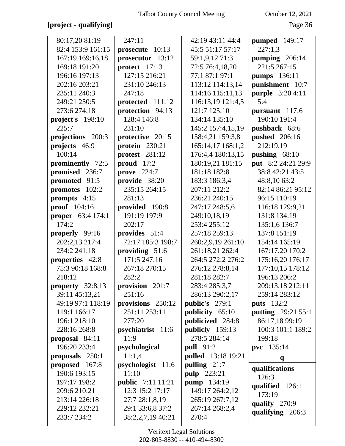# **[project - qualifying]** Page 36

| 80:17,20 81:19      | 247:11                   | 42:19 43:11 44:4          | <b>pumped</b> 149:17      |
|---------------------|--------------------------|---------------------------|---------------------------|
| 82:4 153:9 161:15   | prosecute 10:13          | 45:5 51:17 57:17          | 227:1,3                   |
| 167:19 169:16,18    | prosecutor 13:12         | 59:1,9,12 71:3            | pumping 206:14            |
| 169:18 191:20       | protect 17:13            | 72:5 76:4,18,20           | 221:5 267:15              |
| 196:16 197:13       | 127:15 216:21            | 77:1 87:1 97:1            | pumps 136:11              |
| 202:16 203:21       | 231:10 246:13            | 113:12 114:13,14          | punishment 10:7           |
| 235:11 240:3        | 247:18                   | 114:16 115:11,13          | <b>purple</b> 3:20 4:11   |
| 249:21 250:5        | protected 111:12         | 116:13,19 121:4,5         | 5:4                       |
| 273:6 274:18        | protection 94:13         | 121:7 125:10              | pursuant 117:6            |
| project's 198:10    | 128:4 146:8              | 134:14 135:10             | 190:10 191:4              |
| 225:7               | 231:10                   | 145:2 157:4,15,19         | pushback 68:6             |
| projections 200:3   | protective 20:15         | 158:4,21 159:3,8          | <b>pushed</b> 206:16      |
| projects 46:9       | protein 230:21           | 165:14,17 168:1,2         | 212:19,19                 |
| 100:14              | protest 281:12           | 176:4,4 180:13,15         | pushing $68:10$           |
| prominently 72:5    | proud $17:2$             | 180:19,21 181:15          | put 8:2 24:21 29:9        |
| promised 236:7      | prove $224:7$            | 181:18 182:8              | 38:8 42:21 43:5           |
| promoted 91:5       | provide 38:20            | 183:3 186:3,4             | 48:8,10 63:2              |
| promotes 102:2      | 235:15 264:15            | 207:11 212:2              | 82:14 86:21 95:12         |
| prompts 4:15        | 281:13                   | 236:21 240:15             | 96:15 110:19              |
| <b>proof</b> 104:16 | provided 190:8           | 247:17 248:5,6            | 116:18 129:9,21           |
| proper 63:4 174:1   | 191:19 197:9             | 249:10,18,19              | 131:8 134:19              |
| 174:2               | 202:17                   | 253:4 255:12              | 135:1,6 136:7             |
| properly 99:16      | provides 51:4            | 257:18 259:13             | 137:8 151:19              |
| 202:2,13 217:4      | 72:17 185:3 198:7        | 260:2,9,19 261:10         | 154:14 165:19             |
| 234:2 241:18        | providing 51:6           | 261:18,21 262:4           | 167:17,20 170:2           |
| properties 42:8     | 171:5 247:16             | 264:5 272:2 276:2         | 175:16,20 176:17          |
| 75:3 90:18 168:8    | 267:18 270:15            | 276:12 278:8,14           | 177:10,15 178:12          |
| 218:12              | 282:2                    | 281:18 282:7              | 196:13 206:2              |
| property 32:8,13    | provision 201:7          | 283:4 285:3,7             | 209:13,18 212:11          |
| 39:11 45:13,21      | 251:16                   | 286:13 290:2,17           | 259:14 283:12             |
| 49:19 97:1 118:19   | provisions 250:12        | public's 279:1            | <b>puts</b> 132:2         |
| 119:1 166:17        | 251:11 253:11            | publicity 65:10           | <b>putting</b> 29:21 55:1 |
| 196:1 218:10        | 277:20                   | publicized 284:8          | 86:17,18 99:19            |
| 228:16 268:8        | psychiatrist 11:6        | publicly 159:13           | 100:3 101:1 189:2         |
| proposal $84:11$    | 11:9                     | 278:5 284:14              | 199:18                    |
| 196:20 233:4        | psychological            | <b>pull</b> 91:2          | pvc 135:14                |
| proposals $250:1$   | 11:1,4                   | <b>pulled</b> 13:18 19:21 | q                         |
| proposed 167:8      | psychologist 11:6        | pulling 21:7              | qualifications            |
| 190:6 193:15        | 11:10                    | <b>pulp</b> 223:21        | 126:3                     |
| 197:17 198:2        | <b>public</b> 7:11 11:21 | pump 134:19               | qualified 126:1           |
| 209:6 210:21        | 12:3 15:2 17:17          | 149:17 264:2,12           | 173:19                    |
| 213:14 226:18       | 27:7 28:1,8,19           | 265:19 267:7,12           | qualify 270:9             |
| 229:12 232:21       | 29:1 33:6,8 37:2         | 267:14 268:2,4            | qualifying 206:3          |
| 233:7 234:2         | 38:2,2,7,19 40:21        | 270:4                     |                           |
|                     |                          |                           |                           |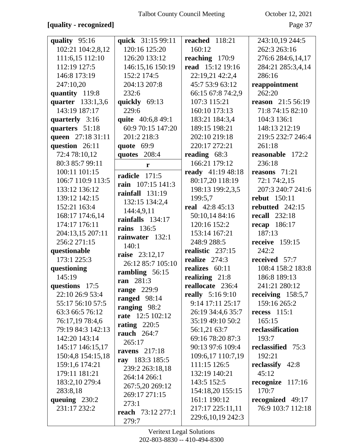## [quality - recognized]

October 12, 2021

Page 37

| quality 95:16     | quick 31:15 99:11        | <b>reached</b> 118:21   | 243:10,19 244:5           |
|-------------------|--------------------------|-------------------------|---------------------------|
| 102:21 104:2,8,12 | 120:16 125:20            | 160:12                  | 262:3 263:16              |
| 111:6,15 112:10   | 126:20 133:12            | reaching 170:9          | 276:6 284:6,14,17         |
| 112:19 127:5      | 146:15,16 150:19         | read 15:12 19:16        | 284:21 285:3,4,14         |
| 146:8 173:19      | 152:2 174:5              | 22:19,21 42:2,4         | 286:16                    |
|                   |                          |                         |                           |
| 247:10,20         | 204:13 207:8             | 45:7 53:9 63:12         | reappointment             |
| quantity 119:8    | 232:6                    | 66:15 67:8 74:2,9       | 262:20                    |
| quarter 133:1,3,6 | quickly 69:13            | 107:3 115:21            | <b>reason</b> $21:556:19$ |
| 143:19 187:17     | 229:6                    | 160:10 173:13           | 71:8 74:15 82:10          |
| quarterly 3:16    | quite 40:6,8 49:1        | 183:21 184:3,4          | 104:3 136:1               |
| quarters 51:18    | 60:9 70:15 147:20        | 189:15 198:21           | 148:13 212:19             |
| queen 27:18 31:11 | 201:2 218:3              | 202:10 219:18           | 219:5 232:7 246:4         |
| question 26:11    | quote 69:9               | 220:17 272:21           | 261:18                    |
| 72:4 78:10,12     | quotes 208:4             | reading $68:3$          | reasonable 172:2          |
| 80:3 85:7 99:11   | r                        | 166:21 179:12           | 236:18                    |
| 100:11 101:15     |                          | ready 41:19 48:18       | reasons 71:21             |
| 106:7 110:9 113:5 | radicle 171:5            | 80:17,20 118:19         | 72:1 74:2,15              |
| 133:12 136:12     | rain 107:15 141:3        | 198:13 199:2,3,5        | 207:3 240:7 241:6         |
| 139:12 142:15     | rainfall $131:19$        |                         | <b>rebut</b> 150:11       |
|                   | 132:15 134:2,4           | 199:5,7                 |                           |
| 152:21 163:4      | 144:4,9,11               | <b>real</b> 42:8 45:13  | rebutted 242:15           |
| 168:17 174:6,14   | rainfalls 134:17         | 50:10,14 84:16          | <b>recall</b> 232:18      |
| 174:17 176:11     | <b>rains</b> 136:5       | 120:16 152:2            | recap 186:17              |
| 204:13,15 207:11  | rainwater 132:1          | 153:14 167:21           | 187:13                    |
| 256:2 271:15      | 140:1                    | 248:9 288:5             | <b>receive</b> 159:15     |
| questionable      |                          | realistic 237:15        | 242:2                     |
| 173:1 225:3       | <b>raise</b> 23:12,17    | realize $274:3$         | received 57:7             |
| questioning       | 26:12 85:7 105:10        | realizes 60:11          | 108:4 158:2 183:8         |
| 145:19            | rambling 56:15           | realizing 21:8          | 186:8 189:13              |
| questions 17:5    | ran 281:3                | reallocate 236:4        | 241:21 280:12             |
| 22:10 26:9 53:4   | <b>range</b> 229:9       | <b>really</b> 5:16 9:10 | receiving $158:5,7$       |
|                   | ranged 98:14             |                         |                           |
| 55:17 56:10 57:5  | ranging 98:2             | 9:14 17:11 25:17        | 159:16 265:2              |
| 63:3 66:5 76:12   | rate 12:5 102:12         | 26:19 34:4,6 35:7       | recess $115:1$            |
| 76:17,19 78:4,6   | rating $220:5$           | 35:19 49:10 50:2        | 165:15                    |
| 79:19 84:3 142:13 | <b>rauch</b> 264:7       | 56:1,21 63:7            | reclassification          |
| 142:20 143:14     | 265:17                   | 69:16 78:20 87:3        | 193:7                     |
| 145:17 146:15,17  | ravens $217:18$          | 90:13 97:6 109:4        | reclassified 75:3         |
| 150:4,8 154:15,18 | ray 183:3 185:5          | 109:6,17 110:7,19       | 192:21                    |
| 159:1,6 174:21    |                          | 111:15 126:5            | reclassify $42:8$         |
| 179:11 181:21     | 239:2 263:18,18          | 132:19 140:21           | 45:12                     |
| 183:2,10 279:4    | 264:14 266:1             | 143:5 152:5             | recognize 117:16          |
| 283:8,18          | 267:5,20 269:12          | 154:18,20 155:15        | 170:7                     |
| queuing $230:2$   | 269:17 271:15            | 161:1 190:12            | recognized 49:17          |
| 231:17 232:2      | 273:1                    | 217:17 225:11,11        | 76:9 103:7 112:18         |
|                   | <b>reach</b> 73:12 277:1 |                         |                           |
|                   | 279:7                    | 229:6,10,19 242:3       |                           |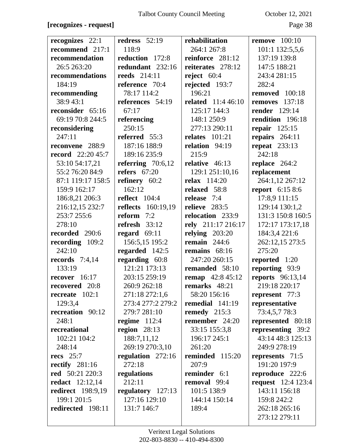# **[recognizes - request]** Page 38

| recognizes 22:1           | redress $52:19$           | rehabilitation            | remove $100:10$           |
|---------------------------|---------------------------|---------------------------|---------------------------|
| recommend 217:1           | 118:9                     | 264:1 267:8               | 101:1 132:5,5,6           |
| recommendation            | reduction 172:8           | reinforce 281:12          | 137:19 139:8              |
| 26:5 263:20               | redundant 232:16          | reiterates 278:12         | 147:5 188:21              |
| recommendations           | <b>reeds</b> 214:11       | reject $60:4$             | 243:4 281:15              |
| 184:19                    | reference 70:4            | rejected 193:7            | 282:4                     |
| recommending              | 78:17 114:2               | 196:21                    | removed 100:18            |
| 38:9 43:1                 | references 54:19          | <b>related</b> 11:4 46:10 | 137:18<br>removes         |
| reconsider 65:16          | 67:17                     | 125:17 144:3              | <b>render</b> 129:14      |
| 69:19 70:8 244:5          | referencing               | 148:1 250:9               | rendition 196:18          |
| reconsidering             | 250:15                    | 277:13 290:11             | repair $125:15$           |
| 247:11                    | referred 55:3             | relates $101:21$          | repairs 264:11            |
| reconvene 288:9           | 187:16 188:9              | relation 94:19            | <b>repeat</b> 233:13      |
| <b>record</b> $22:2045:7$ | 189:16 235:9              | 215:9                     | 242:18                    |
| 53:10 54:17,21            | referring $70:6,12$       | relative 46:13            | replace 264:2             |
| 55:2 76:20 84:9           | refers $67:20$            | 129:1 251:10,16           | replacement               |
| 87:1 119:17 158:5         | refinery $60:2$           | <b>relax</b> 114:20       | 264:1,12 267:12           |
| 159:9 162:17              | 162:12                    | relaxed 58:8              | <b>report</b> 6:15 8:6    |
| 186:8,21 206:3            | reflect $104:4$           | release 7:4               | 17:8,9 111:15             |
| 216:12,15 232:7           | <b>reflects</b> 160:19,19 | relieve 283:5             | 129:14 130:1,2            |
| 253:7 255:6               | reform $7:2$              | relocation 233:9          | 131:3 150:8 160:5         |
| 278:10                    | refresh $33:12$           | rely 211:17 216:17        | 172:17 173:17,18          |
| recorded 290:6            | regard $69:11$            | relying $203:20$          | 184:3,4 221:6             |
| recording 109:2           | 156:5,15 195:2            | remain $244:6$            | 262:12,15 273:5           |
| 242:10                    | regarded 142:5            | remains $68:16$           | 275:20                    |
| records $7:4,14$          | regarding 60:8            | 247:20 260:15             | reported 1:20             |
| 133:19                    | 121:21 173:13             | remanded 58:10            | reporting 93:9            |
| recover $16:17$           | 203:15 259:19             | <b>remap</b> 42:8 45:12   | <b>reports</b> 96:13,14   |
| recovered 20:8            | 260:9 262:18              | remarks 48:21             | 219:18 220:17             |
| recreate $102:1$          | 271:18 272:1,6            | 58:20 156:16              | represent 77:3            |
| 129:3,4                   | 273:4 277:2 279:2         | remedial $141:19$         | representative            |
| recreation 90:12          | 279:7 281:10              | remedy $215:3$            | 73:4,5,778:3              |
| 248:1                     | regime $112:4$            | remember 24:20            | represented 80:18         |
| recreational              | region $28:13$            | 33:15 155:3,8             | representing 39:2         |
| 102:21 104:2              | 188:7,11,12               | 196:17 245:1              | 43:14 48:3 125:13         |
| 248:14                    | 269:19 270:3,10           | 261:20                    | 249:9 278:19              |
| recs $25:7$               | regulation 272:16         | reminded 115:20           | represents $71:5$         |
| rectify $281:16$          | 272:18                    | 207:9                     | 191:20 197:9              |
| red 50:21 220:3           | regulations               | reminder 6:1              | reproduce 222:6           |
| <b>redact</b> 12:12,14    | 212:11                    | removal 99:4              | <b>request</b> 12:4 123:4 |
| <b>redirect</b> 198:9,19  | regulatory 127:13         | 101:5 138:9               | 143:11 156:18             |
| 199:1 201:5               | 127:16 129:10             | 144:14 150:14             | 159:8 242:2               |
| redirected 198:11         | 131:7 146:7               | 189:4                     | 262:18 265:16             |
|                           |                           |                           | 273:12 279:11             |
|                           |                           |                           |                           |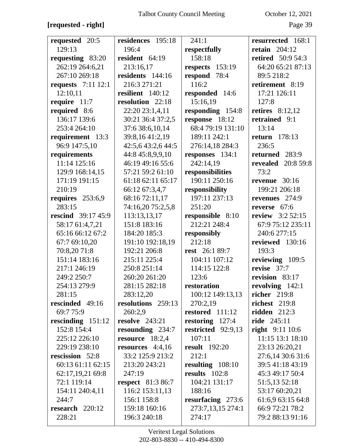# **[requested - right]** Page 39

| requested 20:5<br>129:13  | residences 195:18<br>196:4 | 241:1<br>respectfully | resurrected 168:1<br>retain $204:12$ |
|---------------------------|----------------------------|-----------------------|--------------------------------------|
| requesting 83:20          | resident 64:19             | 158:18                | <b>retired</b> 50:9 54:3             |
| 262:19 264:6,21           | 213:16,17                  | respects 153:19       | 64:20 65:21 87:13                    |
| 267:10 269:18             | residents 144:16           | respond 78:4          | 89:5 218:2                           |
| <b>requests</b> 7:11 12:1 | 216:3 271:21               | 116:2                 | retirement 8:19                      |
| 12:10,11                  | resilient 140:12           | responded 14:6        | 17:21 126:11                         |
| require $11:7$            | resolution 22:18           | 15:16,19              | 127:8                                |
| required 8:6              | 22:20 23:1,4,11            | responding 154:8      | retires $8:12,12$                    |
| 136:17 139:6              | 30:21 36:4 37:2,5          | response 18:12        | retrained 9:1                        |
| 253:4 264:10              | 37:6 38:6,10,14            | 68:4 79:19 131:10     | 13:14                                |
| requirement 13:3          | 39:8,16 41:2,19            | 189:11 242:1          | return $178:13$                      |
| 96:9 147:5,10             | 42:5,6 43:2,6 44:5         | 276:14,18 284:3       | 236:5                                |
| requirements              | 44:8 45:8,9,9,10           | responses 134:1       | returned 283:9                       |
| 11:14 125:16              | 46:19 49:16 55:6           | 242:14,19             | revealed<br>20:8 59:8                |
| 129:9 168:14,15           | 57:21 59:2 61:10           | responsibilities      | 73:2                                 |
| 171:19 191:15             | 61:18 62:11 65:17          | 190:11 250:16         | revenue $30:16$                      |
| 210:19                    | 66:12 67:3,4,7             | responsibility        | 199:21 206:18                        |
| requires $253:6,9$        | 68:16 72:11,17             | 197:11 237:13         | revenues 274:9                       |
| 283:15                    | 74:16,20 75:2,5,8          | 251:20                | reverse 67:6                         |
| <b>rescind</b> 39:17 45:9 | 113:13,13,17               | responsible 8:10      | review $3:252:15$                    |
| 58:17 61:4,7,21           | 151:8 183:16               | 212:21 248:4          | 67:9 75:12 235:11                    |
| 65:16 66:12 67:2          | 184:20 185:3               | responsibly           | 240:6 277:15                         |
| 67:7 69:10,20             | 191:10 192:18,19           | 212:18                | reviewed 130:16                      |
| 70:8,2071:8               | 192:21 206:8               | <b>rest</b> 26:1 89:7 | 193:3                                |
| 151:14 183:16             | 215:11 225:4               | 104:11 107:12         | reviewing 109:5                      |
| 217:1 246:19              | 250:8 251:14               | 114:15 122:8          | revise 37:7                          |
| 249:2 250:7               | 260:20 261:20              | 123:6                 | revision 83:17                       |
| 254:13 279:9              | 281:15 282:18              | restoration           | revolving 142:1                      |
| 281:15                    | 283:12,20                  | 100:12 149:13,13      | <b>richer</b> 219:8                  |
| rescinded 49:16           | resolutions 259:13         | 270:2,19              | richest 219:8                        |
| 69:7 75:9                 | 260:2,9                    | restored 111:12       | ridden $212:3$                       |
| rescinding $151:12$       | <b>resolve</b> 243:21      | restoring $127:4$     | ride 245:11                          |
| 152:8 154:4               | resounding 234:7           | restricted 92:9,13    | right $9:1110:6$                     |
| 225:12 226:10             | resource $18:2,4$          | 107:11                | 11:15 13:1 18:10                     |
| 229:19 238:10             | resources $4:4,16$         | <b>result</b> 192:20  | 23:13 26:20,21                       |
| rescission 52:8           | 33:2 125:9 213:2           | 212:1                 | 27:6,14 30:6 31:6                    |
| 60:13 61:11 62:15         | 213:20 243:21              | resulting $108:10$    | 39:5 41:18 43:19                     |
| 62:17,19,21 69:8          | 247:19                     | results 102:8         | 45:3 49:17 50:4                      |
| 72:1 119:14               | <b>respect</b> 81:3 86:7   | 104:21 131:17         | 51:5,13 52:18                        |
| 154:11 240:4,11           | 116:2 153:11,13            | 188:16                | 53:17 60:20,21                       |
| 244:7                     | 156:1 158:8                | resurfacing 273:6     | 61:6,9 63:15 64:8                    |
| research 220:12           | 159:18 160:16              | 273:7,13,15 274:1     | 66:9 72:21 78:2                      |
| 228:21                    | 196:3 240:18               | 274:17                | 79:2 88:13 91:16                     |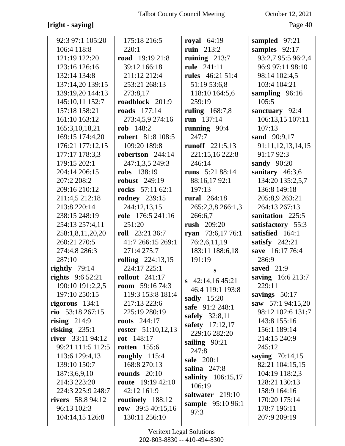## **[right - saying]** Page 40

| 92:3 97:1 105:20                      | 175:18 216:5                     | royal 64:19           | sampled 97:21                           |
|---------------------------------------|----------------------------------|-----------------------|-----------------------------------------|
| 106:4 118:8                           | 220:1                            | ruin 213:2            | samples 92:17                           |
| 121:19 122:20                         | road $19:1921:8$                 | ruining $213:7$       | 93:2,7 95:5 96:2,4                      |
| 123:16 126:16                         | 39:12 166:18                     | rule 241:11           | 96:9 97:11 98:10                        |
| 132:14 134:8                          | 211:12 212:4                     | rules 46:21 51:4      | 98:14 102:4,5                           |
| 137:14,20 139:15                      | 253:21 268:13                    | 51:19 53:6,8          | 103:4 104:21                            |
| 139:19,20 144:13                      | 273:8,17                         | 118:10 164:5,6        | sampling $96:16$                        |
| 145:10,11 152:7                       | roadblock 201:9                  | 259:19                | 105:5                                   |
| 157:18 158:21                         | roads 177:14                     | <b>ruling</b> 168:7,8 | sanctuary 92:4                          |
| 161:10 163:12                         | 273:4,5,9 274:16                 | run 137:14            | 106:13,15 107:11                        |
| 165:3, 10, 18, 21                     | rob 148:2                        | running $90:4$        | 107:13                                  |
| 169:15 174:4,20                       | robert 81:8 108:5                | 247:7                 | sand 90:9,17                            |
| 176:21 177:12,15                      | 109:20 189:8                     | runoff 221:5,13       | 91:11, 12, 13, 14, 15                   |
| 177:17 178:3,3                        | robertson 244:14                 | 221:15,16 222:8       | 91:17 92:3                              |
| 179:15 202:1                          | 247:1,3,5 249:3                  | 246:14                | <b>sandy</b> 90:20                      |
| 204:14 206:15                         | robs 138:19                      | runs 5:21 88:14       | sanitary $46:3,6$                       |
| 207:2 208:2                           | <b>robust</b> 249:19             | 88:16,1792:1          | 134:20 135:2,5,7                        |
| 209:16 210:12                         | rocks 57:11 62:1                 | 197:13                | 136:8 149:18                            |
| 211:4,5 212:18                        | <b>rodney</b> 239:15             | <b>rural</b> 264:18   | 205:8,9 263:21                          |
| 213:8 220:14                          | 244:12,13,15                     | 265:2,3,8 266:1,3     | 264:13 267:13                           |
| 238:15 248:19                         | role 176:5 241:16                | 266:6,7               | sanitation 225:5                        |
| 254:13 257:4,11                       | 251:20                           | rush 209:20           | satisfactory 55:3                       |
| 258:1,8,11,20,20                      | <b>roll</b> 23:21 36:7           | ryan 73:6,17 76:1     | satisfied 164:1                         |
| 260:21 270:5                          | 41:7 266:15 269:1                | 76:2,6,11,19          | satisfy $242:21$                        |
| 274:4,8 286:3                         | 271:4 275:7                      | 183:11 188:6,18       | save 16:17 76:4                         |
| 287:10                                | <b>rolling</b> 224:13,15         | 191:19                | 286:9                                   |
| rightly $79:14$                       | 224:17 225:1                     | ${\bf S}$             | saved 21:9                              |
| <b>rights</b> $9:652:21$              | <b>rollout</b> 241:17            | $\, 42:14,1645:21$    | saving 16:6 213:7                       |
| 190:10 191:2,2,5                      | <b>room</b> $59:1674:3$          | 46:4 119:1 193:8      | 229:11                                  |
| 197:10 250:15                         | 119:3 153:8 181:4                | <b>sadly</b> 15:20    | savings $50:17$                         |
| rigorous $134:1$                      | 217:13 223:6                     | safe 91:2 248:1       | saw $57:194:15,20$<br>98:12 102:6 131:7 |
| rio $53:18267:15$                     | 225:19 280:19                    | safely 32:8,11        |                                         |
| rising $214:9$                        | roots $244:17$                   | safety 17:12,17       | 143:8 155:16<br>156:1 189:14            |
| risking $235:1$<br>river $33:1194:12$ | roster 51:10,12,13<br>rot 148:17 | 229:16 282:20         | 214:15 240:9                            |
| 99:21 111:5 112:5                     | <b>rotten</b> 155:6              | sailing $90:21$       | 245:12                                  |
| 113:6 129:4,13                        | roughly $115:4$                  | 247:8                 | saying 70:14,15                         |
| 139:10 150:7                          | 168:8 270:13                     | <b>sale</b> 200:1     | 82:21 104:15,15                         |
| 187:3,6,9,10                          | <b>rounds</b> 20:10              | salina $247:8$        | 104:19 118:2,3                          |
| 214:3 223:20                          | <b>route</b> 19:19 42:10         | salinity $106:15,17$  | 128:21 130:13                           |
| 224:3 225:9 248:7                     | 42:12 161:9                      | 106:19                | 158:9 164:16                            |
| <b>rivers</b> 58:8 94:12              | routinely 188:12                 | saltwater 219:10      | 170:20 175:14                           |
| 96:13 102:3                           | row $39:540:15,16$               | sample 95:10 96:1     | 178:7 196:11                            |
| 104:14,15 126:8                       | 130:11 256:10                    | 97:3                  | 207:9 209:19                            |
|                                       |                                  |                       |                                         |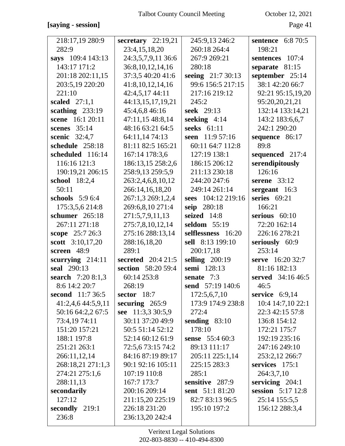## **[saying - session]** Page 41

| 218:17,19 280:9         | secretary 22:19,21   | 245:9,13 246:2         | <b>sentence</b> 6:8 70:5 |
|-------------------------|----------------------|------------------------|--------------------------|
| 282:9                   | 23:4,15,18,20        | 260:18 264:4           | 198:21                   |
| says 109:4 143:13       | 24:3,5,7,9,11 36:6   | 267:9 269:21           | sentences 107:4          |
| 143:17 171:2            | 36:8, 10, 12, 14, 16 | 280:18                 | separate $81:15$         |
| 201:18 202:11,15        | 37:3,5 40:20 41:6    | seeing 21:7 30:13      | september 25:14          |
| 203:5,19 220:20         | 41:8,10,12,14,16     | 99:6 156:5 217:15      | 38:1 42:20 66:7          |
| 221:10                  | 42:4,5,17 44:11      | 217:16 219:12          | 92:21 95:15,19,20        |
| scaled $27:1,1$         | 44:13,15,17,19,21    | 245:2                  | 95:20,20,21,21           |
| scathing $233:19$       | 45:4,6,8 46:16       | seek 29:13             | 132:14 133:14,21         |
| scene 16:1 20:11        | 47:11,15 48:8,14     | seeking 4:14           | 143:2 183:6,6,7          |
| scenes 35:14            | 48:16 63:21 64:5     | seeks 61:11            | 242:1 290:20             |
| scenic 32:4,7           | 64:11,14 74:13       | seen 11:9 57:16        | sequence 86:17           |
| schedule 258:18         | 81:11 82:5 165:21    | 60:11 64:7 112:8       | 89:8                     |
| scheduled 116:14        | 167:14 178:3,6       | 127:19 138:1           | sequenced 217:4          |
| 116:16 121:3            | 186:13,15 258:2,6    | 186:15 206:12          | serendipitously          |
| 190:19,21 206:15        | 258:9,13 259:5,9     | 211:13 230:18          | 126:16                   |
| school 18:2,4           | 263:2,4,6,8,10,12    | 244:20 247:6           | serene $33:12$           |
| 50:11                   | 266:14,16,18,20      | 249:14 261:14          | sergeant 16:3            |
| schools $5:96:4$        | 267:1,3 269:1,2,4    | 104:12 219:16<br>sees  | series 69:21             |
| 175:3,5,6 214:8         | 269:6,8,10 271:4     | seip 280:18            | 166:21                   |
| schumer 265:18          | 271:5,7,9,11,13      | seized 14:8            | serious $60:10$          |
| 267:11 271:18           | 275:7,8,10,12,14     | seldom 55:19           | 72:20 162:14             |
| scope 25:7 26:3         | 275:16 288:13,14     | selflessness 16:20     | 226:16 278:21            |
| scott 3:10,17,20        | 288:16,18,20         | sell 8:13 199:10       | seriously 60:9           |
| screen 48:9             | 289:1                | 200:17,18              | 253:14                   |
| scurrying $214:11$      | secreted 20:4 21:5   | selling $200:19$       | serve 16:20 32:7         |
| seal 290:13             | section 58:20 59:4   | semi 128:13            | 81:16 182:13             |
| search 7:20 8:1,3       | 60:14 253:8          | senate 7:3             | served 34:16 46:5        |
| 8:6 14:2 20:7           | 268:19               | send 57:19 140:6       | 46:5                     |
| <b>second</b> 11:7 36:5 | sector $18:7$        | 172:5,6,7,10           | service $6:9,14$         |
| 41:2,4,6 44:5,9,11      | securing $265:9$     | 173:9 174:9 238:8      | 10:4 14:7,10 22:1        |
| 50:16 64:2,2 67:5       | see 11:3,3 30:5,9    | 272:4                  | 22:3 42:15 57:8          |
| 73:4,19 74:11           | 30:11 37:20 49:9     | sending $83:10$        | 136:8 154:12             |
| 151:20 157:21           | 50:5 51:14 52:12     | 178:10                 | 172:21 175:7             |
| 188:1 197:8             | 52:14 60:12 61:9     | <b>sense</b> 55:4 60:3 | 192:19 235:16            |
| 251:21 263:1            | 72:5,6 73:15 74:2    | 89:13 111:17           | 247:16 249:10            |
| 266:11,12,14            | 84:16 87:19 89:17    | 205:11 225:1,14        | 253:2,12 266:7           |
| 268:18,21 271:1,3       | 90:1 92:16 105:11    | 225:15 283:3           | services $175:1$         |
| 274:21 275:1,6          | 107:19 110:8         | 285:1                  | 264:3,7,10               |
| 288:11,13               | 167:7 173:7          | sensitive 287:9        | servicing $204:1$        |
| secondarily             | 200:16 209:14        | sent 51:1 81:20        | session 5:17 12:8        |
| 127:12                  | 211:15,20 225:19     | 82:7 83:13 96:5        | 25:14 155:5,5            |
| secondly 219:1          | 226:18 231:20        | 195:10 197:2           | 156:12 288:3,4           |
| 236:8                   | 236:13,20 242:4      |                        |                          |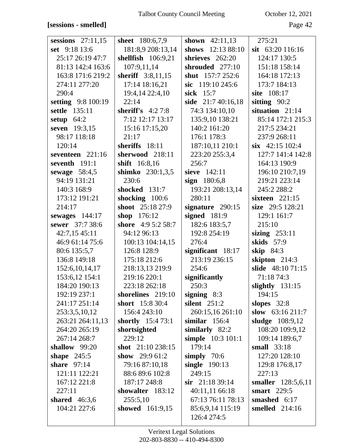## [sessions - smelled]

October 12, 2021

| sessions $27:11,15$ | sheet 180:6,7,9    | shown $42:11,13$        | 275:21             |
|---------------------|--------------------|-------------------------|--------------------|
| set 9:18 13:6       | 181:8,9 208:13,14  | shows 12:13 88:10       | sit 63:20 116:16   |
| 25:17 26:19 47:7    | shellfish 106:9,21 | shrieves $262:20$       | 124:17 130:5       |
| 81:13 142:4 163:6   | 107:9,11,14        | shrouded 277:10         | 151:18 158:14      |
| 163:8 171:6 219:2   | sheriff 3:8,11,15  | <b>shut</b> 157:7 252:6 | 164:18 172:13      |
| 274:11 277:20       | 17:14 18:16,21     | sic $119:10245:6$       | 173:7 184:13       |
| 290:4               | 19:4,14 22:4,10    | sick 15:7               | site 108:17        |
| setting 9:8 100:19  | 22:14              | side 21:7 40:16,18      | sitting $90:2$     |
| settle 135:11       | sheriff's $4:27:8$ | 74:3 134:10,10          | situation $21:14$  |
| setup $64:2$        | 7:12 12:17 13:17   | 135:9,10 138:21         | 85:14 172:1 215:3  |
| seven 19:3,15       | 15:16 17:15,20     | 140:2 161:20            | 217:5 234:21       |
| 98:17 118:18        | 21:17              | 176:1 178:3             | 237:9 268:11       |
| 120:14              | sheriffs 18:11     | 187:10,11 210:1         | $\sin$ 42:15 102:4 |
| seventeen 221:16    | sherwood 218:11    | 223:20 255:3,4          | 127:7 141:4 142:8  |
| seventh 191:1       | shift 16:8,16      | 256:7                   | 164:13 190:9       |
| sewage $58:4,5$     | shimko 230:1,3,5   | sieve 142:11            | 196:10 210:7,19    |
| 94:19 131:21        | 230:6              | sign 180:6,8            | 219:21 223:14      |
| 140:3 168:9         | shocked 131:7      | 193:21 208:13,14        | 245:2 288:2        |
| 173:12 191:21       | shocking 100:6     | 280:11                  | sixteen 221:15     |
| 214:17              | shoot 25:18 27:9   | signature 290:15        | size 29:5 128:21   |
| sewages 144:17      | shop 176:12        | signed 181:9            | 129:1 161:7        |
| sewer 37:7 38:6     | shore 4:9 5:2 58:7 | 182:6 183:5,7           | 215:10             |
| 42:7,15 45:11       | 94:12 96:13        | 192:8 254:19            | sizing $253:11$    |
| 46:9 61:14 75:6     | 100:13 104:14,15   | 276:4                   | skids 57:9         |
| 80:6 135:5,7        | 126:8 128:9        | significant 18:17       | skip 84:3          |
| 136:8 149:18        | 175:18 212:6       | 213:19 236:15           | skipton 214:3      |
| 152:6, 10, 14, 17   | 218:13,13 219:9    | 254:6                   | slide 48:10 71:15  |
| 153:6,12 154:1      | 219:16 220:1       | significantly           | 71:18 74:3         |
| 184:20 190:13       | 223:18 262:18      | 250:3                   | slightly $131:15$  |
| 192:19 237:1        | shorelines 219:10  | signing $8:3$           | 194:15             |
| 241:17 251:14       | short 15:8 30:4    | silent $251:2$          | slopes $32:8$      |
| 253:3,5,10,12       | 156:4 243:10       | 260:15,16 261:10        | slow 63:16 211:7   |
| 263:21 264:11,13    | shortly 15:4 73:1  | similar $156:4$         | sludge 108:9,12    |
| 264:20 265:19       | shortsighted       | similarly 82:2          | 108:20 109:9,12    |
| 267:14 268:7        | 229:12             | simple 10:3 101:1       | 109:14 189:6,7     |
| shallow 99:20       | shot $21:10238:15$ | 179:14                  | small $33:18$      |
| shape $245:5$       | show 29:9 61:2     | simply $70:6$           | 127:20 128:10      |
| share $97:14$       | 79:16 87:10,18     | single 190:13           | 129:8 176:8,17     |
| 121:11 122:21       | 88:6 89:6 102:8    | 249:15                  | 227:13             |
| 167:12 221:8        | 187:17 248:8       | $\sin$ 21:18 39:14      | smaller 128:5,6,11 |
| 227:11              | showalter 183:12   | 40:11,11 66:18          | <b>smart</b> 229:5 |
| shared $46:3,6$     | 255:5,10           | 67:13 76:11 78:13       | smashed 6:17       |
| 104:21 227:6        | showed 161:9,15    | 85:6,9,14 115:19        | smelled 214:16     |
|                     |                    | 126:4 274:5             |                    |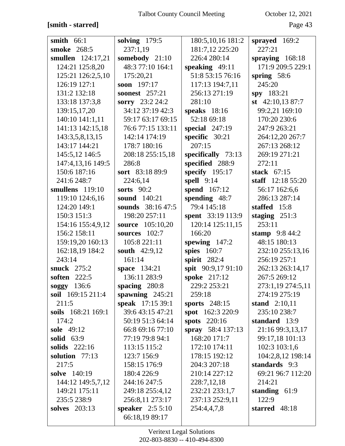# $[{\bf{smith \text{ -}starred}}]$

October 12, 2021

| smith $66:1$        | solving $179:5$          | 180:5,10,16 181:2  | sprayed 169:2          |
|---------------------|--------------------------|--------------------|------------------------|
| smoke 268:5         | 237:1,19                 | 181:7,12 225:20    | 227:21                 |
| smullen 124:17,21   | somebody 21:10           | 226:4 280:14       | spraying $168:18$      |
| 124:21 125:8,20     | 48:3 77:10 164:1         | speaking $49:11$   | 171:9 209:5 229:1      |
| 125:21 126:2,5,10   | 175:20,21                | 51:8 53:15 76:16   | spring $58:6$          |
| 126:19 127:1        | soon 197:17              | 117:13 194:7,11    | 245:20                 |
| 131:2 132:18        | <b>soonest</b> 257:21    | 256:13 271:19      | $spy$ 183:21           |
| 133:18 137:3,8      | sorry 23:2 24:2          | 281:10             | st 42:10,13 87:7       |
| 139:15,17,20        | 34:12 37:19 42:3         | speaks $18:16$     | 99:2,21 169:10         |
| 140:10 141:1,11     | 59:17 63:17 69:15        | 52:18 69:18        | 170:20 230:6           |
| 141:13 142:15,18    | 76:6 77:15 133:11        | special $247:19$   | 247:9 263:21           |
| 143:3,5,8,13,15     | 142:14 174:19            | specific 30:21     | 264:12,20 267:7        |
| 143:17 144:21       | 178:7 180:16             | 207:15             | 267:13 268:12          |
| 145:5,12 146:5      | 208:18 255:15,18         | specifically 73:13 | 269:19 271:21          |
| 147:4,13,16 149:5   | 286:8                    | specified 288:9    | 272:11                 |
| 150:6 187:16        | sort 83:18 89:9          | specify $195:17$   | stack $67:15$          |
| 241:6 248:7         | 224:6,14                 | spell $9:14$       | staff $12:1855:20$     |
| smullens 119:10     | sorts $90:2$             | spend 167:12       | 56:17 162:6,6          |
| 119:10 124:6,16     | <b>sound</b> 140:21      | spending 48:7      | 286:13 287:14          |
| 124:20 149:1        | <b>sounds</b> 38:16 47:5 | 79:4 145:18        | staffed 15:8           |
| 150:3 151:3         | 198:20 257:11            | spent 33:19 113:9  | staging $251:3$        |
| 154:16 155:4,9,12   | source 105:10,20         | 120:14 125:11,15   | 253:11                 |
| 156:2 158:11        | sources 102:7            | 166:20             | stamp $9:844:2$        |
| 159:19,20 160:13    | 105:8 221:11             | spewing $147:2$    | 48:15 180:13           |
| 162:18,19 184:2     | south 42:9,12            | <b>spies</b> 160:7 | 232:10 255:13,16       |
| 243:14              | 161:14                   | spirit 282:4       | 256:19 257:1           |
| snuck $275:2$       | space 134:21             | spit 90:9,17 91:10 | 262:13 263:14,17       |
| <b>soften</b> 222:5 | 136:11 283:9             | spoke 217:12       | 267:5 269:12           |
| soggy 136:6         | spacing $280:8$          | 229:2 253:21       | 273:1,19 274:5,11      |
| soil 169:15 211:4   | spawning $245:21$        | 259:18             | 274:19 275:19          |
| 211:5               | speak 17:15 39:1         | sports 248:15      | <b>stand</b> $2:10,11$ |
| soils 168:21 169:1  | 39:6 43:15 47:21         | spot 162:3 220:9   | 235:10 238:7           |
| 174:2               | 50:19 51:3 64:14         | spots 220:16       | standard 13:9          |
| <b>sole</b> 49:12   | 66:8 69:16 77:10         | spray 58:4 137:13  | 21:16 99:3,13,17       |
| solid $63:9$        | 77:19 79:8 94:1          | 168:20 171:7       | 99:17,18 101:13        |
| solids 222:16       | 113:15 115:2             | 172:10 174:11      | 102:3 103:1,6          |
| solution 77:13      | 123:7 156:9              | 178:15 192:12      | 104:2,8,12 198:14      |
| 217:5               | 158:15 176:9             | 204:3 207:18       | standards 9:3          |
| solve 140:19        | 180:4 226:9              | 210:14 227:12      | 69:21 96:7 112:20      |
| 144:12 149:5,7,12   | 244:16 247:5             | 228:7,12,18        | 214:21                 |
| 149:21 175:11       | 249:18 255:4,12          | 232:21 233:1,7     | standing $61:9$        |
| 235:5 238:9         | 256:8,11 273:17          | 237:13 252:9,11    | 122:9                  |
| solves 203:13       | speaker $2:55:10$        | 254:4,4,7,8        | starred 48:18          |
|                     | 66:18,19 89:17           |                    |                        |
|                     |                          |                    |                        |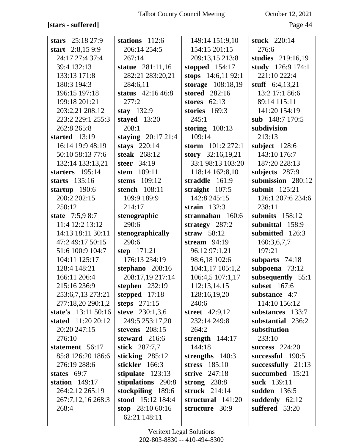# **[stars - suffered]** Page 44

| stars 25:18 27:9    | stations $112:6$    | 149:14 151:9,10      | stuck 220:14         |
|---------------------|---------------------|----------------------|----------------------|
| start $2:8,159:9$   | 206:14 254:5        | 154:15 201:15        | 276:6                |
| 24:17 27:4 37:4     | 267:14              | 209:13,15 213:8      | studies 219:16,19    |
| 39:4 132:13         | statue 281:11,16    | stopped $154:17$     | study 126:9 174:1    |
| 133:13 171:8        | 282:21 283:20,21    | stops 14:6,11 92:1   | 221:10 222:4         |
| 180:3 194:3         | 284:6,11            | storage 108:18,19    | stuff $6:4,13,21$    |
| 196:15 197:18       | status $42:1646:8$  | stored 282:16        | 13:2 17:1 86:6       |
| 199:18 201:21       | 277:2               | stores $62:13$       | 89:14 115:11         |
| 203:2,21 208:12     | stay $132:9$        | stories $169:3$      | 141:20 154:19        |
| 223:2 229:1 255:3   | stayed 13:20        | 245:1                | sub 148:7 170:5      |
| 262:8 265:8         | 208:1               | storing $108:13$     | subdivision          |
| started $13:19$     | staying $20:1721:4$ | 109:14               | 213:13               |
| 16:14 19:9 48:19    | stays 220:14        | storm $101:2272:1$   | subject $128:6$      |
| 50:10 58:13 77:6    | steak 268:12        | story $32:16,19,21$  | 143:10 176:7         |
| 132:14 133:13,21    | steer $34:19$       | 33:1 98:13 103:20    | 187:20 228:13        |
| starters $195:14$   | stem $109:11$       | 118:14 162:8,10      | subjects 287:9       |
| starts $135:16$     | stems 109:12        | straddle 161:9       | submission 280:12    |
| startup 190:6       | stench 108:11       | straight $107:5$     | submit 125:21        |
| 200:2 202:15        | 109:9 189:9         | 142:8 245:15         | 126:1 207:6 234:6    |
| 250:12              | 214:17              | strain $132:3$       | 238:11               |
| state 7:5,9 8:7     | stenographic        | strannahan 160:6     | submits $158:12$     |
| 11:4 12:2 13:12     | 290:6               | strategy $287:2$     | submittal 158:9      |
| 14:13 18:11 30:11   | stenographically    | straw $58:12$        | submitted 126:3      |
| 47:2 49:17 50:15    | 290:6               | stream $94:19$       | 160:3,6,7,7          |
| 51:6 100:9 104:7    | step 171:21         | 96:12 97:1,21        | 197:21               |
| 104:11 125:17       | 176:13 234:19       | 98:6,18 102:6        | subparts $74:18$     |
| 128:4 148:21        | stephano $208:16$   | $104:1,17$ $105:1,2$ | subpoena $73:12$     |
| 166:11 206:4        | 208:17,19 217:14    | 106:4,5 107:1,17     | subsequently 55:1    |
| 215:16 236:9        | stephen 232:19      | 112:13,14,15         | <b>subset</b> 167:6  |
| 253:6,7,13 273:21   | stepped $17:18$     | 128:16,19,20         | substance 4:7        |
| 277:18,20 290:1,2   | steps $271:15$      | 240:6                | 114:10 156:12        |
| state's 13:11 50:16 | steve 230:1,3,6     | street $42:9,12$     | substances 133:7     |
| stated 11:20 20:12  | 249:5 253:17,20     | 232:14 249:8         | substantial 236:2    |
| 20:20 247:15        | stevens $208:15$    | 264:2                | substitution         |
| 276:10              | steward 216:6       | strength $144:17$    | 233:10               |
| statement 56:17     | stick 287:7,7       | 144:18               | success $224:20$     |
| 85:8 126:20 186:6   | sticking $285:12$   | strengths $140:3$    | successful 190:5     |
| 276:19 288:6        | stickler 166:3      | stress 185:10        | successfully $21:13$ |
|                     |                     |                      |                      |
| states 69:7         | stipulate 123:13    | strive 247:18        | succumbed 15:21      |
| station $149:17$    | stipulations 290:8  | strong $238:8$       | suck 139:11          |
| 264:2,12 265:19     | stockpiling 189:6   | struck $214:14$      | sudden 136:5         |
| 267:7,12,16 268:3   | stood 15:12 184:4   | structural 141:20    | suddenly $62:12$     |
| 268:4               | stop $28:1060:16$   | structure 30:9       | suffered 53:20       |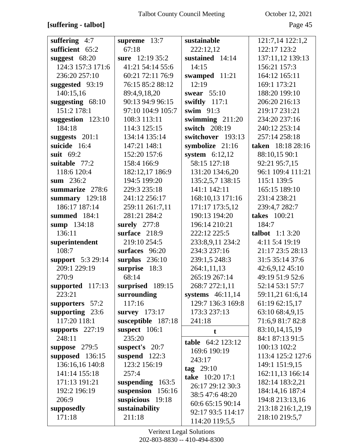# **[suffering - talbot]** Page 45

| suffering $4:7$   | supreme 13:7       | sustainable       | 121:7,14 122:1,2       |
|-------------------|--------------------|-------------------|------------------------|
| sufficient 65:2   | 67:18              | 222:12,12         | 122:17 123:2           |
| suggest $68:20$   | sure 12:19 35:2    | sustained 14:14   | 137:11,12 139:13       |
| 124:3 157:3 171:6 | 41:21 54:14 55:6   | 14:15             | 156:21 157:3           |
| 236:20 257:10     | 60:21 72:11 76:9   | swamped 11:21     | 164:12 165:11          |
| suggested 93:19   | 76:15 85:2 88:12   | 12:19             | 169:1 173:21           |
| 140:15,16         | 89:4,9,18,20       | swear 55:10       | 188:20 199:10          |
| suggesting 68:10  | 90:13 94:9 96:15   | swiftly $117:1$   | 206:20 216:13          |
| 151:2 178:1       | 97:10 104:9 105:7  | swim $91:3$       | 219:17 231:21          |
| suggestion 123:10 | 108:3 113:11       | swimming $211:20$ | 234:20 237:16          |
| 184:18            | 114:3 125:15       | switch 208:19     | 240:12 253:14          |
| suggests $201:1$  | 134:14 135:14      | switchover 193:13 | 257:14 258:18          |
| suicide 16:4      | 147:21 148:1       | symbolize 21:16   | taken 18:18 28:16      |
| suit 69:2         | 152:20 157:6       | system $6:12,12$  | 88:10,15 90:1          |
| suitable 77:2     | 158:4 166:9        | 58:15 127:18      | 92:21 95:7,15          |
| 118:6 120:4       | 182:12,17 186:9    | 131:20 134:6,20   | 96:1 109:4 111:21      |
| sum 236:2         | 194:5 199:20       | 135:2,5,7 138:15  | 115:1 139:5            |
| summarize 278:6   | 229:3 235:18       | 141:1 142:11      | 165:15 189:10          |
| summary $129:18$  | 241:12 256:17      | 168:10,13 171:16  | 231:4 238:21           |
| 186:17 187:14     | 259:11 261:7,11    | 171:17 173:5,12   | 239:4,7 282:7          |
| summed 184:1      | 281:21 284:2       | 190:13 194:20     | takes 100:21           |
| sump 134:18       | surely 277:8       | 196:14 210:21     | 184:7                  |
| 136:11            | surface 218:9      | 222:12 225:5      | <b>talbot</b> 1:1 3:20 |
| superintendent    | 219:10 254:5       | 233:8,9,11 234:2  | 4:11 5:4 19:19         |
| 108:7             | surfaces 96:20     | 234:3 237:16      | 21:17 23:5 28:13       |
| support 5:3 29:14 | surplus $236:10$   | 239:1,5 248:3     | 31:5 35:14 37:6        |
| 209:1 229:19      | surprise 18:3      | 264:1,11,13       | 42:6,9,12 45:10        |
| 270:9             | 68:14              | 265:19 267:14     | 49:19 51:9 52:6        |
| supported 117:13  | surprised 189:15   | 268:7 272:1,11    | 52:14 53:1 57:7        |
| 223:21            | surrounding        | systems 46:11,14  | 59:11,21 61:6,14       |
| supporters 57:2   | 117:16             | 129:7 136:3 169:8 | 61:19 62:15,17         |
| supporting $23:6$ | survey 173:17      | 173:3 237:13      | 63:10 68:4,9,15        |
| 117:20 118:1      | susceptible 187:18 | 241:18            | 71:6,9 81:7 82:8       |
| supports $227:19$ | suspect 106:1      | t                 | 83:10,14,15,19         |
| 248:11            | 235:20             | table 64:2 123:12 | 84:1 87:13 91:5        |
| suppose $279:5$   | suspect's 20:7     | 169:6 190:19      | 100:13 102:2           |
| supposed $136:15$ | suspend 122:3      | 243:17            | 113:4 125:2 127:6      |
| 136:16,16 140:8   | 123:2 156:19       | $\tan 29:10$      | 149:1 151:9,15         |
| 141:14 155:18     | 257:4              | take 10:20 17:1   | 162:11,13 166:14       |
| 171:13 191:21     | suspending $163:5$ | 26:17 29:12 30:3  | 182:14 183:2,21        |
| 192:2 196:19      | suspension 156:16  | 38:5 47:6 48:20   | 184:14,16 187:4        |
| 206:9             | suspicious 19:18   | 60:6 65:15 90:14  | 194:8 213:13,16        |
| supposedly        | sustainability     | 92:17 93:5 114:17 | 213:18 216:1,2,19      |
| 171:18            | 211:18             | 114:20 119:5,5    | 218:10 219:5,7         |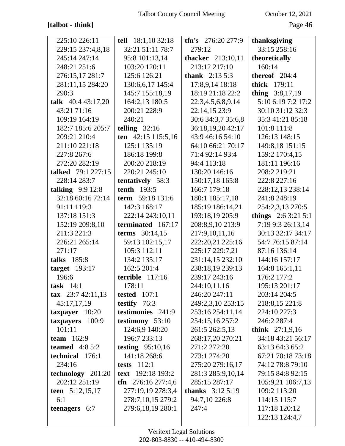# **[talbot - think]** Page 46

| 225:10 226:11                            | tell 18:1,10 32:18  | tfn's $276:20277:9$      | thanksgiving        |
|------------------------------------------|---------------------|--------------------------|---------------------|
| 229:15 237:4,8,18                        | 32:21 51:11 78:7    | 279:12                   | 33:15 258:16        |
| 245:14 247:14                            | 95:8 101:13,14      | <b>thacker</b> 213:10,11 | theoretically       |
| 248:21 251:6                             | 103:20 120:11       | 213:12 217:10            | 160:14              |
| 276:15,17 281:7                          | 125:6 126:21        | <b>thank</b> $2:135:3$   | thereof 204:4       |
| 281:11,15 284:20                         | 130:6,6,17 145:4    | 17:8,9,14 18:18          | thick 179:11        |
| 290:3                                    | 145:7 155:18,19     | 18:19 21:18 22:2         | thing $3:8,17,19$   |
| talk $40:443:17,20$                      | 164:2,13 180:5      | 22:3,4,5,6,8,9,14        | 5:10 6:19 7:2 17:2  |
| 43:21 71:16                              | 200:21 228:9        | 22:14,15 23:9            | 30:10 31:12 32:3    |
| 109:19 164:19                            | 240:21              | 30:6 34:3,7 35:6,8       | 35:3 41:21 85:18    |
| 182:7 185:6 205:7                        | telling $32:16$     | 36:18,19,20 42:17        | 101:8 111:8         |
| 209:21 210:4                             | ten 42:15 115:5,16  | 43:9 46:16 54:10         | 126:13 148:15       |
| 211:10 221:18                            | 125:1 135:19        | 64:10 66:21 70:17        | 149:8,18 151:15     |
| 227:8 267:6                              | 186:18 199:8        | 71:4 92:14 93:4          | 159:2 170:4,15      |
| 272:20 282:19                            | 200:20 218:19       | 94:4 113:18              | 181:11 196:16       |
| talked 79:1 227:15                       | 220:21 245:10       | 130:20 146:16            | 208:2 219:21        |
| 228:14 283:7                             | tentatively 58:3    | 150:17,18 165:8          | 222:8 227:16        |
| talking $9:912:8$                        | tenth $193:5$       | 166:7 179:18             | 228:12,13 238:14    |
| 32:18 60:16 72:14                        | term 59:18 131:6    | 180:1 185:17,18          | 241:8 248:19        |
| 91:11 119:3                              | 142:3 168:17        | 185:19 186:14,21         | 254:2,3,13 270:5    |
| 137:18 151:3                             | 222:14 243:10,11    | 193:18,19 205:9          | things $2:63:215:1$ |
| 152:19 209:8,10                          | terminated 167:17   | 208:8,9,10 213:9         | 7:19 9:3 26:13,14   |
| 211:3 221:3                              | terms $30:14,15$    | 217:9,10,11,16           | 30:13 32:17 34:17   |
| 226:21 265:14                            | 59:13 102:15,17     | 222:20,21 225:16         | 54:7 76:15 87:14    |
| 271:17                                   | 105:3 112:11        | 225:17 229:7,21          | 87:16 136:14        |
| talks 185:8                              | 134:2 135:17        | 231:14,15 232:10         | 144:16 157:17       |
| target $193:17$                          | 162:5 201:4         | 238:18,19 239:13         | 164:8 165:1,11      |
| 196:6                                    | terrible $117:16$   | 239:17 243:16            | 176:2 177:2         |
| task $14:1$                              | 178:11              | 244:10,11,16             | 195:13 201:17       |
| $\textbf{tax}$ 23:7 42:11,13             | tested $107:1$      | 246:20 247:11            | 203:14 204:5        |
| 45:17,17,19                              | testify $76:3$      | 249:2,3,10 253:15        | 218:8,15 221:8      |
| $\textbf{tary}\textbf{ayer} \quad 10:20$ | testimonies 241:9   | 253:16 254:11,14         | 224:10 227:3        |
| taxpayers 100:9                          | testimony 53:10     | 254:15,16 257:2          | 246:2 287:4         |
| 101:11                                   | 124:6,9 140:20      | 261:5 262:5,13           | think $27:1,9,16$   |
| team $162:9$                             | 196:7 233:13        | 268:17,20 270:21         | 34:18 43:21 56:17   |
| teamed $4:85:2$                          | testing $95:10,16$  | 271:2 272:20             | 63:13 64:3 65:2     |
| technical 176:1                          | 141:18 268:6        | 273:1 274:20             | 67:21 70:18 73:18   |
| 234:16                                   | tests $112:1$       | 275:20 279:16,17         | 74:12 78:8 79:10    |
| technology 201:20                        | text 192:18 193:2   | 281:3 285:9,10,14        | 79:15 84:8 92:15    |
| 202:12 251:19                            | tfn $276:16277:4,6$ | 285:15 287:17            | 105:9,21 106:7,13   |
| teen $5:12,15,17$                        | 277:19,19 278:3,4   | <b>thanks</b> $3:125:19$ | 109:2 113:20        |
| 6:1                                      | 278:7,10,15 279:2   | 94:7,10 226:8            | 114:15 115:7        |
| teenagers 6:7                            | 279:6,18,19 280:1   | 247:4                    | 117:18 120:12       |
|                                          |                     |                          | 122:13 124:4,7      |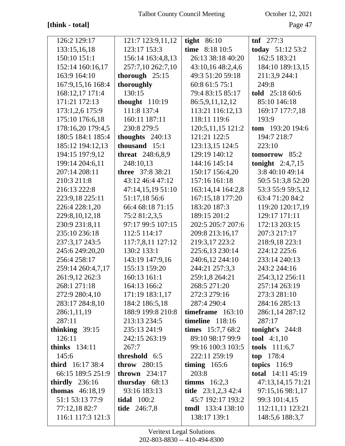# [think - total]

October 12, 2021

| 126:2 129:17            | 121:7 123:9,11,12         | tight $86:10$            | $tnf$ 277:3          |
|-------------------------|---------------------------|--------------------------|----------------------|
| 133:15,16,18            | 123:17 153:3              | time<br>8:18 10:5        | today 51:12 53:2     |
| 150:10 151:1            | 156:14 163:4,8,13         | 26:13 38:18 40:20        | 162:5 183:21         |
| 152:14 160:16,17        | 257:7,10 262:7,10         | 43:10,16 48:2,4,6        | 184:10 189:13,15     |
| 163:9 164:10            | thorough 25:15            | 49:3 51:20 59:18         | 211:3,9 244:1        |
| 167:9,15,16 168:4       | thoroughly                | 60:8 61:5 75:1           | 249:8                |
| 168:12,17 171:4         | 130:15                    | 79:4 83:15 85:17         | told 25:18 60:6      |
| 171:21 172:13           | thought $110:19$          | 86:5,9,11,12,12          | 85:10 146:18         |
| 173:1,2,6 175:9         | 111:8 137:4               | 113:21 116:12,13         | 169:17 177:7,18      |
| 175:10 176:6,18         | 160:11 187:11             | 118:11 119:6             | 193:9                |
| 178:16,20 179:4,5       | 230:8 279:5               | 120:5, 11, 15 121:2      | tom 193:20 194:6     |
| 180:5 184:1 185:4       | thoughts $240:13$         | 121:21 122:5             | 194:7 218:7          |
| 185:12 194:12,13        | thousand 15:1             | 123:13,15 124:5          | 223:10               |
| 194:15 197:9,12         | <b>threat</b> $248:6,8,9$ | 129:19 140:12            | tomorrow 85:2        |
| 199:14 204:6,11         | 248:10,13                 | 144:16 145:14            | tonight $2:4,7,15$   |
| 207:14 208:11           | three 37:8 38:21          | 150:17 156:4,20          | 3:8 40:10 49:14      |
| 210:3 211:8             | 43:12 46:4 47:12          | 157:16 161:18            | 50:5 51:3,8 52:20    |
| 216:13 222:8            | 47:14,15,19 51:10         | 163:14,14 164:2,8        | 53:3 55:9 59:5,12    |
| 223:9,18 225:11         | 51:17,18 56:6             | 167:15,18 177:20         | 63:4 71:20 84:2      |
| 226:4 228:1,20          | 66:4 68:18 71:15          | 183:20 187:3             | 119:20 120:17,19     |
| 229:8, 10, 12, 18       | 75:2 81:2,3,5             | 189:15 201:2             | 129:17 171:11        |
| 230:9 231:8,11          | 97:17 99:5 107:15         | 202:5 205:7 207:6        | 172:13 203:15        |
| 235:10 236:18           | 112:5 114:17              | 209:8 213:16,17          | 207:3 217:17         |
| 237:3,17 243:5          | 117:7,8,11 127:12         | 219:3,17 223:2           | 218:9,18 223:1       |
| 245:6 249:20,20         | 130:2 133:1               | 225:6,13 230:14          | 224:12 225:6         |
| 256:4 258:17            | 143:19 147:9,16           | 240:6,12 244:10          | 233:14 240:13        |
| 259:14 260:4,7,17       | 155:13 159:20             | 244:21 257:3,3           | 243:2 244:16         |
| 261:9,12 262:3          | 160:13 161:1              | 259:1,8 264:21           | 254:3,12 256:11      |
| 268:1 271:18            | 164:13 166:2              | 268:5 271:20             | 257:14 263:19        |
| 272:9 280:4,10          | 171:19 183:1,17           | 272:3 279:16             | 273:3 281:10         |
| 283:17 284:8,10         | 184:2 186:5,18            | 287:4 290:4              | 284:16 285:13        |
| 286:1,11,19             | 188:9 199:8 210:8         | timeframe $163:10$       | 286:1,14 287:12      |
| 287:11                  | 213:13 234:5              | timeline $118:16$        | 287:17               |
| thinking $39:15$        | 235:13 241:9              | times 15:7,7 68:2        | tonight's $244:8$    |
| 126:11                  | 242:15 263:19             | 89:10 98:17 99:9         | <b>tool</b> $4:1,10$ |
| thinks $134:11$         | 267:7                     | 99:16 100:3 103:5        | tools 111:6,7        |
| 145:6                   | threshold 6:5             | 222:11 259:19            | $top$ 178:4          |
| <b>third</b> 16:17 38:4 | throw $280:15$            | timing $165:6$           | topics $116:9$       |
| 66:15 189:5 251:9       | thrown $234:17$           | 203:8                    | total 14:11 45:19    |
| thirdly $236:16$        | thursday $68:13$          | timms $16:2,3$           | 47:13,14,15 71:21    |
| <b>thomas</b> 46:18,19  | 93:16 183:13              | title $23:1,2,3,42:4$    | 97:15,16 98:1,17     |
| 51:1 53:13 77:9         | <b>tidal</b> 100:2        | 45:7 192:17 193:2        | 99:3 101:4,15        |
| 77:12,18 82:7           | <b>tide</b> 246:7,8       | <b>tmdl</b> 133:4 138:10 | 112:11,11 123:21     |
| 116:1 117:3 121:3       |                           | 138:17 139:1             | 148:5,6 188:3,7      |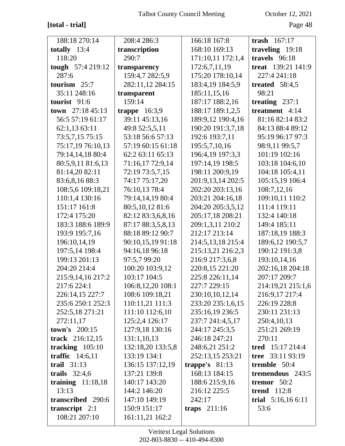# **[total - trial]** Page 48

| 188:18 270:14       | 208:4 286:3       | 166:18 167:8      | trash $167:17$      |
|---------------------|-------------------|-------------------|---------------------|
| totally $13:4$      | transcription     | 168:10 169:13     | traveling 19:18     |
| 118:20              | 290:7             | 171:10,11 172:1,4 | travels 96:18       |
| tough 57:4 219:12   | transparency      | 172:6,7,11,19     | treat 139:21 141:9  |
| 287:6               | 159:4,7 282:5,9   | 175:20 178:10,14  | 227:4 241:18        |
| tourism $25:7$      | 282:11,12 284:15  | 183:4,19 184:5,9  | treated $58:4,5$    |
| 35:11 248:16        | transparent       | 185:11,15,16      | 98:21               |
| tourist $91:6$      | 159:14            | 187:17 188:2,16   | treating $237:1$    |
| town $27:1845:13$   | trappe $16:3,9$   | 188:17 189:1,2,5  | treatment 4:14      |
| 56:5 57:19 61:17    | 39:11 45:13,16    | 189:9,12 190:4,16 | 81:16 82:14 83:2    |
| 62:1,13 63:11       | 49:8 52:5,5,11    | 190:20 191:3,7,18 | 84:13 88:4 89:12    |
| 73:5,7,15 75:15     | 53:18 56:6 57:13  | 192:6 193:7,11    | 95:19 96:17 97:3    |
| 75:17,19 76:10,13   | 57:19 60:15 61:18 | 195:5,7,10,16     | 98:9,11 99:5,7      |
| 79:14,14,18 80:4    | 62:2 63:11 65:13  | 196:4,19 197:3,3  | 101:19 102:16       |
| 80:5,9,11 81:6,13   | 71:16,17 72:9,14  | 197:14,19 198:5   | 103:18 104:6,10     |
| 81:14,20 82:11      | 72:19 73:5,7,15   | 198:11 200:9,19   | 104:18 105:4,11     |
| 83:6,8,16 88:3      | 74:17 75:17,20    | 201:9,13,14 202:5 | 105:15,19 106:4     |
| 108:5,6 109:18,21   | 76:10,13 78:4     | 202:20 203:13,16  | 108:7,12,16         |
| 110:1,4 130:16      | 79:14,14,19 80:4  | 203:21 204:16,18  | 109:10,11 110:2     |
| 151:17 161:8        | 80:5,10,12 81:6   | 204:20 205:3,5,12 | 111:4 119:11        |
| 172:4 175:20        | 82:12 83:3,6,8,16 | 205:17,18 208:21  | 132:4 140:18        |
| 183:3 188:6 189:9   | 87:17 88:3,5,8,13 | 209:1,3,11 210:2  | 149:4 185:11        |
| 193:9 195:7,16      | 88:18 89:12 90:7  | 212:17 213:14     | 187:18,19 188:3     |
| 196:10,14,19        | 90:10,15,19 91:18 | 214:5,13,18 215:4 | 189:6,12 190:5,7    |
| 197:5,14 198:4      | 94:16,18 96:18    | 215:13,21 216:2,3 | 190:12 191:3,8      |
| 199:13 201:13       | 97:5,7 99:20      | 216:9 217:3,6,8   | 193:10,14,16        |
| 204:20 214:4        | 100:20 103:9,12   | 220:8,15 221:20   | 202:16,18 204:18    |
| 215:9,14,16 217:2   | 103:17 104:5      | 225:8 226:11,14   | 207:17 209:7        |
| 217:6 224:1         | 106:8,12,20 108:1 | 227:7 229:15      | 214:19,21 215:1,6   |
| 226:14,15 227:7     | 108:6 109:18,21   | 230:10,10,12,14   | 216:9,17 217:4      |
| 235:6 250:1 252:3   | 110:11,21 111:3   | 233:20 235:1,6,15 | 226:19 228:8        |
| 252:5,18 271:21     | 111:10 112:6,10   | 235:16,19 236:5   | 230:11 231:13       |
| 272:11,17           | 125:2,4 126:17    | 237:7 241:4,5,17  | 250:4,10,13         |
| town's 200:15       | 127:9,18 130:16   | 244:17 245:3,5    | 251:21 269:19       |
| track 216:12,15     | 131:1,10,13       | 246:18 247:21     | 270:11              |
| tracking $105:10$   | 132:18,20 133:5,8 | 248:6,21 251:2    | tred 15:17 214:4    |
| traffic $14:6,11$   | 133:19 134:1      | 252:13,15 253:21  | tree 33:11 93:19    |
| trail $31:13$       | 136:15 137:12,19  | trappe's $81:13$  | tremble 50:4        |
| trails $32:4,6$     | 137:21 139:8      | 168:13 184:15     | tremendous 243:5    |
| training $11:18,18$ | 140:17 143:20     | 188:6 215:9,16    | tremor $50:2$       |
| 13:13               | 144:2 146:20      | 216:12 225:5      | <b>trend</b> 112:8  |
| transcribed 290:6   | 147:10 149:19     | 242:17            | trial $5:16,166:11$ |
| transcript $2:1$    | 150:9 151:17      | traps $211:16$    | 53:6                |
| 108:21 207:10       | 161:11,21 162:2   |                   |                     |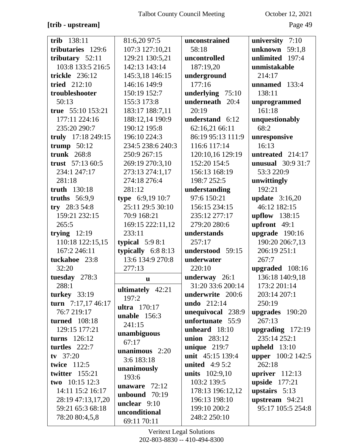## [trib - upstream]

October 12, 2021

| trib 138:11           | 81:6,20 97:5                                  | unconstrained                | university 7:10                  |
|-----------------------|-----------------------------------------------|------------------------------|----------------------------------|
| tributaries 129:6     | 107:3 127:10,21                               | 58:18                        | unknown $59:1,8$                 |
| tributary $52:11$     | 129:21 130:5,21                               | uncontrolled                 | unlimited 197:4                  |
| 103:8 133:5 216:5     | 142:13 143:14                                 | 187:19,20                    | unmistakable                     |
| <b>trickle</b> 236:12 | 145:3,18 146:15                               | underground                  | 214:17                           |
| <b>tried</b> 212:10   | 146:16 149:9                                  | 177:16                       | unnamed 133:4                    |
| troubleshooter        | 150:19 152:7                                  | underlying 75:10             | 138:11                           |
| 50:13                 | 155:3 173:8                                   | underneath 20:4              | unprogrammed                     |
| true 55:10 153:21     | 183:17 188:7,11                               | 20:19                        | 161:18                           |
| 177:11 224:16         | 188:12,14 190:9                               | understand 6:12              | unquestionably                   |
| 235:20 290:7          | 190:12 195:8                                  | 62:16,21 66:11               | 68:2                             |
| truly 17:18 249:15    | 196:10 224:3                                  | 86:19 95:13 111:9            | unresponsive                     |
| trump $50:12$         | 234:5 238:6 240:3                             | 116:6 117:14                 | 16:13                            |
| <b>trunk</b> 268:8    | 250:9 267:15                                  | 120:10,16 129:19             | untreated 214:17                 |
| trust $57:1360:5$     | 269:19 270:3,10                               | 152:20 154:5                 | <b>unusual</b> 30:9 31:7         |
| 234:1 247:17          | 273:13 274:1,17                               | 156:13 168:19                | 53:3 220:9                       |
| 281:18                | 274:18 276:4                                  | 198:7 252:5                  |                                  |
| <b>truth</b> 130:18   | 281:12                                        |                              | unwittingly<br>192:21            |
|                       |                                               | understanding<br>97:6 150:21 |                                  |
| truths $56:9,9$       | <b>type</b> $6:9,19$ 10:7<br>25:11 29:5 30:10 | 156:15 234:15                | update $3:16,20$<br>46:12 182:15 |
| try 28:3 54:8         |                                               |                              |                                  |
| 159:21 232:15         | 70:9 168:21                                   | 235:12 277:17                | upflow 138:15                    |
| 265:5                 | 169:15 222:11,12                              | 279:20 280:6                 | upfront 49:1                     |
| trying $12:19$        | 233:11                                        | understands                  | upgrade $190:16$                 |
| 110:18 122:15,15      | typical $5:98:1$                              | 257:17                       | 190:20 206:7,13                  |
| 167:2 246:11          | typically 6:8 8:13                            | understood 59:15             | 206:19 251:1                     |
| tuckahoe 23:8         | 13:6 134:9 270:8                              | underwater                   | 267:7                            |
| 32:20                 | 277:13                                        | 220:10                       | upgraded 108:16                  |
| tuesday 278:3         | <b>u</b>                                      | underway 26:1                | 136:18 140:9,18                  |
| 288:1                 | ultimately 42:21                              | 31:20 33:6 200:14            | 173:2 201:14                     |
| turkey 33:19          | 197:2                                         | underwrite 200:6             | 203:14 207:1                     |
| turn $7:17,17,46:17$  | ultra 170:17                                  | undo 212:14                  | 250:19                           |
| 76:7 219:17           | unable $156:3$                                | unequivocal 238:9            | upgrades 190:20                  |
| <b>turned</b> 108:18  | 241:15                                        | unfortunate 55:9             | 267:13                           |
| 129:15 177:21         | unambiguous                                   | unheard 18:10                | upgrading $172:19$               |
| turns $126:12$        | 67:17                                         | union 283:12                 | 235:14 252:1                     |
| turtles $222:7$       | unanimous 2:20                                | unique $219:7$               | upheld $13:10$                   |
| tv $37:20$            | 3:6 183:18                                    | unit 45:15 139:4             | <b>upper</b> 100:2 142:5         |
| twice 112:5           | unanimously                                   | united $4:95:2$              | 262:18                           |
| twitter $155:21$      | 193:6                                         | <b>units</b> 102:9,10        | upriver $112:13$                 |
| two $10:15$ 12:3      | unaware $72:12$                               | 103:2 139:5                  | <b>upside</b> 177:21             |
| 14:11 15:2 16:17      | unbound $70:19$                               | 178:13 196:12,12             | upstairs $5:13$                  |
| 28:19 47:13,17,20     | unclear $9:10$                                | 196:13 198:10                | upstream $94:21$                 |
| 59:21 65:3 68:18      | unconditional                                 | 199:10 200:2                 | 95:17 105:5 254:8                |
| 78:20 80:4,5,8        | 69:11 70:11                                   | 248:2 250:10                 |                                  |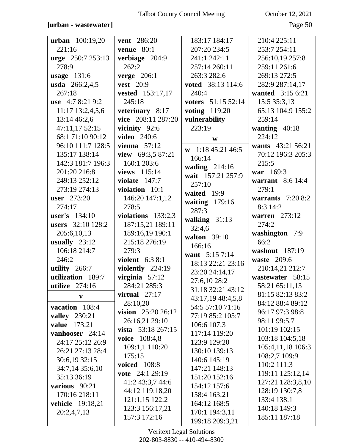## [urban - wastewater]

October 12, 2021

| <b>urban</b> 100:19,20  | vent 286:20             | 183:17 184:17        | 210:4 225:11       |
|-------------------------|-------------------------|----------------------|--------------------|
| 221:16                  | venue $80:1$            | 207:20 234:5         | 253:7 254:11       |
| urge 250:7 253:13       | verbiage 204:9          | 241:1 242:11         | 256:10,19 257:8    |
| 278:9                   | 262:2                   | 257:14 260:11        | 259:11 261:6       |
| <b>usage</b> 131:6      | verge $206:1$           | 263:3 282:6          | 269:13 272:5       |
| <b>usda</b> $266:2,4,5$ | <b>vest</b> 20:9        | voted 38:13 114:6    | 282:9 287:14,17    |
| 267:18                  | <b>vested</b> 153:17,17 | 240:4                | wanted 3:15 6:21   |
| use 4:7 8:21 9:2        | 245:18                  | voters 51:15 52:14   | 15:5 35:3,13       |
| 11:17 13:2,4,5,6        | veterinary 8:17         | <b>voting</b> 119:20 | 65:13 104:9 155:2  |
| 13:14 46:2,6            | vice 208:11 287:20      | vulnerability        | 259:14             |
| 47:11,17 52:15          | vicinity 92:6           | 223:19               | wanting $40:18$    |
| 68:1 71:10 90:12        | <b>video</b> 240:6      | W                    | 224:12             |
| 96:10 111:7 128:5       | vienna $57:12$          | w $1:1845:2146:5$    | wants 43:21 56:21  |
| 135:17 138:14           | view 69:3,5 87:21       | 166:14               | 70:12 196:3 205:3  |
| 142:3 181:7 196:3       | 160:1 203:6             | wading $214:16$      | 215:5              |
| 201:20 216:8            | views 115:14            | wait 157:21 257:9    | war 169:3          |
| 249:13 252:12           | violate $147:7$         | 257:10               | warrant $8:6$ 14:4 |
| 273:19 274:13           | violation 10:1          | waited 19:9          | 279:1              |
| <b>user</b> 273:20      | 146:20 147:1,12         | waiting $179:16$     | warrants $7:208:2$ |
| 274:17                  | 278:5                   | 287:3                | 8:3 14:2           |
| <b>user's</b> 134:10    | violations $133:2,3$    | walking $31:13$      | warren 273:12      |
| users 32:10 128:2       | 187:15,21 189:11        | 32:4,6               | 274:2              |
| 205:6,10,13             | 189:16,19 190:1         | walton $39:10$       | washington 7:9     |
| usually $23:12$         | 215:18 276:19           | 166:16               | 66:2               |
| 106:18 214:7            | 279:3                   | want 5:15 7:14       | washout 187:19     |
| 246:2                   | violent 6:3 8:1         | 18:13 22:21 23:16    | waste 209:6        |
| utility $266:7$         | violently 224:19        | 23:20 24:14,17       | 210:14,21 212:7    |
| utilization 189:7       | virginia $57:12$        | 27:6,10 28:2         | wastewater 58:15   |
| utilize $274:16$        | 284:21 285:3            | 31:18 32:21 43:12    | 58:21 65:11,13     |
| V                       | virtual $27:17$         | 43:17,19 48:4,5,8    | 81:15 82:13 83:2   |
| vacation 108:4          | 28:10,20                | 54:5 57:10 71:16     | 84:12 88:4 89:12   |
| <b>valley</b> 230:21    | vision 25:20 26:12      | 77:19 85:2 105:7     | 96:17 97:3 98:8    |
| <b>value</b> 173:21     | 26:16,21 29:10          | 106:6 107:3          | 98:11 99:5,7       |
| vanhooser 24:14         | vista $53:18\,267:15$   | 117:14 119:20        | 101:19 102:15      |
| 24:17 25:12 26:9        | voice 108:4,8           | 123:9 129:20         | 103:18 104:5,18    |
| 26:21 27:13 28:4        | 109:1,1 110:20          | 130:10 139:13        | 105:4,11,18 106:3  |
| 30:6,19 32:15           | 175:15                  | 140:6 145:19         | 108:2,7 109:9      |
| 34:7,14 35:6,10         | <b>voiced</b> 108:8     | 147:21 148:13        | 110:2 111:3        |
| 35:13 36:19             | vote 24:1 29:19         | 151:20 152:16        | 119:11 125:12,14   |
| various 90:21           | 41:2 43:3,7 44:6        | 154:12 157:6         | 127:21 128:3,8,10  |
| 170:16 218:11           | 44:12 119:18,20         | 158:4 163:21         | 128:19 130:7,8     |
| <b>vehicle</b> 19:18,21 | 121:1,15 122:2          | 164:12 168:5         | 133:4 138:1        |
| 20:2,4,7,13             | 123:3 156:17,21         | 170:1 194:3,11       | 140:18 149:3       |
|                         | 157:3 172:16            | 199:18 209:3,21      | 185:11 187:18      |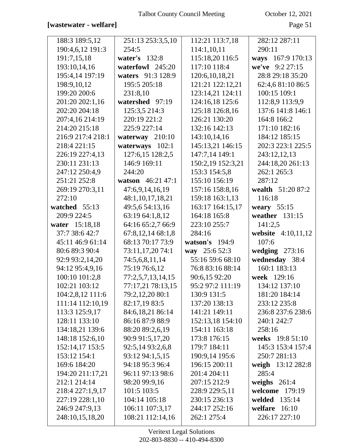## **[wastewater - welfare]** Page 51

| 188:3 189:5,12    | 251:13 253:3,5,10 | 112:21 113:7,18   | 282:12 287:11      |
|-------------------|-------------------|-------------------|--------------------|
| 190:4,6,12 191:3  | 254:5             | 114:1,10,11       | 290:11             |
| 191:7,15,18       | water's 132:8     | 115:18,20 116:5   | ways 167:9 170:13  |
| 193:10,14,16      | waterfowl 245:20  | 117:10 118:4      | we've $9:227:15$   |
| 195:4,14 197:19   | waters 91:3 128:9 | 120:6,10,18,21    | 28:8 29:18 35:20   |
| 198:9,10,12       | 195:5 205:18      | 121:21 122:12,21  | 62:4,6 81:10 86:5  |
| 199:20 200:6      | 231:8,10          | 123:14,21 124:11  | 100:15 109:1       |
| 201:20 202:1,16   | watershed 97:19   | 124:16,18 125:6   | 112:8,9 113:9,9    |
| 202:20 204:18     | 125:3,5 214:3     | 125:18 126:8,16   | 137:6 141:8 146:1  |
| 207:4,16 214:19   | 220:19 221:2      | 126:21 130:20     | 164:8 166:2        |
| 214:20 215:18     | 225:9 227:14      | 132:16 142:13     | 171:10 182:16      |
| 216:9 217:4 218:1 | waterway $210:10$ | 143:10,14,16      | 184:12 185:15      |
| 218:4 221:15      | waterways 102:1   | 145:13,21 146:15  | 202:3 223:1 225:5  |
| 226:19 227:4,13   | 127:6,15 128:2,5  | 147:7,14 149:1    | 243:12,12,13       |
| 230:11 231:13     | 146:9 169:11      | 150:2,19 152:3,21 | 244:18,20 261:13   |
| 247:12 250:4,9    | 244:20            | 153:3 154:5,8     | 262:1 265:3        |
| 251:21 252:8      | watson 46:21 47:1 | 155:10 156:19     | 287:12             |
| 269:19 270:3,11   | 47:6,9,14,16,19   | 157:16 158:8,16   | wealth 51:20 87:2  |
| 272:10            | 48:1,10,17,18,21  | 159:18 163:1,13   | 116:18             |
| watched 55:13     | 49:5,6 54:13,16   | 163:17 164:15,17  | weary $55:15$      |
| 209:9 224:5       | 63:19 64:1,8,12   | 164:18 165:8      | weather $131:15$   |
| water 15:18,18    | 64:16 65:2,7 66:9 | 223:10 255:7      | 141:2,5            |
| 37:7 38:6 42:7    | 67:8,12,14 68:1,8 | 284:16            | website 4:10,11,12 |
| 45:11 46:9 61:14  | 68:13 70:17 73:9  | watson's $194:9$  | 107:6              |
| 80:6 89:3 90:4    | 73:11,17,20 74:1  | way 25:6 52:3     | wedging $273:16$   |
| 92:9 93:2,14,20   | 74:5,6,8,11,14    | 55:16 59:6 68:10  | wednesday 38:4     |
| 94:12 95:4,9,16   | 75:19 76:6,12     | 76:8 83:16 88:14  | 160:1 183:13       |
| 100:10 101:2,8    | 77:2,5,7,13,14,15 | 90:6,15 92:20     | week 129:16        |
| 102:21 103:12     | 77:17,21 78:13,15 | 95:2 97:2 111:19  | 134:12 137:10      |
| 104:2,8,12 111:6  | 79:2,12,20 80:1   | 130:9 131:5       | 181:20 184:14      |
| 111:14 112:10,19  | 82:17,19 83:5     | 137:20 138:13     | 233:12 235:8       |
| 113:3 125:9,17    | 84:6,18,21 86:14  | 141:21 149:11     | 236:8 237:6 238:6  |
| 128:11 133:10     | 86:16 87:9 88:9   | 152:13,18 154:10  | 240:1 242:7        |
| 134:18,21 139:6   | 88:20 89:2,6,19   | 154:11 163:18     | 258:16             |
| 148:18 152:6,10   | 90:9 91:5,17,20   | 173:8 176:15      | weeks 19:8 51:10   |
| 152:14,17 153:5   | 92:5,14 93:2,6,8  | 179:7 184:11      | 145:3 153:4 157:4  |
| 153:12 154:1      | 93:12 94:1,5,15   | 190:9,14 195:6    | 250:7 281:13       |
| 169:6 184:20      | 94:18 95:3 96:4   | 196:15 200:11     | weigh 13:12 282:8  |
| 194:20 211:17,21  | 96:11 97:13 98:6  | 201:4 204:11      | 285:4              |
| 212:1 214:14      | 98:20 99:9,16     | 207:15 212:9      | weighs $261:4$     |
| 218:4 227:1,9,17  | 101:5 103:5       | 228:9 229:5,11    | welcome 179:19     |
| 227:19 228:1,10   |                   |                   |                    |
|                   | 104:14 105:18     | 230:15 236:13     | welded 135:14      |
| 246:9 247:9,13    | 106:11 107:3,17   | 244:17 252:16     | welfare<br>16:10   |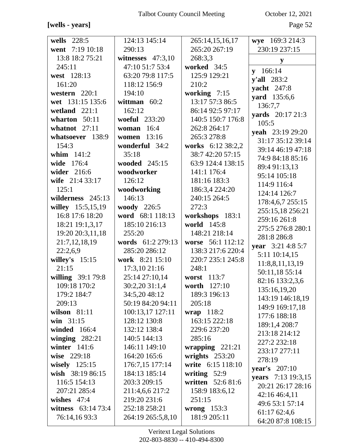## [wells - years] Page 52

| wells 228:5         | 124:13 145:14       | 265:14,15,16,17     | wye 169:3 214:3           |
|---------------------|---------------------|---------------------|---------------------------|
| went 7:19 10:18     | 290:13              | 265:20 267:19       | 230:19 237:15             |
| 13:8 18:2 75:21     | witnesses $47:3,10$ | 268:3,3             | y                         |
| 245:11              | 47:10 51:7 53:4     | worked 34:5         |                           |
| west 128:13         | 63:20 79:8 117:5    | 125:9 129:21        | $y$ 166:14<br>y'all 283:2 |
| 161:20              | 118:12 156:9        | 210:2               | <b>yacht</b> 247:8        |
| western $220:1$     | 194:10              | working 7:15        | <b>yard</b> 135:6,6       |
| wet 131:15 135:6    | wittman $60:2$      | 13:17 57:3 86:5     | 136:7,7                   |
| wetland 221:1       | 162:12              | 86:14 92:5 97:17    | yards 20:17 21:3          |
| wharton $50:11$     | woeful 233:20       | 140:5 150:7 176:8   | 105:5                     |
| whatnot $27:11$     | 16:4<br>woman       | 262:8 264:17        | yeah 23:19 29:20          |
| whatsoever 138:9    | women 13:16         | 265:3 278:8         | 31:17 35:12 39:14         |
| 154:3               | wonderful 34:2      | works 6:12 38:2,2   | 39:14 46:19 47:18         |
| whim $141:2$        | 35:18               | 38:7 42:20 57:15    | 74:9 84:18 85:16          |
| wide 176:4          | wooded 245:15       | 63:9 124:4 138:15   | 89:4 91:13,13             |
| wider 216:6         | woodworker          | 141:1 176:4         | 95:14 105:18              |
| wife 21:4 33:17     | 126:12              | 181:16 183:3        | 114:9 116:4               |
| 125:1               | woodworking         | 186:3,4 224:20      | 124:14 126:7              |
| wilderness 245:13   | 146:13              | 240:15 264:5        | 178:4,6,7 255:15          |
| willey 15:5,15,19   | woody 226:5         | 272:3               | 255:15,18 256:21          |
| 16:8 17:6 18:20     | word 68:1 118:13    | workshops 183:1     | 259:16 261:8              |
| 18:21 19:1,3,17     | 185:10 216:13       | world 145:8         | 275:5 276:8 280:1         |
| 19:20 20:3,11,18    | 255:20              | 148:21 218:14       | 281:8 286:8               |
| 21:7,12,18,19       | words 61:2 279:13   | worse 56:1 112:12   | year 3:21 4:8 5:7         |
| 22:2,6,9            | 285:20 286:12       | 138:3 217:6 220:4   | 5:11 10:14,15             |
| willey's $15:15$    | work 8:21 15:10     | 220:7 235:1 245:8   | 11:8,8,11,13,19           |
| 21:15               | 17:3,10 21:16       | 248:1               | 50:11,18 55:14            |
| willing 39:1 79:8   | 25:14 27:10,14      | worst 113:7         | 82:16 133:2,3,6           |
| 109:18 170:2        | 30:2,20 31:1,4      | <b>worth</b> 127:10 | 135:16,19,20              |
| 179:2 184:7         | 34:5,20 48:12       | 189:3 196:13        | 143:19 146:18,19          |
| 209:13              | 50:19 84:20 94:11   | 205:18              | 149:9 169:17,18           |
| wilson $81:11$      | 100:13,17 127:11    | wrap $118:2$        | 177:6 188:18              |
| win $31:15$         | 128:12 130:8        | 163:15 222:18       | 189:1,4 208:7             |
| winded 166:4        | 132:12 138:4        | 229:6 237:20        | 213:18 214:12             |
| winging $282:21$    | 140:5 144:13        | 285:16              | 227:2 232:18              |
| winter $141:6$      | 146:11 149:10       | wrapping $221:21$   | 233:17 277:11             |
| wise 229:18         | 164:20 165:6        | wrights $253:20$    | 278:19                    |
| wisely $125:15$     | 176:7,15 177:14     | write 6:15 118:10   | <b>year's</b> $207:10$    |
| wish 38:19 86:15    | 184:13 185:14       | writing $52:9$      | years 7:13 19:3,15        |
| 116:5 154:13        | 203:3 209:15        | written 52:6 81:6   | 20:21 26:17 28:16         |
| 207:21 285:4        | 211:4,6,6 217:2     | 158:9 183:6,12      | 42:16 46:4,11             |
| wishes $47:4$       | 219:20 231:6        | 251:15              | 49:6 53:1 57:14           |
| witness $63:1473:4$ | 252:18 258:21       | wrong $153:3$       | 61:17 62:4,6              |
| 76:14,1693:3        | 264:19 265:5,8,10   | 181:9 205:11        | 64:20 87:8 108:15         |